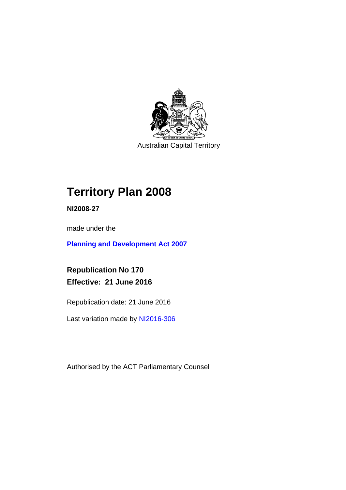

Australian Capital Territory

# **Territory Plan 2008**

**NI2008-27** 

made under the

**[Planning and Development Act 2007](http://www.legislation.act.gov.au/a/2007-24/default.asp)**

**Republication No 170 Effective: 21 June 2016** 

Republication date: 21 June 2016

Last variation made by [NI2016-306](http://www.legislation.act.gov.au/ni/2016-306/default.asp)

Authorised by the ACT Parliamentary Counsel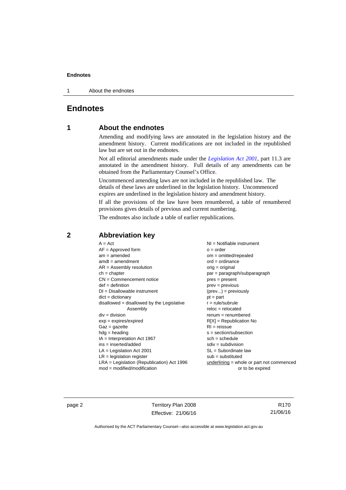1 About the endnotes

## **Endnotes**

## **1 About the endnotes**

Amending and modifying laws are annotated in the legislation history and the amendment history. Current modifications are not included in the republished law but are set out in the endnotes.

Not all editorial amendments made under the *[Legislation Act 2001](http://www.legislation.act.gov.au/a/2001-14/default.asp)*, part 11.3 are annotated in the amendment history. Full details of any amendments can be obtained from the Parliamentary Counsel's Office.

Uncommenced amending laws are not included in the republished law. The details of these laws are underlined in the legislation history. Uncommenced expires are underlined in the legislation history and amendment history.

If all the provisions of the law have been renumbered, a table of renumbered provisions gives details of previous and current numbering.

The endnotes also include a table of earlier republications.

| $A = Act$                                    | $NI =$ Notifiable instrument              |
|----------------------------------------------|-------------------------------------------|
| $AF =$ Approved form                         | $o = order$                               |
| $am = amended$                               | $om = omitted/repealed$                   |
| $amdt = amendment$                           | $ord = ordinance$                         |
| $AR = Assembly resolution$                   | $orig = original$                         |
| $ch = chapter$                               | par = paragraph/subparagraph              |
| $CN =$ Commencement notice                   | $pres = present$                          |
| $def = definition$                           | prev = previous                           |
| $DI = Disallowable instrument$               | $(\text{prev}) = \text{previously}$       |
| $dict = dictionary$                          | $pt = part$                               |
| disallowed = disallowed by the Legislative   | $r = rule/subrule$                        |
| Assembly                                     | $reloc = relocated$                       |
| $div = division$                             | $remum = renumbered$                      |
| $exp = expires/expired$                      | $R[X]$ = Republication No                 |
| $Gaz = gazette$                              | $RI =$ reissue                            |
| $h dq =$ heading                             | $s = section/subsection$                  |
| $IA = Interpretation Act 1967$               | $sch = schedule$                          |
| $ins = inserted/added$                       | $sdiv = subdivision$                      |
| $LA =$ Legislation Act 2001                  | $SL = Subordinate$ law                    |
| $LR =$ legislation register                  | $sub =$ substituted                       |
| $LRA =$ Legislation (Republication) Act 1996 | underlining = whole or part not commenced |
| $mod = modified/modification$                | or to be expired                          |
|                                              |                                           |

## **2 Abbreviation key**

page 2 Territory Plan 2008 Effective: 21/06/16

R170 21/06/16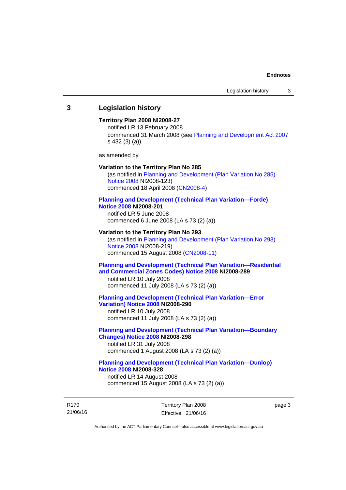## **3 Legislation history**

### **Territory Plan 2008 NI2008-27**

notified LR 13 February 2008 commenced 31 March 2008 (see [Planning and Development Act 2007](http://www.legislation.act.gov.au/a/2007-24/default.asp) s 432 (3) (a))

as amended by

#### **Variation to the Territory Plan No 285**

(as notified in [Planning and Development \(Plan Variation No 285\)](http://www.legislation.act.gov.au/ni/2008-123/)  [Notice 2008](http://www.legislation.act.gov.au/ni/2008-123/) NI2008-123) commenced 18 April 2008 [\(CN2008-4\)](http://www.legislation.act.gov.au/cn/2008-4/)

#### **[Planning and Development \(Technical Plan Variation—Forde\)](http://www.legislation.act.gov.au/ni/2008-201/)  [Notice 2008](http://www.legislation.act.gov.au/ni/2008-201/) NI2008-201**

notified LR 5 June 2008 commenced 6 June 2008 (LA s 73 (2) (a))

#### **Variation to the Territory Plan No 293**

(as notified in [Planning and Development \(Plan Variation No 293\)](http://www.legislation.act.gov.au/ni/2008-219/)  [Notice 2008](http://www.legislation.act.gov.au/ni/2008-219/) NI2008-219) commenced 15 August 2008 [\(CN2008-11\)](http://www.legislation.act.gov.au/cn/2008-11/)

## **[Planning and Development \(Technical Plan Variation—Residential](http://www.legislation.act.gov.au/ni/2008-289/)  [and Commercial Zones Codes\) Notice 2008](http://www.legislation.act.gov.au/ni/2008-289/) NI2008-289**

notified LR 10 July 2008 commenced 11 July 2008 (LA s 73 (2) (a))

#### **[Planning and Development \(Technical Plan Variation—Error](http://www.legislation.act.gov.au/ni/2008-290/)  [Variation\) Notice 2008](http://www.legislation.act.gov.au/ni/2008-290/) NI2008-290**

notified LR 10 July 2008 commenced 11 July 2008 (LA s 73 (2) (a))

## **[Planning and Development \(Technical Plan Variation—Boundary](http://www.legislation.act.gov.au/ni/2008-298/)  [Changes\) Notice 2008](http://www.legislation.act.gov.au/ni/2008-298/) NI2008-298**  notified LR 31 July 2008

commenced 1 August 2008 (LA s 73 (2) (a))

## **[Planning and Development \(Technical Plan Variation—Dunlop\)](http://www.legislation.act.gov.au/ni/2008-328/)  [Notice 2008](http://www.legislation.act.gov.au/ni/2008-328/) NI2008-328**

notified LR 14 August 2008 commenced 15 August 2008 (LA s 73 (2) (a))

R170 21/06/16 Territory Plan 2008 Effective: 21/06/16 page 3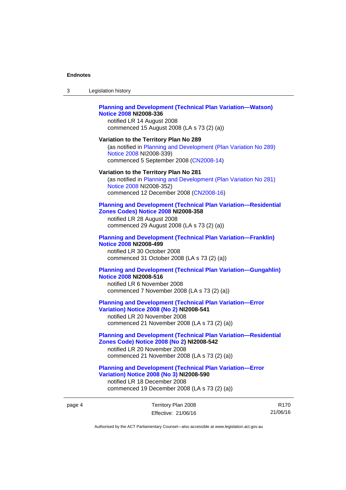$3<sub>l</sub>$ 

| 3      | Legislation history                                                                                                                                                                                |
|--------|----------------------------------------------------------------------------------------------------------------------------------------------------------------------------------------------------|
|        | <b>Planning and Development (Technical Plan Variation-Watson)</b><br><b>Notice 2008 NI2008-336</b><br>notified LR 14 August 2008<br>commenced 15 August 2008 (LA s 73 (2) (a))                     |
|        | Variation to the Territory Plan No 289<br>(as notified in Planning and Development (Plan Variation No 289)<br>Notice 2008 NI2008-339)<br>commenced 5 September 2008 (CN2008-14)                    |
|        | Variation to the Territory Plan No 281<br>(as notified in Planning and Development (Plan Variation No 281)<br>Notice 2008 NI2008-352)<br>commenced 12 December 2008 (CN2008-16)                    |
|        | <b>Planning and Development (Technical Plan Variation-Residential</b><br><b>Zones Codes) Notice 2008 NI2008-358</b><br>notified LR 28 August 2008<br>commenced 29 August 2008 (LA s 73 (2) (a))    |
|        | <b>Planning and Development (Technical Plan Variation-Franklin)</b><br><b>Notice 2008 NI2008-499</b><br>notified LR 30 October 2008<br>commenced 31 October 2008 (LA s 73 (2) (a))                 |
|        | <b>Planning and Development (Technical Plan Variation-Gungahlin)</b><br><b>Notice 2008 NI2008-516</b><br>notified LR 6 November 2008<br>commenced 7 November 2008 (LA s 73 (2) (a))                |
|        | <b>Planning and Development (Technical Plan Variation-Error</b><br><b>Variation) Notice 2008 (No 2) NI2008-541</b><br>notified LR 20 November 2008<br>commenced 21 November 2008 (LA s 73 (2) (a)) |
|        | <b>Planning and Development (Technical Plan Variation-Residential</b><br>Zones Code) Notice 2008 (No 2) NI2008-542<br>notified LR 20 November 2008<br>commenced 21 November 2008 (LA s 73 (2) (a)) |
|        | <b>Planning and Development (Technical Plan Variation-Error</b><br><b>Variation) Notice 2008 (No 3) NI2008-590</b><br>notified LR 18 December 2008<br>commenced 19 December 2008 (LA s 73 (2) (a)) |
| page 4 | Territory Plan 2008<br>R<br>21/06<br>Effective: 21/06/16                                                                                                                                           |

R170 21/06/16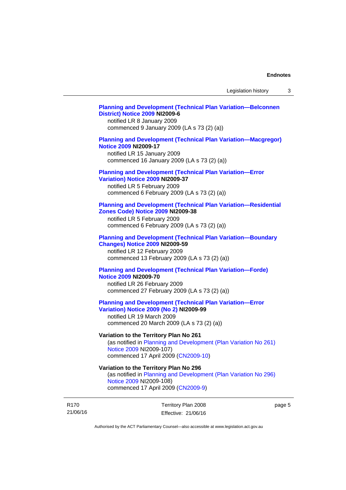## **[Planning and Development \(Technical Plan Variation—Belconnen](http://www.legislation.act.gov.au/ni/2009-6/)  [District\) Notice 2009](http://www.legislation.act.gov.au/ni/2009-6/) NI2009-6**

notified LR 8 January 2009 commenced 9 January 2009 (LA s 73 (2) (a))

## **[Planning and Development \(Technical Plan Variation—Macgregor\)](http://www.legislation.act.gov.au/ni/2009-17/)  [Notice 2009](http://www.legislation.act.gov.au/ni/2009-17/) NI2009-17**

notified LR 15 January 2009 commenced 16 January 2009 (LA s 73 (2) (a))

## **[Planning and Development \(Technical Plan Variation—Error](http://www.legislation.act.gov.au/ni/2009-37/)**

**[Variation\) Notice 2009](http://www.legislation.act.gov.au/ni/2009-37/) NI2009-37** 

notified LR 5 February 2009 commenced 6 February 2009 (LA s 73 (2) (a))

### **[Planning and Development \(Technical Plan Variation—Residential](http://www.legislation.act.gov.au/ni/2009-38/)  [Zones Code\) Notice 2009](http://www.legislation.act.gov.au/ni/2009-38/) NI2009-38**

notified LR 5 February 2009 commenced 6 February 2009 (LA s 73 (2) (a))

### **[Planning and Development \(Technical Plan Variation—Boundary](http://www.legislation.act.gov.au/ni/2009-59/)  [Changes\) Notice 2009](http://www.legislation.act.gov.au/ni/2009-59/) NI2009-59**

notified LR 12 February 2009 commenced 13 February 2009 (LA s 73 (2) (a))

## **[Planning and Development \(Technical Plan Variation—Forde\)](http://www.legislation.act.gov.au/ni/2009-70/)  [Notice 2009](http://www.legislation.act.gov.au/ni/2009-70/) NI2009-70**

notified LR 26 February 2009 commenced 27 February 2009 (LA s 73 (2) (a))

## **[Planning and Development \(Technical Plan Variation—Error](http://www.legislation.act.gov.au/ni/2009-99/)  [Variation\) Notice 2009 \(No 2\)](http://www.legislation.act.gov.au/ni/2009-99/) NI2009-99**

notified LR 19 March 2009 commenced 20 March 2009 (LA s 73 (2) (a))

## **Variation to the Territory Plan No 261**

(as notified in [Planning and Development \(Plan Variation No 261\)](http://www.legislation.act.gov.au/ni/2009-107/)  [Notice 2009](http://www.legislation.act.gov.au/ni/2009-107/) NI2009-107) commenced 17 April 2009 [\(CN2009-10\)](http://www.legislation.act.gov.au/cn/2009-10/)

## **Variation to the Territory Plan No 296**

(as notified in [Planning and Development \(Plan Variation No 296\)](http://www.legislation.act.gov.au/ni/2009-108/)  [Notice 2009](http://www.legislation.act.gov.au/ni/2009-108/) NI2009-108) commenced 17 April 2009 [\(CN2009-9\)](http://www.legislation.act.gov.au/cn/2009-9/)

R170 21/06/16 Territory Plan 2008 Effective: 21/06/16 page 5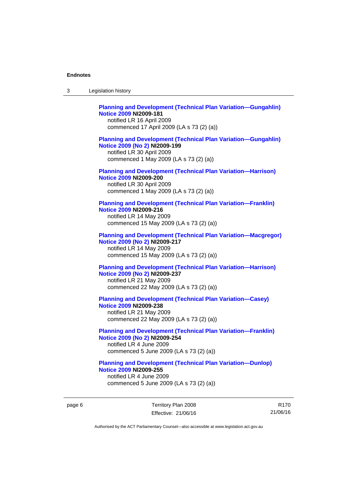| 3 | Legislation history                                                                                                                                                             |
|---|---------------------------------------------------------------------------------------------------------------------------------------------------------------------------------|
|   | <b>Planning and Development (Technical Plan Variation-Gungahlin)</b><br><b>Notice 2009 NI2009-181</b><br>notified LR 16 April 2009<br>commenced 17 April 2009 (LA s 73 (2) (a)) |
|   | <b>Planning and Development (Technical Plan Variation-Gungahlin)</b><br>Notice 2009 (No 2) NI2009-199<br>notified LR 30 April 2009<br>commenced 1 May 2009 (LA s 73 (2) (a))    |
|   | <b>Planning and Development (Technical Plan Variation-Harrison)</b><br><b>Notice 2009 NI2009-200</b><br>notified LR 30 April 2009<br>commenced 1 May 2009 (LA s 73 (2) (a))     |
|   | <b>Planning and Development (Technical Plan Variation-Franklin)</b><br><b>Notice 2009 NI2009-216</b><br>notified LR 14 May 2009<br>commenced 15 May 2009 (LA s 73 (2) (a))      |
|   | <b>Planning and Development (Technical Plan Variation-Macgregor)</b><br>Notice 2009 (No 2) NI2009-217<br>notified LR 14 May 2009<br>commenced 15 May 2009 (LA s 73 (2) (a))     |
|   | <b>Planning and Development (Technical Plan Variation-Harrison)</b><br>Notice 2009 (No 2) NI2009-237<br>notified LR 21 May 2009<br>commenced 22 May 2009 (LA s 73 (2) (a))      |
|   | <b>Planning and Development (Technical Plan Variation-Casey)</b><br><b>Notice 2009 NI2009-238</b><br>notified LR 21 May 2009<br>commenced 22 May 2009 (LA s 73 (2) (a))         |
|   | <b>Planning and Development (Technical Plan Variation-Franklin)</b><br>Notice 2009 (No 2) NI2009-254<br>notified LR 4 June 2009<br>commenced 5 June 2009 (LA s 73 (2) (a))      |
|   | <b>Planning and Development (Technical Plan Variation-Dunlop)</b><br><b>Notice 2009 NI2009-255</b><br>notified LR 4 June 2009<br>commenced 5 June 2009 (LA s 73 (2) (a))        |

page 6 Territory Plan 2008 Effective: 21/06/16

R170 21/06/16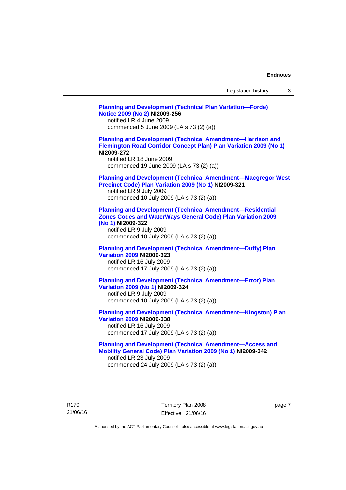| Legislation history |  |
|---------------------|--|
|---------------------|--|

**[Planning and Development \(Technical Plan Variation—Forde\)](http://www.legislation.act.gov.au/ni/2009-256/)  [Notice 2009 \(No 2\)](http://www.legislation.act.gov.au/ni/2009-256/) NI2009-256**  notified LR 4 June 2009 commenced 5 June 2009 (LA s 73 (2) (a)) **[Planning and Development \(Technical Amendment—Harrison and](http://www.legislation.act.gov.au/ni/2009-272/)  [Flemington Road Corridor Concept Plan\) Plan Variation 2009 \(No 1\)](http://www.legislation.act.gov.au/ni/2009-272/) NI2009-272**  notified LR 18 June 2009 commenced 19 June 2009 (LA s 73 (2) (a)) **[Planning and Development \(Technical Amendment—Macgregor West](http://www.legislation.act.gov.au/ni/2009-321/)  [Precinct Code\) Plan Variation 2009 \(No 1\)](http://www.legislation.act.gov.au/ni/2009-321/) NI2009-321**  notified LR 9 July 2009 commenced 10 July 2009 (LA s 73 (2) (a)) **[Planning and Development \(Technical Amendment—Residential](http://www.legislation.act.gov.au/ni/2009-322/)  [Zones Codes and WaterWays General Code\) Plan Variation 2009](http://www.legislation.act.gov.au/ni/2009-322/)  [\(No 1\)](http://www.legislation.act.gov.au/ni/2009-322/) NI2009-322**  notified LR 9 July 2009 commenced 10 July 2009 (LA s 73 (2) (a)) **[Planning and Development \(Technical Amendment—Duffy\) Plan](http://www.legislation.act.gov.au/ni/2009-323/)  [Variation 2009](http://www.legislation.act.gov.au/ni/2009-323/) NI2009-323**  notified LR 16 July 2009 commenced 17 July 2009 (LA s 73 (2) (a)) **[Planning and Development \(Technical Amendment—Error\) Plan](http://www.legislation.act.gov.au/ni/2009-324/)  [Variation 2009 \(No 1\)](http://www.legislation.act.gov.au/ni/2009-324/) NI2009-324**  notified LR 9 July 2009 commenced 10 July 2009 (LA s 73 (2) (a)) **[Planning and Development \(Technical Amendment—Kingston\) Plan](http://www.legislation.act.gov.au/ni/2009-338/)  [Variation 2009](http://www.legislation.act.gov.au/ni/2009-338/) NI2009-338**  notified LR 16 July 2009 commenced 17 July 2009 (LA s 73 (2) (a)) **[Planning and Development \(Technical Amendment—Access and](http://www.legislation.act.gov.au/ni/2009-342/)  [Mobility General Code\) Plan Variation 2009 \(No 1\)](http://www.legislation.act.gov.au/ni/2009-342/) NI2009-342**  notified LR 23 July 2009 commenced 24 July 2009 (LA s 73 (2) (a))

R170 21/06/16 Territory Plan 2008 Effective: 21/06/16 page 7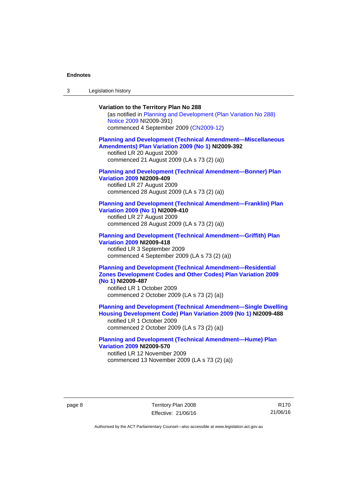3 Legislation history

## **Variation to the Territory Plan No 288**

(as notified in [Planning and Development \(Plan Variation No 288\)](http://www.legislation.act.gov.au/ni/2009-391/)  [Notice 2009](http://www.legislation.act.gov.au/ni/2009-391/) NI2009-391) commenced 4 September 2009 ([CN2009-12\)](http://www.legislation.act.gov.au/cn/2009-12/)

### **[Planning and Development \(Technical Amendment—Miscellaneous](http://www.legislation.act.gov.au/ni/2009-392/)  [Amendments\) Plan Variation 2009 \(No 1\)](http://www.legislation.act.gov.au/ni/2009-392/) NI2009-392**  notified LR 20 August 2009

commenced 21 August 2009 (LA s 73 (2) (a))

## **[Planning and Development \(Technical Amendment—Bonner\) Plan](http://www.legislation.act.gov.au/ni/2009-409/)  [Variation 2009](http://www.legislation.act.gov.au/ni/2009-409/) NI2009-409**

notified LR 27 August 2009 commenced 28 August 2009 (LA s 73 (2) (a))

#### **[Planning and Development \(Technical Amendment—Franklin\) Plan](http://www.legislation.act.gov.au/ni/2009-410/)  [Variation 2009 \(No 1\)](http://www.legislation.act.gov.au/ni/2009-410/) NI2009-410**

notified LR 27 August 2009 commenced 28 August 2009 (LA s 73 (2) (a))

### **[Planning and Development \(Technical Amendment—Griffith\) Plan](http://www.legislation.act.gov.au/ni/2009-418/)  [Variation 2009](http://www.legislation.act.gov.au/ni/2009-418/) NI2009-418**  notified LR 3 September 2009

commenced 4 September 2009 (LA s 73 (2) (a))

## **[Planning and Development \(Technical Amendment—Residential](http://www.legislation.act.gov.au/ni/2009-487/)  [Zones Development Codes and Other Codes\) Plan Variation 2009](http://www.legislation.act.gov.au/ni/2009-487/)  [\(No 1\)](http://www.legislation.act.gov.au/ni/2009-487/) NI2009-487**

notified LR 1 October 2009 commenced 2 October 2009 (LA s 73 (2) (a))

## **[Planning and Development \(Technical Amendment—Single Dwelling](http://www.legislation.act.gov.au/ni/2009-488/)  [Housing Development Code\) Plan Variation 2009 \(No 1\)](http://www.legislation.act.gov.au/ni/2009-488/) NI2009-488**

notified LR 1 October 2009 commenced 2 October 2009 (LA s 73 (2) (a))

## **[Planning and Development \(Technical Amendment—Hume\) Plan](http://www.legislation.act.gov.au/ni/2009-570/)  [Variation 2009](http://www.legislation.act.gov.au/ni/2009-570/) NI2009-570**

notified LR 12 November 2009 commenced 13 November 2009 (LA s 73 (2) (a))

R170 21/06/16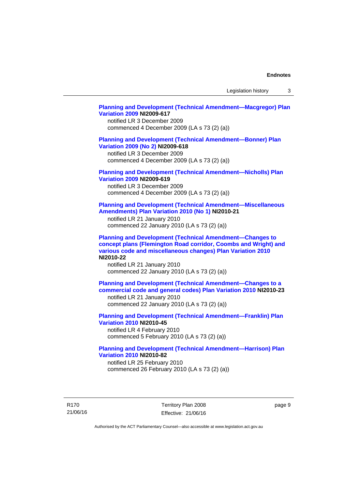Legislation history 3

## **[Planning and Development \(Technical Amendment—Macgregor\) Plan](http://www.legislation.act.gov.au/ni/2009-617/)  [Variation 2009](http://www.legislation.act.gov.au/ni/2009-617/) NI2009-617**

notified LR 3 December 2009 commenced 4 December 2009 (LA s 73 (2) (a))

## **[Planning and Development \(Technical Amendment—Bonner\) Plan](http://www.legislation.act.gov.au/ni/2009-618/)  [Variation 2009 \(No 2\)](http://www.legislation.act.gov.au/ni/2009-618/) NI2009-618**

notified LR 3 December 2009 commenced 4 December 2009 (LA s 73 (2) (a))

## **[Planning and Development \(Technical Amendment—Nicholls\) Plan](http://www.legislation.act.gov.au/ni/2009-619/)  [Variation 2009](http://www.legislation.act.gov.au/ni/2009-619/) NI2009-619**

notified LR 3 December 2009 commenced 4 December 2009 (LA s 73 (2) (a))

## **[Planning and Development \(Technical Amendment—Miscellaneous](http://www.legislation.act.gov.au/ni/2010-21/)  [Amendments\) Plan Variation 2010 \(No 1\)](http://www.legislation.act.gov.au/ni/2010-21/) NI2010-21**

notified LR 21 January 2010 commenced 22 January 2010 (LA s 73 (2) (a))

**[Planning and Development \(Technical Amendment—Changes to](http://www.legislation.act.gov.au/ni/2010-22/)  [concept plans \(Flemington Road corridor, Coombs and Wright\) and](http://www.legislation.act.gov.au/ni/2010-22/)  [various code and miscellaneous changes\) Plan Variation 2010](http://www.legislation.act.gov.au/ni/2010-22/) NI2010-22** 

notified LR 21 January 2010 commenced 22 January 2010 (LA s 73 (2) (a))

**[Planning and Development \(Technical Amendment—Changes to a](http://www.legislation.act.gov.au/ni/2010-23/)  [commercial code and general codes\) Plan Variation 2010](http://www.legislation.act.gov.au/ni/2010-23/) NI2010-23**  notified LR 21 January 2010

commenced 22 January 2010 (LA s 73 (2) (a))

**[Planning and Development \(Technical Amendment—Franklin\) Plan](http://www.legislation.act.gov.au/ni/2010-45/)  [Variation 2010](http://www.legislation.act.gov.au/ni/2010-45/) NI2010-45**  notified LR 4 February 2010 commenced 5 February 2010 (LA s 73 (2) (a))

## **[Planning and Development \(Technical Amendment—Harrison\) Plan](http://www.legislation.act.gov.au/ni/2010-82/)  [Variation 2010](http://www.legislation.act.gov.au/ni/2010-82/) NI2010-82**

notified LR 25 February 2010 commenced 26 February 2010 (LA s 73 (2) (a))

R170 21/06/16 Territory Plan 2008 Effective: 21/06/16 page 9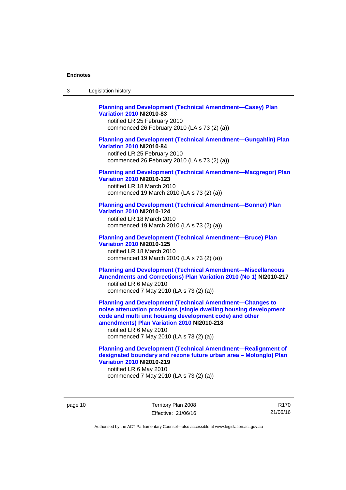| -3 | Legislation history |  |
|----|---------------------|--|
|----|---------------------|--|

## **[Planning and Development \(Technical Amendment—Casey\) Plan](http://www.legislation.act.gov.au/ni/2010-83/)  [Variation 2010](http://www.legislation.act.gov.au/ni/2010-83/) NI2010-83**

notified LR 25 February 2010 commenced 26 February 2010 (LA s 73 (2) (a))

## **[Planning and Development \(Technical Amendment—Gungahlin\) Plan](http://www.legislation.act.gov.au/ni/2010-84/)  [Variation 2010](http://www.legislation.act.gov.au/ni/2010-84/) NI2010-84**

notified LR 25 February 2010 commenced 26 February 2010 (LA s 73 (2) (a))

### **[Planning and Development \(Technical Amendment—Macgregor\) Plan](http://www.legislation.act.gov.au/ni/2010-123/)  [Variation 2010](http://www.legislation.act.gov.au/ni/2010-123/) NI2010-123**

notified LR 18 March 2010 commenced 19 March 2010 (LA s 73 (2) (a))

## **[Planning and Development \(Technical Amendment—Bonner\) Plan](http://www.legislation.act.gov.au/ni/2010-124/)**

**[Variation 2010](http://www.legislation.act.gov.au/ni/2010-124/) NI2010-124**  notified LR 18 March 2010 commenced 19 March 2010 (LA s 73 (2) (a))

#### **[Planning and Development \(Technical Amendment—Bruce\) Plan](http://www.legislation.act.gov.au/ni/2010-125/)  [Variation 2010](http://www.legislation.act.gov.au/ni/2010-125/) NI2010-125**

notified LR 18 March 2010 commenced 19 March 2010 (LA s 73 (2) (a))

## **[Planning and Development \(Technical Amendment—Miscellaneous](http://www.legislation.act.gov.au/ni/2010-217/)  [Amendments and Corrections\) Plan Variation 2010 \(No 1\)](http://www.legislation.act.gov.au/ni/2010-217/) NI2010-217**  notified LR 6 May 2010 commenced 7 May 2010 (LA s 73 (2) (a))

**[Planning and Development \(Technical Amendment—Changes to](http://www.legislation.act.gov.au/ni/2010-218/)  [noise attenuation provisions \(single dwelling housing development](http://www.legislation.act.gov.au/ni/2010-218/)  [code and multi unit housing development code\) and other](http://www.legislation.act.gov.au/ni/2010-218/)  [amendments\) Plan Variation 2010](http://www.legislation.act.gov.au/ni/2010-218/) NI2010-218** 

notified LR 6 May 2010 commenced 7 May 2010 (LA s 73 (2) (a))

## **[Planning and Development \(Technical Amendment—Realignment of](http://www.legislation.act.gov.au/ni/2010-219/)  [designated boundary and rezone future urban area – Molonglo\) Plan](http://www.legislation.act.gov.au/ni/2010-219/)  [Variation 2010](http://www.legislation.act.gov.au/ni/2010-219/) NI2010-219**

notified LR 6 May 2010 commenced 7 May 2010 (LA s 73 (2) (a))

page 10 Territory Plan 2008 Effective: 21/06/16

R170 21/06/16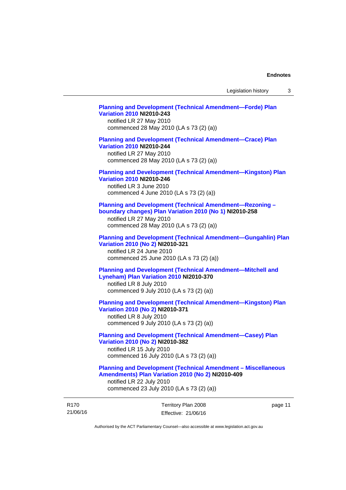## **[Planning and Development \(Technical Amendment—Forde\) Plan](http://www.legislation.act.gov.au/ni/2010-243/)  [Variation 2010](http://www.legislation.act.gov.au/ni/2010-243/) NI2010-243**  notified LR 27 May 2010 commenced 28 May 2010 (LA s 73 (2) (a)) **[Planning and Development \(Technical Amendment—Crace\) Plan](http://www.legislation.act.gov.au/ni/2010-244/)  [Variation 2010](http://www.legislation.act.gov.au/ni/2010-244/) NI2010-244**  notified LR 27 May 2010 commenced 28 May 2010 (LA s 73 (2) (a)) **[Planning and Development \(Technical Amendment—Kingston\) Plan](http://www.legislation.act.gov.au/ni/2010-246/)  [Variation 2010](http://www.legislation.act.gov.au/ni/2010-246/) NI2010-246**  notified LR 3 June 2010 commenced 4 June 2010 (LA s 73 (2) (a))

**[Planning and Development \(Technical Amendment—Rezoning –](http://www.legislation.act.gov.au/ni/2010-258/)  [boundary changes\) Plan Variation 2010 \(No 1\)](http://www.legislation.act.gov.au/ni/2010-258/) NI2010-258** 

notified LR 27 May 2010 commenced 28 May 2010 (LA s 73 (2) (a))

#### **[Planning and Development \(Technical Amendment—Gungahlin\) Plan](http://www.legislation.act.gov.au/ni/2010-321/)  [Variation 2010 \(No 2\)](http://www.legislation.act.gov.au/ni/2010-321/) NI2010-321**

notified LR 24 June 2010 commenced 25 June 2010 (LA s 73 (2) (a))

## **[Planning and Development \(Technical Amendment—Mitchell and](http://www.legislation.act.gov.au/ni/2010-370/)  [Lyneham\) Plan Variation 2010](http://www.legislation.act.gov.au/ni/2010-370/) NI2010-370**

notified LR 8 July 2010 commenced 9 July 2010 (LA s 73 (2) (a))

**[Planning and Development \(Technical Amendment—Kingston\) Plan](http://www.legislation.act.gov.au/ni/2010-371/)  [Variation 2010 \(No 2\)](http://www.legislation.act.gov.au/ni/2010-371/) NI2010-371** 

notified LR 8 July 2010 commenced 9 July 2010 (LA s 73 (2) (a))

## **[Planning and Development \(Technical Amendment—Casey\) Plan](http://www.legislation.act.gov.au/ni/2010-382/)  [Variation 2010 \(No 2\)](http://www.legislation.act.gov.au/ni/2010-382/) NI2010-382**

notified LR 15 July 2010 commenced 16 July 2010 (LA s 73 (2) (a))

#### **[Planning and Development \(Technical Amendment – Miscellaneous](http://www.legislation.act.gov.au/ni/2010-409/)  [Amendments\) Plan Variation 2010 \(No 2\)](http://www.legislation.act.gov.au/ni/2010-409/) NI2010-409**

notified LR 22 July 2010 commenced 23 July 2010 (LA s 73 (2) (a))

| R <sub>170</sub> | Territory Plan 2008 | page 11 |
|------------------|---------------------|---------|
| 21/06/16         | Effective: 21/06/16 |         |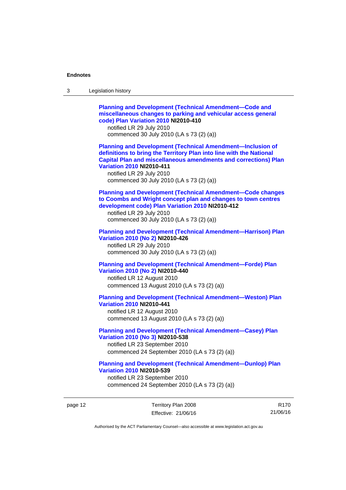| 3 | Legislation history                                                                                                                                                                                                                                                                                                            |
|---|--------------------------------------------------------------------------------------------------------------------------------------------------------------------------------------------------------------------------------------------------------------------------------------------------------------------------------|
|   | <b>Planning and Development (Technical Amendment-Code and</b><br>miscellaneous changes to parking and vehicular access general<br>code) Plan Variation 2010 NI2010-410<br>notified LR 29 July 2010<br>commenced 30 July 2010 (LA s 73 (2) (a))                                                                                 |
|   | <b>Planning and Development (Technical Amendment-Inclusion of</b><br>definitions to bring the Territory Plan into line with the National<br><b>Capital Plan and miscellaneous amendments and corrections) Plan</b><br><b>Variation 2010 NI2010-411</b><br>notified LR 29 July 2010<br>commenced 30 July 2010 (LA s 73 (2) (a)) |
|   | <b>Planning and Development (Technical Amendment-Code changes</b><br>to Coombs and Wright concept plan and changes to town centres<br>development code) Plan Variation 2010 NI2010-412<br>notified LR 29 July 2010<br>commenced 30 July 2010 (LA s 73 (2) (a))                                                                 |
|   | <b>Planning and Development (Technical Amendment-Harrison) Plan</b><br>Variation 2010 (No 2) NI2010-426<br>notified LR 29 July 2010<br>commenced 30 July 2010 (LA s 73 (2) (a))                                                                                                                                                |
|   | <b>Planning and Development (Technical Amendment-Forde) Plan</b><br>Variation 2010 (No 2) NI2010-440<br>notified LR 12 August 2010<br>commenced 13 August 2010 (LA s 73 (2) (a))                                                                                                                                               |
|   | <b>Planning and Development (Technical Amendment-Weston) Plan</b><br><b>Variation 2010 NI2010-441</b><br>notified LR 12 August 2010<br>commenced 13 August 2010 (LA s 73 (2) (a))                                                                                                                                              |
|   | <b>Planning and Development (Technical Amendment-Casey) Plan</b><br>Variation 2010 (No 3) NI2010-538<br>notified LR 23 September 2010<br>commenced 24 September 2010 (LA s 73 (2) (a))                                                                                                                                         |
|   | <b>Planning and Development (Technical Amendment-Dunlop) Plan</b><br><b>Variation 2010 NI2010-539</b><br>notified LR 23 September 2010<br>commenced 24 September 2010 (LA s 73 (2) (a))                                                                                                                                        |

page 12 Territory Plan 2008 Effective: 21/06/16

R170 21/06/16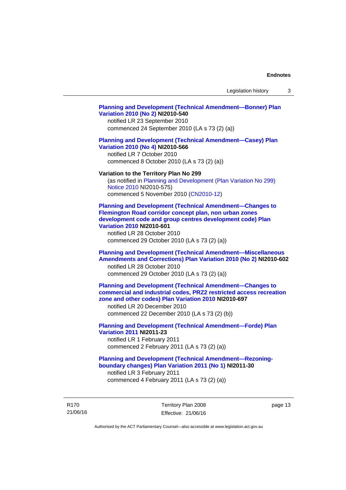## **[Planning and Development \(Technical Amendment—Bonner\) Plan](http://www.legislation.act.gov.au/ni/2010-540/)  [Variation 2010 \(No 2\)](http://www.legislation.act.gov.au/ni/2010-540/) NI2010-540**

notified LR 23 September 2010 commenced 24 September 2010 (LA s 73 (2) (a))

### **[Planning and Development \(Technical Amendment—Casey\) Plan](http://www.legislation.act.gov.au/ni/2010-566/)  [Variation 2010 \(No 4\)](http://www.legislation.act.gov.au/ni/2010-566/) NI2010-566**

notified LR 7 October 2010 commenced 8 October 2010 (LA s 73 (2) (a))

#### **Variation to the Territory Plan No 299**

(as notified in [Planning and Development \(Plan Variation No 299\)](http://www.legislation.act.gov.au/ni/2010-575/)  [Notice 2010](http://www.legislation.act.gov.au/ni/2010-575/) NI2010-575) commenced 5 November 2010 ([CN2010-12](http://www.legislation.act.gov.au/cn/2010-12/))

**[Planning and Development \(Technical Amendment—Changes to](http://www.legislation.act.gov.au/ni/2010-601/)  [Flemington Road corridor concept plan, non urban zones](http://www.legislation.act.gov.au/ni/2010-601/)  [development code and group centres development code\) Plan](http://www.legislation.act.gov.au/ni/2010-601/)  [Variation 2010](http://www.legislation.act.gov.au/ni/2010-601/) NI2010-601** 

notified LR 28 October 2010 commenced 29 October 2010 (LA s 73 (2) (a))

## **[Planning and Development \(Technical Amendment—Miscellaneous](http://www.legislation.act.gov.au/ni/2010-602/)  [Amendments and Corrections\) Plan Variation 2010 \(No 2\)](http://www.legislation.act.gov.au/ni/2010-602/) NI2010-602**

notified LR 28 October 2010 commenced 29 October 2010 (LA s 73 (2) (a))

## **[Planning and Development \(Technical Amendment—Changes to](http://www.legislation.act.gov.au/ni/2010-697/)  [commercial and industrial codes, PRZ2 restricted access recreation](http://www.legislation.act.gov.au/ni/2010-697/)  [zone and other codes\) Plan Variation 2010](http://www.legislation.act.gov.au/ni/2010-697/) NI2010-697**

notified LR 20 December 2010 commenced 22 December 2010 (LA s 73 (2) (b))

## **[Planning and Development \(Technical Amendment—Forde\) Plan](http://www.legislation.act.gov.au/ni/2011-23/)  [Variation 2011](http://www.legislation.act.gov.au/ni/2011-23/) NI2011-23**  notified LR 1 February 2011

commenced 2 February 2011 (LA s 73 (2) (a))

## **[Planning and Development \(Technical Amendment—Rezoning](http://www.legislation.act.gov.au/ni/2011-30/)[boundary changes\) Plan Variation 2011 \(No 1\)](http://www.legislation.act.gov.au/ni/2011-30/) NI2011-30**  notified LR 3 February 2011

commenced 4 February 2011 (LA s 73 (2) (a))

R170 21/06/16 Territory Plan 2008 Effective: 21/06/16 page 13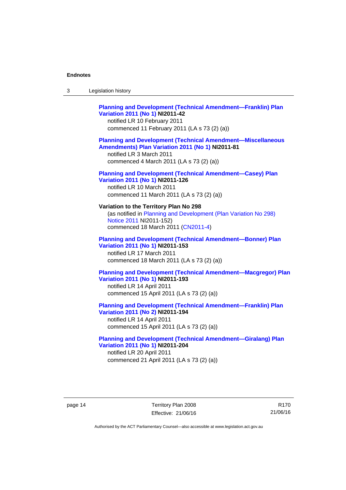## **[Planning and Development \(Technical Amendment—Franklin\) Plan](http://www.legislation.act.gov.au/ni/2011-42/)  [Variation 2011 \(No 1\)](http://www.legislation.act.gov.au/ni/2011-42/) NI2011-42**  notified LR 10 February 2011 commenced 11 February 2011 (LA s 73 (2) (a)) **[Planning and Development \(Technical Amendment—Miscellaneous](http://www.legislation.act.gov.au/ni/2011-81/)  [Amendments\) Plan Variation 2011 \(No 1\)](http://www.legislation.act.gov.au/ni/2011-81/) NI2011-81**

notified LR 3 March 2011 commenced 4 March 2011 (LA s 73 (2) (a))

## **[Planning and Development \(Technical Amendment—Casey\) Plan](http://www.legislation.act.gov.au/ni/2011-126/)  [Variation 2011 \(No 1\)](http://www.legislation.act.gov.au/ni/2011-126/) NI2011-126**

notified LR 10 March 2011 commenced 11 March 2011 (LA s 73 (2) (a))

## **Variation to the Territory Plan No 298**  (as notified in [Planning and Development \(Plan Variation No 298\)](http://www.legislation.act.gov.au/ni/2011-152/)  [Notice 2011](http://www.legislation.act.gov.au/ni/2011-152/) NI2011-152)

commenced 18 March 2011 [\(CN2011-4\)](http://www.legislation.act.gov.au/cn/2011-4/)

## **[Planning and Development \(Technical Amendment—Bonner\) Plan](http://www.legislation.act.gov.au/ni/2011-153/)  [Variation 2011 \(No 1\)](http://www.legislation.act.gov.au/ni/2011-153/) NI2011-153**  notified LR 17 March 2011

commenced 18 March 2011 (LA s 73 (2) (a))

## **[Planning and Development \(Technical Amendment—Macgregor\) Plan](http://www.legislation.act.gov.au/ni/2011-193/)  [Variation 2011 \(No 1\)](http://www.legislation.act.gov.au/ni/2011-193/) NI2011-193**

notified LR 14 April 2011 commenced 15 April 2011 (LA s 73 (2) (a))

## **[Planning and Development \(Technical Amendment—Franklin\) Plan](http://www.legislation.act.gov.au/ni/2011-194/)  [Variation 2011 \(No 2\)](http://www.legislation.act.gov.au/ni/2011-194/) NI2011-194**

notified LR 14 April 2011 commenced 15 April 2011 (LA s 73 (2) (a))

## **[Planning and Development \(Technical Amendment—Giralang\) Plan](http://www.legislation.act.gov.au/ni/2011-204/)  [Variation 2011 \(No 1\)](http://www.legislation.act.gov.au/ni/2011-204/) NI2011-204**  notified LR 20 April 2011

commenced 21 April 2011 (LA s 73 (2) (a))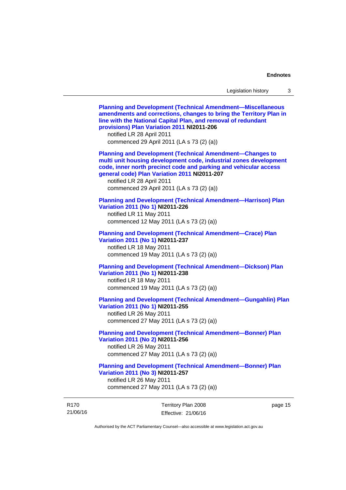21/06/16 Territory Plan 2008 Effective: 21/06/16 page 15 **[Planning and Development \(Technical Amendment—Miscellaneous](http://www.legislation.act.gov.au/ni/2011-206/)  [amendments and corrections, changes to bring the Territory Plan in](http://www.legislation.act.gov.au/ni/2011-206/)  [line with the National Capital Plan, and removal of redundant](http://www.legislation.act.gov.au/ni/2011-206/)  [provisions\) Plan Variation 2011](http://www.legislation.act.gov.au/ni/2011-206/) NI2011-206**  notified LR 28 April 2011 commenced 29 April 2011 (LA s 73 (2) (a)) **[Planning and Development \(Technical Amendment—Changes to](http://www.legislation.act.gov.au/ni/2011-207/)  [multi unit housing development code, industrial zones development](http://www.legislation.act.gov.au/ni/2011-207/)  [code, inner north precinct code and parking and vehicular access](http://www.legislation.act.gov.au/ni/2011-207/)  [general code\) Plan Variation 2011](http://www.legislation.act.gov.au/ni/2011-207/) NI2011-207**  notified LR 28 April 2011 commenced 29 April 2011 (LA s 73 (2) (a)) **[Planning and Development \(Technical Amendment—Harrison\) Plan](http://www.legislation.act.gov.au/ni/2011-226/)  [Variation 2011 \(No 1\)](http://www.legislation.act.gov.au/ni/2011-226/) NI2011-226**  notified LR 11 May 2011 commenced 12 May 2011 (LA s 73 (2) (a)) **[Planning and Development \(Technical Amendment—Crace\) Plan](http://www.legislation.act.gov.au/ni/2011-237/)  [Variation 2011 \(No 1\)](http://www.legislation.act.gov.au/ni/2011-237/) NI2011-237**  notified LR 18 May 2011 commenced 19 May 2011 (LA s 73 (2) (a)) **[Planning and Development \(Technical Amendment—Dickson\) Plan](http://www.legislation.act.gov.au/ni/2011-238/)  [Variation 2011 \(No 1\)](http://www.legislation.act.gov.au/ni/2011-238/) NI2011-238**  notified LR 18 May 2011 commenced 19 May 2011 (LA s 73 (2) (a)) **[Planning and Development \(Technical Amendment—Gungahlin\) Plan](http://www.legislation.act.gov.au/ni/2011-255/)  [Variation 2011 \(No 1\)](http://www.legislation.act.gov.au/ni/2011-255/) NI2011-255**  notified LR 26 May 2011 commenced 27 May 2011 (LA s 73 (2) (a)) **[Planning and Development \(Technical Amendment—Bonner\) Plan](http://www.legislation.act.gov.au/ni/2011-256/)  [Variation 2011 \(No 2\)](http://www.legislation.act.gov.au/ni/2011-256/) NI2011-256**  notified LR 26 May 2011 commenced 27 May 2011 (LA s 73 (2) (a)) **[Planning and Development \(Technical Amendment—Bonner\) Plan](http://www.legislation.act.gov.au/ni/2011-257/)  [Variation 2011 \(No 3\)](http://www.legislation.act.gov.au/ni/2011-257/) NI2011-257**  notified LR 26 May 2011 commenced 27 May 2011 (LA s 73 (2) (a))

Authorised by the ACT Parliamentary Counsel—also accessible at www.legislation.act.gov.au

R170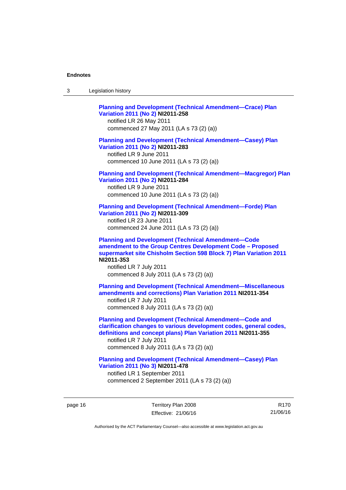| Legislation history<br>-3 |  |
|---------------------------|--|
|---------------------------|--|

**[Planning and Development \(Technical Amendment—Crace\) Plan](http://www.legislation.act.gov.au/ni/2011-258/)  [Variation 2011 \(No 2\)](http://www.legislation.act.gov.au/ni/2011-258/) NI2011-258**  notified LR 26 May 2011 commenced 27 May 2011 (LA s 73 (2) (a)) **[Planning and Development \(Technical Amendment—Casey\) Plan](http://www.legislation.act.gov.au/ni/2011-283/)  [Variation 2011 \(No 2\)](http://www.legislation.act.gov.au/ni/2011-283/) NI2011-283**  notified LR 9 June 2011 commenced 10 June 2011 (LA s 73 (2) (a)) **[Planning and Development \(Technical Amendment—Macgregor\) Plan](http://www.legislation.act.gov.au/ni/2011-284/)  [Variation 2011 \(No 2\)](http://www.legislation.act.gov.au/ni/2011-284/) NI2011-284**  notified LR 9 June 2011 commenced 10 June 2011 (LA s 73 (2) (a)) **[Planning and Development \(Technical Amendment—Forde\) Plan](http://www.legislation.act.gov.au/ni/2011-309/)  [Variation 2011 \(No 2\)](http://www.legislation.act.gov.au/ni/2011-309/) NI2011-309**  notified LR 23 June 2011 commenced 24 June 2011 (LA s 73 (2) (a)) **[Planning and Development \(Technical Amendment—Code](http://www.legislation.act.gov.au/ni/2011-353/)  [amendment to the Group Centres Development Code – Proposed](http://www.legislation.act.gov.au/ni/2011-353/)  [supermarket site Chisholm Section 598 Block 7\) Plan Variation 2011](http://www.legislation.act.gov.au/ni/2011-353/) NI2011-353**  notified LR 7 July 2011 commenced 8 July 2011 (LA s 73 (2) (a)) **[Planning and Development \(Technical Amendment—Miscellaneous](http://www.legislation.act.gov.au/ni/2011-354/)  [amendments and corrections\) Plan Variation 2011](http://www.legislation.act.gov.au/ni/2011-354/) NI2011-354**  notified LR 7 July 2011 commenced 8 July 2011 (LA s 73 (2) (a)) **[Planning and Development \(Technical Amendment—Code and](http://www.legislation.act.gov.au/ni/2011-355/)  [clarification changes to various development codes, general codes,](http://www.legislation.act.gov.au/ni/2011-355/)  [definitions and concept plans\) Plan Variation 2011](http://www.legislation.act.gov.au/ni/2011-355/) NI2011-355**  notified LR 7 July 2011 commenced 8 July 2011 (LA s 73 (2) (a)) **[Planning and Development \(Technical Amendment—Casey\) Plan](http://www.legislation.act.gov.au/ni/2011-478/)  [Variation 2011 \(No 3\)](http://www.legislation.act.gov.au/ni/2011-478/) NI2011-478** 

notified LR 1 September 2011 commenced 2 September 2011 (LA s 73 (2) (a))

page 16 Territory Plan 2008 Effective: 21/06/16

R170 21/06/16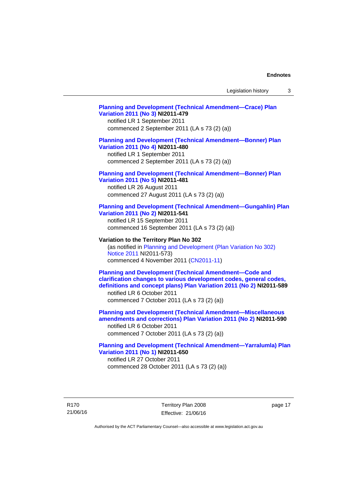## **[Planning and Development \(Technical Amendment—Crace\) Plan](http://www.legislation.act.gov.au/ni/2011-479/)  [Variation 2011 \(No 3\)](http://www.legislation.act.gov.au/ni/2011-479/) NI2011-479**  notified LR 1 September 2011 commenced 2 September 2011 (LA s 73 (2) (a)) **[Planning and Development \(Technical Amendment—Bonner\) Plan](http://www.legislation.act.gov.au/ni/2011-480/)  [Variation 2011 \(No 4\)](http://www.legislation.act.gov.au/ni/2011-480/) NI2011-480**  notified LR 1 September 2011 commenced 2 September 2011 (LA s 73 (2) (a)) **[Planning and Development \(Technical Amendment—Bonner\) Plan](http://www.legislation.act.gov.au/ni/2011-481/)  [Variation 2011 \(No 5\)](http://www.legislation.act.gov.au/ni/2011-481/) NI2011-481**  notified LR 26 August 2011 commenced 27 August 2011 (LA s 73 (2) (a)) **[Planning and Development \(Technical Amendment—Gungahlin\) Plan](http://www.legislation.act.gov.au/ni/2011-541/)  [Variation 2011 \(No 2\)](http://www.legislation.act.gov.au/ni/2011-541/) NI2011-541**  notified LR 15 September 2011 commenced 16 September 2011 (LA s 73 (2) (a)) **Variation to the Territory Plan No 302**  (as notified in [Planning and Development \(Plan Variation No 302\)](http://www.legislation.act.gov.au/ni/2011-573/)  [Notice 2011](http://www.legislation.act.gov.au/ni/2011-573/) NI2011-573) commenced 4 November 2011 ([CN2011-11](http://www.legislation.act.gov.au/cn/2011-11/)) **[Planning and Development \(Technical Amendment—Code and](http://www.legislation.act.gov.au/ni/2011-589/)  [clarification changes to various development codes, general codes,](http://www.legislation.act.gov.au/ni/2011-589/)  [definitions and concept plans\) Plan Variation 2011 \(No 2\)](http://www.legislation.act.gov.au/ni/2011-589/) NI2011-589**  notified LR 6 October 2011 commenced 7 October 2011 (LA s 73 (2) (a)) **[Planning and Development \(Technical Amendment—Miscellaneous](http://www.legislation.act.gov.au/ni/2011-590/)  [amendments and corrections\) Plan Variation 2011 \(No 2\)](http://www.legislation.act.gov.au/ni/2011-590/) NI2011-590**  notified LR 6 October 2011 commenced 7 October 2011 (LA s 73 (2) (a)) **[Planning and Development \(Technical Amendment—Yarralumla\) Plan](http://www.legislation.act.gov.au/ni/2011-650/)  [Variation 2011 \(No 1\)](http://www.legislation.act.gov.au/ni/2011-650/) NI2011-650**

notified LR 27 October 2011 commenced 28 October 2011 (LA s 73 (2) (a))

R170 21/06/16 Territory Plan 2008 Effective: 21/06/16 page 17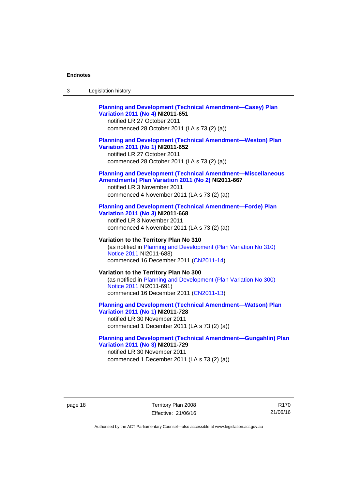| -3 | Legislation history |  |
|----|---------------------|--|
|----|---------------------|--|

## **[Planning and Development \(Technical Amendment—Casey\) Plan](http://www.legislation.act.gov.au/ni/2011-651/)  [Variation 2011 \(No 4\)](http://www.legislation.act.gov.au/ni/2011-651/) NI2011-651**

notified LR 27 October 2011 commenced 28 October 2011 (LA s 73 (2) (a))

## **[Planning and Development \(Technical Amendment—Weston\) Plan](http://www.legislation.act.gov.au/ni/2011-652/)  [Variation 2011 \(No 1\)](http://www.legislation.act.gov.au/ni/2011-652/) NI2011-652**

notified LR 27 October 2011 commenced 28 October 2011 (LA s 73 (2) (a))

#### **[Planning and Development \(Technical Amendment—Miscellaneous](http://www.legislation.act.gov.au/ni/2011-667/)  [Amendments\) Plan Variation 2011 \(No 2\)](http://www.legislation.act.gov.au/ni/2011-667/) NI2011-667**

notified LR 3 November 2011 commenced 4 November 2011 (LA s 73 (2) (a))

#### **[Planning and Development \(Technical Amendment—Forde\) Plan](http://www.legislation.act.gov.au/ni/2011-668/)  [Variation 2011 \(No 3\)](http://www.legislation.act.gov.au/ni/2011-668/) NI2011-668**

notified LR 3 November 2011 commenced 4 November 2011 (LA s 73 (2) (a))

**Variation to the Territory Plan No 310**  (as notified in [Planning and Development \(Plan Variation No 310\)](http://www.legislation.act.gov.au/ni/2011-688/)  [Notice 2011](http://www.legislation.act.gov.au/ni/2011-688/) NI2011-688) commenced 16 December 2011 [\(CN2011-14\)](http://www.legislation.act.gov.au/cn/2011-14/)

## **Variation to the Territory Plan No 300**  (as notified in [Planning and Development \(Plan Variation No 300\)](http://www.legislation.act.gov.au/ni/2011-691/)  [Notice 2011](http://www.legislation.act.gov.au/ni/2011-691/) NI2011-691) commenced 16 December 2011 [\(CN2011-13\)](http://www.legislation.act.gov.au/cn/2011-13/)

### **[Planning and Development \(Technical Amendment—Watson\) Plan](http://www.legislation.act.gov.au/ni/2011-728/)  [Variation 2011 \(No 1\)](http://www.legislation.act.gov.au/ni/2011-728/) NI2011-728**

notified LR 30 November 2011 commenced 1 December 2011 (LA s 73 (2) (a))

## **[Planning and Development \(Technical Amendment—Gungahlin\) Plan](http://www.legislation.act.gov.au/ni/2011-729/)  [Variation 2011 \(No 3\)](http://www.legislation.act.gov.au/ni/2011-729/) NI2011-729**

notified LR 30 November 2011 commenced 1 December 2011 (LA s 73 (2) (a))

page 18 Territory Plan 2008 Effective: 21/06/16

R170 21/06/16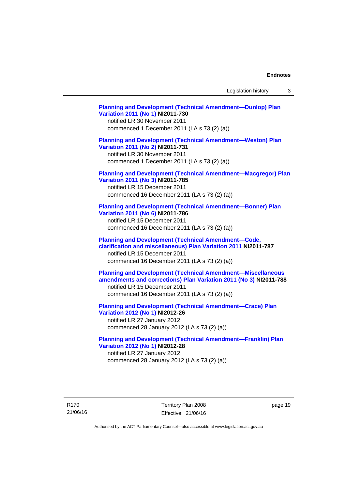Legislation history 3

**[Planning and Development \(Technical Amendment—Dunlop\) Plan](http://www.legislation.act.gov.au/ni/2011-730/)  [Variation 2011 \(No 1\)](http://www.legislation.act.gov.au/ni/2011-730/) NI2011-730**  notified LR 30 November 2011 commenced 1 December 2011 (LA s 73 (2) (a)) **[Planning and Development \(Technical Amendment—Weston\) Plan](http://www.legislation.act.gov.au/ni/2011-731/)  [Variation 2011 \(No 2\)](http://www.legislation.act.gov.au/ni/2011-731/) NI2011-731**  notified LR 30 November 2011 commenced 1 December 2011 (LA s 73 (2) (a)) **[Planning and Development \(Technical Amendment—Macgregor\) Plan](http://www.legislation.act.gov.au/ni/2011-785/)  [Variation 2011 \(No 3\)](http://www.legislation.act.gov.au/ni/2011-785/) NI2011-785**  notified LR 15 December 2011 commenced 16 December 2011 (LA s 73 (2) (a)) **[Planning and Development \(Technical Amendment—Bonner\) Plan](http://www.legislation.act.gov.au/ni/2011-786/)  [Variation 2011 \(No 6\)](http://www.legislation.act.gov.au/ni/2011-786/) NI2011-786**  notified LR 15 December 2011 commenced 16 December 2011 (LA s 73 (2) (a)) **[Planning and Development \(Technical Amendment—Code,](http://www.legislation.act.gov.au/ni/2011-787/)  [clarification and miscellaneous\) Plan Variation 2011](http://www.legislation.act.gov.au/ni/2011-787/) NI2011-787**  notified LR 15 December 2011 commenced 16 December 2011 (LA s 73 (2) (a)) **[Planning and Development \(Technical Amendment—Miscellaneous](http://www.legislation.act.gov.au/ni/2011-788/)  [amendments and corrections\) Plan Variation 2011 \(No 3\)](http://www.legislation.act.gov.au/ni/2011-788/) NI2011-788**  notified LR 15 December 2011 commenced 16 December 2011 (LA s 73 (2) (a)) **[Planning and Development \(Technical Amendment—Crace\) Plan](http://www.legislation.act.gov.au/ni/2012-26/)  [Variation 2012 \(No 1\)](http://www.legislation.act.gov.au/ni/2012-26/) NI2012-26**  notified LR 27 January 2012 commenced 28 January 2012 (LA s 73 (2) (a)) **[Planning and Development \(Technical Amendment—Franklin\) Plan](http://www.legislation.act.gov.au/ni/2012-28/)  [Variation 2012 \(No 1\)](http://www.legislation.act.gov.au/ni/2012-28/) NI2012-28** 

notified LR 27 January 2012 commenced 28 January 2012 (LA s 73 (2) (a))

R170 21/06/16 Territory Plan 2008 Effective: 21/06/16 page 19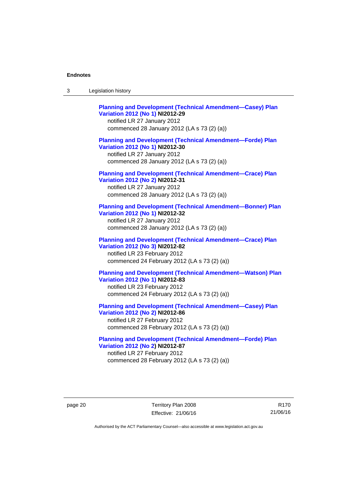| -3 | Legislation history |  |
|----|---------------------|--|
|----|---------------------|--|

**[Planning and Development \(Technical Amendment—Casey\) Plan](http://www.legislation.act.gov.au/ni/2012-29/)  [Variation 2012 \(No 1\)](http://www.legislation.act.gov.au/ni/2012-29/) NI2012-29**  notified LR 27 January 2012 commenced 28 January 2012 (LA s 73 (2) (a)) **[Planning and Development \(Technical Amendment—Forde\) Plan](http://www.legislation.act.gov.au/ni/2012-30/)  [Variation 2012 \(No 1\)](http://www.legislation.act.gov.au/ni/2012-30/) NI2012-30**  notified LR 27 January 2012 commenced 28 January 2012 (LA s 73 (2) (a)) **[Planning and Development \(Technical Amendment—Crace\) Plan](http://www.legislation.act.gov.au/ni/2012-31/)  [Variation 2012 \(No 2\)](http://www.legislation.act.gov.au/ni/2012-31/) NI2012-31**  notified LR 27 January 2012 commenced 28 January 2012 (LA s 73 (2) (a)) **[Planning and Development \(Technical Amendment—Bonner\) Plan](http://www.legislation.act.gov.au/ni/2012-32/)  [Variation 2012 \(No 1\)](http://www.legislation.act.gov.au/ni/2012-32/) NI2012-32**  notified LR 27 January 2012 commenced 28 January 2012 (LA s 73 (2) (a)) **[Planning and Development \(Technical Amendment—Crace\) Plan](http://www.legislation.act.gov.au/ni/2012-82/)  [Variation 2012 \(No 3\)](http://www.legislation.act.gov.au/ni/2012-82/) NI2012-82**  notified LR 23 February 2012 commenced 24 February 2012 (LA s 73 (2) (a)) **[Planning and Development \(Technical Amendment—Watson\) Plan](http://www.legislation.act.gov.au/ni/2012-83/)  [Variation 2012 \(No 1\)](http://www.legislation.act.gov.au/ni/2012-83/) NI2012-83**  notified LR 23 February 2012 commenced 24 February 2012 (LA s 73 (2) (a)) **[Planning and Development \(Technical Amendment—Casey\) Plan](http://www.legislation.act.gov.au/ni/2012-86/)  [Variation 2012 \(No 2\)](http://www.legislation.act.gov.au/ni/2012-86/) NI2012-86** 

notified LR 27 February 2012 commenced 28 February 2012 (LA s 73 (2) (a))

**[Planning and Development \(Technical Amendment—Forde\) Plan](http://www.legislation.act.gov.au/ni/2012-87/)  [Variation 2012 \(No 2\)](http://www.legislation.act.gov.au/ni/2012-87/) NI2012-87**  notified LR 27 February 2012 commenced 28 February 2012 (LA s 73 (2) (a))

page 20 Territory Plan 2008 Effective: 21/06/16

R170 21/06/16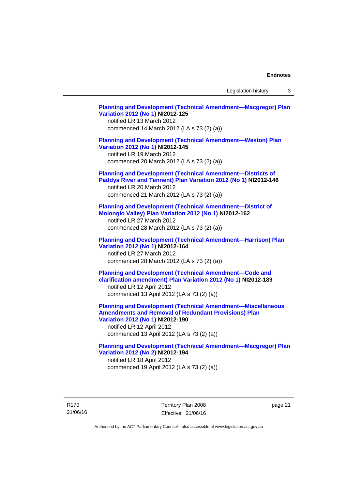Legislation history 3

**[Planning and Development \(Technical Amendment—Macgregor\) Plan](http://www.legislation.act.gov.au/ni/2012-125/)  [Variation 2012 \(No 1\)](http://www.legislation.act.gov.au/ni/2012-125/) NI2012-125**  notified LR 13 March 2012 commenced 14 March 2012 (LA s 73 (2) (a)) **[Planning and Development \(Technical Amendment—Weston\) Plan](http://www.legislation.act.gov.au/ni/2012-145/)  [Variation 2012 \(No 1\)](http://www.legislation.act.gov.au/ni/2012-145/) NI2012-145**  notified LR 19 March 2012 commenced 20 March 2012 (LA s 73 (2) (a)) **[Planning and Development \(Technical Amendment—Districts of](http://www.legislation.act.gov.au/ni/2012-146/)  [Paddys River and Tennent\) Plan Variation 2012 \(No 1\)](http://www.legislation.act.gov.au/ni/2012-146/) NI2012-146**  notified LR 20 March 2012 commenced 21 March 2012 (LA s 73 (2) (a)) **[Planning and Development \(Technical Amendment—District of](http://www.legislation.act.gov.au/ni/2012-162/)  [Molonglo Valley\) Plan Variation 2012 \(No 1\)](http://www.legislation.act.gov.au/ni/2012-162/) NI2012-162**  notified LR 27 March 2012 commenced 28 March 2012 (LA s 73 (2) (a)) **[Planning and Development \(Technical Amendment—Harrison\) Plan](http://www.legislation.act.gov.au/ni/2012-164/)  [Variation 2012 \(No 1\)](http://www.legislation.act.gov.au/ni/2012-164/) NI2012-164**  notified LR 27 March 2012 commenced 28 March 2012 (LA s 73 (2) (a)) **[Planning and Development \(Technical Amendment—Code and](http://www.legislation.act.gov.au/ni/2012-189/)  [clarification amendment\) Plan Variation 2012 \(No 1\)](http://www.legislation.act.gov.au/ni/2012-189/) NI2012-189**  notified LR 12 April 2012 commenced 13 April 2012 (LA s 73 (2) (a)) **[Planning and Development \(Technical Amendment—Miscellaneous](http://www.legislation.act.gov.au/ni/2012-190/)  [Amendments and Removal of Redundant Provisions\) Plan](http://www.legislation.act.gov.au/ni/2012-190/)  [Variation 2012 \(No 1\)](http://www.legislation.act.gov.au/ni/2012-190/) NI2012-190**  notified LR 12 April 2012 commenced 13 April 2012 (LA s 73 (2) (a)) **[Planning and Development \(Technical Amendment—Macgregor\) Plan](http://www.legislation.act.gov.au/ni/2012-194/)  [Variation 2012 \(No 2\)](http://www.legislation.act.gov.au/ni/2012-194/) NI2012-194**  notified LR 18 April 2012 commenced 19 April 2012 (LA s 73 (2) (a))

R170 21/06/16 Territory Plan 2008 Effective: 21/06/16 page 21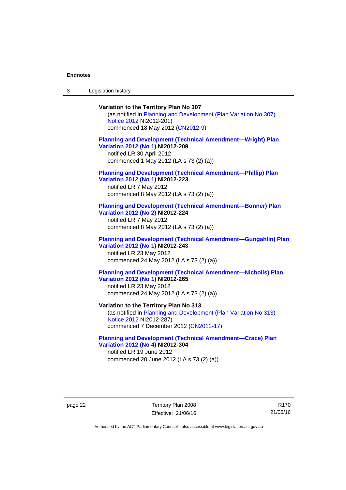3 Legislation history

## **Variation to the Territory Plan No 307**

(as notified in [Planning and Development \(Plan Variation No 307\)](http://www.legislation.act.gov.au/ni/2012-201/)  [Notice 2012](http://www.legislation.act.gov.au/ni/2012-201/) NI2012-201) commenced 18 May 2012 [\(CN2012-9\)](http://www.legislation.act.gov.au/cn/2012-9/)

## **[Planning and Development \(Technical Amendment—Wright\) Plan](http://www.legislation.act.gov.au/ni/2012-209/)  [Variation 2012 \(No 1\)](http://www.legislation.act.gov.au/ni/2012-209/) NI2012-209**

notified LR 30 April 2012 commenced 1 May 2012 (LA s 73 (2) (a))

#### **[Planning and Development \(Technical Amendment—Phillip\) Plan](http://www.legislation.act.gov.au/ni/2012-223/)  [Variation 2012 \(No 1\)](http://www.legislation.act.gov.au/ni/2012-223/) NI2012-223**

notified LR 7 May 2012 commenced 8 May 2012 (LA s 73 (2) (a))

### **[Planning and Development \(Technical Amendment—Bonner\) Plan](http://www.legislation.act.gov.au/ni/2012-224/)  [Variation 2012 \(No 2\)](http://www.legislation.act.gov.au/ni/2012-224/) NI2012-224**

notified LR 7 May 2012 commenced 8 May 2012 (LA s 73 (2) (a))

## **[Planning and Development \(Technical Amendment—Gungahlin\) Plan](http://www.legislation.act.gov.au/ni/2012-243/)  [Variation 2012 \(No 1\)](http://www.legislation.act.gov.au/ni/2012-243/) NI2012-243**  notified LR 23 May 2012

commenced 24 May 2012 (LA s 73 (2) (a))

## **[Planning and Development \(Technical Amendment—Nicholls\) Plan](http://www.legislation.act.gov.au/ni/2012-265/)  [Variation 2012 \(No 1\)](http://www.legislation.act.gov.au/ni/2012-265/) NI2012-265**

notified LR 23 May 2012 commenced 24 May 2012 (LA s 73 (2) (a))

### **Variation to the Territory Plan No 313**

(as notified in [Planning and Development \(Plan Variation No 313\)](http://www.legislation.act.gov.au/ni/2012-287/default.asp)  [Notice 2012](http://www.legislation.act.gov.au/ni/2012-287/default.asp) NI2012-287) commenced 7 December 2012 ([CN2012-17](http://www.legislation.act.gov.au/cn/2012-17/default.asp))

## **[Planning and Development \(Technical Amendment—Crace\) Plan](http://www.legislation.act.gov.au/ni/2012-304/)  [Variation 2012 \(No 4\)](http://www.legislation.act.gov.au/ni/2012-304/) NI2012-304**

notified LR 19 June 2012 commenced 20 June 2012 (LA s 73 (2) (a))

page 22 Territory Plan 2008 Effective: 21/06/16

R170 21/06/16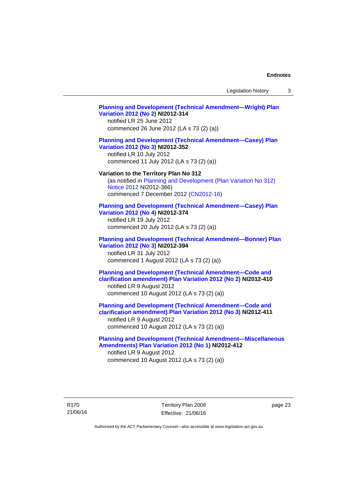Legislation history 3

## **[Planning and Development \(Technical Amendment—Wright\) Plan](http://www.legislation.act.gov.au/ni/2012-314/)  [Variation 2012 \(No 2\)](http://www.legislation.act.gov.au/ni/2012-314/) NI2012-314**  notified LR 25 June 2012 commenced 26 June 2012 (LA s 73 (2) (a)) **[Planning and Development \(Technical Amendment—Casey\) Plan](http://www.legislation.act.gov.au/ni/2012-352/)  [Variation 2012 \(No 3\)](http://www.legislation.act.gov.au/ni/2012-352/) NI2012-352**  notified LR 10 July 2012 commenced 11 July 2012 (LA s 73 (2) (a)) **Variation to the Territory Plan No 312**  (as notified in [Planning and Development \(Plan Variation No 312\)](http://www.legislation.act.gov.au/ni/2012-366/default.asp)  [Notice 2012](http://www.legislation.act.gov.au/ni/2012-366/default.asp) NI2012-366) commenced 7 December 2012 ([CN2012-16](http://www.legislation.act.gov.au/cn/2012-16/default.asp)) **[Planning and Development \(Technical Amendment—Casey\) Plan](http://www.legislation.act.gov.au/ni/2012-374/)  [Variation 2012 \(No 4\)](http://www.legislation.act.gov.au/ni/2012-374/) NI2012-374**  notified LR 19 July 2012 commenced 20 July 2012 (LA s 73 (2) (a)) **[Planning and Development \(Technical Amendment—Bonner\) Plan](http://www.legislation.act.gov.au/ni/2012-394/)  [Variation 2012 \(No 3\)](http://www.legislation.act.gov.au/ni/2012-394/) NI2012-394**  notified LR 31 July 2012 commenced 1 August 2012 (LA s 73 (2) (a)) **[Planning and Development \(Technical Amendment—Code and](http://www.legislation.act.gov.au/ni/2012-410/)  [clarification amendment\) Plan Variation 2012 \(No 2\)](http://www.legislation.act.gov.au/ni/2012-410/) NI2012-410**  notified LR 9 August 2012 commenced 10 August 2012 (LA s 73 (2) (a)) **[Planning and Development \(Technical Amendment—Code and](http://www.legislation.act.gov.au/ni/2012-411/)  [clarification amendment\) Plan Variation 2012 \(No 3\)](http://www.legislation.act.gov.au/ni/2012-411/) NI2012-411**  notified LR 9 August 2012 commenced 10 August 2012 (LA s 73 (2) (a)) **[Planning and Development \(Technical Amendment—Miscellaneous](http://www.legislation.act.gov.au/ni/2012-412/)  [Amendments\) Plan Variation 2012 \(No 1\)](http://www.legislation.act.gov.au/ni/2012-412/) NI2012-412**  notified LR 9 August 2012 commenced 10 August 2012 (LA s 73 (2) (a))

page 23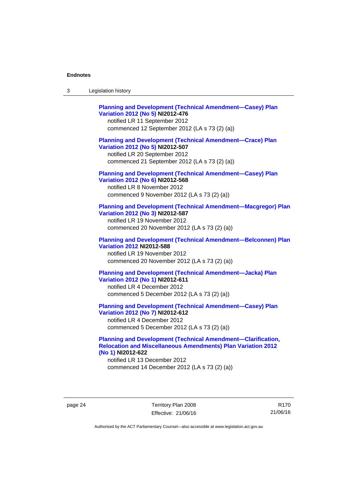| Legislation history<br>-3 |  |
|---------------------------|--|
|---------------------------|--|

| <b>Planning and Development (Technical Amendment-Casey) Plan</b><br>Variation 2012 (No 5) NI2012-476<br>notified LR 11 September 2012<br>commenced 12 September 2012 (LA s 73 (2) (a))   |
|------------------------------------------------------------------------------------------------------------------------------------------------------------------------------------------|
| <b>Planning and Development (Technical Amendment-Crace) Plan</b><br>Variation 2012 (No 5) NI2012-507<br>notified LR 20 September 2012<br>commenced 21 September 2012 (LA s 73 (2) (a))   |
| <b>Planning and Development (Technical Amendment-Casey) Plan</b><br>Variation 2012 (No 6) NI2012-568<br>notified LR 8 November 2012<br>commenced 9 November 2012 (LA s 73 (2) (a))       |
| <b>Planning and Development (Technical Amendment-Macgregor) Plan</b><br>Variation 2012 (No 3) NI2012-587<br>notified LR 19 November 2012<br>commenced 20 November 2012 (LA s 73 (2) (a)) |
| <b>Planning and Development (Technical Amendment-Belconnen) Plan</b><br><b>Variation 2012 NI2012-588</b><br>notified LR 19 November 2012<br>commenced 20 November 2012 (LA s 73 (2) (a)) |
| <b>Planning and Development (Technical Amendment-Jacka) Plan</b><br>Variation 2012 (No 1) NI2012-611<br>notified LR 4 December 2012<br>commenced 5 December 2012 (LA s 73 (2) (a))       |
| <b>Planning and Development (Technical Amendment-Casey) Plan</b><br>Variation 2012 (No 7) NI2012-612<br>notified LR 4 December 2012<br>commenced 5 December 2012 (LA s 73 (2) (a))       |

## **[Planning and Development \(Technical Amendment—Clarification,](http://www.legislation.act.gov.au/ni/2012-622/default.asp)  [Relocation and Miscellaneous Amendments\) Plan Variation 2012](http://www.legislation.act.gov.au/ni/2012-622/default.asp)  [\(No 1\)](http://www.legislation.act.gov.au/ni/2012-622/default.asp) NI2012-622**

notified LR 13 December 2012 commenced 14 December 2012 (LA s 73 (2) (a))

page 24 Territory Plan 2008 Effective: 21/06/16

R170 21/06/16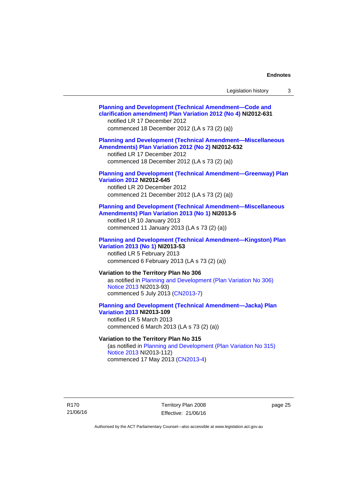| Legislation history |  |
|---------------------|--|
|---------------------|--|

| <b>Planning and Development (Technical Amendment-Code and</b><br>clarification amendment) Plan Variation 2012 (No 4) NI2012-631<br>notified LR 17 December 2012<br>commenced 18 December 2012 (LA s 73 (2) (a)) |
|-----------------------------------------------------------------------------------------------------------------------------------------------------------------------------------------------------------------|
| <b>Planning and Development (Technical Amendment-Miscellaneous</b><br>Amendments) Plan Variation 2012 (No 2) NI2012-632<br>notified LR 17 December 2012<br>commenced 18 December 2012 (LA s 73 (2) (a))         |
| <b>Planning and Development (Technical Amendment-Greenway) Plan</b><br><b>Variation 2012 NI2012-645</b><br>notified LR 20 December 2012<br>commenced 21 December 2012 (LA s 73 (2) (a))                         |
| <b>Planning and Development (Technical Amendment-Miscellaneous</b><br>Amendments) Plan Variation 2013 (No 1) NI2013-5<br>notified LR 10 January 2013<br>commenced 11 January 2013 (LA s 73 (2) (a))             |
| <b>Planning and Development (Technical Amendment-Kingston) Plan</b><br>Variation 2013 (No 1) NI2013-53<br>notified LR 5 February 2013<br>commenced 6 February 2013 (LA s 73 (2) (a))                            |
| Variation to the Territory Plan No 306<br>as notified in Planning and Development (Plan Variation No 306)<br>Notice 2013 NI2013-93)<br>commenced 5 July 2013 (CN2013-7)                                         |
| <b>Planning and Development (Technical Amendment-Jacka) Plan</b><br><b>Variation 2013 NI2013-109</b><br>notified LR 5 March 2013<br>commenced 6 March 2013 (LA s 73 (2) (a))                                    |
| Variation to the Territory Plan No 315<br>(as notified in Planning and Development (Plan Variation No 315)<br>Notice 2013 NI2013-112)<br>commenced 17 May 2013 (CN2013-4)                                       |

R170 21/06/16

Territory Plan 2008 Effective: 21/06/16 page 25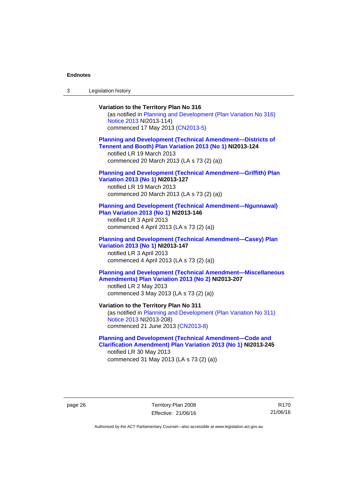3 Legislation history

## **Variation to the Territory Plan No 316**  (as notified in [Planning and Development \(Plan Variation No 316\)](http://www.legislation.act.gov.au/ni/2013-114/default.asp)  [Notice 2013](http://www.legislation.act.gov.au/ni/2013-114/default.asp) NI2013-114) commenced 17 May 2013 [\(CN2013-5\)](http://www.legislation.act.gov.au/cn/2013-5/default.asp) **[Planning and Development \(Technical Amendment—Districts of](http://www.legislation.act.gov.au/ni/2013-124/default.asp)  [Tennent and Booth\) Plan Variation 2013 \(No 1\)](http://www.legislation.act.gov.au/ni/2013-124/default.asp) NI2013-124**  notified LR 19 March 2013 commenced 20 March 2013 (LA s 73 (2) (a)) **[Planning and Development \(Technical Amendment—Griffith\) Plan](http://www.legislation.act.gov.au/ni/2013-127/default.asp)  [Variation 2013 \(No 1\)](http://www.legislation.act.gov.au/ni/2013-127/default.asp) NI2013-127**  notified LR 19 March 2013 commenced 20 March 2013 (LA s 73 (2) (a)) **[Planning and Development \(Technical Amendment—Ngunnawal\)](http://www.legislation.act.gov.au/ni/2013-146/default.asp)  [Plan Variation 2013 \(No 1\)](http://www.legislation.act.gov.au/ni/2013-146/default.asp) NI2013-146**  notified LR 3 April 2013 commenced 4 April 2013 (LA s 73 (2) (a)) **[Planning and Development \(Technical Amendment—Casey\) Plan](http://www.legislation.act.gov.au/ni/2013-147/default.asp)  [Variation 2013 \(No 1\)](http://www.legislation.act.gov.au/ni/2013-147/default.asp) NI2013-147**  notified LR 3 April 2013 commenced 4 April 2013 (LA s 73 (2) (a)) **[Planning and Development \(Technical Amendment—Miscellaneous](http://www.legislation.act.gov.au/ni/2013-207/default.asp)  [Amendments\) Plan Variation 2013 \(No 2\)](http://www.legislation.act.gov.au/ni/2013-207/default.asp) NI2013-207**  notified LR 2 May 2013 commenced 3 May 2013 (LA s 73 (2) (a)) **Variation to the Territory Plan No 311**  (as notified in [Planning and Development \(Plan Variation No 311\)](http://www.legislation.act.gov.au/ni/2013-208/default.asp)  [Notice 2013](http://www.legislation.act.gov.au/ni/2013-208/default.asp) NI2013-208) commenced 21 June 2013 ([CN2013-8\)](http://www.legislation.act.gov.au/cn/2013-8/default.asp) **[Planning and Development \(Technical Amendment—Code and](http://www.legislation.act.gov.au/ni/2013-245/default.asp)  [Clarification Amendment\) Plan Variation 2013 \(No 1\)](http://www.legislation.act.gov.au/ni/2013-245/default.asp) NI2013-245**

notified LR 30 May 2013 commenced 31 May 2013 (LA s 73 (2) (a))

page 26 Territory Plan 2008 Effective: 21/06/16

R170 21/06/16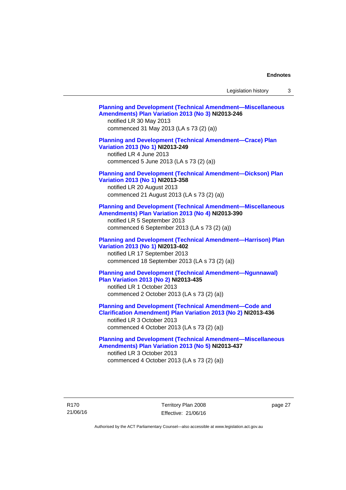Legislation history 3

| <b>Planning and Development (Technical Amendment-Miscellaneous</b><br>Amendments) Plan Variation 2013 (No 3) NI2013-246<br>notified LR 30 May 2013<br>commenced 31 May 2013 (LA s 73 (2) (a))               |  |
|-------------------------------------------------------------------------------------------------------------------------------------------------------------------------------------------------------------|--|
| <b>Planning and Development (Technical Amendment-Crace) Plan</b><br>Variation 2013 (No 1) NI2013-249<br>notified LR 4 June 2013<br>commenced 5 June 2013 (LA s 73 (2) (a))                                  |  |
| <b>Planning and Development (Technical Amendment-Dickson) Plan</b><br>Variation 2013 (No 1) NI2013-358<br>notified LR 20 August 2013<br>commenced 21 August 2013 (LA s 73 (2) (a))                          |  |
| <b>Planning and Development (Technical Amendment-Miscellaneous</b><br>Amendments) Plan Variation 2013 (No 4) NI2013-390<br>notified LR 5 September 2013<br>commenced 6 September 2013 (LA s 73 (2) (a))     |  |
| <b>Planning and Development (Technical Amendment-Harrison) Plan</b><br>Variation 2013 (No 1) NI2013-402<br>notified LR 17 September 2013<br>commenced 18 September 2013 (LA s 73 (2) (a))                   |  |
| <b>Planning and Development (Technical Amendment-Ngunnawal)</b><br>Plan Variation 2013 (No 2) NI2013-435<br>notified LR 1 October 2013<br>commenced 2 October 2013 (LA s 73 (2) (a))                        |  |
| <b>Planning and Development (Technical Amendment-Code and</b><br>Clarification Amendment) Plan Variation 2013 (No 2) NI2013-436<br>notified LR 3 October 2013<br>commenced 4 October 2013 (LA s 73 (2) (a)) |  |
| <b>Planning and Development (Technical Amendment-Miscellaneous</b><br>Amendments) Plan Variation 2013 (No 5) NI2013-437<br>notified LR 3 October 2013<br>commenced 4 October 2013 (LA s 73 (2) (a))         |  |

R170 21/06/16 Territory Plan 2008 Effective: 21/06/16

page 27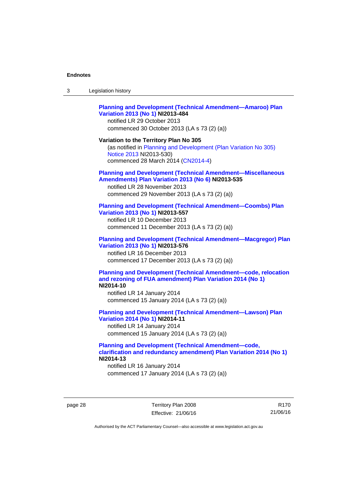| 3 | Legislation history |  |
|---|---------------------|--|
|---|---------------------|--|

## **[Planning and Development \(Technical Amendment—Amaroo\) Plan](http://www.legislation.act.gov.au/ni/2013-484/default.asp)  [Variation 2013 \(No 1\)](http://www.legislation.act.gov.au/ni/2013-484/default.asp) NI2013-484**

notified LR 29 October 2013 commenced 30 October 2013 (LA s 73 (2) (a))

#### **Variation to the Territory Plan No 305**

(as notified in [Planning and Development \(Plan Variation No 305\)](http://www.legislation.act.gov.au/ni/2013-530/default.asp)  [Notice 2013](http://www.legislation.act.gov.au/ni/2013-530/default.asp) NI2013-530) commenced 28 March 2014 [\(CN2014-4\)](http://www.legislation.act.gov.au/cn/2014-4/default.asp)

#### **[Planning and Development \(Technical Amendment—Miscellaneous](http://www.legislation.act.gov.au/ni/2013-535/default.asp)  [Amendments\) Plan Variation 2013 \(No 6\)](http://www.legislation.act.gov.au/ni/2013-535/default.asp) NI2013-535**

notified LR 28 November 2013 commenced 29 November 2013 (LA s 73 (2) (a))

### **[Planning and Development \(Technical Amendment—Coombs\) Plan](http://www.legislation.act.gov.au/ni/2013-557/default.asp)  [Variation 2013 \(No 1\)](http://www.legislation.act.gov.au/ni/2013-557/default.asp) NI2013-557**

notified LR 10 December 2013 commenced 11 December 2013 (LA s 73 (2) (a))

## **[Planning and Development \(Technical Amendment—Macgregor\) Plan](http://www.legislation.act.gov.au/ni/2013-576/default.asp)  [Variation 2013 \(No 1\)](http://www.legislation.act.gov.au/ni/2013-576/default.asp) NI2013-576**  notified LR 16 December 2013

commenced 17 December 2013 (LA s 73 (2) (a))

#### **[Planning and Development \(Technical Amendment—code, relocation](http://www.legislation.act.gov.au/ni/2014-10/default.asp)  [and rezoning of FUA amendment\) Plan Variation 2014 \(No 1\)](http://www.legislation.act.gov.au/ni/2014-10/default.asp) NI2014-10**

notified LR 14 January 2014 commenced 15 January 2014 (LA s 73 (2) (a))

## **[Planning and Development \(Technical Amendment—Lawson\) Plan](http://www.legislation.act.gov.au/ni/2014-11/default.asp)  [Variation 2014 \(No 1\)](http://www.legislation.act.gov.au/ni/2014-11/default.asp) NI2014-11**

notified LR 14 January 2014 commenced 15 January 2014 (LA s 73 (2) (a))

## **[Planning and Development \(Technical Amendment—code,](http://www.legislation.act.gov.au/ni/2014-13/default.asp)  [clarification and redundancy amendment\) Plan Variation 2014 \(No 1\)](http://www.legislation.act.gov.au/ni/2014-13/default.asp) NI2014-13**

notified LR 16 January 2014 commenced 17 January 2014 (LA s 73 (2) (a))

page 28 Territory Plan 2008 Effective: 21/06/16

R170 21/06/16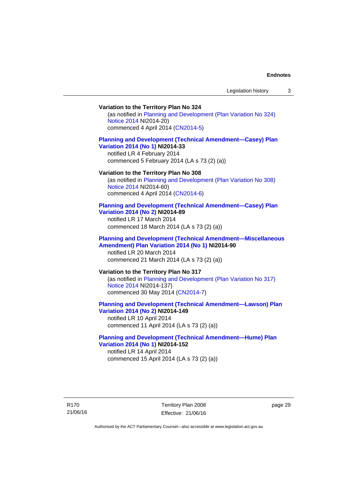## **Variation to the Territory Plan No 324**

(as notified in [Planning and Development \(Plan Variation No 324\)](http://www.legislation.act.gov.au/ni/2014-20/default.asp)  [Notice 2014](http://www.legislation.act.gov.au/ni/2014-20/default.asp) NI2014-20) commenced 4 April 2014 ([CN2014-5](http://www.legislation.act.gov.au/cn/2014-5/default.asp))

## **[Planning and Development \(Technical Amendment—Casey\) Plan](http://www.legislation.act.gov.au/ni/2014-33/default.asp)  [Variation 2014 \(No 1\)](http://www.legislation.act.gov.au/ni/2014-33/default.asp) NI2014-33**

notified LR 4 February 2014 commenced 5 February 2014 (LA s 73 (2) (a))

#### **Variation to the Territory Plan No 308**

(as notified in [Planning and Development \(Plan Variation No 308\)](http://www.legislation.act.gov.au/ni/2014-60/default.asp)  [Notice 2014](http://www.legislation.act.gov.au/ni/2014-60/default.asp) NI2014-60) commenced 4 April 2014 ([CN2014-6](http://www.legislation.act.gov.au/cn/2014-6/default.asp))

#### **[Planning and Development \(Technical Amendment—Casey\) Plan](http://www.legislation.act.gov.au/ni/2014-89/default.asp)  [Variation 2014 \(No 2\)](http://www.legislation.act.gov.au/ni/2014-89/default.asp) NI2014-89**

notified LR 17 March 2014 commenced 18 March 2014 (LA s 73 (2) (a))

### **[Planning and Development \(Technical Amendment—Miscellaneous](http://www.legislation.act.gov.au/ni/2014-90/default.asp)  [Amendment\) Plan Variation 2014 \(No 1\)](http://www.legislation.act.gov.au/ni/2014-90/default.asp) NI2014-90**  notified LR 20 March 2014

commenced 21 March 2014 (LA s 73 (2) (a))

## **Variation to the Territory Plan No 317**

(as notified in [Planning and Development \(Plan Variation No 317\)](http://www.legislation.act.gov.au/ni/2014-137/default.asp)  [Notice 2014](http://www.legislation.act.gov.au/ni/2014-137/default.asp) NI2014-137) commenced 30 May 2014 [\(CN2014-7\)](http://www.legislation.act.gov.au/cn/2014-7/default.asp)

## **[Planning and Development \(Technical Amendment—Lawson\) Plan](http://www.legislation.act.gov.au/ni/2014-149/default.asp)  [Variation 2014 \(No 2\)](http://www.legislation.act.gov.au/ni/2014-149/default.asp) NI2014-149**

notified LR 10 April 2014 commenced 11 April 2014 (LA s 73 (2) (a))

## **[Planning and Development \(Technical Amendment—Hume\) Plan](http://www.legislation.act.gov.au/ni/2014-152/default.asp)  [Variation 2014 \(No 1\)](http://www.legislation.act.gov.au/ni/2014-152/default.asp) NI2014-152**

notified LR 14 April 2014 commenced 15 April 2014 (LA s 73 (2) (a))

page 29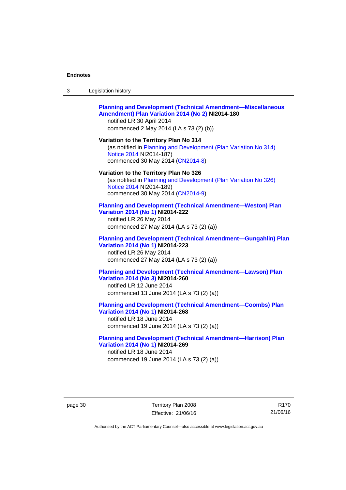| -3 | Legislation history |  |
|----|---------------------|--|
|----|---------------------|--|

### **[Planning and Development \(Technical Amendment—Miscellaneous](http://www.legislation.act.gov.au/ni/2014-180/default.asp)  [Amendment\) Plan Variation 2014 \(No 2\)](http://www.legislation.act.gov.au/ni/2014-180/default.asp) NI2014-180**  notified LR 30 April 2014

commenced 2 May 2014 (LA s 73 (2) (b))

## **Variation to the Territory Plan No 314**  (as notified in [Planning and Development \(Plan Variation No 314\)](http://www.legislation.act.gov.au/ni/2014-187/default.asp)  [Notice 2014](http://www.legislation.act.gov.au/ni/2014-187/default.asp) NI2014-187)

commenced 30 May 2014 [\(CN2014-8\)](http://www.legislation.act.gov.au/cn/2014-8/default.asp)

#### **Variation to the Territory Plan No 326**

(as notified in [Planning and Development \(Plan Variation No 326\)](http://www.legislation.act.gov.au/ni/2014-189/default.asp)  [Notice 2014](http://www.legislation.act.gov.au/ni/2014-189/default.asp) NI2014-189) commenced 30 May 2014 [\(CN2014-9\)](http://www.legislation.act.gov.au/cn/2014-9/default.asp)

#### **[Planning and Development \(Technical Amendment—Weston\) Plan](http://www.legislation.act.gov.au/ni/2014-222/default.asp)  [Variation 2014 \(No 1\)](http://www.legislation.act.gov.au/ni/2014-222/default.asp) NI2014-222**

notified LR 26 May 2014 commenced 27 May 2014 (LA s 73 (2) (a))

## **[Planning and Development \(Technical Amendment—Gungahlin\) Plan](http://www.legislation.act.gov.au/ni/2014-223/default.asp)  [Variation 2014 \(No 1\)](http://www.legislation.act.gov.au/ni/2014-223/default.asp) NI2014-223**  notified LR 26 May 2014

commenced 27 May 2014 (LA s 73 (2) (a))

## **[Planning and Development \(Technical Amendment—Lawson\) Plan](http://www.legislation.act.gov.au/ni/2014-260/default.asp)  [Variation 2014 \(No 3\)](http://www.legislation.act.gov.au/ni/2014-260/default.asp) NI2014-260**

notified LR 12 June 2014 commenced 13 June 2014 (LA s 73 (2) (a))

## **[Planning and Development \(Technical Amendment—Coombs\) Plan](http://www.legislation.act.gov.au/ni/2014-268/default.asp)  [Variation 2014 \(No 1\)](http://www.legislation.act.gov.au/ni/2014-268/default.asp) NI2014-268**

notified LR 18 June 2014 commenced 19 June 2014 (LA s 73 (2) (a))

### **[Planning and Development \(Technical Amendment—Harrison\) Plan](http://www.legislation.act.gov.au/ni/2014-269/default.asp)  [Variation 2014 \(No 1\)](http://www.legislation.act.gov.au/ni/2014-269/default.asp) NI2014-269**  notified LR 18 June 2014

commenced 19 June 2014 (LA s 73 (2) (a))

page 30 Territory Plan 2008 Effective: 21/06/16

R170 21/06/16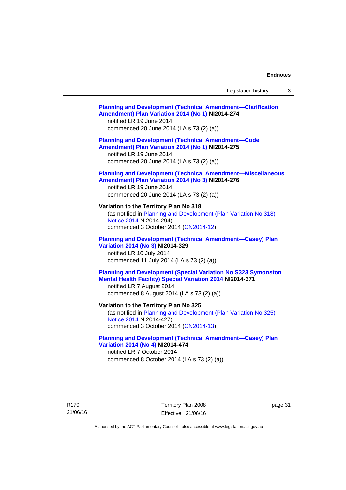## **[Planning and Development \(Technical Amendment—Clarification](http://www.legislation.act.gov.au/ni/2014-274/default.asp)  [Amendment\) Plan Variation 2014 \(No 1\)](http://www.legislation.act.gov.au/ni/2014-274/default.asp) NI2014-274**  notified LR 19 June 2014 commenced 20 June 2014 (LA s 73 (2) (a)) **[Planning and Development \(Technical Amendment—Code](http://www.legislation.act.gov.au/ni/2014-275/default.asp)  [Amendment\) Plan Variation 2014 \(No 1\)](http://www.legislation.act.gov.au/ni/2014-275/default.asp) NI2014-275**  notified LR 19 June 2014 commenced 20 June 2014 (LA s 73 (2) (a)) **[Planning and Development \(Technical Amendment—Miscellaneous](http://www.legislation.act.gov.au/ni/2014-276/default.asp)  [Amendment\) Plan Variation 2014 \(No 3\)](http://www.legislation.act.gov.au/ni/2014-276/default.asp) NI2014-276**  notified LR 19 June 2014 commenced 20 June 2014 (LA s 73 (2) (a)) **Variation to the Territory Plan No 318**  (as notified in [Planning and Development \(Plan Variation No 318\)](http://www.legislation.act.gov.au/ni/2014-294/default.asp)  [Notice 2014](http://www.legislation.act.gov.au/ni/2014-294/default.asp) NI2014-294) commenced 3 October 2014 [\(CN2014-12\)](http://www.legislation.act.gov.au/cn/2014-12/default.asp) **[Planning and Development \(Technical Amendment—Casey\) Plan](http://www.legislation.act.gov.au/ni/2014-329/default.asp)  [Variation 2014 \(No 3\)](http://www.legislation.act.gov.au/ni/2014-329/default.asp) NI2014-329**  notified LR 10 July 2014 commenced 11 July 2014 (LA s 73 (2) (a)) **[Planning and Development \(Special Variation No S323 Symonston](http://www.legislation.act.gov.au/ni/2014-371/default.asp)  [Mental Health Facility\) Special Variation 2014](http://www.legislation.act.gov.au/ni/2014-371/default.asp) NI2014-371**  notified LR 7 August 2014 commenced 8 August 2014 (LA s 73 (2) (a)) **Variation to the Territory Plan No 325**  (as notified in [Planning and Development \(Plan Variation No 325\)](http://www.legislation.act.gov.au/ni/2014-427/default.asp)  [Notice 2014](http://www.legislation.act.gov.au/ni/2014-427/default.asp) NI2014-427) commenced 3 October 2014 [\(CN2014-13\)](http://www.legislation.act.gov.au/cn/2014-13/default.asp) **[Planning and Development \(Technical Amendment—Casey\) Plan](http://www.legislation.act.gov.au/ni/2014-474/default.asp)  [Variation 2014 \(No 4\)](http://www.legislation.act.gov.au/ni/2014-474/default.asp) NI2014-474**  notified LR 7 October 2014 commenced 8 October 2014 (LA s 73 (2) (a))

R170 21/06/16 Territory Plan 2008 Effective: 21/06/16 page 31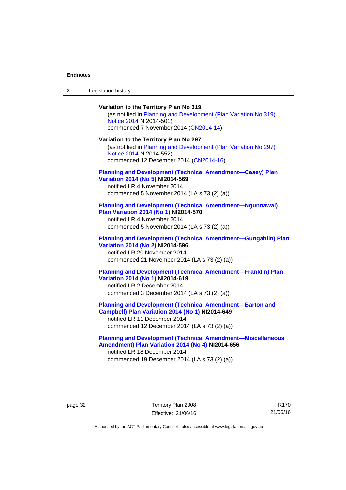| $\sqrt{2}$<br>- 3 | Legislation history |  |
|-------------------|---------------------|--|
|-------------------|---------------------|--|

**Variation to the Territory Plan No 319**  (as notified in [Planning and Development \(Plan Variation No 319\)](http://www.legislation.act.gov.au/ni/2014-501/default.asp)  [Notice 2014](http://www.legislation.act.gov.au/ni/2014-501/default.asp) NI2014-501) commenced 7 November 2014 ([CN2014-14](http://www.legislation.act.gov.au/cn/2014-14/default.asp)) **Variation to the Territory Plan No 297**  (as notified in [Planning and Development \(Plan Variation No 297\)](http://www.legislation.act.gov.au/ni/2014-552/default.asp)  [Notice 2014](http://www.legislation.act.gov.au/ni/2014-552/default.asp) NI2014-552) commenced 12 December 2014 [\(CN2014-16\)](http://www.legislation.act.gov.au/cn/2014-16/default.asp) **[Planning and Development \(Technical Amendment—Casey\) Plan](http://www.legislation.act.gov.au/ni/2014-569/default.asp)  [Variation 2014 \(No 5\)](http://www.legislation.act.gov.au/ni/2014-569/default.asp) NI2014-569**  notified LR 4 November 2014 commenced 5 November 2014 (LA s 73 (2) (a)) **[Planning and Development \(Technical Amendment—Ngunnawal\)](http://www.legislation.act.gov.au/ni/2014-570/default.asp)  [Plan Variation 2014 \(No 1\)](http://www.legislation.act.gov.au/ni/2014-570/default.asp) NI2014-570**  notified LR 4 November 2014 commenced 5 November 2014 (LA s 73 (2) (a)) **[Planning and Development \(Technical Amendment—Gungahlin\) Plan](http://www.legislation.act.gov.au/ni/2014-596/default.asp)  [Variation 2014 \(No 2\)](http://www.legislation.act.gov.au/ni/2014-596/default.asp) NI2014-596**  notified LR 20 November 2014 commenced 21 November 2014 (LA s 73 (2) (a)) **[Planning and Development \(Technical Amendment—Franklin\) Plan](http://www.legislation.act.gov.au/ni/2014-619/default.asp)  [Variation 2014 \(No 1\)](http://www.legislation.act.gov.au/ni/2014-619/default.asp) NI2014-619**  notified LR 2 December 2014 commenced 3 December 2014 (LA s 73 (2) (a)) **[Planning and Development \(Technical Amendment—Barton and](http://www.legislation.act.gov.au/ni/2014-649/default.asp)  [Campbell\) Plan Variation 2014 \(No 1\)](http://www.legislation.act.gov.au/ni/2014-649/default.asp) NI2014-649**  notified LR 11 December 2014 commenced 12 December 2014 (LA s 73 (2) (a))

**[Planning and Development \(Technical Amendment—Miscellaneous](http://www.legislation.act.gov.au/ni/2014-656/default.asp)  [Amendment\) Plan Variation 2014 \(No 4\)](http://www.legislation.act.gov.au/ni/2014-656/default.asp) NI2014-656**  notified LR 18 December 2014 commenced 19 December 2014 (LA s 73 (2) (a))

page 32 Territory Plan 2008 Effective: 21/06/16

R170 21/06/16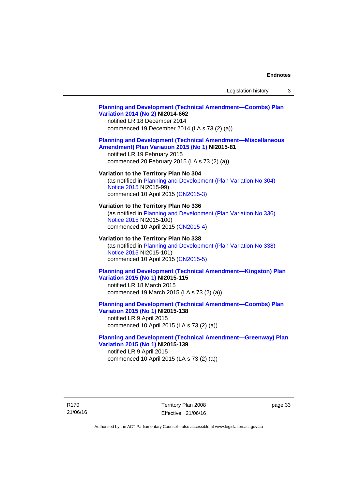## **[Planning and Development \(Technical Amendment—Coombs\) Plan](http://www.legislation.act.gov.au/ni/2014-662/default.asp)  [Variation 2014 \(No 2\)](http://www.legislation.act.gov.au/ni/2014-662/default.asp) NI2014-662**

notified LR 18 December 2014 commenced 19 December 2014 (LA s 73 (2) (a))

## **[Planning and Development \(Technical Amendment—Miscellaneous](http://www.legislation.act.gov.au/ni/2015-81/default.asp)  [Amendment\) Plan Variation 2015 \(No 1\)](http://www.legislation.act.gov.au/ni/2015-81/default.asp) NI2015-81**

notified LR 19 February 2015 commenced 20 February 2015 (LA s 73 (2) (a))

### **Variation to the Territory Plan No 304**

(as notified in [Planning and Development \(Plan Variation No 304\)](http://www.legislation.act.gov.au/ni/2015-99/default.asp)  [Notice 2015](http://www.legislation.act.gov.au/ni/2015-99/default.asp) NI2015-99) commenced 10 April 2015 [\(CN2015-3\)](http://www.legislation.act.gov.au/cn/2015-3/default.asp)

#### **Variation to the Territory Plan No 336**

(as notified in [Planning and Development \(Plan Variation No 336\)](http://www.legislation.act.gov.au/ni/2015-100/default.asp)  [Notice 2015](http://www.legislation.act.gov.au/ni/2015-100/default.asp) NI2015-100) commenced 10 April 2015 [\(CN2015-4\)](http://www.legislation.act.gov.au/cn/2015-4/default.asp)

### **Variation to the Territory Plan No 338**

(as notified in [Planning and Development \(Plan Variation No 338\)](http://www.legislation.act.gov.au/ni/2015-101/default.asp)  [Notice 2015](http://www.legislation.act.gov.au/ni/2015-101/default.asp) NI2015-101) commenced 10 April 2015 [\(CN2015-5\)](http://www.legislation.act.gov.au/cn/2015-5/default.asp)

## **[Planning and Development \(Technical Amendment—Kingston\) Plan](http://www.legislation.act.gov.au/ni/2015-115/default.asp)  [Variation 2015 \(No 1\)](http://www.legislation.act.gov.au/ni/2015-115/default.asp) NI2015-115**

notified LR 18 March 2015 commenced 19 March 2015 (LA s 73 (2) (a))

## **[Planning and Development \(Technical Amendment—Coombs\) Plan](http://www.legislation.act.gov.au/ni/2015-138/default.asp)  [Variation 2015 \(No 1\)](http://www.legislation.act.gov.au/ni/2015-138/default.asp) NI2015-138**

notified LR 9 April 2015 commenced 10 April 2015 (LA s 73 (2) (a))

## **[Planning and Development \(Technical Amendment—Greenway\) Plan](http://www.legislation.act.gov.au/ni/2015-139/default.asp)  [Variation 2015 \(No 1\)](http://www.legislation.act.gov.au/ni/2015-139/default.asp) NI2015-139**

notified LR 9 April 2015 commenced 10 April 2015 (LA s 73 (2) (a))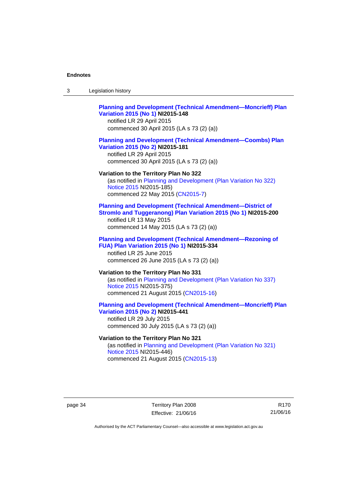| Legislation history<br>-3 |  |
|---------------------------|--|
|---------------------------|--|

## **[Planning and Development \(Technical Amendment—Moncrieff\) Plan](http://www.legislation.act.gov.au/ni/2015-148/default.asp)  [Variation 2015 \(No 1\)](http://www.legislation.act.gov.au/ni/2015-148/default.asp) NI2015-148**

notified LR 29 April 2015 commenced 30 April 2015 (LA s 73 (2) (a))

### **[Planning and Development \(Technical Amendment—Coombs\) Plan](http://www.legislation.act.gov.au/ni/2015-181/default.asp)  [Variation 2015 \(No 2\)](http://www.legislation.act.gov.au/ni/2015-181/default.asp) NI2015-181**

notified LR 29 April 2015 commenced 30 April 2015 (LA s 73 (2) (a))

#### **Variation to the Territory Plan No 322**

(as notified in [Planning and Development \(Plan Variation No 322\)](http://www.legislation.act.gov.au/ni/2015-185/default.asp)  [Notice 2015](http://www.legislation.act.gov.au/ni/2015-185/default.asp) NI2015-185) commenced 22 May 2015 [\(CN2015-7\)](http://www.legislation.act.gov.au/cn/2015-7/default.asp)

## **[Planning and Development \(Technical Amendment—District of](http://www.legislation.act.gov.au/ni/2015-200/default.asp)  [Stromlo and Tuggeranong\) Plan Variation 2015 \(No 1\)](http://www.legislation.act.gov.au/ni/2015-200/default.asp) NI2015-200**

notified LR 13 May 2015 commenced 14 May 2015 (LA s 73 (2) (a))

## **[Planning and Development \(Technical Amendment—Rezoning of](http://www.legislation.act.gov.au/ni/2015-334/default.asp)  [FUA\) Plan Variation 2015 \(No 1\)](http://www.legislation.act.gov.au/ni/2015-334/default.asp) NI2015-334**

notified LR 25 June 2015 commenced 26 June 2015 (LA s 73 (2) (a))

## **Variation to the Territory Plan No 331**

(as notified in [Planning and Development \(Plan Variation No 337\)](http://www.legislation.act.gov.au/ni/2015-375/default.asp)  [Notice 2015](http://www.legislation.act.gov.au/ni/2015-375/default.asp) NI2015-375) commenced 21 August 2015 [\(CN2015-16\)](http://www.legislation.act.gov.au/cn/2015-16/default.asp)

## **[Planning and Development \(Technical Amendment—Moncrieff\) Plan](http://www.legislation.act.gov.au/ni/2015-441/default.asp)  [Variation 2015 \(No 2\)](http://www.legislation.act.gov.au/ni/2015-441/default.asp) NI2015-441**

notified LR 29 July 2015 commenced 30 July 2015 (LA s 73 (2) (a))

## **Variation to the Territory Plan No 321**

(as notified in [Planning and Development \(Plan Variation No 321\)](http://www.legislation.act.gov.au/ni/2015-446/default.asp)  [Notice 2015](http://www.legislation.act.gov.au/ni/2015-446/default.asp) NI2015-446) commenced 21 August 2015 [\(CN2015-13\)](http://www.legislation.act.gov.au/cn/2015-13/default.asp)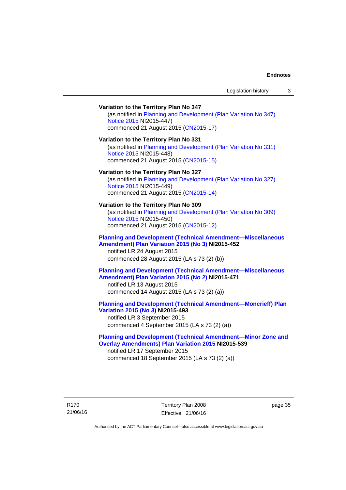## **Variation to the Territory Plan No 347**  (as notified in [Planning and Development \(Plan Variation No 347\)](http://www.legislation.act.gov.au/ni/2015-447/default.asp)  [Notice 2015](http://www.legislation.act.gov.au/ni/2015-447/default.asp) NI2015-447) commenced 21 August 2015 [\(CN2015-17\)](http://www.legislation.act.gov.au/cn/2015-17/default.asp) **Variation to the Territory Plan No 331**  (as notified in [Planning and Development \(Plan Variation No 331\)](http://www.legislation.act.gov.au/ni/2015-448/default.asp)  [Notice 2015](http://www.legislation.act.gov.au/ni/2015-448/default.asp) NI2015-448) commenced 21 August 2015 [\(CN2015-15\)](http://www.legislation.act.gov.au/cn/2015-15/default.asp) **Variation to the Territory Plan No 327**  (as notified in [Planning and Development \(Plan Variation No 327\)](http://www.legislation.act.gov.au/ni/2015-449/default.asp)  [Notice 2015](http://www.legislation.act.gov.au/ni/2015-449/default.asp) NI2015-449) commenced 21 August 2015 [\(CN2015-14\)](http://www.legislation.act.gov.au/cn/2015-14/default.asp) **Variation to the Territory Plan No 309**  (as notified in [Planning and Development \(Plan Variation No 309\)](http://www.legislation.act.gov.au/ni/2015-450/default.asp)  [Notice 2015](http://www.legislation.act.gov.au/ni/2015-450/default.asp) NI2015-450) commenced 21 August 2015 [\(CN2015-12\)](http://www.legislation.act.gov.au/cn/2015-12/default.asp) **[Planning and Development \(Technical Amendment—Miscellaneous](http://www.legislation.act.gov.au/ni/2015-452/default.asp)  [Amendment\) Plan Variation 2015 \(No 3\)](http://www.legislation.act.gov.au/ni/2015-452/default.asp) NI2015-452**  notified LR 24 August 2015 commenced 28 August 2015 (LA s 73 (2) (b)) **[Planning and Development \(Technical Amendment—Miscellaneous](http://www.legislation.act.gov.au/ni/2015-471/default.asp)  [Amendment\) Plan Variation 2015 \(No 2\)](http://www.legislation.act.gov.au/ni/2015-471/default.asp) NI2015-471**  notified LR 13 August 2015 commenced 14 August 2015 (LA s 73 (2) (a)) **[Planning and Development \(Technical Amendment—Moncrieff\) Plan](http://www.legislation.act.gov.au/ni/2015-493/default.asp)  [Variation 2015 \(No 3\)](http://www.legislation.act.gov.au/ni/2015-493/default.asp) NI2015-493**  notified LR 3 September 2015 commenced 4 September 2015 (LA s 73 (2) (a)) **[Planning and Development \(Technical Amendment—Minor Zone and](http://www.legislation.act.gov.au/ni/2015-539/default.asp)**

**[Overlay Amendments\) Plan Variation 2015](http://www.legislation.act.gov.au/ni/2015-539/default.asp) NI2015-539**  notified LR 17 September 2015 commenced 18 September 2015 (LA s 73 (2) (a))

R170 21/06/16 Territory Plan 2008 Effective: 21/06/16 page 35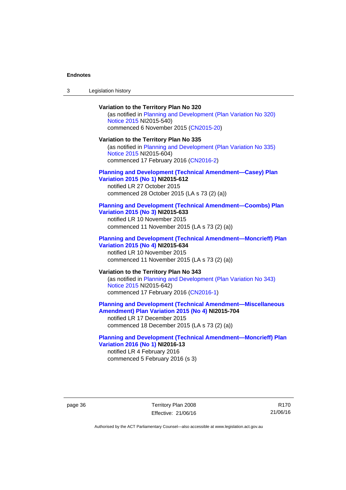## **Variation to the Territory Plan No 320**  (as notified in [Planning and Development \(Plan Variation No 320\)](http://www.legislation.act.gov.au/ni/2015-540/default.asp)  [Notice 2015](http://www.legislation.act.gov.au/ni/2015-540/default.asp) NI2015-540) commenced 6 November 2015 ([CN2015-20](http://www.legislation.act.gov.au/cn/2015-20/default.asp)) **Variation to the Territory Plan No 335**  (as notified in [Planning and Development \(Plan Variation No 335\)](http://www.legislation.act.gov.au/ni/2015-604/default.asp)  [Notice 2015](http://www.legislation.act.gov.au/ni/2015-604/default.asp) NI2015-604) commenced 17 February 2016 [\(CN2016-2\)](http://www.legislation.act.gov.au/cn/2016-2/default.asp) **[Planning and Development \(Technical Amendment—Casey\) Plan](http://www.legislation.act.gov.au/ni/2015-612/default.asp)  [Variation 2015 \(No 1\)](http://www.legislation.act.gov.au/ni/2015-612/default.asp) NI2015-612**  notified LR 27 October 2015 commenced 28 October 2015 (LA s 73 (2) (a)) **[Planning and Development \(Technical Amendment—Coombs\) Plan](http://www.legislation.act.gov.au/ni/2015-633/default.asp)  [Variation 2015 \(No 3\)](http://www.legislation.act.gov.au/ni/2015-633/default.asp) NI2015-633**  notified LR 10 November 2015 commenced 11 November 2015 (LA s 73 (2) (a)) **[Planning and Development \(Technical Amendment—Moncrieff\) Plan](http://www.legislation.act.gov.au/ni/2015-634/default.asp)  [Variation 2015 \(No 4\)](http://www.legislation.act.gov.au/ni/2015-634/default.asp) NI2015-634**  notified LR 10 November 2015 commenced 11 November 2015 (LA s 73 (2) (a)) **Variation to the Territory Plan No 343**  (as notified in [Planning and Development \(Plan Variation No 343\)](http://www.legislation.act.gov.au/ni/2015-642/default.asp)  [Notice 2015](http://www.legislation.act.gov.au/ni/2015-642/default.asp) NI2015-642) commenced 17 February 2016 [\(CN2016-1\)](http://www.legislation.act.gov.au/cn/2016-1/default.asp) **[Planning and Development \(Technical Amendment—Miscellaneous](http://www.legislation.act.gov.au/ni/2015-704/default.asp)  [Amendment\) Plan Variation 2015 \(No 4\)](http://www.legislation.act.gov.au/ni/2015-704/default.asp) NI2015-704**  notified LR 17 December 2015

commenced 18 December 2015 (LA s 73 (2) (a))

## **[Planning and Development \(Technical Amendment—Moncrieff\) Plan](http://www.legislation.act.gov.au/ni/2016-13/default.asp)  [Variation 2016 \(No 1\)](http://www.legislation.act.gov.au/ni/2016-13/default.asp) NI2016-13**

notified LR 4 February 2016 commenced 5 February 2016 (s 3)

page 36 Territory Plan 2008 Effective: 21/06/16

R170 21/06/16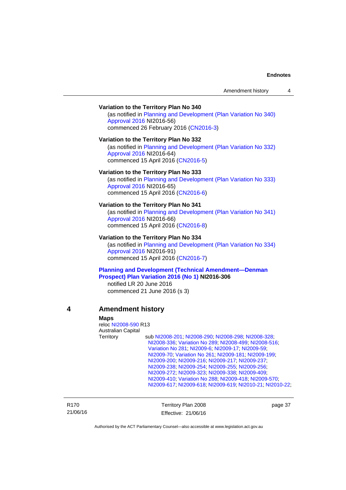# **Variation to the Territory Plan No 340**

(as notified in [Planning and Development \(Plan Variation No 340\)](http://www.legislation.act.gov.au/ni/2016-56/default.asp)  [Approval 2016](http://www.legislation.act.gov.au/ni/2016-56/default.asp) NI2016-56) commenced 26 February 2016 [\(CN2016-3\)](http://www.legislation.act.gov.au/cn/2016-3/default.asp)

## **Variation to the Territory Plan No 332**

(as notified in [Planning and Development \(Plan Variation No 332\)](http://www.legislation.act.gov.au/ni/2016-64/default.asp)  [Approval 2016](http://www.legislation.act.gov.au/ni/2016-64/default.asp) NI2016-64) commenced 15 April 2016 [\(CN2016-5\)](http://www.legislation.act.gov.au/cn/2016-5/default.asp)

## **Variation to the Territory Plan No 333**

(as notified in [Planning and Development \(Plan Variation No 333\)](http://www.legislation.act.gov.au/ni/2016-65/default.asp)  [Approval 2016](http://www.legislation.act.gov.au/ni/2016-65/default.asp) NI2016-65) commenced 15 April 2016 [\(CN2016-6\)](http://www.legislation.act.gov.au/cn/2016-6/default.asp)

#### **Variation to the Territory Plan No 341**

(as notified in [Planning and Development \(Plan Variation No 341\)](http://www.legislation.act.gov.au/ni/2016-66/default.asp)  [Approval 2016](http://www.legislation.act.gov.au/ni/2016-66/default.asp) NI2016-66) commenced 15 April 2016 [\(CN2016-8\)](http://www.legislation.act.gov.au/cn/2016-8/default.asp)

## **Variation to the Territory Plan No 334**

(as notified in [Planning and Development \(Plan Variation No 334\)](http://www.legislation.act.gov.au/ni/2016-91/default.asp)  [Approval 2016](http://www.legislation.act.gov.au/ni/2016-91/default.asp) NI2016-91) commenced 15 April 2016 [\(CN2016-7\)](http://www.legislation.act.gov.au/cn/2016-7/default.asp)

# **[Planning and Development \(Technical Amendment—Denman](http://www.legislation.act.gov.au/ni/2016-306/default.asp)  [Prospect\) Plan Variation 2016 \(No 1\)](http://www.legislation.act.gov.au/ni/2016-306/default.asp) NI2016-306**

notified LR 20 June 2016 commenced 21 June 2016 (s 3)

## **4 Amendment history**

#### **Maps**

reloc [NI2008-590](http://www.legislation.act.gov.au/ni/2008-590/default.asp) R13 Australian Capital Territory sub [NI2008-201](http://www.legislation.act.gov.au/ni/2008-201/); [NI2008-290](http://www.legislation.act.gov.au/ni/2008-290/); [NI2008-298](http://www.legislation.act.gov.au/ni/2008-298/); [NI2008-328](http://www.legislation.act.gov.au/ni/2008-328/); [NI2008-336](http://www.legislation.act.gov.au/ni/2008-336/); [Variation No 289](http://www.legislation.act.gov.au/ni/2008-339/); [NI2008-499](http://www.legislation.act.gov.au/ni/2008-499/); [NI2008-516](http://www.legislation.act.gov.au/ni/2008-516/); [Variation No 281](http://www.legislation.act.gov.au/ni/2008-352/); [NI2009-6](http://www.legislation.act.gov.au/ni/2009-6/); [NI2009-17](http://www.legislation.act.gov.au/ni/2009-17/); [NI2009-59](http://www.legislation.act.gov.au/ni/2009-59/); [NI2009-70](http://www.legislation.act.gov.au/ni/2009-70/); [Variation No 261](http://www.legislation.act.gov.au/ni/2009-107/); [NI2009-181](http://www.legislation.act.gov.au/ni/2009-181/); [NI2009-199](http://www.legislation.act.gov.au/ni/2009-199/); [NI2009-200](http://www.legislation.act.gov.au/ni/2009-200/); [NI2009-216](http://www.legislation.act.gov.au/ni/2009-216/); [NI2009-217](http://www.legislation.act.gov.au/ni/2009-217/); [NI2009-237](http://www.legislation.act.gov.au/ni/2009-237/); [NI2009-238](http://www.legislation.act.gov.au/ni/2009-238/); [NI2009-254](http://www.legislation.act.gov.au/ni/2009-254/); [NI2009-255](http://www.legislation.act.gov.au/ni/2009-255/); [NI2009-256](http://www.legislation.act.gov.au/ni/2009-256/); [NI2009-272](http://www.legislation.act.gov.au/ni/2009-272/); [NI2009-323](http://www.legislation.act.gov.au/ni/2009-323/); [NI2009-338](http://www.legislation.act.gov.au/ni/2009-338/); [NI2009-409](http://www.legislation.act.gov.au/ni/2009-409/); [NI2009-410](http://www.legislation.act.gov.au/ni/2009-410/); [Variation No 288](http://www.legislation.act.gov.au/ni/2009-391/); [NI2009-418](http://www.legislation.act.gov.au/ni/2009-418/); [NI2009-570](http://www.legislation.act.gov.au/ni/2009-570/); [NI2009-617](http://www.legislation.act.gov.au/ni/2009-617/); [NI2009-618;](http://www.legislation.act.gov.au/ni/2009-618/) [NI2009-619;](http://www.legislation.act.gov.au/ni/2009-619/) [NI2010-21;](http://www.legislation.act.gov.au/ni/2010-21/) [NI2010-22](http://www.legislation.act.gov.au/ni/2010-22/);

R170 21/06/16 Territory Plan 2008 Effective: 21/06/16 page 37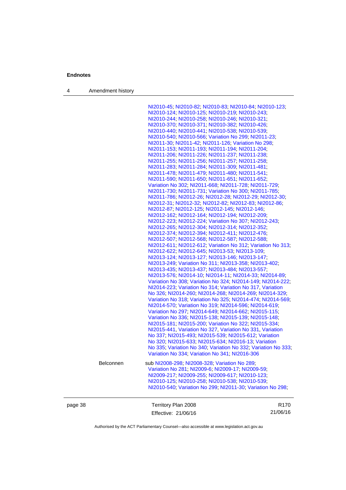4 Amendment history

[NI2010-45](http://www.legislation.act.gov.au/ni/2010-45/); [NI2010-82](http://www.legislation.act.gov.au/ni/2010-82/); [NI2010-83](http://www.legislation.act.gov.au/ni/2010-83/); [NI2010-84](http://www.legislation.act.gov.au/ni/2010-84/); [NI2010-123](http://www.legislation.act.gov.au/ni/2010-123/); [NI2010-124](http://www.legislation.act.gov.au/ni/2010-124/); [NI2010-125](http://www.legislation.act.gov.au/ni/2010-125/); [NI2010-219](http://www.legislation.act.gov.au/ni/2010-219/); [NI2010-243](http://www.legislation.act.gov.au/ni/2010-243/); [NI2010-244](http://www.legislation.act.gov.au/ni/2010-244/); [NI2010-258](http://www.legislation.act.gov.au/ni/2010-258/); [NI2010-246](http://www.legislation.act.gov.au/ni/2010-246/); [NI2010-321](http://www.legislation.act.gov.au/ni/2010-321/); [NI2010-370](http://www.legislation.act.gov.au/ni/2010-370/); [NI2010-371](http://www.legislation.act.gov.au/ni/2010-371/); [NI2010-382](http://www.legislation.act.gov.au/ni/2010-382/); [NI2010-426](http://www.legislation.act.gov.au/ni/2010-426/); [NI2010-440](http://www.legislation.act.gov.au/ni/2010-440/); [NI2010-441](http://www.legislation.act.gov.au/ni/2010-441/); [NI2010-538](http://www.legislation.act.gov.au/ni/2010-538/); [NI2010-539](http://www.legislation.act.gov.au/ni/2010-539/); [NI2010-540](http://www.legislation.act.gov.au/ni/2010-540/); [NI2010-566](http://www.legislation.act.gov.au/ni/2010-566/); [Variation No 299](http://www.legislation.act.gov.au/ni/2010-575/); [NI2011-23](http://www.legislation.act.gov.au/ni/2011-23/); [NI2011-30;](http://www.legislation.act.gov.au/ni/2011-30/) [NI2011-42](http://www.legislation.act.gov.au/ni/2011-42/); [NI2011-126](http://www.legislation.act.gov.au/ni/2011-126/); [Variation No 298](http://www.legislation.act.gov.au/ni/2011-152/); [NI2011-153](http://www.legislation.act.gov.au/ni/2011-153/); [NI2011-193](http://www.legislation.act.gov.au/ni/2011-193/); [NI2011-194](http://www.legislation.act.gov.au/ni/2011-194/); [NI2011-204](http://www.legislation.act.gov.au/ni/2011-204/); [NI2011-206](http://www.legislation.act.gov.au/ni/2011-206/); [NI2011-226](http://www.legislation.act.gov.au/ni/2011-226/); [NI2011-237](http://www.legislation.act.gov.au/ni/2011-237/); [NI2011-238](http://www.legislation.act.gov.au/ni/2011-238/); [NI2011-255](http://www.legislation.act.gov.au/ni/2011-255/); [NI2011-256](http://www.legislation.act.gov.au/ni/2011-256/); [NI2011-257](http://www.legislation.act.gov.au/ni/2011-257/); [NI2011-258](http://www.legislation.act.gov.au/ni/2011-258/); [NI2011-283](http://www.legislation.act.gov.au/ni/2011-283/); [NI2011-284](http://www.legislation.act.gov.au/ni/2011-284/); [NI2011-309](http://www.legislation.act.gov.au/ni/2011-309/); [NI2011-481](http://www.legislation.act.gov.au/ni/2011-481/); [NI2011-478](http://www.legislation.act.gov.au/ni/2011-478/); [NI2011-479](http://www.legislation.act.gov.au/ni/2011-479/); [NI2011-480](http://www.legislation.act.gov.au/ni/2011-480/); [NI2011-541](http://www.legislation.act.gov.au/ni/2011-541/); [NI2011-590](http://www.legislation.act.gov.au/ni/2011-590/); [NI2011-650](http://www.legislation.act.gov.au/ni/2011-650/); [NI2011-651](http://www.legislation.act.gov.au/ni/2011-651/); [NI2011-652](http://www.legislation.act.gov.au/ni/2011-652/); [Variation No 302](http://www.legislation.act.gov.au/ni/2011-573/); [NI2011-668](http://www.legislation.act.gov.au/ni/2011-668/); [NI2011-728](http://www.legislation.act.gov.au/ni/2011-728/); [NI2011-729](http://www.legislation.act.gov.au/ni/2011-729/); [NI2011-730](http://www.legislation.act.gov.au/ni/2011-730/); [NI2011-731](http://www.legislation.act.gov.au/ni/2011-731/); [Variation No 300](http://www.legislation.act.gov.au/ni/2011-691/); [NI2011-785](http://www.legislation.act.gov.au/ni/2011-785/); [NI2011-786](http://www.legislation.act.gov.au/ni/2011-786/); [NI2012-26](http://www.legislation.act.gov.au/ni/2012-26/); [NI2012-28](http://www.legislation.act.gov.au/ni/2012-28/); [NI2012-29](http://www.legislation.act.gov.au/ni/2012-29/); [NI2012-30](http://www.legislation.act.gov.au/ni/2012-30/); [NI2012-31](http://www.legislation.act.gov.au/ni/2012-31/); [NI2012-32](http://www.legislation.act.gov.au/ni/2012-32/); [NI2012-82](http://www.legislation.act.gov.au/ni/2012-82/); [NI2012-83](http://www.legislation.act.gov.au/ni/2012-83/); [NI2012-86](http://www.legislation.act.gov.au/ni/2012-86/); [NI2012-87](http://www.legislation.act.gov.au/ni/2012-87/); [NI2012-125](http://www.legislation.act.gov.au/ni/2012-125/); [NI2012-145](http://www.legislation.act.gov.au/ni/2012-145/); [NI2012-146](http://www.legislation.act.gov.au/ni/2012-146/); [NI2012-162](http://www.legislation.act.gov.au/ni/2012-162/); [NI2012-164](http://www.legislation.act.gov.au/ni/2012-164/); [NI2012-194](http://www.legislation.act.gov.au/ni/2012-194/); [NI2012-209](http://www.legislation.act.gov.au/ni/2012-209/); [NI2012-223](http://www.legislation.act.gov.au/ni/2012-223/); [NI2012-224](http://www.legislation.act.gov.au/ni/2012-224/); [Variation No 307](http://www.legislation.act.gov.au/ni/2012-201/); [NI2012-243](http://www.legislation.act.gov.au/ni/2012-243/); [NI2012-265](http://www.legislation.act.gov.au/ni/2012-265/); [NI2012-304](http://www.legislation.act.gov.au/ni/2012-304/); [NI2012-314](http://www.legislation.act.gov.au/ni/2012-314/); [NI2012-352](http://www.legislation.act.gov.au/ni/2012-352/); [NI2012-374](http://www.legislation.act.gov.au/ni/2012-374/); [NI2012-394](http://www.legislation.act.gov.au/ni/2012-394/); [NI2012-411](http://www.legislation.act.gov.au/ni/2012-411/); [NI2012-476](http://www.legislation.act.gov.au/ni/2012-476/default.asp); [NI2012-507](http://www.legislation.act.gov.au/ni/2012-507/); [NI2012-568](http://www.legislation.act.gov.au/ni/2012-568/default.asp); [NI2012-587](http://www.legislation.act.gov.au/ni/2012-587/default.asp); [NI2012-588](http://www.legislation.act.gov.au/ni/2012-588/default.asp); [NI2012-611](http://www.legislation.act.gov.au/ni/2012-611/default.asp); [NI2012-612](http://www.legislation.act.gov.au/ni/2012-612/default.asp); [Variation No 312](http://www.legislation.act.gov.au/ni/2012-366/default.asp); [Variation No 313](http://www.legislation.act.gov.au/ni/2012-287/default.asp); [NI2012-622](http://www.legislation.act.gov.au/ni/2012-622/default.asp); [NI2012-645](http://www.legislation.act.gov.au/ni/2012-645/default.asp); [NI2013-53](http://www.legislation.act.gov.au/ni/2013-53/default.asp); [NI2013-109](http://www.legislation.act.gov.au/ni/2013-109/default.asp); [NI2013-124](http://www.legislation.act.gov.au/ni/2013-124/default.asp); [NI2013-127](http://www.legislation.act.gov.au/ni/2013-127/default.asp); [NI2013-146](http://www.legislation.act.gov.au/ni/2013-146/default.asp); [NI2013-147](http://www.legislation.act.gov.au/ni/2013-147/default.asp); [NI2013-249](http://www.legislation.act.gov.au/ni/2013-248/default.asp); [Variation No 311](http://www.legislation.act.gov.au/ni/2013-208/default.asp); [NI2013-358](http://www.legislation.act.gov.au/ni/2013-358/default.asp); [NI2013-402](http://www.legislation.act.gov.au/ni/2013-402/default.asp); [NI2013-435](http://www.legislation.act.gov.au/ni/2013-435/default.asp); [NI2013-437](http://www.legislation.act.gov.au/ni/2013-437/default.asp); [NI2013-484](http://www.legislation.act.gov.au/ni/2013-484/default.asp); [NI2013-557](http://www.legislation.act.gov.au/ni/2013-557/default.asp); [NI2013-576](http://www.legislation.act.gov.au/ni/2013-576/default.asp); [NI2014-10](http://www.legislation.act.gov.au/ni/2014-10/default.asp); [NI2014-11](http://www.legislation.act.gov.au/ni/2014-11/default.asp); [NI2014-33](http://www.legislation.act.gov.au/ni/2014-33/default.asp); [NI2014-89](http://www.legislation.act.gov.au/ni/2014-89/default.asp); [Variation No 308](http://www.legislation.act.gov.au/ni/2014-60/default.asp); [Variation No 324](http://www.legislation.act.gov.au/ni/2014-20/default.asp); [NI2014-149](http://www.legislation.act.gov.au/ni/2014-149/default.asp); [NI2014-222](http://www.legislation.act.gov.au/ni/2014-222/default.asp); [NI2014-223](http://www.legislation.act.gov.au/ni/2014-223/default.asp); [Variation No 314](http://www.legislation.act.gov.au/ni/2014-187/default.asp); [Variation No 317](http://www.legislation.act.gov.au/ni/2014-137/default.asp), [Variation](http://www.legislation.act.gov.au/ni/2014-189/default.asp)  [No 326](http://www.legislation.act.gov.au/ni/2014-189/default.asp); [NI2014-260](http://www.legislation.act.gov.au/ni/2014-260/default.asp); [NI2014-268](http://www.legislation.act.gov.au/ni/2014-268/default.asp); [NI2014-269](http://www.legislation.act.gov.au/ni/2014-269/default.asp); [NI2014-329](http://www.legislation.act.gov.au/ni/2014-329/default.asp); [Variation No 318](http://www.legislation.act.gov.au/ni/2014-294/default.asp); [Variation No 325](http://www.legislation.act.gov.au/ni/2014-427/default.asp); [NI2014-474](http://www.legislation.act.gov.au/ni/2014-474/default.asp); [NI2014-569](http://www.legislation.act.gov.au/ni/2014-569/default.asp); [NI2014-570](http://www.legislation.act.gov.au/ni/2014-570/default.asp); [Variation No 319](http://www.legislation.act.gov.au/ni/2014-501/default.asp); [NI2014-596](http://www.legislation.act.gov.au/ni/2014-596/default.asp); [NI2014-619](http://www.legislation.act.gov.au/ni/2014-619/default.asp); [Variation No 297](http://www.legislation.act.gov.au/ni/2014-552/default.asp); [NI2014-649](http://www.legislation.act.gov.au/ni/2014-649/default.asp); [NI2014-662](http://www.legislation.act.gov.au/ni/2014-662/default.asp); [NI2015-115](http://www.legislation.act.gov.au/ni/2015-115/default.asp); [Variation No 336](http://www.legislation.act.gov.au/ni/2015-100/default.asp); [NI2015-138](http://www.legislation.act.gov.au/ni/2015-138/default.asp); [NI2015-139](http://www.legislation.act.gov.au/ni/2015-139/default.asp); [NI2015-148](http://www.legislation.act.gov.au/ni/2015-148/default.asp); [NI2015-181](http://www.legislation.act.gov.au/ni/2015-181/default.asp); [NI2015-200](http://www.legislation.act.gov.au/ni/2015-200/default.asp); [Variation No 322](http://www.legislation.act.gov.au/ni/2015-185/default.asp); [NI2015-334](http://www.legislation.act.gov.au/ni/2015-334/default.asp); [NI2015-441](http://www.legislation.act.gov.au/ni/2015-441/default.asp), [Variation No 327](http://www.legislation.act.gov.au/ni/2015-449/default.asp), [Variation No 331](http://www.legislation.act.gov.au/ni/2015-448/default.asp), [Variation](http://www.legislation.act.gov.au/ni/2015-375/default.asp)  [No 337](http://www.legislation.act.gov.au/ni/2015-375/default.asp); [NI2015-493](http://www.legislation.act.gov.au/ni/2015-493/default.asp); [NI2015-539](http://www.legislation.act.gov.au/ni/2015-539/default.asp); [NI2015-612](http://www.legislation.act.gov.au/ni/2015-612/default.asp); [Variation](http://www.legislation.act.gov.au/ni/2015-540/default.asp)  [No 320](http://www.legislation.act.gov.au/ni/2015-540/default.asp); [NI2015-633](http://www.legislation.act.gov.au/ni/2015-633/default.asp); [NI2015-634](http://www.legislation.act.gov.au/ni/2015-634/default.asp); [NI2016-13](http://www.legislation.act.gov.au/ni/2016-13/default.asp); [Variation](http://www.legislation.act.gov.au/ni/2015-604/default.asp)  [No 335](http://www.legislation.act.gov.au/ni/2015-604/default.asp); [Variation No 340](http://www.legislation.act.gov.au/ni/2016-56/default.asp); [Variation No 332](http://www.legislation.act.gov.au/ni/2016-64/default.asp); [Variation No 333](http://www.legislation.act.gov.au/ni/2016-65/default.asp); [Variation No 334](http://www.legislation.act.gov.au/ni/2016-91/default.asp); [Variation No 341](http://www.legislation.act.gov.au/ni/2016-66/default.asp); [NI2016-306](http://www.legislation.act.gov.au/ni/2016-306/default.asp) Belconnen sub [NI2008-298](http://www.legislation.act.gov.au/ni/2008-298/); [NI2008-328](http://www.legislation.act.gov.au/ni/2008-328/); [Variation No 289](http://www.legislation.act.gov.au/ni/2008-339/); [Variation No 281](http://www.legislation.act.gov.au/ni/2008-352/); [NI2009-6](http://www.legislation.act.gov.au/ni/2009-6/); [NI2009-17](http://www.legislation.act.gov.au/ni/2009-17/); [NI2009-59](http://www.legislation.act.gov.au/ni/2009-59/); [NI2009-217](http://www.legislation.act.gov.au/ni/2009-217/); [NI2009-255](http://www.legislation.act.gov.au/ni/2009-255/); [NI2009-617](http://www.legislation.act.gov.au/ni/2009-617/); [NI2010-123](http://www.legislation.act.gov.au/ni/2010-123/); [NI2010-125](http://www.legislation.act.gov.au/ni/2010-125/); [NI2010-258](http://www.legislation.act.gov.au/ni/2010-258/); [NI2010-538](http://www.legislation.act.gov.au/ni/2010-538/); [NI2010-539](http://www.legislation.act.gov.au/ni/2010-539/); [NI2010-540](http://www.legislation.act.gov.au/ni/2010-540/); [Variation No 299](http://www.legislation.act.gov.au/ni/2010-575/); [NI2011-30](http://www.legislation.act.gov.au/ni/2011-30/); [Variation No 298](http://www.legislation.act.gov.au/ni/2011-152/);

| page 38 | Territory Plan 2008 | R <sub>170</sub> |
|---------|---------------------|------------------|
|         | Effective: 21/06/16 | 21/06/16         |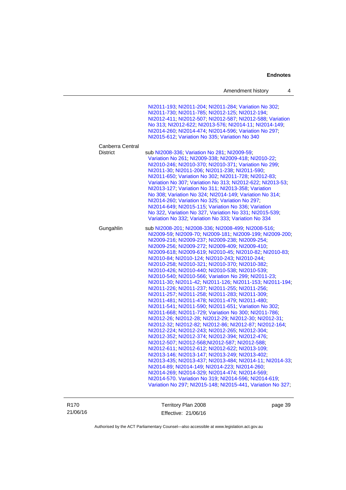|                                     | Amendment history                                                                                                                                                                                                                                                                                                                                                                                                                                                                                                                                                                                                                                                                                                                                                                                                                                                                                                                                                                                                                                                                                                                                                                                                                                                                                                                                                                                                                                                                                                        | 4 |
|-------------------------------------|--------------------------------------------------------------------------------------------------------------------------------------------------------------------------------------------------------------------------------------------------------------------------------------------------------------------------------------------------------------------------------------------------------------------------------------------------------------------------------------------------------------------------------------------------------------------------------------------------------------------------------------------------------------------------------------------------------------------------------------------------------------------------------------------------------------------------------------------------------------------------------------------------------------------------------------------------------------------------------------------------------------------------------------------------------------------------------------------------------------------------------------------------------------------------------------------------------------------------------------------------------------------------------------------------------------------------------------------------------------------------------------------------------------------------------------------------------------------------------------------------------------------------|---|
|                                     | NI2011-193; NI2011-204; NI2011-284; Variation No 302;<br>NI2011-730; NI2011-785; NI2012-125; NI2012-194;<br>NI2012-411; NI2012-507; NI2012-587; NI2012-588; Variation<br>No 313; NI2012-622; NI2013-576; NI2014-11; NI2014-149;<br>NI2014-260; NI2014-474; NI2014-596; Variation No 297;<br>NI2015-612; Variation No 335; Variation No 340                                                                                                                                                                                                                                                                                                                                                                                                                                                                                                                                                                                                                                                                                                                                                                                                                                                                                                                                                                                                                                                                                                                                                                               |   |
| Canberra Central<br><b>District</b> | sub NI2008-336, Variation No 281, NI2009-59,<br>Variation No 261, NI2009-338, NI2009-418, NI2010-22,<br>NI2010-246; NI2010-370; NI2010-371; Variation No 299;<br>NI2011-30, NI2011-206, NI2011-238, NI2011-590,<br>NI2011-650, Variation No 302, NI2011-728, NI2012-83,<br>Variation No 307, Variation No 313, NI2012-622, NI2013-53,<br>NI2013-127; Variation No 311; NI2013-358; Variation<br>No 308; Variation No 324; NI2014-149; Variation No 314;<br>NI2014-260; Variation No 325; Variation No 297;<br>NI2014-649; NI2015-115; Variation No 336; Variation<br>No 322, Variation No 327, Variation No 331, NI2015-539;<br>Variation No 332; Variation No 333; Variation No 334                                                                                                                                                                                                                                                                                                                                                                                                                                                                                                                                                                                                                                                                                                                                                                                                                                     |   |
| Gungahlin                           | sub NI2008-201; NI2008-336; NI2008-499; NI2008-516;<br>NI2009-59, NI2009-70, NI2009-181, NI2009-199, NI2009-200,<br>NI2009-216, NI2009-237, NI2009-238, NI2009-254,<br>NI2009-256, NI2009-272, NI2009-409, NI2009-410,<br>NI2009-618, NI2009-619, NI2010-45, NI2010-82, NI2010-83,<br>NI2010-84; NI2010-124; NI2010-243; NI2010-244;<br>NI2010-258; NI2010-321; NI2010-370; NI2010-382;<br>NI2010-426, NI2010-440, NI2010-538, NI2010-539,<br>NI2010-540; NI2010-566; Variation No 299; NI2011-23;<br>NI2011-30, NI2011-42, NI2011-126, NI2011-153, NI2011-194,<br>NI2011-226, NI2011-237, NI2011-255, NI2011-256,<br>NI2011-257, NI2011-258, NI2011-283, NI2011-309,<br>NI2011-481, NI2011-478, NI2011-479, NI2011-480,<br>NI2011-541, NI2011-590, NI2011-651, Variation No 302,<br>NI2011-668; NI2011-729; Variation No 300; NI2011-786;<br>NI2012-26; NI2012-28; NI2012-29; NI2012-30; NI2012-31;<br>NI2012-32; NI2012-82; NI2012-86; NI2012-87; NI2012-164;<br>NI2012-224, NI2012-243, NI2012-265, NI2012-304,<br>NI2012-352; NI2012-374; NI2012-394; NI2012-476;<br>NI2012-507, NI2012-568, NI2012-587, NI2012-588,<br>NI2012-611; NI2012-612; NI2012-622; NI2013-109;<br>NI2013-146; NI2013-147; NI2013-249; NI2013-402;<br>NI2013-435; NI2013-437; NI2013-484; NI2014-11; NI2014-33;<br>NI2014-89; NI2014-149; NI2014-223; NI2014-260;<br>NI2014-269, NI2014-329, NI2014-474, NI2014-569,<br>NI2014-570. Variation No 319; NI2014-596; NI2014-619;<br>Variation No 297, NI2015-148, NI2015-441, Variation No 327, |   |

R170 21/06/16 Territory Plan 2008 Effective: 21/06/16

page 39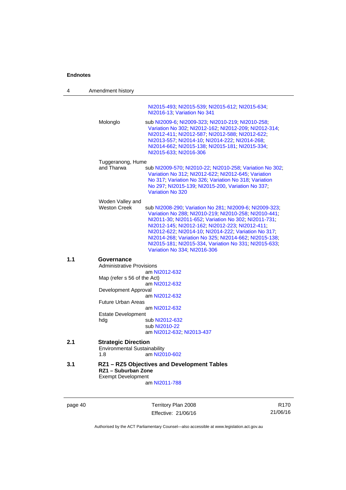| 4   | Amendment history                                                                                                                                                                                                                                                                                                                                                                                                                                                                |  |
|-----|----------------------------------------------------------------------------------------------------------------------------------------------------------------------------------------------------------------------------------------------------------------------------------------------------------------------------------------------------------------------------------------------------------------------------------------------------------------------------------|--|
|     | NI2015-493; NI2015-539; NI2015-612; NI2015-634;<br>NI2016-13; Variation No 341                                                                                                                                                                                                                                                                                                                                                                                                   |  |
|     | Molonglo<br>sub NI2009-6; NI2009-323; NI2010-219; NI2010-258;<br>Variation No 302, NI2012-162, NI2012-209, NI2012-314,<br>NI2012-411; NI2012-587; NI2012-588; NI2012-622;<br>NI2013-557; NI2014-10; NI2014-222; NI2014-268;<br>NI2014-662; NI2015-138; NI2015-181; NI2015-334;<br>NI2015-633; NI2016-306                                                                                                                                                                         |  |
|     | Tuggeranong, Hume                                                                                                                                                                                                                                                                                                                                                                                                                                                                |  |
|     | and Tharwa<br>sub NI2009-570; NI2010-22; NI2010-258; Variation No 302;<br>Variation No 312; NI2012-622; NI2012-645; Variation<br>No 317, Variation No 326, Variation No 318, Variation<br>No 297; NI2015-139; NI2015-200, Variation No 337;<br><b>Variation No 320</b>                                                                                                                                                                                                           |  |
|     | Woden Valley and<br><b>Weston Creek</b><br>sub NI2008-290; Variation No 281; NI2009-6; NI2009-323;<br>Variation No 288, NI2010-219, NI2010-258, NI2010-441,<br>NI2011-30, NI2011-652, Variation No 302, NI2011-731,<br>NI2012-145; NI2012-162; NI2012-223; NI2012-411;<br>NI2012-622; NI2014-10; NI2014-222; Variation No 317;<br>NI2014-268; Variation No 325; NI2014-662; NI2015-138;<br>NI2015-181; NI2015-334, Variation No 331; NI2015-633;<br>Variation No 334; NI2016-306 |  |
| 1.1 | Governance                                                                                                                                                                                                                                                                                                                                                                                                                                                                       |  |
|     | <b>Administrative Provisions</b>                                                                                                                                                                                                                                                                                                                                                                                                                                                 |  |
|     | am NI2012-632<br>Map (refer s 56 of the Act)                                                                                                                                                                                                                                                                                                                                                                                                                                     |  |
|     | am NI2012-632                                                                                                                                                                                                                                                                                                                                                                                                                                                                    |  |
|     | Development Approval<br>am NI2012-632                                                                                                                                                                                                                                                                                                                                                                                                                                            |  |
|     | <b>Future Urban Areas</b>                                                                                                                                                                                                                                                                                                                                                                                                                                                        |  |
|     | am NI2012-632                                                                                                                                                                                                                                                                                                                                                                                                                                                                    |  |
|     | <b>Estate Development</b><br>hdg<br>sub NI2012-632<br>sub NI2010-22<br>am NI2012-632; NI2013-437                                                                                                                                                                                                                                                                                                                                                                                 |  |
| 2.1 | <b>Strategic Direction</b><br><b>Environmental Sustainability</b><br>1.8<br>am NI2010-602                                                                                                                                                                                                                                                                                                                                                                                        |  |
| 3.1 | RZ1 - RZ5 Objectives and Development Tables<br>RZ1 - Suburban Zone<br><b>Exempt Development</b>                                                                                                                                                                                                                                                                                                                                                                                  |  |
|     | am NI2011-788                                                                                                                                                                                                                                                                                                                                                                                                                                                                    |  |
|     |                                                                                                                                                                                                                                                                                                                                                                                                                                                                                  |  |

page 40 Territory Plan 2008 Effective: 21/06/16

R170 21/06/16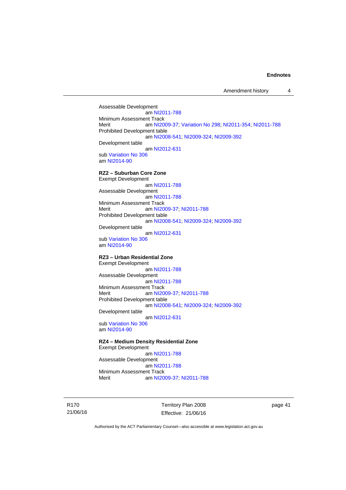Assessable Development am [NI2011-788](http://www.legislation.act.gov.au/ni/2011-788/) Minimum Assessment Track<br>Merit am NI20 am [NI2009-37](http://www.legislation.act.gov.au/ni/2009-37/); [Variation No 298](http://www.legislation.act.gov.au/ni/2011-152/); [NI2011-354](http://www.legislation.act.gov.au/ni/2011-354/); [NI2011-788](http://www.legislation.act.gov.au/ni/2011-788/) Prohibited Development table am [NI2008-541](http://www.legislation.act.gov.au/ni/2008-541/); [NI2009-324](http://www.legislation.act.gov.au/ni/2009-324/); [NI2009-392](http://www.legislation.act.gov.au/ni/2009-392/) Development table am [NI2012-631](http://www.legislation.act.gov.au/ni/2012-631/default.asp) sub [Variation No 306](http://www.legislation.act.gov.au/ni/2013-93/default.asp) am [NI2014-90](http://www.legislation.act.gov.au/ni/2014-90/default.asp) **RZ2 – Suburban Core Zone**  Exempt Development am [NI2011-788](http://www.legislation.act.gov.au/ni/2011-788/) Assessable Development am [NI2011-788](http://www.legislation.act.gov.au/ni/2011-788/) Minimum Assessment Track Merit am [NI2009-37](http://www.legislation.act.gov.au/ni/2009-37/); [NI2011-788](http://www.legislation.act.gov.au/ni/2011-788/) Prohibited Development table am [NI2008-541](http://www.legislation.act.gov.au/ni/2008-541/); [NI2009-324](http://www.legislation.act.gov.au/ni/2009-324/); [NI2009-392](http://www.legislation.act.gov.au/ni/2009-392/) Development table am [NI2012-631](http://www.legislation.act.gov.au/ni/2012-631/default.asp) sub [Variation No 306](http://www.legislation.act.gov.au/ni/2013-93/default.asp) am [NI2014-90](http://www.legislation.act.gov.au/ni/2014-90/default.asp) **RZ3 – Urban Residential Zone**  Exempt Development am [NI2011-788](http://www.legislation.act.gov.au/ni/2011-788/) Assessable Development am [NI2011-788](http://www.legislation.act.gov.au/ni/2011-788/) Minimum Assessment Track Merit **am [NI2009-37](http://www.legislation.act.gov.au/ni/2009-37/); [NI2011-788](http://www.legislation.act.gov.au/ni/2011-788/)** Prohibited Development table am [NI2008-541](http://www.legislation.act.gov.au/ni/2008-541/); [NI2009-324](http://www.legislation.act.gov.au/ni/2009-324/); [NI2009-392](http://www.legislation.act.gov.au/ni/2009-392/) Development table am [NI2012-631](http://www.legislation.act.gov.au/ni/2012-631/default.asp) sub [Variation No 306](http://www.legislation.act.gov.au/ni/2013-93/default.asp) am [NI2014-90](http://www.legislation.act.gov.au/ni/2014-90/default.asp) **RZ4 – Medium Density Residential Zone**  Exempt Development

 am [NI2011-788](http://www.legislation.act.gov.au/ni/2011-788/) Assessable Development am [NI2011-788](http://www.legislation.act.gov.au/ni/2011-788/) Minimum Assessment Track Merit am [NI2009-37](http://www.legislation.act.gov.au/ni/2009-37/); [NI2011-788](http://www.legislation.act.gov.au/ni/2011-788/)

R170 21/06/16 Territory Plan 2008 Effective: 21/06/16 page 41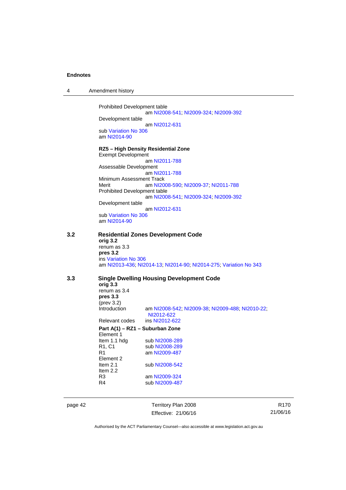| Amendment history |
|-------------------|
|                   |

Prohibited Development table am [NI2008-541](http://www.legislation.act.gov.au/ni/2008-541/); [NI2009-324](http://www.legislation.act.gov.au/ni/2009-324/); [NI2009-392](http://www.legislation.act.gov.au/ni/2009-392/) Development table

am [NI2012-631](http://www.legislation.act.gov.au/ni/2012-631/default.asp)

sub [Variation No 306](http://www.legislation.act.gov.au/ni/2013-93/default.asp) am [NI2014-90](http://www.legislation.act.gov.au/ni/2014-90/default.asp)

## **RZ5 – High Density Residential Zone**

Exempt Development am [NI2011-788](http://www.legislation.act.gov.au/ni/2011-788/) Assessable Development am [NI2011-788](http://www.legislation.act.gov.au/ni/2011-788/) Minimum Assessment Track Merit am [NI2008-590](http://www.legislation.act.gov.au/ni/2008-590/default.asp); [NI2009-37](http://www.legislation.act.gov.au/ni/2009-37/); [NI2011-788](http://www.legislation.act.gov.au/ni/2011-788/) Prohibited Development table am [NI2008-541](http://www.legislation.act.gov.au/ni/2008-541/); [NI2009-324](http://www.legislation.act.gov.au/ni/2009-324/); [NI2009-392](http://www.legislation.act.gov.au/ni/2009-392/) Development table am [NI2012-631](http://www.legislation.act.gov.au/ni/2012-631/default.asp) sub [Variation No 306](http://www.legislation.act.gov.au/ni/2013-93/default.asp)

am [NI2014-90](http://www.legislation.act.gov.au/ni/2014-90/default.asp)

## **3.2 Residential Zones Development Code orig 3.2**  renum as 3.3 **pres 3.2**  ins [Variation No 306](http://www.legislation.act.gov.au/ni/2013-93/default.asp)

am [NI2013-436](http://www.legislation.act.gov.au/ni/2013-436/default.asp); [NI2014-13](http://www.legislation.act.gov.au/ni/2014-13/default.asp); [NI2014-90](http://www.legislation.act.gov.au/ni/2014-90/default.asp); [NI2014-275](http://www.legislation.act.gov.au/ni/2014-275/default.asp); [Variation No 343](http://www.legislation.act.gov.au/ni/2015-642/default.asp)

# **3.3 Single Dwelling Housing Development Code**

**orig 3.3**  renum as 3.4 **pres 3.3**  (prev 3.2)<br>Introduction am [NI2008-542](http://www.legislation.act.gov.au/ni/2008-542/); [NI2009-38](http://www.legislation.act.gov.au/ni/2009-38/); [NI2009-488](http://www.legislation.act.gov.au/ni/2009-488/); [NI2010-22](http://www.legislation.act.gov.au/ni/2010-22/); [NI2012-622](http://www.legislation.act.gov.au/ni/2012-622/default.asp)<br>ins NI2012-622 Relevant codes **Part A(1) – RZ1 – Suburban Zone** 

## Element 1 Item 1.1 hdg sub [NI2008-289](http://www.legislation.act.gov.au/ni/2008-289/)<br>R1, C1 sub NI2008-289 sub [NI2008-289](http://www.legislation.act.gov.au/ni/2008-289/) R1 am [NI2009-487](http://www.legislation.act.gov.au/ni/2009-487/) Element 2 Item 2.1 sub [NI2008-542](http://www.legislation.act.gov.au/ni/2008-542/) Item 2.2 R3 am [NI2009-324](http://www.legislation.act.gov.au/ni/2009-324/)<br>R4 sub NI2009-487 sub [NI2009-487](http://www.legislation.act.gov.au/ni/2009-487/)

page 42 Territory Plan 2008 Effective: 21/06/16

R170 21/06/16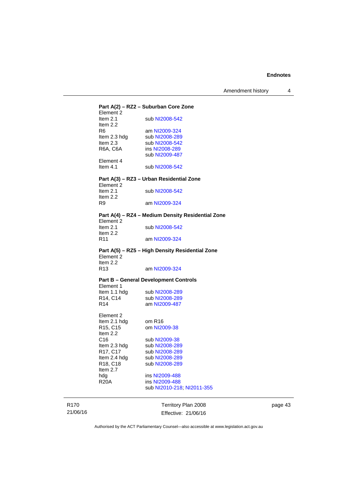| Element 2               |                                                   |
|-------------------------|---------------------------------------------------|
| Item $2.1$              | sub NI2008-542                                    |
| Item 2.2                |                                                   |
| R6                      | am NI2009-324                                     |
| Item 2.3 hdg            | sub NI2008-289                                    |
| Item $2.3$              | sub NI2008-542                                    |
| R6A, C6A                | ins NI2008-289                                    |
|                         | sub NI2009-487                                    |
| Element 4<br>Item $4.1$ |                                                   |
|                         | Part A(3) - RZ3 - Urban Residential Zone          |
| Element 2<br>Item $2.1$ | sub NI2008-542                                    |
| Item $2.2$<br>R9        | am NI2009-324                                     |
|                         | Part A(4) – RZ4 – Medium Density Residential Zone |
| Element 2<br>Item $2.1$ | sub NI2008-542                                    |
| Item $2.2$              |                                                   |
| R <sub>11</sub>         | am NI2009-324                                     |
| Element 2               | Part A(5) – RZ5 – High Density Residential Zone   |
| Item 2.2                |                                                   |
| R <sub>13</sub>         | am NI2009-324                                     |
|                         | <b>Part B - General Development Controls</b>      |
| Element 1               |                                                   |
| Item 1.1 hdg            | sub NI2008-289                                    |
| R14, C14<br>R14         | sub NI2008-289<br>am NI2009-487                   |
|                         |                                                   |
| Element 2               |                                                   |
| Item 2.1 hdg            | om R16                                            |
| R15, C15                | om NI2009-38                                      |
| Item 2.2                |                                                   |
| C <sub>16</sub>         | sub NI2009-38                                     |
| Item 2.3 hdg            |                                                   |
| R17, C17                | sub NI2008-289                                    |
| Item 2.4 hdg            | sub NI2008-289                                    |
| R18, C18                | sub NI2008-289                                    |
| Item 2.7                |                                                   |
| hdg                     | ins NI2009-488                                    |
| <b>R20A</b>             | ins NI2009-488                                    |
|                         | sub NI2010-218; NI2011-355                        |

R170 21/06/16

Effective: 21/06/16

page 43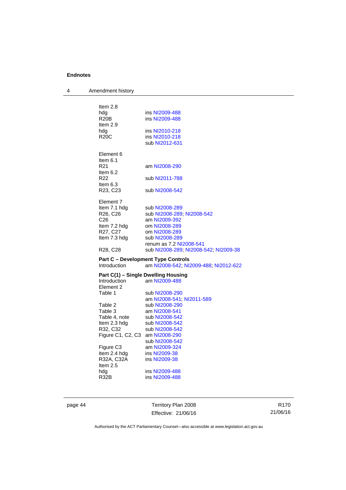| 4 | Amendment history                 |                                                                                    |
|---|-----------------------------------|------------------------------------------------------------------------------------|
|   |                                   |                                                                                    |
|   | Item $2.8$                        |                                                                                    |
|   | hdg                               | ins NI2009-488                                                                     |
|   | R <sub>20</sub> B                 | ins NI2009-488                                                                     |
|   | Item 2.9                          | ins NI2010-218                                                                     |
|   | hdg<br><b>R20C</b>                | ins NI2010-218                                                                     |
|   |                                   | sub NI2012-631                                                                     |
|   |                                   |                                                                                    |
|   | Element 6                         |                                                                                    |
|   | Item $6.1$<br>R <sub>21</sub>     | am NI2008-290                                                                      |
|   | Item $6.2$                        |                                                                                    |
|   | R22                               | sub NI2011-788                                                                     |
|   | Item $6.3$                        |                                                                                    |
|   | R <sub>23</sub> , C <sub>23</sub> | sub NI2008-542                                                                     |
|   | Element 7                         |                                                                                    |
|   | Item 7.1 hdg                      | sub NI2008-289                                                                     |
|   | R26, C26                          | sub NI2008-289; NI2008-542                                                         |
|   | C26                               | am NI2009-392                                                                      |
|   | Item 7.2 hdg                      | om NI2008-289                                                                      |
|   | R27, C27                          | om NI2008-289                                                                      |
|   | Item 7.3 hdg                      | sub NI2008-289                                                                     |
|   | R <sub>28</sub> , C <sub>28</sub> | renum as 7.2 NI2008-541<br>sub NI2008-289, NI2008-542, NI2009-38                   |
|   |                                   |                                                                                    |
|   | Introduction                      | <b>Part C – Development Type Controls</b><br>am NI2008-542; NI2009-488; NI2012-622 |
|   |                                   |                                                                                    |
|   |                                   | Part C(1) - Single Dwelling Housing                                                |
|   | <b>Introduction</b><br>Element 2  | am NI2009-488                                                                      |
|   | Table 1                           | sub NI2008-290                                                                     |
|   |                                   | am NI2008-541; NI2011-589                                                          |
|   | Table 2                           | sub NI2008-290                                                                     |
|   | Table 3                           | am NI2008-541                                                                      |
|   | Table 4, note                     | sub NI2008-542                                                                     |
|   | Item 2.3 hdg<br>R32, C32          | sub NI2008-542<br>sub NI2008-542                                                   |
|   | Figure C1, C2, C3 am NI2008-290   |                                                                                    |
|   |                                   | sub NI2008-542                                                                     |
|   | Figure C <sub>3</sub>             | am NI2009-324                                                                      |
|   | Item 2.4 hdg                      | ins NI2009-38                                                                      |
|   | R32A, C32A                        | ins NI2009-38                                                                      |
|   | Item 2.5<br>hdg                   | ins NI2009-488                                                                     |
|   | R32B                              | ins NI2009-488                                                                     |
|   |                                   |                                                                                    |

page 44 Territory Plan 2008 Effective: 21/06/16

R170 21/06/16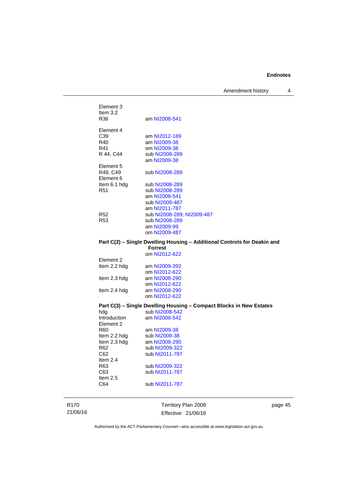Amendment history 4

| Element 3<br>Item $3.2$                                                  |                            |
|--------------------------------------------------------------------------|----------------------------|
| R36                                                                      | am NI2008-541              |
| Element 4                                                                |                            |
| C <sub>39</sub>                                                          | am NI2012-189              |
| R40                                                                      | am NI2009-38               |
| R41                                                                      | om NI2009-38               |
| R 44, C44                                                                | sub NI2008-289             |
|                                                                          | am NI2009-38               |
| Element 5                                                                |                            |
| R49, C49                                                                 | sub NI2008-289             |
| Element 6                                                                |                            |
| Item 6.1 hdg                                                             | sub NI2008-289             |
| R <sub>51</sub>                                                          | sub NI2008-289             |
|                                                                          | am NI2008-541              |
|                                                                          | sub NI2009-487             |
|                                                                          | am NI2011-787              |
| R <sub>52</sub>                                                          | sub NI2008-289, NI2009-487 |
| R <sub>53</sub>                                                          | sub NI2008-289             |
|                                                                          | am NI2009-99               |
|                                                                          | om NI2009-487              |
| Part C(2) - Single Dwelling Housing - Additional Controls for Deakin and |                            |
|                                                                          | <b>Forrest</b>             |
|                                                                          | om NI2012-622              |
| Element 2                                                                |                            |
| Item 2.2 hdg                                                             | am NI2009-392              |
|                                                                          | om NI2012-622              |
| Item 2.3 hdg                                                             | am NI2008-290              |
|                                                                          |                            |

#### **Part C(3) – Single Dwelling Housing – Compact Blocks in New Estates**

| $1$ and $O(9)$ comgress we may no assume |                |
|------------------------------------------|----------------|
| hdg                                      | sub NI2008-542 |
| Introduction                             | am NI2008-542  |
| Element 2                                |                |
| R60                                      | am NI2009-38   |
| Item 2.2 hdg                             | sub NI2009-38  |
| Item 2.3 hdg                             | am NI2008-290  |
| R62                                      | sub NI2009-322 |
| C62                                      | sub NI2011-787 |
| Item $2.4$                               |                |
| R63                                      | sub NI2009-322 |
| C63                                      | sub NI2011-787 |
| Item $2.5$                               |                |
| C64                                      | sub NI2011-787 |
|                                          |                |

 om [NI2012-622](http://www.legislation.act.gov.au/ni/2012-622/default.asp) Item 2.4 hdg am [NI2008-290](http://www.legislation.act.gov.au/ni/2008-290/) om [NI2012-622](http://www.legislation.act.gov.au/ni/2012-622/default.asp)

R170 21/06/16

Territory Plan 2008 Effective: 21/06/16 page 45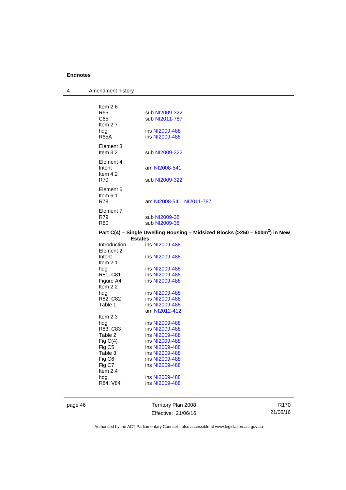| 4 | Amendment history                                     |                                                                                          |
|---|-------------------------------------------------------|------------------------------------------------------------------------------------------|
|   | Item 2.6<br>R <sub>65</sub><br>C65<br>Item 2.7<br>hdg | sub NI2009-322<br>sub NI2011-787<br>ins NI2009-488                                       |
|   | <b>R65A</b>                                           | ins NI2009-488                                                                           |
|   | Element 3<br>Item 3.2                                 | sub NI2009-322                                                                           |
|   | Element 4<br>Intent<br>Item 4.2                       | am NI2008-541                                                                            |
|   | <b>R70</b>                                            | sub NI2009-322                                                                           |
|   | Element 6<br>Item 6.1<br>R78                          | am NI2008-541; NI2011-787                                                                |
|   | Element 7<br>R79<br><b>R80</b>                        | sub NI2009-38<br>sub NI2009-38                                                           |
|   | <b>Estates</b>                                        | Part C(4) - Single Dwelling Housing - Midsized Blocks (>250 - 500m <sup>2</sup> ) in New |
|   | Introduction<br>Element 2                             | ins NI2009-488                                                                           |
|   | Intent<br>Item $2.1$                                  | ins NI2009-488                                                                           |
|   | hdg                                                   | ins NI2009-488                                                                           |
|   | R81, C81<br>Figure A4<br>Item 2.2                     | ins NI2009-488<br>ins NI2009-488                                                         |
|   | hdg                                                   | ins NI2009-488                                                                           |
|   | R82, C82<br>Table 1                                   | ins NI2009-488<br>ins NI2009-488                                                         |
|   |                                                       | am NI2012-412                                                                            |
|   | Item $2.3$                                            |                                                                                          |
|   | hdg<br>R83, C83                                       | ins NI2009-488<br>ins NI2009-488                                                         |
|   | Table 2                                               | ins NI2009-488                                                                           |
|   | Fig $C(4)$                                            | ins NI2009-488                                                                           |
|   | Fig C5                                                | ins NI2009-488                                                                           |
|   | Table 3<br>Fig C6                                     | ins NI2009-488<br>ins NI2009-488                                                         |
|   | Fig C7<br>Item $2.4$                                  | ins NI2009-488                                                                           |
|   | hdg<br>R84, V84                                       | ins NI2009-488<br>ins NI2009-488                                                         |
|   |                                                       |                                                                                          |

page 46 Territory Plan 2008 Effective: 21/06/16

R170 21/06/16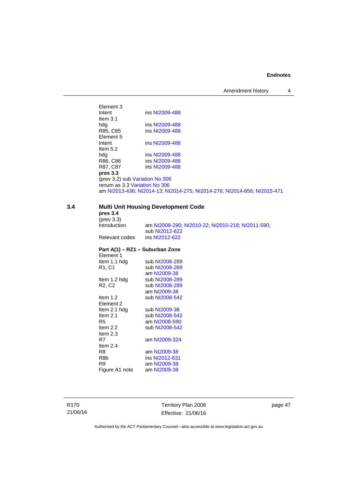Amendment history 4

Element 3<br>Intent ins [NI2009-488](http://www.legislation.act.gov.au/ni/2009-488/) Item 3.1<br>hdg hdg ins [NI2009-488](http://www.legislation.act.gov.au/ni/2009-488/)<br>R85, C85 ins NI2009-488 ins [NI2009-488](http://www.legislation.act.gov.au/ni/2009-488/) Element 5<br>Intent ins [NI2009-488](http://www.legislation.act.gov.au/ni/2009-488/) Item 5.2 hdg ins [NI2009-488](http://www.legislation.act.gov.au/ni/2009-488/)<br>R86, C86 ins NI2009-488 R86, C86 ins [NI2009-488](http://www.legislation.act.gov.au/ni/2009-488/)<br>R87, C87 ins NI2009-488 ins [NI2009-488](http://www.legislation.act.gov.au/ni/2009-488/) **pres 3.3**  (prev 3.2) sub [Variation No 306](http://www.legislation.act.gov.au/ni/2013-93/default.asp) renum as 3.3 [Variation No 306](http://www.legislation.act.gov.au/ni/2013-93/default.asp) am [NI2013-436](http://www.legislation.act.gov.au/ni/2013-436/default.asp); [NI2014-13](http://www.legislation.act.gov.au/ni/2014-13/default.asp); [NI2014-275](http://www.legislation.act.gov.au/ni/2014-275/default.asp); [NI2014-276](http://www.legislation.act.gov.au/ni/2014-276/default.asp); [NI2014-656](http://www.legislation.act.gov.au/ni/2014-656/default.asp); [NI2015-471](http://www.legislation.act.gov.au/ni/2015-471/default.asp)

# **3.4 Multi Unit Housing Development Code**

R8b ins [NI2012-631](http://www.legislation.act.gov.au/ni/2012-631/default.asp)<br>
R9 am NI2009-38

Figure A1 note

am [NI2009-38](http://www.legislation.act.gov.au/ni/2009-38/)<br>am NI2009-38

|                                 | <b>MUNICIPALLY INTO A DUTCH DESCRIPTION COUP</b>  |
|---------------------------------|---------------------------------------------------|
| pres 3.4                        |                                                   |
| $(\text{prev } 3.3)$            |                                                   |
| Introduction                    | am NI2008-290; NI2010-22; NI2010-218; NI2011-590; |
|                                 | sub NI2012-622                                    |
| Relevant codes                  | ins NI2012-622                                    |
|                                 | Part A(1) – RZ1 – Suburban Zone                   |
| Element 1                       |                                                   |
| Item 1.1 hdg                    | sub NI2008-289                                    |
| R1, C1                          | sub NI2008-289                                    |
|                                 | am NI2009-38                                      |
| Item 1.2 hdg                    | sub NI2008-289                                    |
| R <sub>2</sub> , C <sub>2</sub> | sub NI2008-289                                    |
|                                 | am NI2009-38                                      |
| Item $1.2$                      | sub NI2008-542                                    |
| Element 2                       |                                                   |
| Item 2.1 hdg                    | sub NI2009-38                                     |
| Item $2.1$                      | sub NI2008-542                                    |
| R5                              | am NI2008-590                                     |
| Item $2.2$                      | sub NI2008-542                                    |
| Item $2.3$                      |                                                   |
| R7                              | am NI2009-324                                     |
| Item $2.4$                      |                                                   |
| R8                              | am NI2009-38                                      |

R170 21/06/16 Territory Plan 2008 Effective: 21/06/16 page 47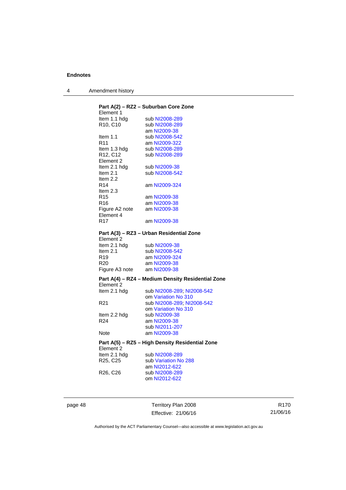| 4 | Amendment history |
|---|-------------------|
|---|-------------------|

| Element 1                          | Part A(2) - RZ2 - Suburban Core Zone              |
|------------------------------------|---------------------------------------------------|
| ltem 1.1 hdg                       | sub NI2008-289                                    |
| R <sub>10</sub> , C <sub>10</sub>  | sub NI2008-289                                    |
|                                    | am NI2009-38                                      |
| Item $1.1$                         | sub NI2008-542                                    |
| R <sub>11</sub>                    | am NI2009-322                                     |
| Item 1.3 hdg                       | sub NI2008-289                                    |
| R12, C12                           | sub NI2008-289                                    |
| Element 2                          |                                                   |
| Item 2.1 hdg                       | sub NI2009-38                                     |
| Item 2.1                           | sub NI2008-542                                    |
| Item 2.2                           |                                                   |
| R14                                | am NI2009-324                                     |
| Item $2.3$                         |                                                   |
| R <sub>15</sub>                    | am NI2009-38                                      |
| R16                                | am NI2009-38                                      |
|                                    |                                                   |
| Figure A2 note                     | am NI2009-38                                      |
| Element 4<br>R <sub>17</sub>       | am NI2009-38                                      |
|                                    |                                                   |
| Element 2                          | Part A(3) - RZ3 - Urban Residential Zone          |
|                                    |                                                   |
| Item 2.1 hdg<br>Item $2.1$         | sub NI2009-38<br>sub NI2008-542                   |
|                                    |                                                   |
| R <sub>19</sub><br>R <sub>20</sub> | am NI2009-324                                     |
|                                    | am NI2009-38                                      |
| Figure A3 note                     | am NI2009-38                                      |
| Element 2                          | Part A(4) – RZ4 – Medium Density Residential Zone |
| Item 2.1 hdg                       | sub NI2008-289, NI2008-542                        |
|                                    | om Variation No 310                               |
| R <sub>21</sub>                    | sub NI2008-289; NI2008-542                        |
|                                    | om Variation No 310                               |
| Item 2.2 hdg                       | sub NI2009-38                                     |
| R <sub>24</sub>                    | am NI2009-38                                      |
|                                    | sub NI2011-207                                    |
| Note                               | am NI2009-38                                      |
| Element 2                          | Part A(5) - RZ5 - High Density Residential Zone   |
| Item 2.1 hdg                       | sub NI2008-289                                    |
| R25, C25                           | sub Variation No 288                              |
|                                    | am NI2012-622                                     |
| R <sub>26</sub> , C <sub>26</sub>  | sub NI2008-289                                    |
|                                    | om NI2012-622                                     |
|                                    |                                                   |

page 48 Territory Plan 2008 Effective: 21/06/16

R170 21/06/16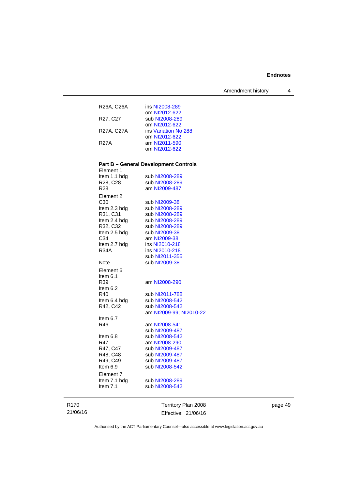| R26A, C26A  | ins NI2008-289       |
|-------------|----------------------|
|             | om NI2012-622        |
| R27, C27    | sub NI2008-289       |
|             | om NI2012-622        |
| R27A, C27A  | ins Variation No 288 |
|             | om NI2012-622        |
| <b>R27A</b> | am NI2011-590        |
|             | om NI2012-622        |
|             |                      |

# **Part B – General Development Controls**

| Element 1                         |                         |
|-----------------------------------|-------------------------|
| Item 1.1 hdg                      | sub NI2008-289          |
| R <sub>28</sub> , C <sub>28</sub> | sub NI2008-289          |
| R <sub>28</sub>                   | am NI2009-487           |
| Element 2                         |                         |
| C <sub>30</sub>                   | sub NI2009-38           |
| Item 2.3 hdg                      | sub NI2008-289          |
| R31, C31                          | sub NI2008-289          |
| Item 2.4 hdg                      | sub NI2008-289          |
| R32, C32                          | sub NI2008-289          |
| Item 2.5 hdg                      | sub NI2009-38           |
| C34                               | am NI2009-38            |
| Item 2.7 hdg                      | ins NI2010-218          |
| <b>R34A</b>                       | ins NI2010-218          |
|                                   | sub NI2011-355          |
| Note                              | sub NI2009-38           |
| Element 6                         |                         |
| Item $6.1$                        |                         |
| R39                               | am NI2008-290           |
| Item 6.2                          |                         |
| R40                               | sub NI2011-788          |
| Item 6.4 hdg                      | sub NI2008-542          |
| R42, C42                          | sub NI2008-542          |
|                                   | am NI2009-99; NI2010-22 |
| Item 6.7                          |                         |
| R46                               | am NI2008-541           |
|                                   | sub NI2009-487          |
| Item 6.8                          | sub NI2008-542          |
| R47                               | am NI2008-290           |
| R47, C47                          | sub NI2009-487          |
| R48, C48                          | sub NI2009-487          |
| R49, C49<br>Item 6.9              | sub NI2009-487          |
|                                   | sub NI2008-542          |
| Element 7                         |                         |
| Item 7.1 hdg                      | sub NI2008-289          |
| Item $7.1$                        | sub NI2008-542          |
|                                   |                         |

Territory Plan 2008 Effective: 21/06/16 page 49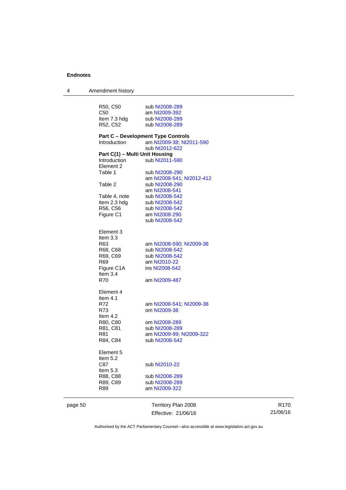| 4       | Amendment history              |                                           |
|---------|--------------------------------|-------------------------------------------|
|         |                                |                                           |
|         | R50, C50                       | sub NI2008-289                            |
|         | C <sub>50</sub>                | am NI2009-392                             |
|         | Item 7.3 hdg                   | sub NI2008-289                            |
|         | R52, C52                       | sub NI2008-289                            |
|         |                                |                                           |
|         |                                | <b>Part C - Development Type Controls</b> |
|         | Introduction                   | am NI2009-38; NI2011-590                  |
|         |                                | sub NI2012-622                            |
|         | Part C(1) - Multi Unit Housing |                                           |
|         | Introduction                   | sub NI2011-590                            |
|         | Element 2                      |                                           |
|         | Table 1                        | sub NI2008-290                            |
|         |                                | am NI2008-541; NI2012-412                 |
|         | Table 2                        | sub NI2008-290                            |
|         |                                | am NI2008-541                             |
|         | Table 4, note                  | sub NI2008-542                            |
|         | Item 2.3 hdg                   | sub NI2008-542                            |
|         | R56, C56                       | sub NI2008-542                            |
|         | Figure C1                      | am NI2008-290                             |
|         |                                | sub NI2008-542                            |
|         |                                |                                           |
|         | Element 3                      |                                           |
|         | Item 3.3                       |                                           |
|         | R63                            | am NI2008-590; NI2009-38                  |
|         | R68, C68                       | sub NI2008-542                            |
|         | R69, C69                       | sub NI2008-542                            |
|         | R69                            | am NI2010-22                              |
|         | Figure C1A                     | ins NI2008-542                            |
|         | Item $3.4$                     |                                           |
|         | R70                            | am NI2009-487                             |
|         |                                |                                           |
|         | Element 4<br>Item 4.1          |                                           |
|         |                                |                                           |
|         | R72                            | am NI2008-541; NI2009-38                  |
|         | R73                            | om NI2009-38                              |
|         | Item $4.2$                     |                                           |
|         | R80, C80                       | om NI2008-289                             |
|         | R81, C81                       | sub NI2008-289                            |
|         | R81                            | am NI2009-99; NI2009-322                  |
|         | R84, C84                       | sub NI2008-542                            |
|         | Element 5                      |                                           |
|         |                                |                                           |
|         | Item 5.2                       |                                           |
|         | C87                            | sub NI2010-22                             |
|         | Item $5.3$                     |                                           |
|         | R88, C88                       | sub NI2008-289                            |
|         | R89, C89                       | sub NI2008-289                            |
|         | R89                            | am NI2009-322                             |
|         |                                |                                           |
| page 50 |                                | Territory Plan 2008                       |

Effective: 21/06/16

R170 21/06/16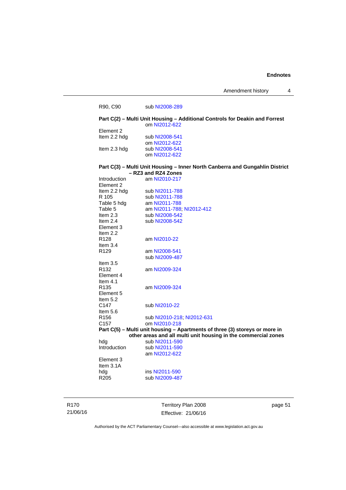Amendment history 4

|                           | Part C(2) - Multi Unit Housing - Additional Controls for Deakin and Forrest<br>om NI2012-622 |  |
|---------------------------|----------------------------------------------------------------------------------------------|--|
| Element <sub>2</sub>      |                                                                                              |  |
| Item 2.2 hdg              | sub NI2008-541                                                                               |  |
|                           | om NI2012-622                                                                                |  |
| Item 2.3 hdg              | sub NI2008-541                                                                               |  |
|                           | om NI2012-622                                                                                |  |
|                           | Part C(3) - Multi Unit Housing - Inner North Canberra and Gungahlin District                 |  |
|                           | - RZ3 and RZ4 Zones                                                                          |  |
| Introduction<br>Element 2 | am NI2010-217                                                                                |  |
| Item 2.2 hdg              | sub NI2011-788                                                                               |  |
| R 105                     | sub NI2011-788                                                                               |  |
| Table 5 hdg               | am NI2011-788                                                                                |  |
| Table 5                   | am NI2011-788; NI2012-412                                                                    |  |
| Item $2.3$                | sub NI2008-542                                                                               |  |
| Item $2.4$                | sub NI2008-542                                                                               |  |
| Element 3                 |                                                                                              |  |
| Item $2.2$                |                                                                                              |  |
| R <sub>128</sub>          | am NI2010-22                                                                                 |  |
| Item $3.4$                |                                                                                              |  |
| R <sub>129</sub>          | am NI2008-541                                                                                |  |
|                           | sub NI2009-487                                                                               |  |
| Item $3.5$                |                                                                                              |  |
| R <sub>132</sub>          | am NI2009-324                                                                                |  |
| Element 4                 |                                                                                              |  |
| Item $4.1$                |                                                                                              |  |
| R <sub>135</sub>          | am NI2009-324                                                                                |  |
| Element 5                 |                                                                                              |  |
| Item $5.2$                |                                                                                              |  |
| C <sub>147</sub>          | sub NI2010-22                                                                                |  |
| Item 5.6                  |                                                                                              |  |
| R <sub>156</sub>          | sub NI2010-218, NI2012-631                                                                   |  |
| C <sub>157</sub>          | om NI2010-218                                                                                |  |
|                           | Part C(5) - Multi unit housing - Apartments of three (3) storeys or more in                  |  |
|                           | other areas and all multi unit housing in the commercial zones                               |  |
| hda                       | sub NI2011-590                                                                               |  |
| Introduction              | sub NI2011-590                                                                               |  |
|                           | am NI2012-622                                                                                |  |
| Element 3                 |                                                                                              |  |
| Item $3.1A$               |                                                                                              |  |
| hdg                       | ins NI2011-590                                                                               |  |
| R <sub>205</sub>          | sub NI2009-487                                                                               |  |

R170 21/06/16 Territory Plan 2008 Effective: 21/06/16

page 51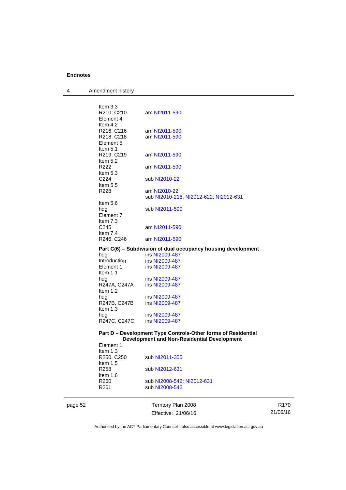4 Amendment history

| Item $3.3$                 |                                                               |
|----------------------------|---------------------------------------------------------------|
| R210, C210<br>Element 4    | am NI2011-590                                                 |
| Item $4.2$                 |                                                               |
| R216, C216                 | am NI2011-590                                                 |
| R218, C218                 | am NI2011-590                                                 |
| Element 5                  |                                                               |
| Item $5.1$                 |                                                               |
| R219, C219<br>Item 5.2     | am NI2011-590                                                 |
| R222                       | am NI2011-590                                                 |
| Item $5.3$                 |                                                               |
| C224                       | sub NI2010-22                                                 |
| Item $5.5$                 |                                                               |
| R228                       | am NI2010-22                                                  |
| Item 5.6                   | sub NI2010-218; NI2012-622; NI2012-631                        |
| hdg                        | sub NI2011-590                                                |
| Element 7                  |                                                               |
| Item $7.3$                 |                                                               |
| C <sub>245</sub>           | am NI2011-590                                                 |
| Item $7.4$                 |                                                               |
| R246, C246                 | am NI2011-590                                                 |
|                            | Part C(6) – Subdivision of dual occupancy housing development |
| hdg                        | ins NI2009-487                                                |
| Introduction<br>Element 1  | ins NI2009-487<br>ins NI2009-487                              |
| Item $1.1$                 |                                                               |
| hdg                        | ins NI2009-487                                                |
| R247A, C247A               | ins NI2009-487                                                |
| Item $1.2$                 |                                                               |
| hdg                        | ins NI2009-487                                                |
| R247B, C247B<br>Item $1.3$ | ins NI2009-487                                                |
| hdg                        | ins NI2009-487                                                |
| R247C, C247C               | ins NI2009-487                                                |
|                            |                                                               |
|                            | Part D - Development Type Controls-Other forms of Residential |
|                            | Development and Non-Residential Development                   |
| Element 1                  |                                                               |
| Item $1.3$                 |                                                               |

| sub NI2011-355             |
|----------------------------|
|                            |
| sub NI2012-631             |
|                            |
|                            |
| sub NI2008-542; NI2012-631 |
| sub NI2008-542             |
|                            |
|                            |

page 52 Territory Plan 2008 Effective: 21/06/16

R170 21/06/16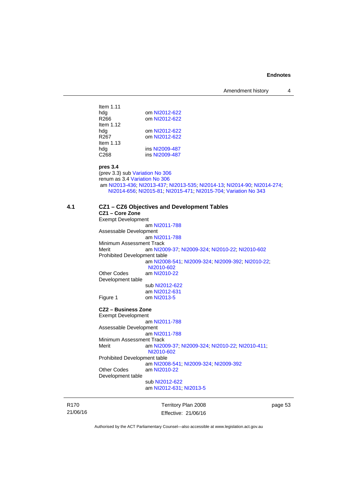| Item $1.11$      |                |
|------------------|----------------|
| hdg              | om NI2012-622  |
| R266             | om NI2012-622  |
| Item $1.12$      |                |
| hdg              | om NI2012-622  |
| R267             | om NI2012-622  |
| Item $1.13$      |                |
| hdg              | ins NI2009-487 |
| C <sub>268</sub> | ins NI2009-487 |
|                  |                |

## **pres 3.4**

(prev 3.3) sub [Variation No 306](http://www.legislation.act.gov.au/ni/2013-93/default.asp) renum as 3.4 [Variation No 306](http://www.legislation.act.gov.au/ni/2013-93/default.asp) am [NI2013-436](http://www.legislation.act.gov.au/ni/2013-436/default.asp); [NI2013-437](http://www.legislation.act.gov.au/ni/2013-437/default.asp); [NI2013-535](http://www.legislation.act.gov.au/ni/2013-535/); [NI2014-13](http://www.legislation.act.gov.au/ni/2014-13/default.asp); [NI2014-90](http://www.legislation.act.gov.au/ni/2014-90/default.asp); [NI2014-274](http://www.legislation.act.gov.au/ni/2014-274/default.asp); [NI2014-656](http://www.legislation.act.gov.au/ni/2014-656/default.asp); [NI2015-81](http://www.legislation.act.gov.au/ni/2015-81/default.asp); [NI2015-471;](http://www.legislation.act.gov.au/ni/2015-471/default.asp) [NI2015-704;](http://www.legislation.act.gov.au/ni/2015-704/default.asp) [Variation No 343](http://www.legislation.act.gov.au/ni/2015-642/default.asp)

## **4.1 CZ1 – CZ6 Objectives and Development Tables**

## **CZ1 – Core Zone**  Exempt Development

 am [NI2011-788](http://www.legislation.act.gov.au/ni/2011-788/) Assessable Development am [NI2011-788](http://www.legislation.act.gov.au/ni/2011-788/) Minimum Assessment Track Merit am [NI2009-37](http://www.legislation.act.gov.au/ni/2009-37/); [NI2009-324](http://www.legislation.act.gov.au/ni/2009-324/); [NI2010-22](http://www.legislation.act.gov.au/ni/2010-22/); [NI2010-602](http://www.legislation.act.gov.au/ni/2010-602/) Prohibited Development table am [NI2008-541](http://www.legislation.act.gov.au/ni/2008-541/); [NI2009-324](http://www.legislation.act.gov.au/ni/2009-324/); [NI2009-392](http://www.legislation.act.gov.au/ni/2009-392/); [NI2010-22](http://www.legislation.act.gov.au/ni/2010-22/); [NI2010-602](http://www.legislation.act.gov.au/ni/2010-602/) Other Codes am [NI2010-22](http://www.legislation.act.gov.au/ni/2010-22/) Development table sub [NI2012-622](http://www.legislation.act.gov.au/ni/2012-622/default.asp) am [NI2012-631](http://www.legislation.act.gov.au/ni/2012-631/default.asp)<br>Figure 1 com NI2013-5

## **CZ2 – Business Zone**  Exempt Development

 am [NI2011-788](http://www.legislation.act.gov.au/ni/2011-788/) Assessable Development am [NI2011-788](http://www.legislation.act.gov.au/ni/2011-788/) Minimum Assessment Track Merit am [NI2009-37](http://www.legislation.act.gov.au/ni/2009-37/); [NI2009-324](http://www.legislation.act.gov.au/ni/2009-324/); [NI2010-22](http://www.legislation.act.gov.au/ni/2010-22/); [NI2010-411](http://www.legislation.act.gov.au/ni/2010-411/); [NI2010-602](http://www.legislation.act.gov.au/ni/2010-602/) Prohibited Development table am [NI2008-541](http://www.legislation.act.gov.au/ni/2008-541/); [NI2009-324](http://www.legislation.act.gov.au/ni/2009-324/); [NI2009-392](http://www.legislation.act.gov.au/ni/2009-392/)

Other Codes am [NI2010-22](http://www.legislation.act.gov.au/ni/2010-22/)

om [NI2013-5](http://www.legislation.act.gov.au/ni/2013-5/default.asp)

Development table

 sub [NI2012-622](http://www.legislation.act.gov.au/ni/2012-622/default.asp) am [NI2012-631](http://www.legislation.act.gov.au/ni/2012-631/default.asp); [NI2013-5](http://www.legislation.act.gov.au/ni/2013-5/default.asp)

R170 21/06/16 Territory Plan 2008 Effective: 21/06/16 page 53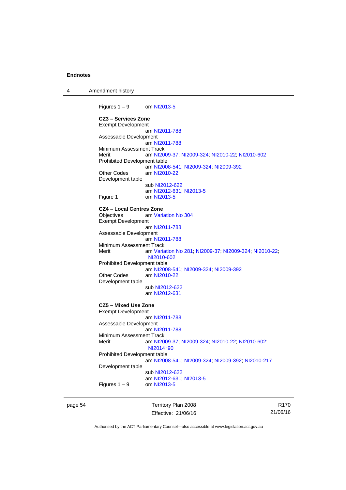4 Amendment history

Figures  $1 - 9$  om [NI2013-5](http://www.legislation.act.gov.au/ni/2013-5/default.asp) **CZ3 – Services Zone**  Exempt Development am [NI2011-788](http://www.legislation.act.gov.au/ni/2011-788/) Assessable Development am [NI2011-788](http://www.legislation.act.gov.au/ni/2011-788/) Minimum Assessment Track Merit am [NI2009-37](http://www.legislation.act.gov.au/ni/2009-37/); [NI2009-324](http://www.legislation.act.gov.au/ni/2009-324/); [NI2010-22](http://www.legislation.act.gov.au/ni/2010-22/); [NI2010-602](http://www.legislation.act.gov.au/ni/2010-602/) Prohibited Development table am [NI2008-541](http://www.legislation.act.gov.au/ni/2008-541/); [NI2009-324](http://www.legislation.act.gov.au/ni/2009-324/); [NI2009-392](http://www.legislation.act.gov.au/ni/2009-392/) Other Codes am [NI2010-22](http://www.legislation.act.gov.au/ni/2010-22/) Development table sub [NI2012-622](http://www.legislation.act.gov.au/ni/2012-622/default.asp) am [NI2012-631](http://www.legislation.act.gov.au/ni/2012-631/default.asp); [NI2013-5](http://www.legislation.act.gov.au/ni/2013-5/default.asp) Figure 1 om [NI2013-5](http://www.legislation.act.gov.au/ni/2013-5/default.asp) **CZ4 – Local Centres Zone**  am [Variation No 304](http://www.legislation.act.gov.au/ni/2015-99/default.asp) Exempt Development am [NI2011-788](http://www.legislation.act.gov.au/ni/2011-788/) Assessable Development am [NI2011-788](http://www.legislation.act.gov.au/ni/2011-788/) Minimum Assessment Track Merit am [Variation No 281](http://www.legislation.act.gov.au/ni/2008-352/); [NI2009-37](http://www.legislation.act.gov.au/ni/2009-37/); [NI2009-324](http://www.legislation.act.gov.au/ni/2009-324/); [NI2010-22](http://www.legislation.act.gov.au/ni/2010-22/); [NI2010-602](http://www.legislation.act.gov.au/ni/2010-602/) Prohibited Development table am [NI2008-541](http://www.legislation.act.gov.au/ni/2008-541/); [NI2009-324](http://www.legislation.act.gov.au/ni/2009-324/); [NI2009-392](http://www.legislation.act.gov.au/ni/2009-392/) Other Codes am [NI2010-22](http://www.legislation.act.gov.au/ni/2010-22/) Development table sub [NI2012-622](http://www.legislation.act.gov.au/ni/2012-622/default.asp) am [NI2012-631](http://www.legislation.act.gov.au/ni/2012-631/default.asp) **CZ5 – Mixed Use Zone**  Exempt Development am [NI2011-788](http://www.legislation.act.gov.au/ni/2011-788/) Assessable Development am [NI2011-788](http://www.legislation.act.gov.au/ni/2011-788/) Minimum Assessment Track<br>Merit am NI20 am [NI2009-37](http://www.legislation.act.gov.au/ni/2009-37/); [NI2009-324](http://www.legislation.act.gov.au/ni/2009-324/); [NI2010-22](http://www.legislation.act.gov.au/ni/2010-22/); [NI2010-602](http://www.legislation.act.gov.au/ni/2010-602/); [NI2014](http://www.legislation.act.gov.au/ni/2014-90/default.asp)‑90 Prohibited Development table am [NI2008-541](http://www.legislation.act.gov.au/ni/2008-541/); [NI2009-324](http://www.legislation.act.gov.au/ni/2009-324/); [NI2009-392](http://www.legislation.act.gov.au/ni/2009-392/); [NI2010-217](http://www.legislation.act.gov.au/ni/2010-217/) Development table sub [NI2012-622](http://www.legislation.act.gov.au/ni/2012-622/default.asp) am [NI2012-631](http://www.legislation.act.gov.au/ni/2012-631/default.asp); [NI2013-5](http://www.legislation.act.gov.au/ni/2013-5/default.asp) Figures  $1 - 9$ 

page 54 Territory Plan 2008 Effective: 21/06/16

R170 21/06/16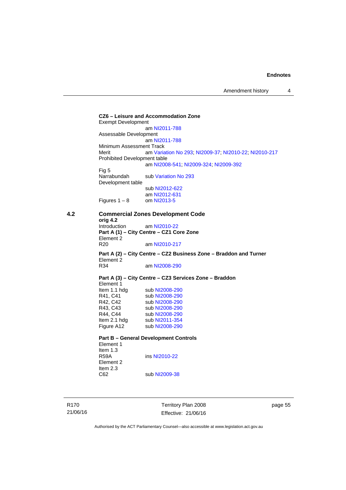**CZ6 – Leisure and Accommodation Zone** Exempt Development am [NI2011-788](http://www.legislation.act.gov.au/ni/2011-788/) Assessable Development am [NI2011-788](http://www.legislation.act.gov.au/ni/2011-788/) Minimum Assessment Track Merit am [Variation No 293](http://www.legislation.act.gov.au/ni/2008-219/); [NI2009-37](http://www.legislation.act.gov.au/ni/2009-37/); [NI2010-22](http://www.legislation.act.gov.au/ni/2010-22/); [NI2010-217](http://www.legislation.act.gov.au/ni/2010-217/) Prohibited Development table am [NI2008-541](http://www.legislation.act.gov.au/ni/2008-541/); [NI2009-324](http://www.legislation.act.gov.au/ni/2009-324/); [NI2009-392](http://www.legislation.act.gov.au/ni/2009-392/) Fig 5<br>Narrabundah sub [Variation No 293](http://www.legislation.act.gov.au/ni/2008-219/) Development table sub [NI2012-622](http://www.legislation.act.gov.au/ni/2012-622/default.asp) am [NI2012-631](http://www.legislation.act.gov.au/ni/2012-631/default.asp)<br>om NI2013-5 Figures  $1 - 8$ **4.2 Commercial Zones Development Code orig 4.2**  am [NI2010-22](http://www.legislation.act.gov.au/ni/2010-22/) **Part A (1) – City Centre – CZ1 Core Zone**  Element 2 R20 am [NI2010-217](http://www.legislation.act.gov.au/ni/2010-217/) **Part A (2) – City Centre – CZ2 Business Zone – Braddon and Turner**  Element 2 R34 am [NI2008-290](http://www.legislation.act.gov.au/ni/2008-290/) **Part A (3) – City Centre – CZ3 Services Zone – Braddon**  Element 1<br>Item 1.1 hdg Item 1.1 hdg sub [NI2008-290](http://www.legislation.act.gov.au/ni/2008-290/)<br>R41, C41 sub NI2008-290 sub [NI2008-290](http://www.legislation.act.gov.au/ni/2008-290/) R42, C42 sub [NI2008-290](http://www.legislation.act.gov.au/ni/2008-290/) R43, C43 sub [NI2008-290](http://www.legislation.act.gov.au/ni/2008-290/) R44, C44 sub [NI2008-290](http://www.legislation.act.gov.au/ni/2008-290/)<br>Item 2.1 hdg sub NI2011-354 sub [NI2011-354](http://www.legislation.act.gov.au/ni/2011-354/) Figure A12 sub [NI2008-290](http://www.legislation.act.gov.au/ni/2008-290/) **Part B – General Development Controls**  Element 1 Item 1.3<br>R59A ins [NI2010-22](http://www.legislation.act.gov.au/ni/2010-22/) Element 2 Item 2.3<br>C62 sub [NI2009-38](http://www.legislation.act.gov.au/ni/2009-38/)

R170 21/06/16 Territory Plan 2008 Effective: 21/06/16 page 55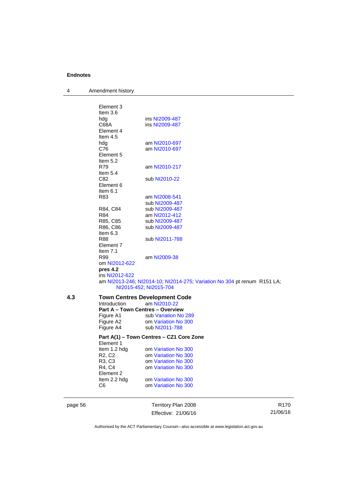4 Amendment history

|     | C <sub>6</sub>                  | om Variation No 300                                                                                |  |
|-----|---------------------------------|----------------------------------------------------------------------------------------------------|--|
|     | Item 2.2 hdg                    | om Variation No 300                                                                                |  |
|     | R4, C4<br>Element 2             | om Variation No 300                                                                                |  |
|     | R3, C3                          | om Variation No 300                                                                                |  |
|     | R <sub>2</sub> , C <sub>2</sub> | om Variation No 300                                                                                |  |
|     | Item 1.2 hdg                    | om Variation No 300                                                                                |  |
|     | Element 1                       |                                                                                                    |  |
|     |                                 | Part A(1) - Town Centres - CZ1 Core Zone                                                           |  |
|     | Figure A4                       | sub NI2011-788                                                                                     |  |
|     | Figure A2                       | om Variation No 300                                                                                |  |
|     | Figure A1                       | sub Variation No 289                                                                               |  |
|     |                                 | <b>Part A - Town Centres - Overview</b>                                                            |  |
| 4.3 | Introduction                    | <b>Town Centres Development Code</b><br>am NI2010-22                                               |  |
|     |                                 |                                                                                                    |  |
|     |                                 | am NI2013-246, NI2014-10; NI2014-275; Variation No 304 pt renum R151 LA;<br>NI2015-452; NI2015-704 |  |
|     | ins NI2012-622                  |                                                                                                    |  |
|     | pres 4.2                        |                                                                                                    |  |
|     | om NI2012-622                   |                                                                                                    |  |
|     | R99                             | am NI2009-38                                                                                       |  |
|     | Item 7.1                        |                                                                                                    |  |
|     | Element 7                       |                                                                                                    |  |
|     | R88                             | sub NI2011-788                                                                                     |  |
|     | Item $6.3$                      |                                                                                                    |  |
|     | R86, C86                        | sub NI2009-487                                                                                     |  |
|     | R85, C85                        | sub NI2009-487                                                                                     |  |
|     | R84                             | am NI2012-412                                                                                      |  |
|     | R84, C84                        | sub NI2009-487                                                                                     |  |
|     |                                 | sub NI2009-487                                                                                     |  |
|     | R83                             | am NI2008-541                                                                                      |  |
|     | Item $6.1$                      |                                                                                                    |  |
|     | Element 6                       |                                                                                                    |  |
|     | C82                             | sub NI2010-22                                                                                      |  |
|     | Item $5.4$                      |                                                                                                    |  |
|     | R79                             | am NI2010-217                                                                                      |  |
|     | Item $5.2$                      |                                                                                                    |  |
|     | Element 5                       |                                                                                                    |  |
|     | hdg<br>C76                      | am NI2010-697<br>am NI2010-697                                                                     |  |
|     | Item $4.5$                      |                                                                                                    |  |
|     | Element 4                       |                                                                                                    |  |
|     | C68A                            | ins NI2009-487                                                                                     |  |
|     | hdg                             | ins NI2009-487                                                                                     |  |
|     |                                 |                                                                                                    |  |
|     | Item $3.6$                      |                                                                                                    |  |

Effective: 21/06/16

R170 21/06/16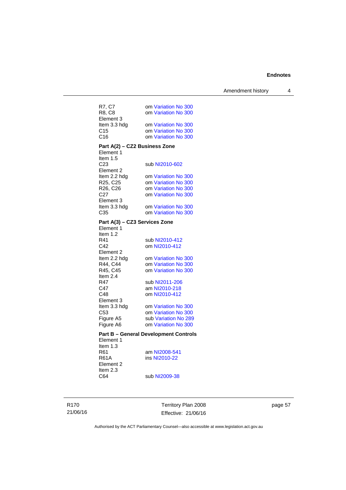Amendment history 4

| R7, C7                        | om Variation No 300                        |
|-------------------------------|--------------------------------------------|
| R8, C8                        | om Variation No 300                        |
| Element 3                     |                                            |
| Item 3.3 hdg                  | om Variation No 300                        |
| C <sub>15</sub>               | om Variation No 300                        |
| C16                           | om Variation No 300                        |
| Part A(2) - CZ2 Business Zone |                                            |
| Element 1                     |                                            |
| Item $1.5$                    |                                            |
| C <sub>23</sub>               | sub NI2010-602                             |
| Element 2                     |                                            |
| Item 2.2 hdg                  | om Variation No 300                        |
| R25, C25                      | om Variation No 300                        |
| R26, C26<br>C <sub>27</sub>   | om Variation No 300                        |
| Element 3                     | om Variation No 300                        |
| Item 3.3 hdg                  | om Variation No 300                        |
| C <sub>35</sub>               | om Variation No 300                        |
|                               |                                            |
| Part A(3) - CZ3 Services Zone |                                            |
| Element 1                     |                                            |
| Item 1.2<br>R41               |                                            |
|                               |                                            |
|                               | sub NI2010-412                             |
| C42                           | om NI2010-412                              |
| Element 2                     |                                            |
| Item 2.2 hdg                  | om Variation No 300                        |
| R44, C44                      | om Variation No 300<br>om Variation No 300 |
| R45, C45<br>Item 2.4          |                                            |
| R47                           | sub NI2011-206                             |
| C47                           | am NI2010-218                              |
| C48                           | om NI2010-412                              |
| Element 3                     |                                            |
| Item 3.3 hdg                  | om Variation No 300                        |
| C <sub>53</sub>               | om Variation No 300                        |
| Figure A5                     | sub Variation No 289                       |
| Figure A6                     | om Variation No 300                        |

#### **Part B – General Development Controls**  Element 1

Item 1.3 Element 2 Item 2.3<br>C64

R61 am [NI2008-541](http://www.legislation.act.gov.au/ni/2008-541/)<br>R61A ins NI2010-22 ins [NI2010-22](http://www.legislation.act.gov.au/ni/2010-22/)

sub [NI2009-38](http://www.legislation.act.gov.au/ni/2009-38/)

Territory Plan 2008 Effective: 21/06/16 page 57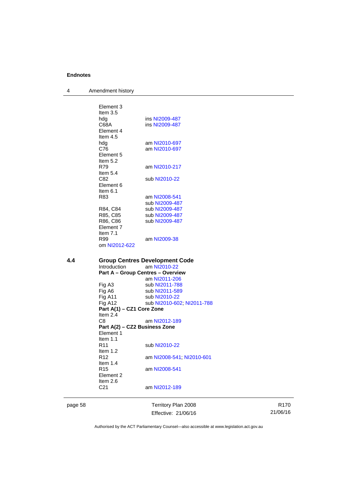4 Amendment history

|     | Element 3                     |                                          |
|-----|-------------------------------|------------------------------------------|
|     | Item $3.5$                    |                                          |
|     | hdg                           | ins NI2009-487                           |
|     | C68A                          | ins NI2009-487                           |
|     | Element 4                     |                                          |
|     | Item $4.5$                    |                                          |
|     | hdg                           | am NI2010-697                            |
|     | C76                           | am NI2010-697                            |
|     | Element 5                     |                                          |
|     | Item 5.2                      |                                          |
|     | R79                           | am NI2010-217                            |
|     |                               |                                          |
|     | Item $5.4$                    |                                          |
|     | C82                           | sub NI2010-22                            |
|     | Element 6                     |                                          |
|     | Item 6.1                      |                                          |
|     | R83                           | am NI2008-541                            |
|     |                               | sub NI2009-487                           |
|     | R84, C84                      | sub NI2009-487                           |
|     | R85, C85                      | sub NI2009-487                           |
|     | R86, C86                      | sub NI2009-487                           |
|     | Element 7                     |                                          |
|     | Item $7.1$                    |                                          |
|     | R99                           | am NI2009-38                             |
|     | om NI2012-622                 |                                          |
|     |                               |                                          |
|     |                               |                                          |
|     |                               |                                          |
| 4.4 |                               | <b>Group Centres Development Code</b>    |
|     | Introduction                  | am NI2010-22                             |
|     |                               | <b>Part A - Group Centres - Overview</b> |
|     |                               | am NI2011-206                            |
|     | Fig A3                        | sub NI2011-788                           |
|     | Fig A6                        | sub NI2011-589                           |
|     | Fig A11                       | sub NI2010-22                            |
|     | Fig A12                       | sub NI2010-602; NI2011-788               |
|     | Part A(1) - CZ1 Core Zone     |                                          |
|     | Item $2.4$                    |                                          |
|     | C <sub>8</sub>                | am NI2012-189                            |
|     | Part A(2) - CZ2 Business Zone |                                          |
|     | Element 1                     |                                          |
|     | Item $1.1$                    |                                          |
|     | R <sub>11</sub>               | sub NI2010-22                            |
|     | Item $1.2$                    |                                          |
|     | R <sub>12</sub>               | am NI2008-541, NI2010-601                |
|     | Item $1.4$                    |                                          |
|     | R <sub>15</sub>               | am NI2008-541                            |
|     | Element 2                     |                                          |
|     | Item $2.6$                    |                                          |
|     | C <sub>21</sub>               |                                          |
|     |                               | am NI2012-189                            |

page 58 Territory Plan 2008 Effective: 21/06/16

R170 21/06/16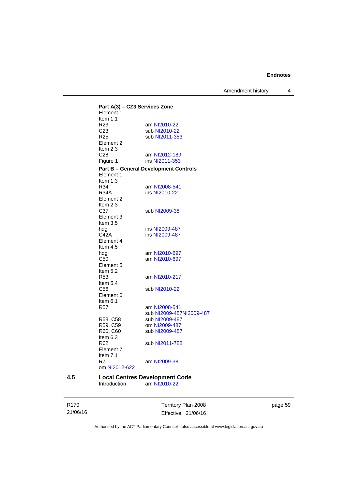Amendment history 4

**Part A(3) – CZ3 Services Zone**  Element 1 Item  $1.1$ <br>R23 R23 am [NI2010-22](http://www.legislation.act.gov.au/ni/2010-22/)<br>C23 sub NI2010-22 C23 sub [NI2010-22](http://www.legislation.act.gov.au/ni/2010-22/)<br>R25 sub NI2011-35 sub [NI2011-353](http://www.legislation.act.gov.au/ni/2011-353/) Element 2 Item 2.3 C28 am [NI2012-189](http://www.legislation.act.gov.au/ni/2012-189/) Figure 1 ins [NI2011-353](http://www.legislation.act.gov.au/ni/2011-353/) **Part B – General Development Controls**  Element 1 Item  $1.3$ <br>R $34$ am [NI2008-541](http://www.legislation.act.gov.au/ni/2008-541/) R34A ins [NI2010-22](http://www.legislation.act.gov.au/ni/2010-22/) Element 2 Item  $2.3$ <br>C37 sub [NI2009-38](http://www.legislation.act.gov.au/ni/2009-38/) Element 3 Item 3.5<br>hdg hdg ins [NI2009-487](http://www.legislation.act.gov.au/ni/2009-487/)<br>C42A ins NI2009-487 ins [NI2009-487](http://www.legislation.act.gov.au/ni/2009-487/) Element 4 Item 4.5 hdg am [NI2010-697](http://www.legislation.act.gov.au/ni/2010-697/)<br>C50 am NI2010-697 am [NI2010-697](http://www.legislation.act.gov.au/ni/2010-697/) Element 5 Item  $5.2$ <br>R53 am [NI2010-217](http://www.legislation.act.gov.au/ni/2010-217/) Item 5.4<br>C56 sub [NI2010-22](http://www.legislation.act.gov.au/ni/2010-22/) Element 6 Item 6.1 R57 am [NI2008-541](http://www.legislation.act.gov.au/ni/2008-541/) sub [NI2009-487NI2009-487](http://www.legislation.act.gov.au/ni/2009-487/)<br>R58, C58 sub NI2009-487 R58, C58 sub [NI2009-487](http://www.legislation.act.gov.au/ni/2009-487/)<br>R59, C59 om NI2009-487 om [NI2009-487](http://www.legislation.act.gov.au/ni/2009-487/) R60, C60 sub [NI2009-487](http://www.legislation.act.gov.au/ni/2009-487/) Item  $6.3$ <br>R62 sub [NI2011-788](http://www.legislation.act.gov.au/ni/2011-788/) Element 7 Item 7.1<br>R71 am [NI2009-38](http://www.legislation.act.gov.au/ni/2009-38/) om [NI2012-622](http://www.legislation.act.gov.au/ni/2012-622/default.asp) **4.5 Local Centres Development Code**  Introduction am [NI2010-22](http://www.legislation.act.gov.au/ni/2010-22/)

R170 21/06/16 Territory Plan 2008 Effective: 21/06/16 page 59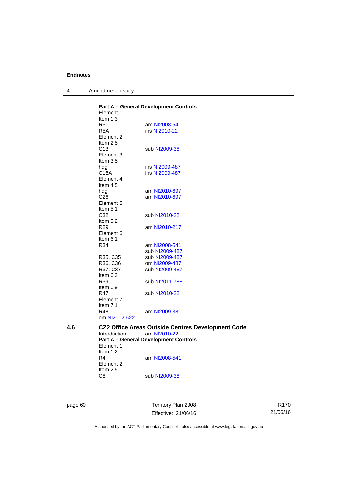4 Amendment history

|     | Element 1           | <b>Part A - General Development Controls</b>             |
|-----|---------------------|----------------------------------------------------------|
|     |                     |                                                          |
|     | Item $1.3$          |                                                          |
|     | R5                  | am NI2008-541                                            |
|     | R <sub>5</sub> A    | ins NI2010-22                                            |
|     | Element 2           |                                                          |
|     | Item 2.5            |                                                          |
|     | C <sub>13</sub>     | sub NI2009-38                                            |
|     | Element 3           |                                                          |
|     | Item $3.5$          |                                                          |
|     | hdg                 | ins NI2009-487                                           |
|     | C18A                | ins NI2009-487                                           |
|     | Element 4           |                                                          |
|     | Item $4.5$          |                                                          |
|     | hdg                 | am NI2010-697                                            |
|     | C <sub>26</sub>     | am NI2010-697                                            |
|     | Element 5           |                                                          |
|     | Item $5.1$          |                                                          |
|     | C32                 | sub NI2010-22                                            |
|     | Item 5.2            |                                                          |
|     |                     |                                                          |
|     | R <sub>29</sub>     | am NI2010-217                                            |
|     | Element 6           |                                                          |
|     | Item $6.1$          |                                                          |
|     | R34                 | am NI2008-541                                            |
|     |                     | sub NI2009-487                                           |
|     | R35, C35            | sub NI2009-487                                           |
|     | R36, C36            | om NI2009-487                                            |
|     | R37, C37            | sub NI2009-487                                           |
|     | Item $6.3$          |                                                          |
|     | R39                 | sub NI2011-788                                           |
|     | Item 6.9            |                                                          |
|     | R47                 | sub NI2010-22                                            |
|     | Element 7           |                                                          |
|     | Item $7.1$          |                                                          |
|     | R48                 | am NI2009-38                                             |
|     | om NI2012-622       |                                                          |
|     |                     |                                                          |
| 4.6 |                     | <b>CZ2 Office Areas Outside Centres Development Code</b> |
|     | <b>Introduction</b> | am NI2010-22                                             |
|     |                     | <b>Part A - General Development Controls</b>             |
|     | Element 1           |                                                          |
|     | Item $1.2$          |                                                          |
|     | R4                  | am NI2008-541                                            |
|     | Element 2           |                                                          |
|     | Item 2.5            |                                                          |
|     | C8                  | sub NI2009-38                                            |
|     |                     |                                                          |

page 60 Territory Plan 2008 Effective: 21/06/16

R170 21/06/16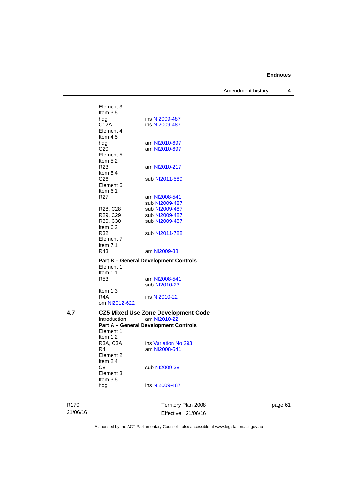Amendment history 4

Element 3 Item 3.5 hdg ins [NI2009-487](http://www.legislation.act.gov.au/ni/2009-487/)<br>C12A ins NI2009-487 ins [NI2009-487](http://www.legislation.act.gov.au/ni/2009-487/) Element 4 Item 4.5<br>hdg am [NI2010-697](http://www.legislation.act.gov.au/ni/2010-697/) C20 am [NI2010-697](http://www.legislation.act.gov.au/ni/2010-697/) Element 5 Item  $5.2$ <br>R23 am [NI2010-217](http://www.legislation.act.gov.au/ni/2010-217/) Item 5.4 C26 sub [NI2011-589](http://www.legislation.act.gov.au/ni/2011-589/) Element 6 Item 6.1 R27 am [NI2008-541](http://www.legislation.act.gov.au/ni/2008-541/) sub [NI2009-487](http://www.legislation.act.gov.au/ni/2009-487/)<br>R28, C28 sub NI2009-487<br>R29, C29 sub NI2009-487 sub [NI2009-487](http://www.legislation.act.gov.au/ni/2009-487/) R29, C29 sub [NI2009-487](http://www.legislation.act.gov.au/ni/2009-487/)<br>R30, C30 sub NI2009-487 sub [NI2009-487](http://www.legislation.act.gov.au/ni/2009-487/) Item 6.2<br>R32 sub [NI2011-788](http://www.legislation.act.gov.au/ni/2011-788/) Element 7 Item 7.1<br>R43 am [NI2009-38](http://www.legislation.act.gov.au/ni/2009-38/) **Part B – General Development Controls**  Element 1 Item 1.1 R53 am [NI2008-541](http://www.legislation.act.gov.au/ni/2008-541/) sub [NI2010-23](http://www.legislation.act.gov.au/ni/2010-23/) Item 1.3 R4A ins [NI2010-22](http://www.legislation.act.gov.au/ni/2010-22/) om [NI2012-622](http://www.legislation.act.gov.au/ni/2012-622/default.asp) **4.7 CZ5 Mixed Use Zone Development Code**  am NI2010-2 **Part A – General Development Controls**  Element 1 Item 1.2<br>R3A, C3A ins [Variation No 293](http://www.legislation.act.gov.au/ni/2008-219/) R4 am [NI2008-541](http://www.legislation.act.gov.au/ni/2008-541/) Element 2 Item 2.4<br>C8 sub [NI2009-38](http://www.legislation.act.gov.au/ni/2009-38/) Element 3 Item 3.5

hdg ins [NI2009-487](http://www.legislation.act.gov.au/ni/2009-487/)

R170 21/06/16 Territory Plan 2008 Effective: 21/06/16 page 61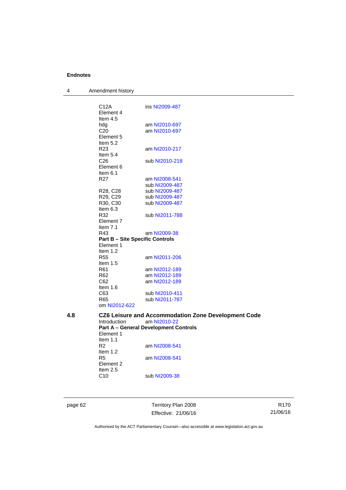| 4   | Amendment history                      |                                                     |
|-----|----------------------------------------|-----------------------------------------------------|
|     |                                        |                                                     |
|     | C12A                                   | ins NI2009-487                                      |
|     | Element 4                              |                                                     |
|     | Item 4.5                               |                                                     |
|     | hdg                                    | am NI2010-697                                       |
|     | C <sub>20</sub>                        | am NI2010-697                                       |
|     | Element 5<br>Item $5.2$                |                                                     |
|     | R <sub>23</sub>                        | am NI2010-217                                       |
|     | Item $5.4$                             |                                                     |
|     | C <sub>26</sub>                        | sub NI2010-218                                      |
|     | Element 6                              |                                                     |
|     | Item $6.1$                             |                                                     |
|     | R27                                    | am NI2008-541                                       |
|     |                                        | sub NI2009-487                                      |
|     | R28, C28                               | sub NI2009-487                                      |
|     | R <sub>29</sub> , C <sub>29</sub>      | sub NI2009-487                                      |
|     | R30, C30                               | sub NI2009-487                                      |
|     | Item $6.3$                             |                                                     |
|     | R32                                    | sub NI2011-788                                      |
|     | Element 7<br>Item 7.1                  |                                                     |
|     | R43                                    | am NI2009-38                                        |
|     | <b>Part B - Site Specific Controls</b> |                                                     |
|     | Element 1                              |                                                     |
|     | Item $1.2$                             |                                                     |
|     | R55                                    | am NI2011-206                                       |
|     | Item 1.5                               |                                                     |
|     | R <sub>61</sub>                        | am NI2012-189                                       |
|     | R <sub>62</sub>                        | am NI2012-189                                       |
|     | C62                                    | am NI2012-189                                       |
|     | Item 1.6                               |                                                     |
|     | C63<br>R65                             | sub NI2010-411<br>sub NI2011-787                    |
|     | om NI2012-622                          |                                                     |
|     |                                        |                                                     |
| 4.8 |                                        | CZ6 Leisure and Accommodation Zone Development Code |
|     | Introduction                           | am NI2010-22                                        |
|     |                                        | <b>Part A - General Development Controls</b>        |
|     | Element 1<br>Item $1.1$                |                                                     |
|     | R2                                     | am NI2008-541                                       |
|     | Item 1.2                               |                                                     |
|     | R <sub>5</sub>                         | am NI2008-541                                       |
|     | Element 2                              |                                                     |
|     | Item $2.5$                             |                                                     |
|     | C <sub>10</sub>                        | sub NI2009-38                                       |
|     |                                        |                                                     |
|     |                                        |                                                     |

page 62 Territory Plan 2008 Effective: 21/06/16

R170 21/06/16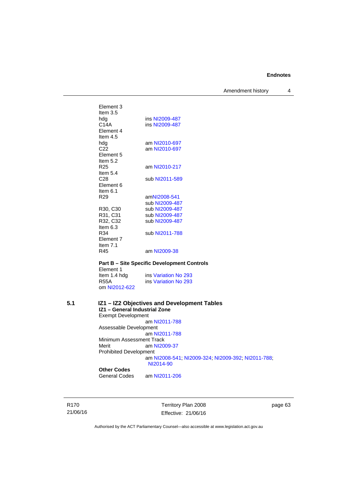Amendment history 4

| Element 3       |                |
|-----------------|----------------|
| Item $3.5$      |                |
| hdg             | ins NI2009-487 |
| C14A            | ins NI2009-487 |
| Element 4       |                |
| Item $4.5$      |                |
| hdg             | am NI2010-697  |
| C22             | am NI2010-697  |
| Element 5       |                |
| Item $5.2$      |                |
| R25             | am NI2010-217  |
| Item $5.4$      |                |
| C28             | sub NI2011-589 |
| Flement 6       |                |
| Item $6.1$      |                |
| R <sub>29</sub> | amNI2008-541   |
|                 | sub NI2009-487 |
| R30, C30        | sub NI2009-487 |
| R31, C31        | sub NI2009-487 |
| R32, C32        | sub NI2009-487 |
| Item $6.3$      |                |
| R34             | sub NI2011-788 |
| Element 7       |                |
| Item $7.1$      |                |
| R45             | am NI2009-38   |
|                 |                |

**Part B – Site Specific Development Controls**  Element 1<br>Item 1.4 hdg Item 1.4 hdg ins [Variation No 293](http://www.legislation.act.gov.au/ni/2008-219/)<br>R55A ins Variation No 293 ins [Variation No 293](http://www.legislation.act.gov.au/ni/2008-219/) om [NI2012-622](http://www.legislation.act.gov.au/ni/2012-622/default.asp)

## **5.1 IZ1 – IZ2 Objectives and Development Tables IZ1 – General Industrial Zone**  Exempt Development

 am [NI2011-788](http://www.legislation.act.gov.au/ni/2011-788/) Assessable Development am [NI2011-788](http://www.legislation.act.gov.au/ni/2011-788/)

Minimum Assessment Track Merit am [NI2009-37](http://www.legislation.act.gov.au/ni/2009-37/) Prohibited Development am [NI2008-541](http://www.legislation.act.gov.au/ni/2008-541/); [NI2009-324](http://www.legislation.act.gov.au/ni/2009-324/); [NI2009-392](http://www.legislation.act.gov.au/ni/2009-392/); [NI2011-788](http://www.legislation.act.gov.au/ni/2011-788/); [NI2014-90](http://www.legislation.act.gov.au/ni/2014-90/default.asp)

# **Other Codes**

am [NI2011-206](http://www.legislation.act.gov.au/ni/2011-206/)

R170 21/06/16 Territory Plan 2008 Effective: 21/06/16 page 63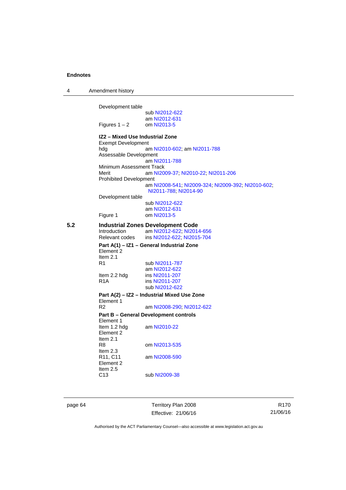| 4   | Amendment history                                                   |                                                                             |
|-----|---------------------------------------------------------------------|-----------------------------------------------------------------------------|
|     | Development table                                                   |                                                                             |
|     |                                                                     | sub NI2012-622                                                              |
|     |                                                                     | am NI2012-631                                                               |
|     | Figures 1 – 2                                                       | om NI2013-5                                                                 |
|     | IZ2 - Mixed Use Industrial Zone<br><b>Exempt Development</b><br>hdg | am NI2010-602; am NI2011-788                                                |
|     | Assessable Development                                              | am NI2011-788                                                               |
|     | Minimum Assessment Track<br>Merit                                   | am NI2009-37; NI2010-22; NI2011-206                                         |
|     | <b>Prohibited Development</b>                                       |                                                                             |
|     |                                                                     | am NI2008-541, NI2009-324, NI2009-392, NI2010-602,<br>NI2011-788; NI2014-90 |
|     | Development table                                                   |                                                                             |
|     |                                                                     | sub NI2012-622                                                              |
|     | Figure 1                                                            | am NI2012-631<br>om NI2013-5                                                |
| 5.2 |                                                                     | <b>Industrial Zones Development Code</b>                                    |
|     | Introduction                                                        | am NI2012-622; NI2014-656                                                   |
|     | Relevant codes                                                      | ins NI2012-622; NI2015-704                                                  |
|     |                                                                     | Part A(1) - IZ1 - General Industrial Zone                                   |
|     | Element 2<br>Item $2.1$                                             |                                                                             |
|     | R1                                                                  | sub NI2011-787                                                              |
|     |                                                                     | am NI2012-622                                                               |
|     | Item 2.2 hdg                                                        | ins NI2011-207                                                              |
|     | R <sub>1</sub> A                                                    | ins NI2011-207                                                              |
|     |                                                                     | sub NI2012-622                                                              |
|     | Element 1                                                           | Part A(2) - IZ2 - Industrial Mixed Use Zone                                 |
|     | R2                                                                  | am NI2008-290; NI2012-622                                                   |
|     |                                                                     | Part B – General Development controls                                       |
|     | Element 1                                                           |                                                                             |
|     | Item 1.2 hdg<br>Element 2                                           | am NI2010-22                                                                |
|     | Item $2.1$<br>R8<br>Item $2.3$                                      | om NI2013-535                                                               |
|     | R11, C11<br>Element 2<br>Item $2.5$                                 | am NI2008-590                                                               |
|     | C13                                                                 | sub NI2009-38                                                               |

page 64 Territory Plan 2008 Effective: 21/06/16

R170 21/06/16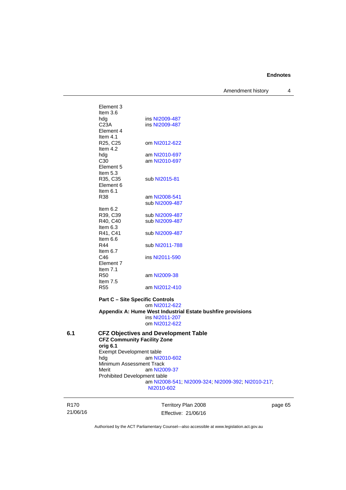Amendment history 4

| ins NI2009-487 |
|----------------|
| ins NI2009-487 |
|                |
|                |
| om NI2012-622  |
|                |
| am NI2010-697  |
| am NI2010-697  |
|                |
|                |
| sub NI2015-81  |
|                |
|                |
| am NI2008-541  |
| sub NI2009-487 |
|                |
| sub NI2009-487 |
| sub NI2009-487 |
|                |
| sub NI2009-487 |
|                |
| sub NI2011-788 |
| ins NI2011-590 |
|                |
|                |
| am NI2009-38   |
|                |
| am NI2012-410  |
|                |
|                |

**Part C – Site Specific Controls**  om [NI2012-622](http://www.legislation.act.gov.au/ni/2012-622/default.asp) **Appendix A: Hume West Industrial Estate bushfire provisions**  ins [NI2011-207](http://www.legislation.act.gov.au/ni/2011-207/) om [NI2012-622](http://www.legislation.act.gov.au/ni/2012-622/default.asp)

## **6.1 CFZ Objectives and Development Table CFZ Community Facility Zone orig 6.1**  Exempt Development table hdg am [NI2010-602](http://www.legislation.act.gov.au/ni/2010-602/) Minimum Assessment Track<br>Merit am NI20 am [NI2009-37](http://www.legislation.act.gov.au/ni/2009-37/) Prohibited Development table am [NI2008-541](http://www.legislation.act.gov.au/ni/2008-541/); [NI2009-324](http://www.legislation.act.gov.au/ni/2009-324/); [NI2009-392](http://www.legislation.act.gov.au/ni/2009-392/); [NI2010-217](http://www.legislation.act.gov.au/ni/2010-217/); [NI2010-602](http://www.legislation.act.gov.au/ni/2010-602/)

R170 21/06/16

Territory Plan 2008 Effective: 21/06/16 page 65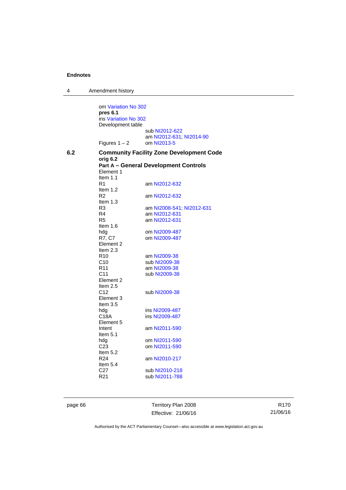4 Amendment history om [Variation No 302](http://www.legislation.act.gov.au/ni/2011-573/) **pres 6.1** ins [Variation No 302](http://www.legislation.act.gov.au/ni/2011-573/) Development table sub [NI2012-622](http://www.legislation.act.gov.au/ni/2012-622/default.asp) am [NI2012-631](http://www.legislation.act.gov.au/ni/2012-631/default.asp); [NI2014-90](http://www.legislation.act.gov.au/ni/2014-90/default.asp)<br>om NI2013-5 Figures  $1 - 2$ **6.2 Community Facility Zone Development Code orig 6.2 Part A – General Development Controls**  Element 1 Item 1.1 R1 am [NI2012-632](http://www.legislation.act.gov.au/ni/2012-632/default.asp) Item 1.2 R2 am [NI2012-632](http://www.legislation.act.gov.au/ni/2012-632/default.asp) Item 1.3<br>R3 R3 am [NI2008-541](http://www.legislation.act.gov.au/ni/2008-541/); [NI2012-631](http://www.legislation.act.gov.au/ni/2012-631/default.asp) R4 am [NI2012-631](http://www.legislation.act.gov.au/ni/2012-631/default.asp)<br>R5 am NI2012-631 am [NI2012-631](http://www.legislation.act.gov.au/ni/2012-631/default.asp) Item 1.6<br>hdg hdg om [NI2009-487](http://www.legislation.act.gov.au/ni/2009-487/)<br>R7, C7 om NI2009-487 om [NI2009-487](http://www.legislation.act.gov.au/ni/2009-487/) Element 2 Item 2.3 R10 am [NI2009-38](http://www.legislation.act.gov.au/ni/2009-38/)<br>C10 sub NI2009-38 C10 sub [NI2009-38](http://www.legislation.act.gov.au/ni/2009-38/)<br>R11 am NI2009-38 am [NI2009-38](http://www.legislation.act.gov.au/ni/2009-38/) C11 sub [NI2009-38](http://www.legislation.act.gov.au/ni/2009-38/) Element 2 Item 2.5 C12 sub [NI2009-38](http://www.legislation.act.gov.au/ni/2009-38/) Element 3 Item 3.5 hdg ins [NI2009-487](http://www.legislation.act.gov.au/ni/2009-487/)<br>C18A ins NI2009-487 ins [NI2009-487](http://www.legislation.act.gov.au/ni/2009-487/) Element 5<br>Intent am [NI2011-590](http://www.legislation.act.gov.au/ni/2011-590/) Item 5.1<br>hdg hdg om [NI2011-590](http://www.legislation.act.gov.au/ni/2011-590/)<br>C23 om NI2011-590 om [NI2011-590](http://www.legislation.act.gov.au/ni/2011-590/) Item 5.2 R24 am [NI2010-217](http://www.legislation.act.gov.au/ni/2010-217/) Item 5.4 C27 sub [NI2010-218](http://www.legislation.act.gov.au/ni/2010-218/)<br>R21 sub NI2011-788 sub [NI2011-788](http://www.legislation.act.gov.au/ni/2011-788/)

page 66 Territory Plan 2008 Effective: 21/06/16

R170 21/06/16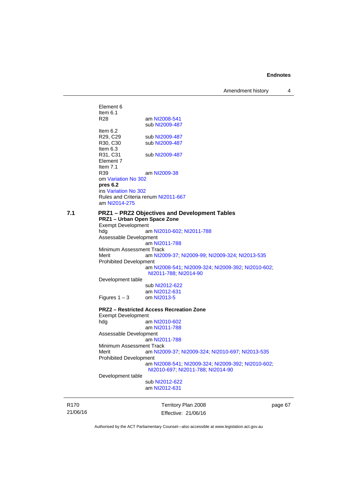Amendment history 4

Element 6 Item  $6.1$ <br>R<sub>28</sub> am [NI2008-541](http://www.legislation.act.gov.au/ni/2008-541/) sub [NI2009-487](http://www.legislation.act.gov.au/ni/2009-487/) Item 6.2 R29, C29 sub [NI2009-487](http://www.legislation.act.gov.au/ni/2009-487/)<br>R30, C30 sub NI2009-487 sub [NI2009-487](http://www.legislation.act.gov.au/ni/2009-487/) Item 6.3 R31, C31 sub [NI2009-487](http://www.legislation.act.gov.au/ni/2009-487/) Element 7 Item 7.1 R39 am [NI2009-38](http://www.legislation.act.gov.au/ni/2009-38/) om [Variation No 302](http://www.legislation.act.gov.au/ni/2011-573/) **pres 6.2** ins [Variation No 302](http://www.legislation.act.gov.au/ni/2011-573/) Rules and Criteria renum [NI2011-667](http://www.legislation.act.gov.au/ni/2011-667/) am [NI2014-275](http://www.legislation.act.gov.au/ni/2014-275/default.asp) **7.1 PRZ1 – PRZ2 Objectives and Development Tables PRZ1 – Urban Open Space Zone**  Exempt Development hdg am [NI2010-602](http://www.legislation.act.gov.au/ni/2010-602/); [NI2011-788](http://www.legislation.act.gov.au/ni/2011-788/) Assessable Development am [NI2011-788](http://www.legislation.act.gov.au/ni/2011-788/) Minimum Assessment Track Merit am [NI2009-37](http://www.legislation.act.gov.au/ni/2009-37/); [NI2009-99](http://www.legislation.act.gov.au/ni/2009-99/); [NI2009-324](http://www.legislation.act.gov.au/ni/2009-324/); [NI2013-535](http://www.legislation.act.gov.au/ni/2013-535/) Prohibited Development am [NI2008-541](http://www.legislation.act.gov.au/ni/2008-541/); [NI2009-324](http://www.legislation.act.gov.au/ni/2009-324/); [NI2009-392](http://www.legislation.act.gov.au/ni/2009-392/); [NI2010-602](http://www.legislation.act.gov.au/ni/2010-602/); [NI2011-788](http://www.legislation.act.gov.au/ni/2011-788/); [NI2014-90](http://www.legislation.act.gov.au/ni/2014-90/default.asp) Development table sub [NI2012-622](http://www.legislation.act.gov.au/ni/2012-622/default.asp) am [NI2012-631](http://www.legislation.act.gov.au/ni/2012-631/default.asp)<br>om NI2013-5 Figures  $1 - 3$ **PRZ2 – Restricted Access Recreation Zone**  Exempt Development hdg am [NI2010-602](http://www.legislation.act.gov.au/ni/2010-602/) am [NI2011-788](http://www.legislation.act.gov.au/ni/2011-788/) Assessable Development am [NI2011-788](http://www.legislation.act.gov.au/ni/2011-788/) Minimum Assessment Track Merit am [NI2009-37](http://www.legislation.act.gov.au/ni/2009-37/); [NI2009-324](http://www.legislation.act.gov.au/ni/2009-324/); [NI2010-697](http://www.legislation.act.gov.au/ni/2010-697/); [NI2013-535](http://www.legislation.act.gov.au/ni/2013-535/) Prohibited Development am [NI2008-541](http://www.legislation.act.gov.au/ni/2008-541/); [NI2009-324](http://www.legislation.act.gov.au/ni/2009-324/); [NI2009-392](http://www.legislation.act.gov.au/ni/2009-392/); [NI2010-602](http://www.legislation.act.gov.au/ni/2010-602/); [NI2010-697](http://www.legislation.act.gov.au/ni/2010-697/); [NI2011-788](http://www.legislation.act.gov.au/ni/2011-788/); [NI2014-90](http://www.legislation.act.gov.au/ni/2014-90/default.asp) Development table sub [NI2012-622](http://www.legislation.act.gov.au/ni/2012-622/default.asp) am [NI2012-631](http://www.legislation.act.gov.au/ni/2012-631/default.asp)

R170 21/06/16 Territory Plan 2008 Effective: 21/06/16 page 67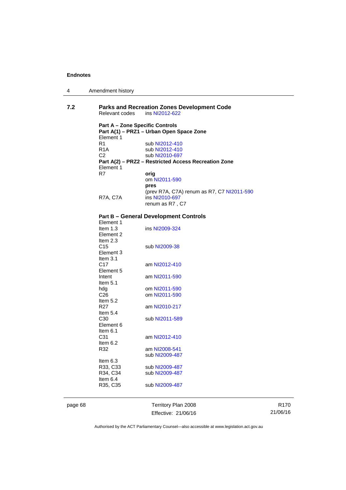4 Amendment history

| 7.2 | Relevant codes                         | <b>Parks and Recreation Zones Development Code</b><br>ins NI2012-622 |
|-----|----------------------------------------|----------------------------------------------------------------------|
|     | <b>Part A – Zone Specific Controls</b> | Part A(1) - PRZ1 - Urban Open Space Zone                             |
|     | Element 1                              |                                                                      |
|     | R <sub>1</sub>                         | sub NI2012-410                                                       |
|     | R <sub>1</sub> A                       | sub NI2012-410                                                       |
|     | C <sub>2</sub>                         | sub NI2010-697                                                       |
|     |                                        | Part A(2) - PRZ2 - Restricted Access Recreation Zone                 |
|     | Element 1                              |                                                                      |
|     | R7                                     | orig                                                                 |
|     |                                        | om NI2011-590                                                        |
|     |                                        | pres                                                                 |
|     |                                        | (prev R7A, C7A) renum as R7, C7 NI2011-590                           |
|     | <b>R7A, C7A</b>                        | ins NI2010-697                                                       |
|     |                                        | renum as R7, C7                                                      |
|     |                                        |                                                                      |
|     |                                        | <b>Part B - General Development Controls</b>                         |
|     | Element 1                              |                                                                      |
|     | Item $1.3$                             | ins NI2009-324                                                       |
|     | Element 2                              |                                                                      |
|     | Item $2.3$                             |                                                                      |
|     | C <sub>15</sub>                        | sub NI2009-38                                                        |
|     | Element 3                              |                                                                      |
|     | Item $3.1$                             |                                                                      |
|     | C <sub>17</sub>                        | am NI2012-410                                                        |
|     | Element 5                              |                                                                      |
|     | Intent                                 | am NI2011-590                                                        |
|     | Item $5.1$                             |                                                                      |
|     | hdg                                    | om NI2011-590                                                        |
|     | C <sub>26</sub>                        | om NI2011-590                                                        |
|     | Item $5.2$                             |                                                                      |
|     | R <sub>27</sub>                        | am NI2010-217                                                        |
|     | Item $5.4$                             |                                                                      |

C30 sub [NI2011-589](http://www.legislation.act.gov.au/ni/2011-589/)

Element 6 Item 6.1<br>C31

Item 6.2<br>R32

Item 6.3<br>R33, C33<br>R34, C34

Item 6.4<br>R35, C35

page 68 Territory Plan 2008 Effective: 21/06/16

am [NI2012-410](http://www.legislation.act.gov.au/ni/2012-410/)

am [NI2008-541](http://www.legislation.act.gov.au/ni/2008-541/) sub [NI2009-487](http://www.legislation.act.gov.au/ni/2009-487/)

sub [NI2009-487](http://www.legislation.act.gov.au/ni/2009-487/) sub [NI2009-487](http://www.legislation.act.gov.au/ni/2009-487/)

sub [NI2009-487](http://www.legislation.act.gov.au/ni/2009-487/)

R170 21/06/16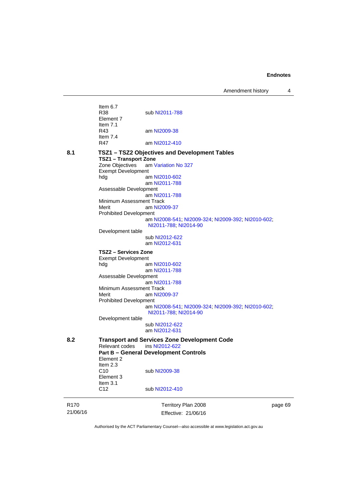Amendment history 4

|                              | Territory Plan 2008                                                           | page 69                                                                                                                                                                                                                                                                                                                                                                                                                                                                                                                                                                                                                                                                                                                   |
|------------------------------|-------------------------------------------------------------------------------|---------------------------------------------------------------------------------------------------------------------------------------------------------------------------------------------------------------------------------------------------------------------------------------------------------------------------------------------------------------------------------------------------------------------------------------------------------------------------------------------------------------------------------------------------------------------------------------------------------------------------------------------------------------------------------------------------------------------------|
| C <sub>12</sub>              | sub NI2012-410                                                                |                                                                                                                                                                                                                                                                                                                                                                                                                                                                                                                                                                                                                                                                                                                           |
| Item 2.3<br>C10<br>Element 3 | sub NI2009-38                                                                 |                                                                                                                                                                                                                                                                                                                                                                                                                                                                                                                                                                                                                                                                                                                           |
| Element 2                    |                                                                               |                                                                                                                                                                                                                                                                                                                                                                                                                                                                                                                                                                                                                                                                                                                           |
|                              |                                                                               |                                                                                                                                                                                                                                                                                                                                                                                                                                                                                                                                                                                                                                                                                                                           |
|                              |                                                                               |                                                                                                                                                                                                                                                                                                                                                                                                                                                                                                                                                                                                                                                                                                                           |
|                              | am NI2012-631                                                                 |                                                                                                                                                                                                                                                                                                                                                                                                                                                                                                                                                                                                                                                                                                                           |
|                              | sub NI2012-622                                                                |                                                                                                                                                                                                                                                                                                                                                                                                                                                                                                                                                                                                                                                                                                                           |
|                              |                                                                               |                                                                                                                                                                                                                                                                                                                                                                                                                                                                                                                                                                                                                                                                                                                           |
|                              |                                                                               |                                                                                                                                                                                                                                                                                                                                                                                                                                                                                                                                                                                                                                                                                                                           |
|                              |                                                                               |                                                                                                                                                                                                                                                                                                                                                                                                                                                                                                                                                                                                                                                                                                                           |
| Merit                        | am NI2009-37                                                                  |                                                                                                                                                                                                                                                                                                                                                                                                                                                                                                                                                                                                                                                                                                                           |
|                              | am NI2011-788                                                                 |                                                                                                                                                                                                                                                                                                                                                                                                                                                                                                                                                                                                                                                                                                                           |
|                              |                                                                               |                                                                                                                                                                                                                                                                                                                                                                                                                                                                                                                                                                                                                                                                                                                           |
|                              |                                                                               |                                                                                                                                                                                                                                                                                                                                                                                                                                                                                                                                                                                                                                                                                                                           |
|                              |                                                                               |                                                                                                                                                                                                                                                                                                                                                                                                                                                                                                                                                                                                                                                                                                                           |
| TSZ2 – Services Zone         |                                                                               |                                                                                                                                                                                                                                                                                                                                                                                                                                                                                                                                                                                                                                                                                                                           |
|                              | am NI2012-631                                                                 |                                                                                                                                                                                                                                                                                                                                                                                                                                                                                                                                                                                                                                                                                                                           |
|                              |                                                                               |                                                                                                                                                                                                                                                                                                                                                                                                                                                                                                                                                                                                                                                                                                                           |
|                              | NI2011-788; NI2014-90                                                         |                                                                                                                                                                                                                                                                                                                                                                                                                                                                                                                                                                                                                                                                                                                           |
|                              |                                                                               |                                                                                                                                                                                                                                                                                                                                                                                                                                                                                                                                                                                                                                                                                                                           |
|                              | am NI2009-37                                                                  |                                                                                                                                                                                                                                                                                                                                                                                                                                                                                                                                                                                                                                                                                                                           |
|                              |                                                                               |                                                                                                                                                                                                                                                                                                                                                                                                                                                                                                                                                                                                                                                                                                                           |
|                              | am NI2011-788                                                                 |                                                                                                                                                                                                                                                                                                                                                                                                                                                                                                                                                                                                                                                                                                                           |
|                              | am NI2011-788                                                                 |                                                                                                                                                                                                                                                                                                                                                                                                                                                                                                                                                                                                                                                                                                                           |
| hdg                          | am NI2010-602                                                                 |                                                                                                                                                                                                                                                                                                                                                                                                                                                                                                                                                                                                                                                                                                                           |
|                              |                                                                               |                                                                                                                                                                                                                                                                                                                                                                                                                                                                                                                                                                                                                                                                                                                           |
|                              |                                                                               |                                                                                                                                                                                                                                                                                                                                                                                                                                                                                                                                                                                                                                                                                                                           |
|                              |                                                                               |                                                                                                                                                                                                                                                                                                                                                                                                                                                                                                                                                                                                                                                                                                                           |
| Item $7.4$<br>R47            |                                                                               |                                                                                                                                                                                                                                                                                                                                                                                                                                                                                                                                                                                                                                                                                                                           |
| R43                          | am NI2009-38                                                                  |                                                                                                                                                                                                                                                                                                                                                                                                                                                                                                                                                                                                                                                                                                                           |
| Element 7                    |                                                                               |                                                                                                                                                                                                                                                                                                                                                                                                                                                                                                                                                                                                                                                                                                                           |
| Item $6.7$<br>R38            | sub NI2011-788                                                                |                                                                                                                                                                                                                                                                                                                                                                                                                                                                                                                                                                                                                                                                                                                           |
|                              | Item $7.1$<br>Zone Objectives<br>Merit<br>hdg<br>Relevant codes<br>Item $3.1$ | am NI2012-410<br>TSZ1 - TSZ2 Objectives and Development Tables<br><b>TSZ1 - Transport Zone</b><br>am Variation No 327<br><b>Exempt Development</b><br>Assessable Development<br>Minimum Assessment Track<br><b>Prohibited Development</b><br>am NI2008-541; NI2009-324; NI2009-392; NI2010-602;<br>Development table<br>sub NI2012-622<br><b>Exempt Development</b><br>am NI2010-602<br>am NI2011-788<br>Assessable Development<br>Minimum Assessment Track<br><b>Prohibited Development</b><br>am NI2008-541; NI2009-324; NI2009-392; NI2010-602;<br>NI2011-788; NI2014-90<br>Development table<br><b>Transport and Services Zone Development Code</b><br>ins NI2012-622<br><b>Part B - General Development Controls</b> |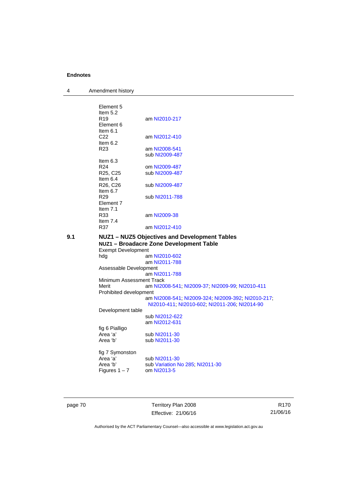4 Amendment history

|     | Element 5                                     |                                                    |
|-----|-----------------------------------------------|----------------------------------------------------|
|     | Item $5.2$                                    |                                                    |
|     | R <sub>19</sub>                               | am NI2010-217                                      |
|     | Element 6                                     |                                                    |
|     | Item $6.1$                                    |                                                    |
|     | C <sub>22</sub>                               | am NI2012-410                                      |
|     | Item $6.2$                                    |                                                    |
|     | R <sub>23</sub>                               | am NI2008-541                                      |
|     |                                               | sub NI2009-487                                     |
|     | Item $6.3$<br>R <sub>24</sub>                 |                                                    |
|     | R25, C25                                      | om NI2009-487<br>sub NI2009-487                    |
|     | Item $6.4$                                    |                                                    |
|     | R26, C26                                      | sub NI2009-487                                     |
|     | Item $6.7$                                    |                                                    |
|     | R <sub>29</sub>                               | sub NI2011-788                                     |
|     | Element 7                                     |                                                    |
|     | Item $7.1$                                    |                                                    |
|     | R33                                           | am NI2009-38                                       |
|     | Item 7.4                                      |                                                    |
|     | R37                                           | am NI2012-410                                      |
| 9.1 | NUZ1 - NUZ5 Objectives and Development Tables |                                                    |
|     | NUZ1 - Broadacre Zone Development Table       |                                                    |
|     | <b>Exempt Development</b>                     |                                                    |
|     | hdg                                           | am NI2010-602                                      |
|     |                                               | am NI2011-788                                      |
|     | Assessable Development                        |                                                    |
|     |                                               | am NI2011-788                                      |
|     | Minimum Assessment Track                      |                                                    |
|     | Merit                                         | am NI2008-541; NI2009-37; NI2009-99; NI2010-411    |
|     | Prohibited development                        |                                                    |
|     |                                               | am NI2008-541; NI2009-324; NI2009-392; NI2010-217; |
|     |                                               | NI2010-411, NI2010-602, NI2011-206, NI2014-90      |
|     | Development table                             | sub NI2012-622                                     |
|     |                                               | am NI2012-631                                      |
|     | fig 6 Pialligo                                |                                                    |
|     | Area 'a'                                      | sub NI2011-30                                      |
|     | Area 'b'                                      | sub NI2011-30                                      |
|     |                                               |                                                    |
|     | fig 7 Symonston                               |                                                    |
|     | Area 'a'                                      | sub NI2011-30                                      |
|     | Area 'b'                                      | sub Variation No 285, NI2011-30                    |
|     | Figures $1 - 7$                               | om NI2013-5                                        |
|     |                                               |                                                    |
|     |                                               |                                                    |

page 70 Territory Plan 2008 Effective: 21/06/16

R170 21/06/16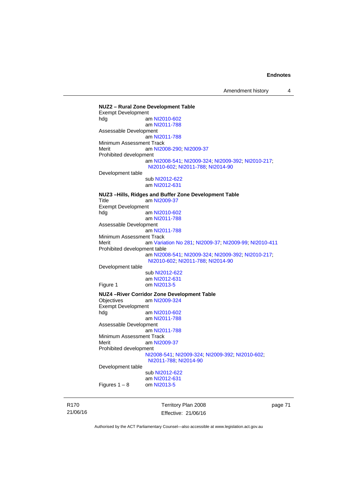Amendment history 4

**NUZ2 – Rural Zone Development Table**  Exempt Development hdg am [NI2010-602](http://www.legislation.act.gov.au/ni/2010-602/) am [NI2011-788](http://www.legislation.act.gov.au/ni/2011-788/) Assessable Development am [NI2011-788](http://www.legislation.act.gov.au/ni/2011-788/) Minimum Assessment Track Merit **am [NI2008-290](http://www.legislation.act.gov.au/ni/2008-290/); [NI2009-37](http://www.legislation.act.gov.au/ni/2009-37/)** Prohibited development am [NI2008-541](http://www.legislation.act.gov.au/ni/2008-541/); [NI2009-324](http://www.legislation.act.gov.au/ni/2009-324/); [NI2009-392](http://www.legislation.act.gov.au/ni/2009-392/); [NI2010-217](http://www.legislation.act.gov.au/ni/2010-217/); [NI2010-602](http://www.legislation.act.gov.au/ni/2010-602/); [NI2011-788](http://www.legislation.act.gov.au/ni/2011-788/); [NI2014-90](http://www.legislation.act.gov.au/ni/2014-90/default.asp) Development table sub [NI2012-622](http://www.legislation.act.gov.au/ni/2012-622/default.asp) am [NI2012-631](http://www.legislation.act.gov.au/ni/2012-631/default.asp) **NUZ3 –Hills, Ridges and Buffer Zone Development Table**  Title am [NI2009-37](http://www.legislation.act.gov.au/ni/2009-37/) Exempt Development<br>hdg ar am [NI2010-602](http://www.legislation.act.gov.au/ni/2010-602/) am [NI2011-788](http://www.legislation.act.gov.au/ni/2011-788/) Assessable Development am [NI2011-788](http://www.legislation.act.gov.au/ni/2011-788/) Minimum Assessment Track Merit am [Variation No 281](http://www.legislation.act.gov.au/ni/2008-352/); [NI2009-37](http://www.legislation.act.gov.au/ni/2009-37/); [NI2009-99](http://www.legislation.act.gov.au/ni/2009-99/); [NI2010-411](http://www.legislation.act.gov.au/ni/2010-411/) Prohibited development table am [NI2008-541](http://www.legislation.act.gov.au/ni/2008-541/); [NI2009-324](http://www.legislation.act.gov.au/ni/2009-324/); [NI2009-392](http://www.legislation.act.gov.au/ni/2009-392/); [NI2010-217](http://www.legislation.act.gov.au/ni/2010-217/); [NI2010-602](http://www.legislation.act.gov.au/ni/2010-602/); [NI2011-788](http://www.legislation.act.gov.au/ni/2011-788/); [NI2014-90](http://www.legislation.act.gov.au/ni/2014-90/default.asp) Development table sub [NI2012-622](http://www.legislation.act.gov.au/ni/2012-622/default.asp) am [NI2012-631](http://www.legislation.act.gov.au/ni/2012-631/default.asp)<br>Figure 1 com NI2013-5 om [NI2013-5](http://www.legislation.act.gov.au/ni/2013-5/default.asp) **NUZ4 –River Corridor Zone Development Table**  Objectives am [NI2009-324](http://www.legislation.act.gov.au/ni/2009-324/) Exempt Development<br>al am [NI2010-602](http://www.legislation.act.gov.au/ni/2010-602/) am [NI2011-788](http://www.legislation.act.gov.au/ni/2011-788/) Assessable Development am [NI2011-788](http://www.legislation.act.gov.au/ni/2011-788/) Minimum Assessment Track Merit am [NI2009-37](http://www.legislation.act.gov.au/ni/2009-37/) Prohibited development [NI2008-541](http://www.legislation.act.gov.au/ni/2008-541/); [NI2009-324](http://www.legislation.act.gov.au/ni/2009-324/); [NI2009-392](http://www.legislation.act.gov.au/ni/2009-392/); [NI2010-602](http://www.legislation.act.gov.au/ni/2010-602/); [NI2011-788](http://www.legislation.act.gov.au/ni/2011-788/); [NI2014-90](http://www.legislation.act.gov.au/ni/2014-90/default.asp) Development table sub [NI2012-622](http://www.legislation.act.gov.au/ni/2012-622/default.asp) am [NI2012-631](http://www.legislation.act.gov.au/ni/2012-631/default.asp)<br>om NI2013-5 Figures  $1 - 8$ 

R170 21/06/16 Territory Plan 2008 Effective: 21/06/16 page 71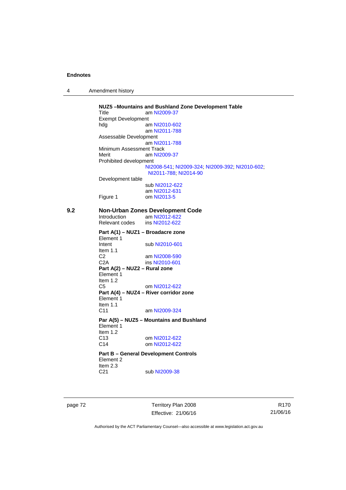|  | Amendment history |
|--|-------------------|
|--|-------------------|

**NUZ5 –Mountains and Bushland Zone Development Table**  Title am [NI2009-37](http://www.legislation.act.gov.au/ni/2009-37/) Exempt Development<br>hdg ar am [NI2010-602](http://www.legislation.act.gov.au/ni/2010-602/) am [NI2011-788](http://www.legislation.act.gov.au/ni/2011-788/) Assessable Development am [NI2011-788](http://www.legislation.act.gov.au/ni/2011-788/) Minimum Assessment Track Merit am [NI2009-37](http://www.legislation.act.gov.au/ni/2009-37/) Prohibited development [NI2008-541](http://www.legislation.act.gov.au/ni/2008-541/); [NI2009-324](http://www.legislation.act.gov.au/ni/2009-324/); [NI2009-392](http://www.legislation.act.gov.au/ni/2009-392/); [NI2010-602](http://www.legislation.act.gov.au/ni/2010-602/); [NI2011-788](http://www.legislation.act.gov.au/ni/2011-788/); [NI2014-90](http://www.legislation.act.gov.au/ni/2014-90/default.asp) Development table sub [NI2012-622](http://www.legislation.act.gov.au/ni/2012-622/default.asp) am [NI2012-631](http://www.legislation.act.gov.au/ni/2012-631/default.asp) Figure 1 om [NI2013-5](http://www.legislation.act.gov.au/ni/2013-5/default.asp) **9.2 Non-Urban Zones Development Code**  Introduction am [NI2012-622](http://www.legislation.act.gov.au/ni/2012-622/default.asp)<br>Relevant codes ins NI2012-622 Relevant codes **Part A(1) – NUZ1 – Broadacre zone**  Element 1 Intent sub [NI2010-601](http://www.legislation.act.gov.au/ni/2010-601/) Item 1.1 C2 am [NI2008-590](http://www.legislation.act.gov.au/ni/2008-590/default.asp) C2A ins [NI2010-601](http://www.legislation.act.gov.au/ni/2010-601/) **Part A(2) – NUZ2 – Rural zone**  Element 1 Item 1.2 C5 om [NI2012-622](http://www.legislation.act.gov.au/ni/2012-622/default.asp) **Part A(4) – NUZ4 – River corridor zone**  Element 1 Item  $1.1$ <br>C<sub>11</sub> am [NI2009-324](http://www.legislation.act.gov.au/ni/2009-324/) **Par A(5) – NUZ5 – Mountains and Bushland**  Element 1 Item 1.2 C13 om [NI2012-622](http://www.legislation.act.gov.au/ni/2012-622/default.asp) C14 om [NI2012-622](http://www.legislation.act.gov.au/ni/2012-622/default.asp) **Part B – General Development Controls**  Element 2 Item  $2.3$ <br>C<sub>21</sub> sub [NI2009-38](http://www.legislation.act.gov.au/ni/2009-38/)

page 72 Territory Plan 2008 Effective: 21/06/16

R170 21/06/16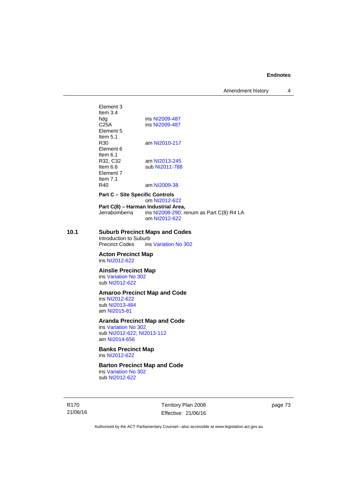Amendment history 4

Element 3 Item 3.4 hdg ins [NI2009-487](http://www.legislation.act.gov.au/ni/2009-487/)<br>C25A ins NI2009-487 ins [NI2009-487](http://www.legislation.act.gov.au/ni/2009-487/) Element 5 Item  $5.1$ <br>R30 am [NI2010-217](http://www.legislation.act.gov.au/ni/2010-217/) Element 6 Item 6.1 R32, C32 am [NI2013-245](http://www.legislation.act.gov.au/ni/2013-245/default.asp) Item 6.6 sub [NI2011-788](http://www.legislation.act.gov.au/ni/2011-788/) Element 7 Item  $7.1$ <br>R40 am [NI2009-38](http://www.legislation.act.gov.au/ni/2009-38/)

**Part C – Site Specific Controls** 

om [NI2012-622](http://www.legislation.act.gov.au/ni/2012-622/default.asp) **Part C(8) – Harman Industrial Area,**  Jerrabomberra ins [NI2008-290](http://www.legislation.act.gov.au/ni/2008-290/); renum as Part C(8) R4 LA om [NI2012-622](http://www.legislation.act.gov.au/ni/2012-622/default.asp)

**10.1 Suburb Precinct Maps and Codes** 

Introduction to Suburb<br>Precinct Codes ins ins [Variation No 302](http://www.legislation.act.gov.au/ni/2011-573/)

**Acton Precinct Map**  ins [NI2012-622](http://www.legislation.act.gov.au/ni/2012-622/default.asp)

**Ainslie Precinct Map** 

ins [Variation No 302](http://www.legislation.act.gov.au/ni/2011-573/) sub [NI2012-622](http://www.legislation.act.gov.au/ni/2012-622/default.asp)

### **Amaroo Precinct Map and Code**

ins [NI2012-622](http://www.legislation.act.gov.au/ni/2012-622/default.asp) sub [NI2013-484](http://www.legislation.act.gov.au/ni/2013-484/default.asp) am [NI2015-81](http://www.legislation.act.gov.au/ni/2015-81/default.asp)

### **Aranda Precinct Map and Code**

ins [Variation No 302](http://www.legislation.act.gov.au/ni/2011-573/) sub [NI2012-622](http://www.legislation.act.gov.au/ni/2012-622/default.asp); [NI2013-112](http://www.legislation.act.gov.au/ni/2013-112/default.asp) am [NI2014-656](http://www.legislation.act.gov.au/ni/2014-656/default.asp)

**Banks Precinct Map**  ins [NI2012-622](http://www.legislation.act.gov.au/ni/2012-622/default.asp)

**Barton Precinct Map and Code** 

ins [Variation No 302](http://www.legislation.act.gov.au/ni/2011-573/) sub [NI2012-622](http://www.legislation.act.gov.au/ni/2012-622/default.asp)

R170 21/06/16 Territory Plan 2008 Effective: 21/06/16 page 73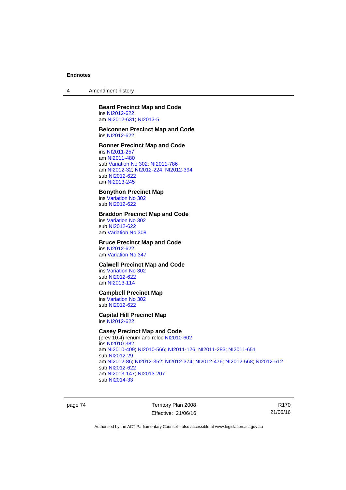4 Amendment history

#### **Beard Precinct Map and Code**  ins [NI2012-622](http://www.legislation.act.gov.au/ni/2012-622/default.asp)

am [NI2012-631](http://www.legislation.act.gov.au/ni/2012-631/default.asp); [NI2013-5](http://www.legislation.act.gov.au/ni/2013-5/default.asp)

#### **Belconnen Precinct Map and Code**  ins [NI2012-622](http://www.legislation.act.gov.au/ni/2012-622/default.asp)

### **Bonner Precinct Map and Code**

ins [NI2011-257](http://www.legislation.act.gov.au/ni/2011-257/) am [NI2011-480](http://www.legislation.act.gov.au/ni/2011-480/) sub [Variation No 302](http://www.legislation.act.gov.au/ni/2011-573/); [NI2011-786](http://www.legislation.act.gov.au/ni/2011-786/) am [NI2012-32](http://www.legislation.act.gov.au/ni/2012-32/); [NI2012-224](http://www.legislation.act.gov.au/ni/2012-224/); [NI2012-394](http://www.legislation.act.gov.au/ni/2012-394/) sub [NI2012-622](http://www.legislation.act.gov.au/ni/2012-622/default.asp) am [NI2013-245](http://www.legislation.act.gov.au/ni/2013-245/default.asp)

### **Bonython Precinct Map**

ins [Variation No 302](http://www.legislation.act.gov.au/ni/2011-573/) sub [NI2012-622](http://www.legislation.act.gov.au/ni/2012-622/default.asp)

### **Braddon Precinct Map and Code**

ins [Variation No 302](http://www.legislation.act.gov.au/ni/2011-573/) sub [NI2012-622](http://www.legislation.act.gov.au/ni/2012-622/default.asp) am [Variation No 308](http://www.legislation.act.gov.au/ni/2014-60/default.asp)

#### **Bruce Precinct Map and Code**

ins [NI2012-622](http://www.legislation.act.gov.au/ni/2012-622/default.asp) am [Variation No 347](http://www.legislation.act.gov.au/ni/2015-449/default.asp)

### **Calwell Precinct Map and Code**

ins [Variation No 302](http://www.legislation.act.gov.au/ni/2011-573/) sub [NI2012-622](http://www.legislation.act.gov.au/ni/2012-622/default.asp) am [NI2013-114](http://www.legislation.act.gov.au/ni/2013-114/default.asp)

### **Campbell Precinct Map**

ins [Variation No 302](http://www.legislation.act.gov.au/ni/2011-573/) sub [NI2012-622](http://www.legislation.act.gov.au/ni/2012-622/default.asp)

### **Capital Hill Precinct Map**

ins [NI2012-622](http://www.legislation.act.gov.au/ni/2012-622/default.asp)

### **Casey Precinct Map and Code**

(prev 10.4) renum and reloc [NI2010-602](http://www.legislation.act.gov.au/ni/2010-602/) ins [NI2010-382](http://www.legislation.act.gov.au/ni/2010-382/) am [NI2010-409](http://www.legislation.act.gov.au/ni/2010-409/); [NI2010-566](http://www.legislation.act.gov.au/ni/2010-566/); [NI2011-126](http://www.legislation.act.gov.au/ni/2011-126/); [NI2011-283](http://www.legislation.act.gov.au/ni/2011-283/); [NI2011-651](http://www.legislation.act.gov.au/ni/2011-651/) sub [NI2012-29](http://www.legislation.act.gov.au/ni/2012-29/) am [NI2012-86](http://www.legislation.act.gov.au/ni/2012-86/); [NI2012-352](http://www.legislation.act.gov.au/ni/2012-352/); [NI2012-374](http://www.legislation.act.gov.au/ni/2012-374/); [NI2012-476](http://www.legislation.act.gov.au/ni/2012-476/); [NI2012-568](http://www.legislation.act.gov.au/ni/2012-568/default.asp); [NI2012-612](http://www.legislation.act.gov.au/ni/2012-612/default.asp) sub [NI2012-622](http://www.legislation.act.gov.au/ni/2012-622/default.asp) am [NI2013-147](http://www.legislation.act.gov.au/ni/2013-147/default.asp); [NI2013-207](http://www.legislation.act.gov.au/ni/2013-207/default.asp) sub [NI2014-33](http://www.legislation.act.gov.au/ni/2014-33/default.asp)

page 74 Territory Plan 2008 Effective: 21/06/16

R170 21/06/16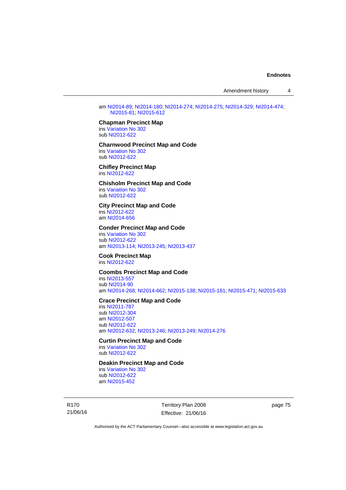am [NI2014-89](http://www.legislation.act.gov.au/ni/2014-89/default.asp); [NI2014-180](http://www.legislation.act.gov.au/ni/2014-180/default.asp); [NI2014-274](http://www.legislation.act.gov.au/ni/2014-274/default.asp); [NI2014-275](http://www.legislation.act.gov.au/ni/2014-275/default.asp); [NI2014-329](http://www.legislation.act.gov.au/ni/2014-329/default.asp); [NI2014-474](http://www.legislation.act.gov.au/ni/2014-474/default.asp); [NI2015-81;](http://www.legislation.act.gov.au/ni/2015-81/default.asp) [NI2015-612](http://www.legislation.act.gov.au/ni/2015-612/default.asp)

### **Chapman Precinct Map**

ins [Variation No 302](http://www.legislation.act.gov.au/ni/2011-573/) sub [NI2012-622](http://www.legislation.act.gov.au/ni/2012-622/default.asp)

#### **Charnwood Precinct Map and Code**  ins [Variation No 302](http://www.legislation.act.gov.au/ni/2011-573/)

sub [NI2012-622](http://www.legislation.act.gov.au/ni/2012-622/default.asp)

#### **Chifley Precinct Map**  ins [NI2012-622](http://www.legislation.act.gov.au/ni/2012-622/default.asp)

#### **Chisholm Precinct Map and Code**  ins [Variation No 302](http://www.legislation.act.gov.au/ni/2011-573/) sub [NI2012-622](http://www.legislation.act.gov.au/ni/2012-622/default.asp)

### **City Precinct Map and Code**

ins [NI2012-622](http://www.legislation.act.gov.au/ni/2012-622/default.asp) am [NI2014-656](http://www.legislation.act.gov.au/ni/2014-656/default.asp)

### **Conder Precinct Map and Code**

ins [Variation No 302](http://www.legislation.act.gov.au/ni/2011-573/) sub [NI2012-622](http://www.legislation.act.gov.au/ni/2012-622/default.asp) am [NI2013-114](http://www.legislation.act.gov.au/ni/2013-114/default.asp); [NI2013-245](http://www.legislation.act.gov.au/ni/2013-245/default.asp); [NI2013-437](http://www.legislation.act.gov.au/ni/2013-437/default.asp)

**Cook Precinct Map**  ins [NI2012-622](http://www.legislation.act.gov.au/ni/2012-622/default.asp)

### **Coombs Precinct Map and Code**

ins [NI2013-557](http://www.legislation.act.gov.au/ni/2013-557/default.asp) sub [NI2014-90](http://www.legislation.act.gov.au/ni/2014-90/default.asp) am [NI2014-268](http://www.legislation.act.gov.au/ni/2014-268/default.asp); [NI2014-662](http://www.legislation.act.gov.au/ni/2014-662/default.asp); [NI2015-138](http://www.legislation.act.gov.au/ni/2015-138/default.asp); [NI2015-181](http://www.legislation.act.gov.au/ni/2015-181/default.asp); [NI2015-471](http://www.legislation.act.gov.au/ni/2015-471/default.asp); [NI2015-633](http://www.legislation.act.gov.au/ni/2015-633/default.asp)

#### **Crace Precinct Map and Code**

ins [NI2011-787](http://www.legislation.act.gov.au/ni/2011-787/) sub [NI2012-304](http://www.legislation.act.gov.au/ni/2012-304/) am [NI2012-507](http://www.legislation.act.gov.au/ni/2012-507/) sub [NI2012-622](http://www.legislation.act.gov.au/ni/2012-622/default.asp) am [NI2012-632](http://www.legislation.act.gov.au/ni/2012-632/default.asp); [NI2013-246](http://www.legislation.act.gov.au/ni/2013-246/default.asp); [NI2013-249](http://www.legislation.act.gov.au/ni/2013-248/default.asp); [NI2014-276](http://www.legislation.act.gov.au/ni/2014-276/default.asp)

### **Curtin Precinct Map and Code**

ins [Variation No 302](http://www.legislation.act.gov.au/ni/2011-573/) sub [NI2012-622](http://www.legislation.act.gov.au/ni/2012-622/default.asp)

### **Deakin Precinct Map and Code**

ins [Variation No 302](http://www.legislation.act.gov.au/ni/2011-573/) sub [NI2012-622](http://www.legislation.act.gov.au/ni/2012-622/default.asp) am [NI2015-452](http://www.legislation.act.gov.au/ni/2015-452/default.asp)

R170 21/06/16 Territory Plan 2008 Effective: 21/06/16 page 75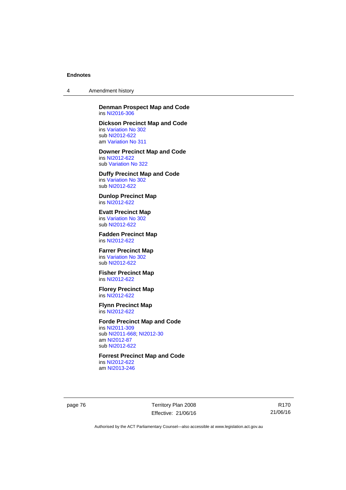4 Amendment history

**Denman Prospect Map and Code**  ins [NI2016-306](http://www.legislation.act.gov.au/ni/2016-306/default.asp)

**Dickson Precinct Map and Code**  ins [Variation No 302](http://www.legislation.act.gov.au/ni/2011-573/) sub [NI2012-622](http://www.legislation.act.gov.au/ni/2012-622/default.asp) am [Variation No 311](http://www.legislation.act.gov.au/ni/2013-208/default.asp)

**Downer Precinct Map and Code**  ins [NI2012-622](http://www.legislation.act.gov.au/ni/2012-622/default.asp) sub [Variation No 322](http://www.legislation.act.gov.au/ni/2015-185/default.asp)

**Duffy Precinct Map and Code**  ins [Variation No 302](http://www.legislation.act.gov.au/ni/2011-573/) sub [NI2012-622](http://www.legislation.act.gov.au/ni/2012-622/default.asp)

**Dunlop Precinct Map**  ins [NI2012-622](http://www.legislation.act.gov.au/ni/2012-622/default.asp)

**Evatt Precinct Map**  ins [Variation No 302](http://www.legislation.act.gov.au/ni/2011-573/) sub [NI2012-622](http://www.legislation.act.gov.au/ni/2012-622/default.asp)

**Fadden Precinct Map**  ins [NI2012-622](http://www.legislation.act.gov.au/ni/2012-622/default.asp)

**Farrer Precinct Map**  ins [Variation No 302](http://www.legislation.act.gov.au/ni/2011-573/) sub [NI2012-622](http://www.legislation.act.gov.au/ni/2012-622/default.asp)

**Fisher Precinct Map**  ins [NI2012-622](http://www.legislation.act.gov.au/ni/2012-622/default.asp)

**Florey Precinct Map**  ins [NI2012-622](http://www.legislation.act.gov.au/ni/2012-622/default.asp)

**Flynn Precinct Map**  ins [NI2012-622](http://www.legislation.act.gov.au/ni/2012-622/default.asp)

### **Forde Precinct Map and Code**

ins [NI2011-309](http://www.legislation.act.gov.au/ni/2011-309/) sub [NI2011-668](http://www.legislation.act.gov.au/ni/2011-668/); [NI2012-30](http://www.legislation.act.gov.au/ni/2012-30/) am [NI2012-87](http://www.legislation.act.gov.au/ni/2012-87/) sub [NI2012-622](http://www.legislation.act.gov.au/ni/2012-622/default.asp)

**Forrest Precinct Map and Code**  ins [NI2012-622](http://www.legislation.act.gov.au/ni/2012-622/default.asp)

am [NI2013-246](http://www.legislation.act.gov.au/ni/2013-246/default.asp)

page 76 Territory Plan 2008 Effective: 21/06/16

R170 21/06/16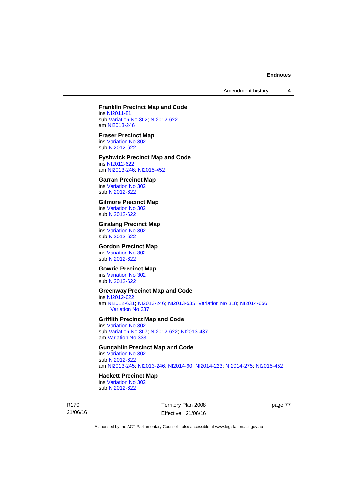Amendment history 4

### **Franklin Precinct Map and Code**

ins [NI2011-81](http://www.legislation.act.gov.au/ni/2011-81/) sub [Variation No 302](http://www.legislation.act.gov.au/ni/2011-573/); [NI2012-622](http://www.legislation.act.gov.au/ni/2012-622/default.asp) am [NI2013-246](http://www.legislation.act.gov.au/ni/2013-246/default.asp)

#### **Fraser Precinct Map**

ins [Variation No 302](http://www.legislation.act.gov.au/ni/2011-573/) sub [NI2012-622](http://www.legislation.act.gov.au/ni/2012-622/default.asp)

### **Fyshwick Precinct Map and Code**

ins [NI2012-622](http://www.legislation.act.gov.au/ni/2012-622/default.asp) am [NI2013-246](http://www.legislation.act.gov.au/ni/2013-246/default.asp); [NI2015-452](http://www.legislation.act.gov.au/ni/2015-452/default.asp)

#### **Garran Precinct Map**

ins [Variation No 302](http://www.legislation.act.gov.au/ni/2011-573/) sub [NI2012-622](http://www.legislation.act.gov.au/ni/2012-622/default.asp)

### **Gilmore Precinct Map**

ins [Variation No 302](http://www.legislation.act.gov.au/ni/2011-573/) sub [NI2012-622](http://www.legislation.act.gov.au/ni/2012-622/default.asp)

### **Giralang Precinct Map**

ins [Variation No 302](http://www.legislation.act.gov.au/ni/2011-573/) sub [NI2012-622](http://www.legislation.act.gov.au/ni/2012-622/default.asp)

#### **Gordon Precinct Map**

ins [Variation No 302](http://www.legislation.act.gov.au/ni/2011-573/) sub [NI2012-622](http://www.legislation.act.gov.au/ni/2012-622/default.asp)

#### **Gowrie Precinct Map**

ins [Variation No 302](http://www.legislation.act.gov.au/ni/2011-573/) sub [NI2012-622](http://www.legislation.act.gov.au/ni/2012-622/default.asp)

### **Greenway Precinct Map and Code**

ins [NI2012-622](http://www.legislation.act.gov.au/ni/2012-622/default.asp) am [NI2012-631](http://www.legislation.act.gov.au/ni/2012-631/default.asp); [NI2013-246](http://www.legislation.act.gov.au/ni/2013-246/default.asp); [NI2013-535](http://www.legislation.act.gov.au/ni/2013-535/); [Variation No 318](http://www.legislation.act.gov.au/ni/2014-294/default.asp); [NI2014-656](http://www.legislation.act.gov.au/ni/2014-656/default.asp); [Variation No 337](http://www.legislation.act.gov.au/ni/2015-375/default.asp)

### **Griffith Precinct Map and Code**

ins [Variation No 302](http://www.legislation.act.gov.au/ni/2011-573/) sub [Variation No 307](http://www.legislation.act.gov.au/ni/2012-201/); [NI2012-622](http://www.legislation.act.gov.au/ni/2012-622/default.asp); [NI2013-437](http://www.legislation.act.gov.au/ni/2013-437/default.asp) am [Variation No 333](http://www.legislation.act.gov.au/ni/2016-65/default.asp)

### **Gungahlin Precinct Map and Code**

ins [Variation No 302](http://www.legislation.act.gov.au/ni/2011-573/) sub [NI2012-622](http://www.legislation.act.gov.au/ni/2012-622/default.asp) am [NI2013-245](http://www.legislation.act.gov.au/ni/2013-245/default.asp); [NI2013-246](http://www.legislation.act.gov.au/ni/2013-246/default.asp); [NI2014-90](http://www.legislation.act.gov.au/ni/2014-90/default.asp); [NI2014-223](http://www.legislation.act.gov.au/ni/2014-223/default.asp); [NI2014-275](http://www.legislation.act.gov.au/ni/2014-275/default.asp); [NI2015-452](http://www.legislation.act.gov.au/ni/2015-452/default.asp)

# **Hackett Precinct Map**

ins [Variation No 302](http://www.legislation.act.gov.au/ni/2011-573/) sub [NI2012-622](http://www.legislation.act.gov.au/ni/2012-622/default.asp)

R170 21/06/16 Territory Plan 2008 Effective: 21/06/16 page 77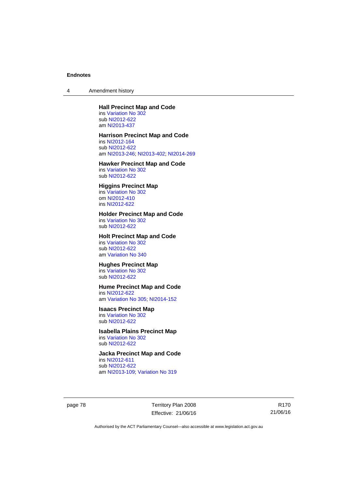4 Amendment history

### **Hall Precinct Map and Code**

ins [Variation No 302](http://www.legislation.act.gov.au/ni/2011-573/) sub [NI2012-622](http://www.legislation.act.gov.au/ni/2012-622/default.asp) am [NI2013-437](http://www.legislation.act.gov.au/ni/2013-437/default.asp)

### **Harrison Precinct Map and Code**

ins [NI2012-164](http://www.legislation.act.gov.au/ni/2012-164/) sub [NI2012-622](http://www.legislation.act.gov.au/ni/2012-622/default.asp) am [NI2013-246](http://www.legislation.act.gov.au/ni/2013-246/default.asp); [NI2013-402](http://www.legislation.act.gov.au/ni/2013-402/default.asp); [NI2014-269](http://www.legislation.act.gov.au/ni/2014-269/default.asp)

#### **Hawker Precinct Map and Code**  ins [Variation No 302](http://www.legislation.act.gov.au/ni/2011-573/)

sub [NI2012-622](http://www.legislation.act.gov.au/ni/2012-622/default.asp)

### **Higgins Precinct Map**

ins [Variation No 302](http://www.legislation.act.gov.au/ni/2011-573/) om [NI2012-410](http://www.legislation.act.gov.au/ni/2012-410/) ins [NI2012-622](http://www.legislation.act.gov.au/ni/2012-622/default.asp)

# **Holder Precinct Map and Code**

ins [Variation No 302](http://www.legislation.act.gov.au/ni/2011-573/) sub [NI2012-622](http://www.legislation.act.gov.au/ni/2012-622/default.asp)

### **Holt Precinct Map and Code**

ins [Variation No 302](http://www.legislation.act.gov.au/ni/2011-573/) sub [NI2012-622](http://www.legislation.act.gov.au/ni/2012-622/default.asp) am [Variation No 340](http://www.legislation.act.gov.au/ni/2016-56/default.asp)

# **Hughes Precinct Map**

ins [Variation No 302](http://www.legislation.act.gov.au/ni/2011-573/) sub [NI2012-622](http://www.legislation.act.gov.au/ni/2012-622/default.asp)

### **Hume Precinct Map and Code**

ins [NI2012-622](http://www.legislation.act.gov.au/ni/2012-622/default.asp) am [Variation No 305](http://www.legislation.act.gov.au/ni/2013-530/default.asp); [NI2014-152](http://www.legislation.act.gov.au/ni/2014-152/default.asp)

#### **Isaacs Precinct Map**

ins [Variation No 302](http://www.legislation.act.gov.au/ni/2011-573/) sub [NI2012-622](http://www.legislation.act.gov.au/ni/2012-622/default.asp)

#### **Isabella Plains Precinct Map**  ins [Variation No 302](http://www.legislation.act.gov.au/ni/2011-573/)

sub [NI2012-622](http://www.legislation.act.gov.au/ni/2012-622/default.asp)

# **Jacka Precinct Map and Code**

ins [NI2012-611](http://www.legislation.act.gov.au/ni/2012-611/default.asp) sub [NI2012-622](http://www.legislation.act.gov.au/ni/2012-622/default.asp) am [NI2013-109](http://www.legislation.act.gov.au/ni/2013-109/default.asp); [Variation No 319](http://www.legislation.act.gov.au/ni/2014-501/default.asp)

page 78 Territory Plan 2008 Effective: 21/06/16

R170 21/06/16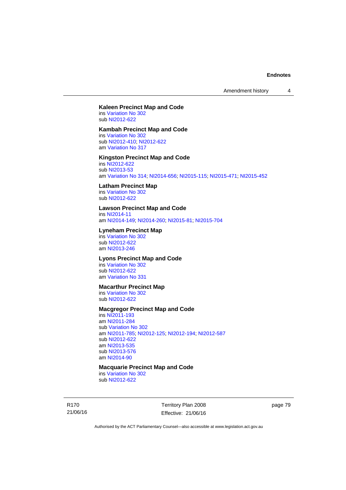Amendment history 4

# **Kaleen Precinct Map and Code**

ins [Variation No 302](http://www.legislation.act.gov.au/ni/2011-573/) sub [NI2012-622](http://www.legislation.act.gov.au/ni/2012-622/default.asp)

### **Kambah Precinct Map and Code**

ins [Variation No 302](http://www.legislation.act.gov.au/ni/2011-573/) sub [NI2012-410](http://www.legislation.act.gov.au/ni/2012-410/); [NI2012-622](http://www.legislation.act.gov.au/ni/2012-622/default.asp) am [Variation No 317](http://www.legislation.act.gov.au/ni/2014-137/default.asp)

### **Kingston Precinct Map and Code**

ins [NI2012-622](http://www.legislation.act.gov.au/ni/2012-622/default.asp) sub [NI2013-53](http://www.legislation.act.gov.au/ni/2013-53/default.asp) am [Variation No 314](http://www.legislation.act.gov.au/ni/2014-187/default.asp); [NI2014-656](http://www.legislation.act.gov.au/ni/2014-656/default.asp); [NI2015-115](http://www.legislation.act.gov.au/ni/2015-115/default.asp); [NI2015-471](http://www.legislation.act.gov.au/ni/2015-471/default.asp); [NI2015-452](http://www.legislation.act.gov.au/ni/2015-452/default.asp)

#### **Latham Precinct Map**

ins [Variation No 302](http://www.legislation.act.gov.au/ni/2011-573/) sub [NI2012-622](http://www.legislation.act.gov.au/ni/2012-622/default.asp)

### **Lawson Precinct Map and Code**

ins [NI2014-11](http://www.legislation.act.gov.au/ni/2014-11/default.asp) am [NI2014-149](http://www.legislation.act.gov.au/ni/2014-149/default.asp); [NI2014-260](http://www.legislation.act.gov.au/ni/2014-260/default.asp); [NI2015-81](http://www.legislation.act.gov.au/ni/2015-81/default.asp); [NI2015-704](http://www.legislation.act.gov.au/ni/2015-704/default.asp)

#### **Lyneham Precinct Map**

ins [Variation No 302](http://www.legislation.act.gov.au/ni/2011-573/) sub [NI2012-622](http://www.legislation.act.gov.au/ni/2012-622/default.asp) am [NI2013-246](http://www.legislation.act.gov.au/ni/2013-246/default.asp)

# **Lyons Precinct Map and Code**

ins [Variation No 302](http://www.legislation.act.gov.au/ni/2011-573/) sub [NI2012-622](http://www.legislation.act.gov.au/ni/2012-622/default.asp) am [Variation No 331](http://www.legislation.act.gov.au/ni/2015-448/default.asp)

### **Macarthur Precinct Map**

ins [Variation No 302](http://www.legislation.act.gov.au/ni/2011-573/) sub [NI2012-622](http://www.legislation.act.gov.au/ni/2012-622/default.asp)

### **Macgregor Precinct Map and Code**

ins [NI2011-193](http://www.legislation.act.gov.au/ni/2011-193/) am [NI2011-284](http://www.legislation.act.gov.au/ni/2011-284/) sub [Variation No 302](http://www.legislation.act.gov.au/ni/2011-573/) am [NI2011-785](http://www.legislation.act.gov.au/ni/2011-785/); [NI2012-125](http://www.legislation.act.gov.au/ni/2012-125/); [NI2012-194](http://www.legislation.act.gov.au/ni/2012-194/); [NI2012-587](http://www.legislation.act.gov.au/ni/2012-587/default.asp) sub [NI2012-622](http://www.legislation.act.gov.au/ni/2012-622/default.asp) am [NI2013-535](http://www.legislation.act.gov.au/ni/2013-535/) sub [NI2013-576](http://www.legislation.act.gov.au/ni/2013-576/default.asp) am [NI2014-90](http://www.legislation.act.gov.au/ni/2014-90/default.asp)

### **Macquarie Precinct Map and Code**

ins [Variation No 302](http://www.legislation.act.gov.au/ni/2011-573/) sub [NI2012-622](http://www.legislation.act.gov.au/ni/2012-622/default.asp)

R170 21/06/16 Territory Plan 2008 Effective: 21/06/16 page 79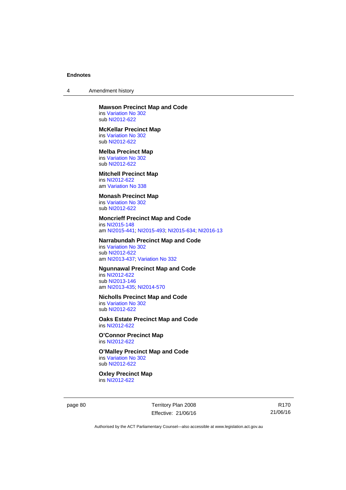4 Amendment history

#### **Mawson Precinct Map and Code**  ins [Variation No 302](http://www.legislation.act.gov.au/ni/2011-573/)

sub [NI2012-622](http://www.legislation.act.gov.au/ni/2012-622/default.asp)

#### **McKellar Precinct Map**

ins [Variation No 302](http://www.legislation.act.gov.au/ni/2011-573/) sub [NI2012-622](http://www.legislation.act.gov.au/ni/2012-622/default.asp)

### **Melba Precinct Map**

ins [Variation No 302](http://www.legislation.act.gov.au/ni/2011-573/) sub [NI2012-622](http://www.legislation.act.gov.au/ni/2012-622/default.asp)

### **Mitchell Precinct Map**

ins [NI2012-622](http://www.legislation.act.gov.au/ni/2012-622/default.asp) am [Variation No 338](http://www.legislation.act.gov.au/ni/2015-101/default.asp)

### **Monash Precinct Map**

ins [Variation No 302](http://www.legislation.act.gov.au/ni/2011-573/) sub [NI2012-622](http://www.legislation.act.gov.au/ni/2012-622/default.asp)

### **Moncrieff Precinct Map and Code**

ins [NI2015-148](http://www.legislation.act.gov.au/ni/2015-148/default.asp) am [NI2015-441](http://www.legislation.act.gov.au/ni/2015-441/default.asp); [NI2015-493](http://www.legislation.act.gov.au/ni/2015-493/default.asp); [NI2015-634](http://www.legislation.act.gov.au/ni/2015-634/default.asp); [NI2016-13](http://www.legislation.act.gov.au/ni/2016-13/default.asp)

### **Narrabundah Precinct Map and Code**

ins [Variation No 302](http://www.legislation.act.gov.au/ni/2011-573/) sub [NI2012-622](http://www.legislation.act.gov.au/ni/2012-622/default.asp) am [NI2013-437](http://www.legislation.act.gov.au/ni/2013-437/default.asp); [Variation No 332](http://www.legislation.act.gov.au/ni/2016-64/default.asp)

#### **Ngunnawal Precinct Map and Code**

ins [NI2012-622](http://www.legislation.act.gov.au/ni/2012-622/default.asp) sub [NI2013-146](http://www.legislation.act.gov.au/ni/2013-146/default.asp) am [NI2013-435](http://www.legislation.act.gov.au/ni/2013-435/default.asp); [NI2014-570](http://www.legislation.act.gov.au/ni/2014-570/default.asp)

### **Nicholls Precinct Map and Code**

ins [Variation No 302](http://www.legislation.act.gov.au/ni/2011-573/) sub [NI2012-622](http://www.legislation.act.gov.au/ni/2012-622/default.asp)

### **Oaks Estate Precinct Map and Code**  ins [NI2012-622](http://www.legislation.act.gov.au/ni/2012-622/default.asp)

**O'Connor Precinct Map**  ins [NI2012-622](http://www.legislation.act.gov.au/ni/2012-622/default.asp)

#### **O'Malley Precinct Map and Code**  ins [Variation No 302](http://www.legislation.act.gov.au/ni/2011-573/) sub [NI2012-622](http://www.legislation.act.gov.au/ni/2012-622/default.asp)

**Oxley Precinct Map**  ins [NI2012-622](http://www.legislation.act.gov.au/ni/2012-622/default.asp)

page 80 Territory Plan 2008 Effective: 21/06/16

R170 21/06/16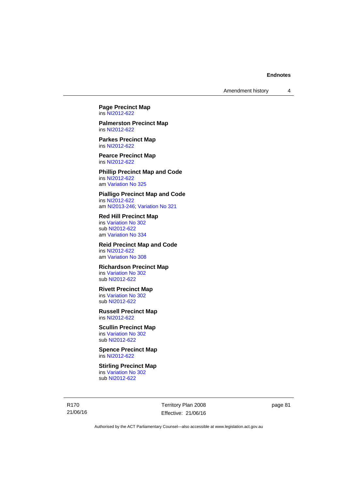**Page Precinct Map**  ins [NI2012-622](http://www.legislation.act.gov.au/ni/2012-622/default.asp)

**Palmerston Precinct Map**  ins [NI2012-622](http://www.legislation.act.gov.au/ni/2012-622/default.asp)

**Parkes Precinct Map**  ins [NI2012-622](http://www.legislation.act.gov.au/ni/2012-622/default.asp)

**Pearce Precinct Map**  ins [NI2012-622](http://www.legislation.act.gov.au/ni/2012-622/default.asp)

**Phillip Precinct Map and Code**  ins [NI2012-622](http://www.legislation.act.gov.au/ni/2012-622/default.asp) am [Variation No 325](http://www.legislation.act.gov.au/ni/2014-427/default.asp)

**Pialligo Precinct Map and Code**  ins [NI2012-622](http://www.legislation.act.gov.au/ni/2012-622/default.asp) am [NI2013-246](http://www.legislation.act.gov.au/ni/2013-246/default.asp); [Variation No 321](http://www.legislation.act.gov.au/ni/2015-446/default.asp)

**Red Hill Precinct Map**  ins [Variation No 302](http://www.legislation.act.gov.au/ni/2011-573/) sub [NI2012-622](http://www.legislation.act.gov.au/ni/2012-622/default.asp) am [Variation No 334](http://www.legislation.act.gov.au/ni/2016-91/default.asp)

**Reid Precinct Map and Code**  ins [NI2012-622](http://www.legislation.act.gov.au/ni/2012-622/default.asp) am [Variation No 308](http://www.legislation.act.gov.au/ni/2014-60/default.asp)

**Richardson Precinct Map**  ins [Variation No 302](http://www.legislation.act.gov.au/ni/2011-573/) sub [NI2012-622](http://www.legislation.act.gov.au/ni/2012-622/default.asp)

**Rivett Precinct Map**  ins [Variation No 302](http://www.legislation.act.gov.au/ni/2011-573/) sub [NI2012-622](http://www.legislation.act.gov.au/ni/2012-622/default.asp)

**Russell Precinct Map**  ins [NI2012-622](http://www.legislation.act.gov.au/ni/2012-622/default.asp)

**Scullin Precinct Map**  ins [Variation No 302](http://www.legislation.act.gov.au/ni/2011-573/) sub [NI2012-622](http://www.legislation.act.gov.au/ni/2012-622/default.asp)

**Spence Precinct Map**  ins [NI2012-622](http://www.legislation.act.gov.au/ni/2012-622/default.asp)

**Stirling Precinct Map**  ins [Variation No 302](http://www.legislation.act.gov.au/ni/2011-573/) sub [NI2012-622](http://www.legislation.act.gov.au/ni/2012-622/default.asp)

R170 21/06/16 Territory Plan 2008 Effective: 21/06/16 page 81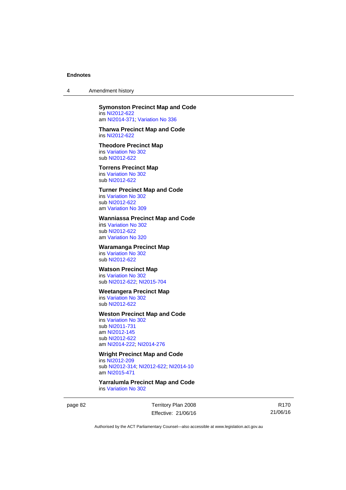4 Amendment history

### **Symonston Precinct Map and Code**

ins [NI2012-622](http://www.legislation.act.gov.au/ni/2012-622/default.asp) am [NI2014-371](http://www.legislation.act.gov.au/ni/2014-371/default.asp); [Variation No 336](http://www.legislation.act.gov.au/ni/2015-100/default.asp)

#### **Tharwa Precinct Map and Code**  ins [NI2012-622](http://www.legislation.act.gov.au/ni/2012-622/default.asp)

### **Theodore Precinct Map**

ins [Variation No 302](http://www.legislation.act.gov.au/ni/2011-573/) sub [NI2012-622](http://www.legislation.act.gov.au/ni/2012-622/default.asp)

### **Torrens Precinct Map**

ins [Variation No 302](http://www.legislation.act.gov.au/ni/2011-573/) sub [NI2012-622](http://www.legislation.act.gov.au/ni/2012-622/default.asp)

### **Turner Precinct Map and Code**

ins [Variation No 302](http://www.legislation.act.gov.au/ni/2011-573/) sub [NI2012-622](http://www.legislation.act.gov.au/ni/2012-622/default.asp) am [Variation No 309](http://www.legislation.act.gov.au/ni/2015-450/default.asp)

### **Wanniassa Precinct Map and Code**

ins [Variation No 302](http://www.legislation.act.gov.au/ni/2011-573/) sub [NI2012-622](http://www.legislation.act.gov.au/ni/2012-622/default.asp) am [Variation No 320](http://www.legislation.act.gov.au/ni/2015-540/default.asp)

### **Waramanga Precinct Map**

ins [Variation No 302](http://www.legislation.act.gov.au/ni/2011-573/) sub [NI2012-622](http://www.legislation.act.gov.au/ni/2012-622/default.asp)

### **Watson Precinct Map**

ins [Variation No 302](http://www.legislation.act.gov.au/ni/2011-573/) sub [NI2012-622](http://www.legislation.act.gov.au/ni/2012-622/default.asp); [NI2015-704](http://www.legislation.act.gov.au/ni/2015-704/default.asp)

#### **Weetangera Precinct Map**

ins [Variation No 302](http://www.legislation.act.gov.au/ni/2011-573/) sub [NI2012-622](http://www.legislation.act.gov.au/ni/2012-622/default.asp)

#### **Weston Precinct Map and Code**

ins [Variation No 302](http://www.legislation.act.gov.au/ni/2011-573/) sub [NI2011-731](http://www.legislation.act.gov.au/ni/2011-731/) am [NI2012-145](http://www.legislation.act.gov.au/ni/2012-145/) sub [NI2012-622](http://www.legislation.act.gov.au/ni/2012-622/default.asp) am [NI2014-222](http://www.legislation.act.gov.au/ni/2014-222/default.asp); [NI2014-276](http://www.legislation.act.gov.au/ni/2014-276/default.asp)

### **Wright Precinct Map and Code**  ins [NI2012-209](http://www.legislation.act.gov.au/ni/2012-209/) sub [NI2012-314](http://www.legislation.act.gov.au/ni/2012-314/); [NI2012-622](http://www.legislation.act.gov.au/ni/2012-622/default.asp); [NI2014-10](http://www.legislation.act.gov.au/ni/2014-10/default.asp)

am [NI2015-471](http://www.legislation.act.gov.au/ni/2015-471/default.asp)

**Yarralumla Precinct Map and Code**  ins [Variation No 302](http://www.legislation.act.gov.au/ni/2011-573/)

page 82 Territory Plan 2008 Effective: 21/06/16

R170 21/06/16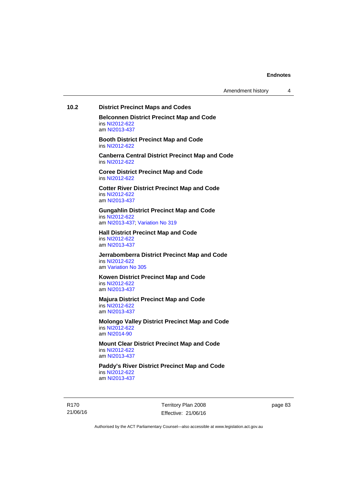Amendment history 4

### **10.2 District Precinct Maps and Codes**

**Belconnen District Precinct Map and Code**  ins [NI2012-622](http://www.legislation.act.gov.au/ni/2012-622/default.asp) am [NI2013-437](http://www.legislation.act.gov.au/ni/2013-437/default.asp)

**Booth District Precinct Map and Code**  ins [NI2012-622](http://www.legislation.act.gov.au/ni/2012-622/default.asp)

**Canberra Central District Precinct Map and Code**  ins [NI2012-622](http://www.legislation.act.gov.au/ni/2012-622/default.asp)

**Coree District Precinct Map and Code**  ins [NI2012-622](http://www.legislation.act.gov.au/ni/2012-622/default.asp)

**Cotter River District Precinct Map and Code**  ins [NI2012-622](http://www.legislation.act.gov.au/ni/2012-622/default.asp) am [NI2013-437](http://www.legislation.act.gov.au/ni/2013-437/default.asp)

**Gungahlin District Precinct Map and Code**  ins [NI2012-622](http://www.legislation.act.gov.au/ni/2012-622/default.asp)

am [NI2013-437](http://www.legislation.act.gov.au/ni/2013-437/default.asp); [Variation No 319](http://www.legislation.act.gov.au/ni/2014-501/default.asp)

**Hall District Precinct Map and Code**  ins [NI2012-622](http://www.legislation.act.gov.au/ni/2012-622/default.asp) am [NI2013-437](http://www.legislation.act.gov.au/ni/2013-437/default.asp)

**Jerrabomberra District Precinct Map and Code**  ins [NI2012-622](http://www.legislation.act.gov.au/ni/2012-622/default.asp) am [Variation No 305](http://www.legislation.act.gov.au/ni/2013-530/default.asp)

**Kowen District Precinct Map and Code**  ins [NI2012-622](http://www.legislation.act.gov.au/ni/2012-622/default.asp) am [NI2013-437](http://www.legislation.act.gov.au/ni/2013-437/default.asp)

**Majura District Precinct Map and Code**  ins [NI2012-622](http://www.legislation.act.gov.au/ni/2012-622/default.asp) am [NI2013-437](http://www.legislation.act.gov.au/ni/2013-437/default.asp)

**Molongo Valley District Precinct Map and Code**  ins [NI2012-622](http://www.legislation.act.gov.au/ni/2012-622/default.asp) am [NI2014-90](http://www.legislation.act.gov.au/ni/2014-90/default.asp)

**Mount Clear District Precinct Map and Code**  ins [NI2012-622](http://www.legislation.act.gov.au/ni/2012-622/default.asp) am [NI2013-437](http://www.legislation.act.gov.au/ni/2013-437/default.asp)

**Paddy's River District Precinct Map and Code**  ins [NI2012-622](http://www.legislation.act.gov.au/ni/2012-622/default.asp) am [NI2013-437](http://www.legislation.act.gov.au/ni/2013-437/default.asp)

R170 21/06/16 Territory Plan 2008 Effective: 21/06/16 page 83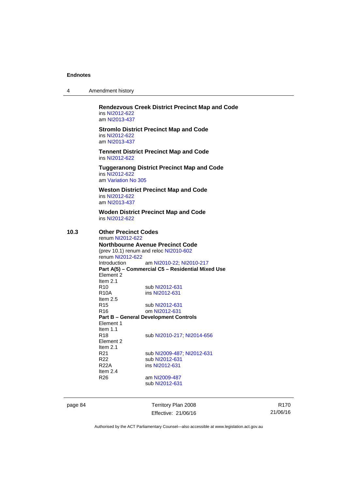| 4 | Amendment history |
|---|-------------------|
|---|-------------------|

**Rendezvous Creek District Precinct Map and Code**  ins [NI2012-622](http://www.legislation.act.gov.au/ni/2012-622/default.asp) am [NI2013-437](http://www.legislation.act.gov.au/ni/2013-437/default.asp)

**Stromlo District Precinct Map and Code**  ins [NI2012-622](http://www.legislation.act.gov.au/ni/2012-622/default.asp) am [NI2013-437](http://www.legislation.act.gov.au/ni/2013-437/default.asp)

**Tennent District Precinct Map and Code**  ins [NI2012-622](http://www.legislation.act.gov.au/ni/2012-622/default.asp)

**Tuggeranong District Precinct Map and Code**  ins [NI2012-622](http://www.legislation.act.gov.au/ni/2012-622/default.asp) am [Variation No 305](http://www.legislation.act.gov.au/ni/2013-530/default.asp)

**Weston District Precinct Map and Code**  ins [NI2012-622](http://www.legislation.act.gov.au/ni/2012-622/default.asp) am [NI2013-437](http://www.legislation.act.gov.au/ni/2013-437/default.asp)

**Woden District Precinct Map and Code**  ins [NI2012-622](http://www.legislation.act.gov.au/ni/2012-622/default.asp)

### **10.3 Other Precinct Codes**

renum [NI2012-622](http://www.legislation.act.gov.au/ni/2012-622/default.asp) **Northbourne Avenue Precinct Code**  (prev 10.1) renum and reloc [NI2010-602](http://www.legislation.act.gov.au/ni/2010-602/) renum [NI2012-622](http://www.legislation.act.gov.au/ni/2012-622/default.asp) Introduction am [NI2010-22](http://www.legislation.act.gov.au/ni/2010-22/); [NI2010-217](http://www.legislation.act.gov.au/ni/2010-217/) **Part A(5) – Commercial C5 – Residential Mixed Use**  Element 2 Item 2.1 R10 sub [NI2012-631](http://www.legislation.act.gov.au/ni/2012-631/default.asp)<br>R10A ins NI2012-631 ins [NI2012-631](http://www.legislation.act.gov.au/ni/2012-631/default.asp) Item 2.5 R15 sub [NI2012-631](http://www.legislation.act.gov.au/ni/2012-631/default.asp) R16 om [NI2012-631](http://www.legislation.act.gov.au/ni/2012-631/default.asp) **Part B – General Development Controls**  Element 1 Item  $1.1$ <br>R<sub>18</sub> sub [NI2010-217](http://www.legislation.act.gov.au/ni/2010-217/); [NI2014-656](http://www.legislation.act.gov.au/ni/2014-656/default.asp) Element 2 Item  $2.1$ <br>R $21$ R21 sub [NI2009-487](http://www.legislation.act.gov.au/ni/2009-487/); [NI2012-631](http://www.legislation.act.gov.au/ni/2012-631/default.asp)<br>R22 sub NI2012-631 sub [NI2012-631](http://www.legislation.act.gov.au/ni/2012-631/default.asp) R22A ins [NI2012-631](http://www.legislation.act.gov.au/ni/2012-631/default.asp) Item 2.4 R26 am [NI2009-487](http://www.legislation.act.gov.au/ni/2009-487/) sub [NI2012-631](http://www.legislation.act.gov.au/ni/2012-631/default.asp)

page 84 Territory Plan 2008 Effective: 21/06/16

R170 21/06/16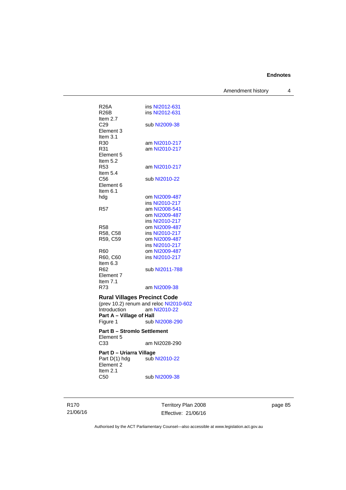Amendment history 4

| R26A<br>R26B<br>Item 2.7                                                                         | ins NI2012-631<br>ins NI2012-631                                         |
|--------------------------------------------------------------------------------------------------|--------------------------------------------------------------------------|
| C29<br>Element 3<br>Item 3.1                                                                     | sub NI2009-38                                                            |
| R30<br>R31<br>Element 5                                                                          | am NI2010-217<br>am NI2010-217                                           |
| Item 5.2<br>R <sub>53</sub><br>Item 5.4                                                          | am NI2010-217                                                            |
| C56<br>Element 6<br>Item $6.1$                                                                   | sub NI2010-22                                                            |
| hdg                                                                                              | om NI2009-487                                                            |
|                                                                                                  | ins NI2010-217                                                           |
| R57                                                                                              | am NI2008-541                                                            |
|                                                                                                  | om NI2009-487                                                            |
|                                                                                                  | ins NI2010-217                                                           |
| R58                                                                                              | om NI2009-487                                                            |
| R58, C58                                                                                         | ins NI2010-217                                                           |
| R59, C59                                                                                         | om NI2009-487                                                            |
|                                                                                                  | ins NI2010-217                                                           |
| R60                                                                                              | om NI2009-487                                                            |
| R60, C60<br>Item 6.3                                                                             | ins NI2010-217                                                           |
| R62<br>Element 7                                                                                 | sub NI2011-788                                                           |
| Item $7.1$                                                                                       |                                                                          |
| R73                                                                                              | am NI2009-38                                                             |
| <b>Rural Villages Precinct Code</b><br>Introduction am I<br>Part A - Village of Hall<br>Figure 1 | (prev 10.2) renum and reloc NI2010-602<br>am NI2010-22<br>sub NI2008-290 |
| <b>Part B - Stromlo Settlement</b><br>Element 5                                                  |                                                                          |
| C33                                                                                              | am NI2028-290                                                            |
| Part D - Uriarra Village<br>Part D(1) hdg<br>Element 2<br>Item 2.1                               | sub NI2010-22                                                            |
| C50                                                                                              | sub NI2009-38                                                            |

R170 21/06/16 Territory Plan 2008 Effective: 21/06/16

page 85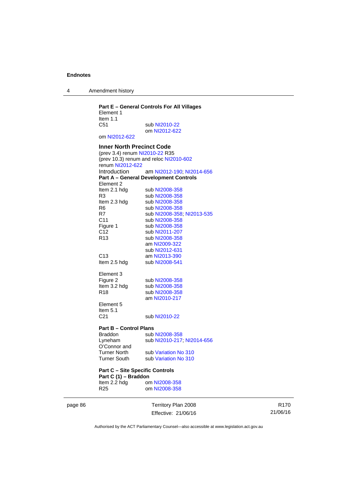4 Amendment history

### **Part E – General Controls For All Villages**  Element 1 Item 1.1<br>C51 sub [NI2010-22](http://www.legislation.act.gov.au/ni/2010-22/) om [NI2012-622](http://www.legislation.act.gov.au/ni/2012-622/default.asp) om [NI2012-622](http://www.legislation.act.gov.au/ni/2012-622/default.asp) **Inner North Precinct Code**  (prev 3.4) renum [NI2010-22](http://www.legislation.act.gov.au/ni/2010-22/) R35 (prev 10.3) renum and reloc [NI2010-602](http://www.legislation.act.gov.au/ni/2010-602/) renum [NI2012-622](http://www.legislation.act.gov.au/ni/2012-622/default.asp) Introduction am [NI2012-190;](http://www.legislation.act.gov.au/ni/2012-190/) [NI2014-656](http://www.legislation.act.gov.au/ni/2014-656/default.asp) **Part A – General Development Controls**  Element 2<br>Item 2.1 hdg sub [NI2008-358](http://www.legislation.act.gov.au/ni/2008-358/) R3 sub [NI2008-358](http://www.legislation.act.gov.au/ni/2008-358/)<br>Item 2.3 hdg sub NI2008-358 Item 2.3 hdg sub [NI2008-358](http://www.legislation.act.gov.au/ni/2008-358/)<br>R6 sub NI2008-358 R6 sub [NI2008-358](http://www.legislation.act.gov.au/ni/2008-358/)<br>R7 sub NI2008-358 sub [NI2008-358](http://www.legislation.act.gov.au/ni/2008-358/); [NI2013-535](http://www.legislation.act.gov.au/ni/2013-535/) C11 sub [NI2008-358](http://www.legislation.act.gov.au/ni/2008-358/)<br>Figure 1 sub NI2008-358 Figure 1 sub [NI2008-358](http://www.legislation.act.gov.au/ni/2008-358/)<br>C12 sub NI2011-207 sub [NI2011-207](http://www.legislation.act.gov.au/ni/2011-207/) R13 sub [NI2008-358](http://www.legislation.act.gov.au/ni/2008-358/) am [NI2009-322](http://www.legislation.act.gov.au/ni/2009-322/) sub [NI2012-631](http://www.legislation.act.gov.au/ni/2012-631/default.asp) C13 am [NI2013-390](http://www.legislation.act.gov.au/ni/2013-390/default.asp)<br>Item 2.5 hdg sub NI2008-541 sub [NI2008-541](http://www.legislation.act.gov.au/ni/2008-541/) Element 3<br>Figure 2 Figure 2 sub [NI2008-358](http://www.legislation.act.gov.au/ni/2008-358/)<br>Item 3.2 hdg sub NI2008-358 sub [NI2008-358](http://www.legislation.act.gov.au/ni/2008-358/) R18 sub [NI2008-358](http://www.legislation.act.gov.au/ni/2008-358/) am [NI2010-217](http://www.legislation.act.gov.au/ni/2010-217/) Element 5 Item  $5.1$ <br> $C<sub>21</sub>$ sub [NI2010-22](http://www.legislation.act.gov.au/ni/2010-22/) **Part B – Control Plans** Braddon sub [NI2008-358](http://www.legislation.act.gov.au/ni/2008-358/)<br>
Lyneham sub NI2010-217 sub [NI2010-217](http://www.legislation.act.gov.au/ni/2010-217/); [NI2014-656](http://www.legislation.act.gov.au/ni/2014-656/default.asp) O'Connor and Turner North sub [Variation No 310](http://www.legislation.act.gov.au/ni/2011-688/) Turner South sub [Variation No 310](http://www.legislation.act.gov.au/ni/2011-688/) **Part C – Site Specific Controls Part C (1) – Braddon**<br>Item 2.2 hdg or om [NI2008-358](http://www.legislation.act.gov.au/ni/2008-358/) R25 om [NI2008-358](http://www.legislation.act.gov.au/ni/2008-358/)

page 86 Territory Plan 2008 Effective: 21/06/16

R170 21/06/16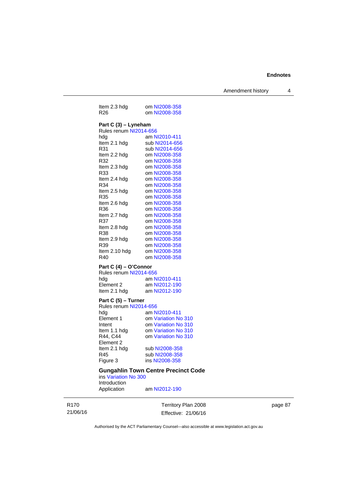Amendment history 4

| Item 2.3 hdg                                                                                                                                                                                                                                  | om NI2008-358                                                                                                                                                                                                                                                                                   |
|-----------------------------------------------------------------------------------------------------------------------------------------------------------------------------------------------------------------------------------------------|-------------------------------------------------------------------------------------------------------------------------------------------------------------------------------------------------------------------------------------------------------------------------------------------------|
| R <sub>26</sub>                                                                                                                                                                                                                               | om NI2008-358                                                                                                                                                                                                                                                                                   |
| Part C (3) - Lyneham<br>Rules renum NI2014-656<br>hda<br>Item 2.1 hdg<br>R31<br>Item 2.2 hdg<br>R32<br>Item 2.3 hdg<br>R33<br>Item 2.4 hdg<br>R34<br>Item 2.5 hdg<br>R35<br>Item 2.6 hdg<br>R36<br>Item 2.7 hdg<br>R37<br>Item 2.8 hdg<br>R38 | am NI2010-411<br>sub NI2014-656<br>sub NI2014-656<br>om NI2008-358<br>om NI2008-358<br>om NI2008-358<br>om NI2008-358<br>om NI2008-358<br>om NI2008-358<br>om NI2008-358<br>om NI2008-358<br>om NI2008-358<br>om NI2008-358<br>om NI2008-358<br>om NI2008-358<br>om NI2008-358<br>om NI2008-358 |
| Item 2.9 hdg                                                                                                                                                                                                                                  | om NI2008-358                                                                                                                                                                                                                                                                                   |
| R39                                                                                                                                                                                                                                           | om NI2008-358                                                                                                                                                                                                                                                                                   |
| Item 2.10 hdg                                                                                                                                                                                                                                 | om NI2008-358                                                                                                                                                                                                                                                                                   |
| R40                                                                                                                                                                                                                                           | om NI2008-358                                                                                                                                                                                                                                                                                   |
| Part C (4) - O'Connor<br>Rules renum NI2014-656<br>hda<br>Element <sub>2</sub><br>Item 2.1 hdg<br>Part C (5) - Turner                                                                                                                         | am NI2010-411<br>am NI2012-190<br>am NI2012-190                                                                                                                                                                                                                                                 |

Rules renum [NI2014-656](http://www.legislation.act.gov.au/ni/2014-656/default.asp)<br>hdg am N hdg am [NI2010-411](http://www.legislation.act.gov.au/ni/2010-411/)<br>Element 1 om Variation No om [Variation No 310](http://www.legislation.act.gov.au/ni/2011-688/) Intent om [Variation No 310](http://www.legislation.act.gov.au/ni/2011-688/)<br>Item 1.1 hdg om Variation No 310 om [Variation No 310](http://www.legislation.act.gov.au/ni/2011-688/) om [Variation No 310](http://www.legislation.act.gov.au/ni/2011-688/) R44, C44<br>Element 2<br>Item 2.1 hdg Item 2.1 hdg sub [NI2008-358](http://www.legislation.act.gov.au/ni/2008-358/)<br>R45 sub NI2008-358 R45 sub [NI2008-358](http://www.legislation.act.gov.au/ni/2008-358/)<br>Figure 3 ins NI2008-358 ins [NI2008-358](http://www.legislation.act.gov.au/ni/2008-358/)

#### **Gungahlin Town Centre Precinct Code**

ins [Variation No 300](http://www.legislation.act.gov.au/ni/2011-691/) Introduction Application am [NI2012-190](http://www.legislation.act.gov.au/ni/2012-190/)

R170 21/06/16 Territory Plan 2008 Effective: 21/06/16 page 87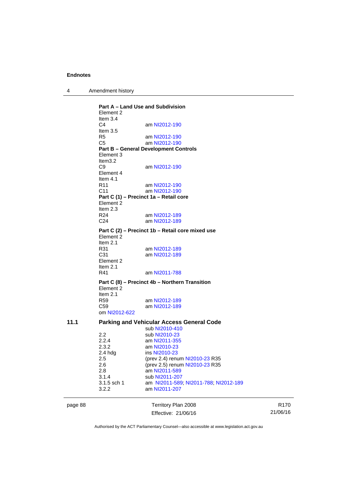4 Amendment history

|         | Part A – Land Use and Subdivision<br>Element 2<br>Item $3.4$ |                                                        |
|---------|--------------------------------------------------------------|--------------------------------------------------------|
|         | C4<br>Item $3.5$                                             | am NI2012-190                                          |
|         | R5                                                           | am NI2012-190                                          |
|         | C5                                                           | am NI2012-190                                          |
|         | Element 3<br>Item $3.2$                                      | <b>Part B - General Development Controls</b>           |
|         | C <sub>9</sub><br>Element 4<br>Item $4.1$                    | am NI2012-190                                          |
|         | R <sub>11</sub>                                              | am NI2012-190                                          |
|         | C <sub>11</sub>                                              | am NI2012-190                                          |
|         |                                                              | Part C (1) - Precinct 1a - Retail core                 |
|         | Element 2                                                    |                                                        |
|         | Item $2.3$                                                   |                                                        |
|         | R24<br>C24                                                   | am NI2012-189<br>am NI2012-189                         |
|         |                                                              |                                                        |
|         | Element 2<br>Item $2.1$                                      | Part C (2) – Precinct 1b – Retail core mixed use       |
|         | R31                                                          | am NI2012-189                                          |
|         | C31<br>Element 2<br>Item $2.1$                               | am NI2012-189                                          |
|         | R41                                                          | am NI2011-788                                          |
|         | Element 2<br>Item $2.1$                                      | Part C (8) - Precinct 4b - Northern Transition         |
|         | R59                                                          | am NI2012-189                                          |
|         | C59<br>om NI2012-622                                         | am NI2012-189                                          |
|         |                                                              |                                                        |
| 11.1    |                                                              | <b>Parking and Vehicular Access General Code</b>       |
|         |                                                              | sub NI2010-410                                         |
|         | 2.2<br>2.2.4                                                 | sub NI2010-23<br>am NI2011-355                         |
|         | 2.3.2                                                        | am NI2010-23                                           |
|         | $2.4$ hdg                                                    | ins NI2010-23                                          |
|         | 2.5                                                          | (prev 2.4) renum NI2010-23 R35                         |
|         | 2.6                                                          | (prev 2.5) renum NI2010-23 R35                         |
|         | 2.8                                                          | am NI2011-589                                          |
|         | 3.1.4                                                        | sub NI2011-207                                         |
|         | 3.1.5 sch 1                                                  | am NI2011-589; NI2011-788; NI2012-189<br>am NI2011-207 |
|         | 3.2.2                                                        |                                                        |
| page 88 |                                                              | Territory Plan 2008                                    |

Effective: 21/06/16

R170 21/06/16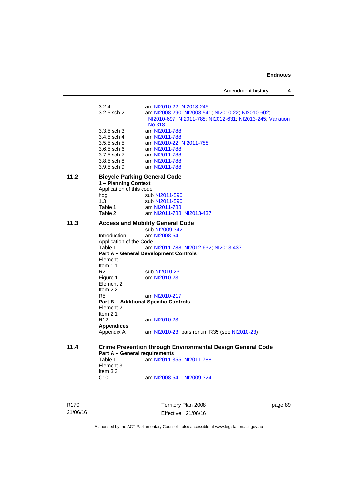Amendment history 4

3.2.4 am [NI2010-22](http://www.legislation.act.gov.au/ni/2010-22/); [NI2013-245](http://www.legislation.act.gov.au/ni/2013-245/default.asp)<br>3.2.5 sch 2 am NI2008-290, NI2008-54 am [NI2008-290](http://www.legislation.act.gov.au/ni/2008-290/), [NI2008-541](http://www.legislation.act.gov.au/ni/2008-541/); [NI2010-22](http://www.legislation.act.gov.au/ni/2010-22/); [NI2010-602](http://www.legislation.act.gov.au/ni/2010-602/); [NI2010-697](http://www.legislation.act.gov.au/ni/2010-697/); [NI2011-788](http://www.legislation.act.gov.au/ni/2011-788/); [NI2012-631](http://www.legislation.act.gov.au/ni/2012-631/default.asp); [NI2013-245](http://www.legislation.act.gov.au/ni/2013-245/default.asp); [Variation](http://www.legislation.act.gov.au/ni/2014-294/default.asp)  [No 318](http://www.legislation.act.gov.au/ni/2014-294/default.asp) 3.3.5 sch 3 am [NI2011-788](http://www.legislation.act.gov.au/ni/2011-788/) 3.4.5 sch 4 am [NI2011-788](http://www.legislation.act.gov.au/ni/2011-788/)<br>3.5.5 sch 5 am NI2010-22; am [NI2010-22](http://www.legislation.act.gov.au/ni/2010-22/); [NI2011-788](http://www.legislation.act.gov.au/ni/2011-788/) 3.6.5 sch 6 am [NI2011-788](http://www.legislation.act.gov.au/ni/2011-788/) 3.7.5 sch 7 am [NI2011-788](http://www.legislation.act.gov.au/ni/2011-788/) 3.8.5 sch 8 am [NI2011-788](http://www.legislation.act.gov.au/ni/2011-788/) 3.9.5 sch 9 am [NI2011-788](http://www.legislation.act.gov.au/ni/2011-788/) **11.2 Bicycle Parking General Code 1 – Planning Context**  Application of this code hdg sub [NI2011-590](http://www.legislation.act.gov.au/ni/2011-590/)<br>1.3 sub NI2011-590 1.3 sub [NI2011-590](http://www.legislation.act.gov.au/ni/2011-590/)<br>Table 1 am NI2011-788 Table 1 am [NI2011-788](http://www.legislation.act.gov.au/ni/2011-788/)<br>Table 2 am NI2011-788 am [NI2011-788](http://www.legislation.act.gov.au/ni/2011-788/); [NI2013-437](http://www.legislation.act.gov.au/ni/2013-437/default.asp) **11.3 Access and Mobility General Code**  sub [NI2009-342](http://www.legislation.act.gov.au/ni/2009-342/) Introduction am [NI2008-541](http://www.legislation.act.gov.au/ni/2008-541/) Application of the Code Table 1 am [NI2011-788](http://www.legislation.act.gov.au/ni/2011-788/); [NI2012-632](http://www.legislation.act.gov.au/ni/2012-632/default.asp); [NI2013-437](http://www.legislation.act.gov.au/ni/2013-437/default.asp) **Part A – General Development Controls**  Element 1 Item 1.1<br>R2 R2 sub [NI2010-23](http://www.legislation.act.gov.au/ni/2010-23/)<br>Figure 1 om NI2010-23 om [NI2010-23](http://www.legislation.act.gov.au/ni/2010-23/) Element 2 Item 2.2<br>R5 am [NI2010-217](http://www.legislation.act.gov.au/ni/2010-217/) **Part B – Additional Specific Controls**  Element 2 Item 2.1 R12 am [NI2010-23](http://www.legislation.act.gov.au/ni/2010-23/) **Appendices**  Appendix A am [NI2010-23](http://www.legislation.act.gov.au/ni/2010-23/); pars renum R35 (see NI2010-23) **11.4 Crime Prevention through Environmental Design General Code Part A – General requirements**<br>Table 1 am NI2011-3 am [NI2011-355](http://www.legislation.act.gov.au/ni/2011-355/); [NI2011-788](http://www.legislation.act.gov.au/ni/2011-788/) Element 3 Item 3.3 C10 am [NI2008-541](http://www.legislation.act.gov.au/ni/2008-541/); [NI2009-324](http://www.legislation.act.gov.au/ni/2009-324/)

R170 21/06/16 Territory Plan 2008 Effective: 21/06/16 page 89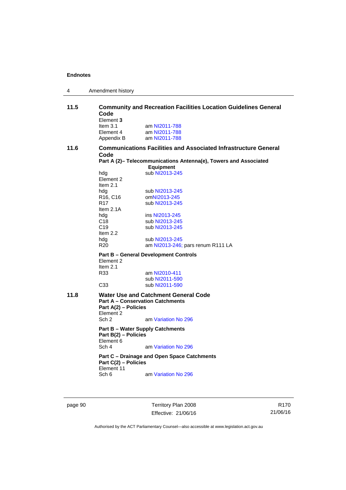| 4    | Amendment history                                                                                                                                                                                                                        |                                                                                                                                                                                                                                                                                      |  |
|------|------------------------------------------------------------------------------------------------------------------------------------------------------------------------------------------------------------------------------------------|--------------------------------------------------------------------------------------------------------------------------------------------------------------------------------------------------------------------------------------------------------------------------------------|--|
| 11.5 | Code<br>Element 3<br>Item $3.1$<br>Element 4<br>Appendix B                                                                                                                                                                               | <b>Community and Recreation Facilities Location Guidelines General</b><br>am NI2011-788<br>am NI2011-788<br>am NI2011-788                                                                                                                                                            |  |
| 11.6 | <b>Communications Facilities and Associated Infrastructure General</b><br>Code<br>Part A (2)- Telecommunications Antenna(e), Towers and Associated<br><b>Equipment</b>                                                                   |                                                                                                                                                                                                                                                                                      |  |
|      | hdg<br>Element 2<br>Item $2.1$<br>hdg<br>R <sub>16</sub> , C <sub>16</sub><br>R <sub>17</sub><br>Item $2.1A$<br>hdg<br>C18<br>C <sub>19</sub><br>Item 2.2<br>hdg<br>R <sub>20</sub><br>Element 2<br>Item $2.1$<br>R33<br>C <sub>33</sub> | sub NI2013-245<br>sub NI2013-245<br>omNI2013-245<br>sub NI2013-245<br>ins NI2013-245<br>sub NI2013-245<br>sub NI2013-245<br>sub NI2013-245<br>am NI2013-246; pars renum R111 LA<br><b>Part B - General Development Controls</b><br>am NI2010-411<br>sub NI2011-590<br>sub NI2011-590 |  |
| 11.8 | Part A(2) - Policies<br>Element 2<br>Sch <sub>2</sub><br>Part B(2) - Policies<br>Element 6<br>Sch 4<br>Part C(2) - Policies<br>Element 11<br>Sch 6                                                                                       | Water Use and Catchment General Code<br><b>Part A - Conservation Catchments</b><br>am Variation No 296<br><b>Part B - Water Supply Catchments</b><br>am Variation No 296<br>Part C – Drainage and Open Space Catchments<br>am Variation No 296                                       |  |

page 90 Territory Plan 2008 Effective: 21/06/16

R170 21/06/16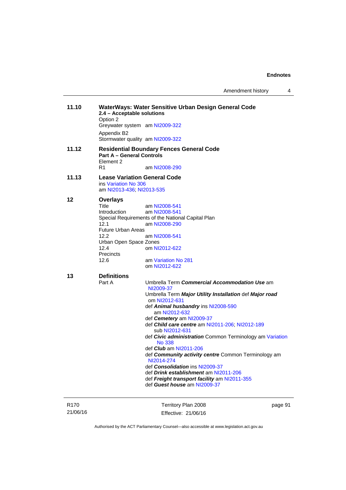Amendment history 4

| 11.10            | 2.4 - Acceptable solutions<br>Option 2                                                   | WaterWays: Water Sensitive Urban Design General Code                     |        |
|------------------|------------------------------------------------------------------------------------------|--------------------------------------------------------------------------|--------|
|                  |                                                                                          | Greywater system am NI2009-322                                           |        |
|                  | Appendix B2                                                                              | Stormwater quality am NI2009-322                                         |        |
| 11.12            |                                                                                          | <b>Residential Boundary Fences General Code</b>                          |        |
|                  | <b>Part A - General Controls</b><br>Element 2                                            |                                                                          |        |
|                  | R1                                                                                       | am NI2008-290                                                            |        |
| 11.13            | <b>Lease Variation General Code</b><br>ins Variation No 306<br>am NI2013-436; NI2013-535 |                                                                          |        |
| 12               | <b>Overlays</b>                                                                          |                                                                          |        |
|                  | Title                                                                                    | am NI2008-541                                                            |        |
|                  | <b>Introduction</b>                                                                      | am NI2008-541                                                            |        |
|                  |                                                                                          | Special Requirements of the National Capital Plan                        |        |
|                  | 12.1                                                                                     | am NI2008-290                                                            |        |
|                  | <b>Future Urban Areas</b>                                                                |                                                                          |        |
|                  | 12.2<br>Urban Open Space Zones                                                           | am NI2008-541                                                            |        |
|                  | 12.4                                                                                     | om NI2012-622                                                            |        |
|                  | Precincts                                                                                |                                                                          |        |
|                  | 12.6                                                                                     | am Variation No 281                                                      |        |
|                  |                                                                                          | om NI2012-622                                                            |        |
| 13               | <b>Definitions</b>                                                                       |                                                                          |        |
|                  | Part A                                                                                   | Umbrella Term Commercial Accommodation Use am<br>NI2009-37               |        |
|                  |                                                                                          | Umbrella Term Major Utility Installation def Major road<br>om NI2012-631 |        |
|                  |                                                                                          | def Animal husbandry ins NI2008-590                                      |        |
|                  |                                                                                          | am NI2012-632<br>def Cemetery am NI2009-37                               |        |
|                  |                                                                                          | def Child care centre am NI2011-206; NI2012-189                          |        |
|                  |                                                                                          | sub NI2012-631                                                           |        |
|                  |                                                                                          | def Civic administration Common Terminology am Variation                 |        |
|                  |                                                                                          | <b>No 338</b>                                                            |        |
|                  |                                                                                          | def <i>Club</i> am NI2011-206                                            |        |
|                  |                                                                                          | def Community activity centre Common Terminology am                      |        |
|                  |                                                                                          | NI2014-274<br>def <i>Consolidation</i> ins NI2009-37                     |        |
|                  |                                                                                          | def <i>Drink establishment</i> am NI2011-206                             |        |
|                  |                                                                                          | def Freight transport facility am NI2011-355                             |        |
|                  |                                                                                          | def Guest house am NI2009-37                                             |        |
|                  |                                                                                          |                                                                          |        |
| R <sub>170</sub> |                                                                                          | Territory Plan 2008                                                      | page 9 |

21/06/16

Territory Plan 2008 Effective: 21/06/16 page 91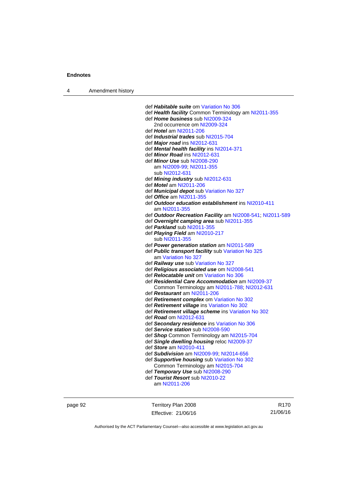4 Amendment history

 def *Habitable suite* om [Variation No 306](http://www.legislation.act.gov.au/ni/2013-93/default.asp) def *Health facility* Common Terminology am [NI2011-355](http://www.legislation.act.gov.au/ni/2011-355/) def *Home business* sub [NI2009-324](http://www.legislation.act.gov.au/ni/2009-324/) 2nd occurrence om [NI2009-324](http://www.legislation.act.gov.au/ni/2009-324/) def *Hotel* am [NI2011-206](http://www.legislation.act.gov.au/ni/2011-206/) def *Industrial trades* sub [NI2015-704](http://www.legislation.act.gov.au/ni/2015-704/default.asp) def *Major road* ins [NI2012-631](http://www.legislation.act.gov.au/ni/2012-631/default.asp) def *Mental health facility* ins [NI2014-371](http://www.legislation.act.gov.au/ni/2014-371/default.asp) def *Minor Road* ins [NI2012-631](http://www.legislation.act.gov.au/ni/2012-631/default.asp) def *Minor Use* sub [NI2008-290](http://www.legislation.act.gov.au/ni/2008-290/) am [NI2009-99](http://www.legislation.act.gov.au/ni/2009-99/); [NI2011-355](http://www.legislation.act.gov.au/ni/2011-355/) sub [NI2012-631](http://www.legislation.act.gov.au/ni/2012-631/default.asp) def *Mining industry* sub [NI2012-631](http://www.legislation.act.gov.au/ni/2012-631/default.asp) def *Motel* am [NI2011-206](http://www.legislation.act.gov.au/ni/2011-206/) def *Municipal depot* sub [Variation No 327](http://www.legislation.act.gov.au/ni/2015-449/default.asp) def *Office* am [NI2011-355](http://www.legislation.act.gov.au/ni/2011-355/) def *Outdoor education establishment* ins [NI2010-411](http://www.legislation.act.gov.au/ni/2010-411/) am [NI2011-355](http://www.legislation.act.gov.au/ni/2011-355/) def *Outdoor Recreation Facility* am [NI2008-541;](http://www.legislation.act.gov.au/ni/2008-541/) [NI2011-589](http://www.legislation.act.gov.au/ni/2011-589/) def *Overnight camping area* sub [NI2011-355](http://www.legislation.act.gov.au/ni/2011-355/) def *Parkland* sub [NI2011-355](http://www.legislation.act.gov.au/ni/2011-355/) def *Playing Field* am [NI2010-217](http://www.legislation.act.gov.au/ni/2010-217/) sub [NI2011-355](http://www.legislation.act.gov.au/ni/2011-355/) def *Power generation station* am [NI2011-589](http://www.legislation.act.gov.au/ni/2011-589/) def *Public transport facility* sub [Variation No 325](http://www.legislation.act.gov.au/ni/2014-427/default.asp) am [Variation No 327](http://www.legislation.act.gov.au/ni/2015-449/default.asp) def *Railway use* sub [Variation No 327](http://www.legislation.act.gov.au/ni/2015-449/default.asp) def *Religious associated use* om [NI2008-541](http://www.legislation.act.gov.au/ni/2008-541/) def *Relocatable unit* om [Variation No 306](http://www.legislation.act.gov.au/ni/2013-93/default.asp) def *Residential Care Accommodation* am [NI2009-37](http://www.legislation.act.gov.au/ni/2009-37/) Common Terminology am [NI2011-788](http://www.legislation.act.gov.au/ni/2011-788/); [NI2012-631](http://www.legislation.act.gov.au/ni/2012-631/default.asp) def *Restaurant* am [NI2011-206](http://www.legislation.act.gov.au/ni/2011-206/) def *Retirement complex* om [Variation No 302](http://www.legislation.act.gov.au/ni/2011-573/) def *Retirement village* ins [Variation No 302](http://www.legislation.act.gov.au/ni/2011-573/) def *Retirement village scheme* ins [Variation No 302](http://www.legislation.act.gov.au/ni/2011-573/) def *Road* om [NI2012-631](http://www.legislation.act.gov.au/ni/2012-631/default.asp) def *Secondary residence* ins [Variation No 306](http://www.legislation.act.gov.au/ni/2013-93/default.asp) def *Service station* sub [NI2008-590](http://www.legislation.act.gov.au/ni/2008-590/default.asp) def *Shop* Common Terminology am [NI2015-704](http://www.legislation.act.gov.au/ni/2015-704/default.asp) def *Single dwelling housing* reloc [NI2009-37](http://www.legislation.act.gov.au/ni/2009-37/) def *Store* am [NI2010-411](http://www.legislation.act.gov.au/ni/2010-411/) def *Subdivision* am [NI2009-99;](http://www.legislation.act.gov.au/ni/2009-99/) [NI2014-656](http://www.legislation.act.gov.au/ni/2014-656/default.asp) def *Supportive housing* sub [Variation No 302](http://www.legislation.act.gov.au/ni/2011-573/) Common Terminology am [NI2015-704](http://www.legislation.act.gov.au/ni/2015-704/default.asp) def *Temporary Use* sub [NI2008-290](http://www.legislation.act.gov.au/ni/2008-290/) def *Tourist Resort* sub [NI2010-22](http://www.legislation.act.gov.au/ni/2010-22/) am [NI2011-206](http://www.legislation.act.gov.au/ni/2011-206/)

page 92 Territory Plan 2008 Effective: 21/06/16

R170 21/06/16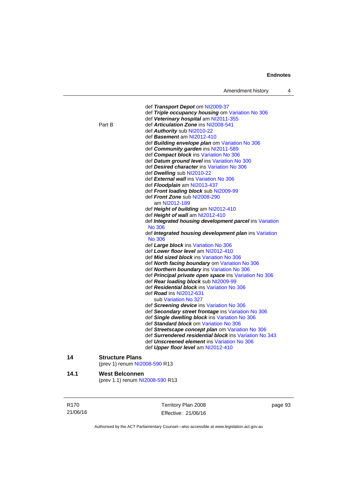|                  |                        | Amendment history                                       | 4       |
|------------------|------------------------|---------------------------------------------------------|---------|
|                  |                        |                                                         |         |
|                  |                        | def Transport Depot om NI2009-37                        |         |
|                  |                        | def Triple occupancy housing om Variation No 306        |         |
|                  |                        | def Veterinary hospital am NI2011-355                   |         |
|                  | Part B                 | def Articulation Zone ins NI2008-541                    |         |
|                  |                        | def Authority sub NI2010-22                             |         |
|                  |                        | def Basement am NI2012-410                              |         |
|                  |                        | def Building envelope plan om Variation No 306          |         |
|                  |                        | def Community garden ins NI2011-589                     |         |
|                  |                        | def Compact block ins Variation No 306                  |         |
|                  |                        | def Datum ground level ins Variation No 300             |         |
|                  |                        | def Desired character ins Variation No 306              |         |
|                  |                        | def Dwelling sub NI2010-22                              |         |
|                  |                        | def <b>External wall</b> ins Variation No 306           |         |
|                  |                        | def Floodplain am NI2013-437                            |         |
|                  |                        | def Front loading block sub NI2009-99                   |         |
|                  |                        | def Front Zone sub NI2008-290                           |         |
|                  |                        | am NI2012-189                                           |         |
|                  |                        | def Height of building am NI2012-410                    |         |
|                  |                        | def Height of wall am NI2012-410                        |         |
|                  |                        | def Integrated housing development parcel ins Variation |         |
|                  |                        | No 306                                                  |         |
|                  |                        | def Integrated housing development plan ins Variation   |         |
|                  |                        | No 306                                                  |         |
|                  |                        | def Large block ins Variation No 306                    |         |
|                  |                        | def Lower floor level am NI2012-410                     |         |
|                  |                        | def <b>Mid sized block</b> ins Variation No 306         |         |
|                  |                        | def <b>North facing boundary</b> om Variation No 306    |         |
|                  |                        | def Northern boundary ins Variation No 306              |         |
|                  |                        | def Principal private open space ins Variation No 306   |         |
|                  |                        | def Rear loading block sub NI2009-99                    |         |
|                  |                        | def Residential block ins Variation No 306              |         |
|                  |                        | def <i>Road</i> ins NI2012-631                          |         |
|                  |                        | sub Variation No 327                                    |         |
|                  |                        | def Screening device ins Variation No 306               |         |
|                  |                        | def Secondary street frontage ins Variation No 306      |         |
|                  |                        | def Single dwelling block ins Variation No 306          |         |
|                  |                        | def Standard block om Variation No 306                  |         |
|                  |                        | def Streetscape concept plan om Variation No 306        |         |
|                  |                        | def Surrendered residential block ins Variation No 343  |         |
|                  |                        | def <b>Unscreened element</b> ins Variation No 306      |         |
|                  |                        | def Upper floor level am NI2012-410                     |         |
| 14               | <b>Structure Plans</b> | (prev 1) renum NI2008-590 R13                           |         |
|                  |                        |                                                         |         |
| 14.1             | <b>West Belconnen</b>  | (prev 1.1) renum NI2008-590 R13                         |         |
| R <sub>170</sub> |                        | Territory Plan 2008                                     | page 93 |

Authorised by the ACT Parliamentary Counsel—also accessible at www.legislation.act.gov.au

Effective: 21/06/16

21/06/16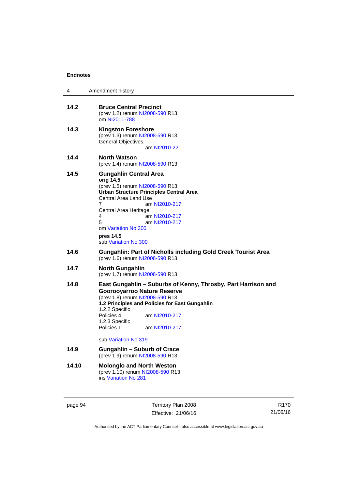| 4     | Amendment history                                                                                                                                                                                                                                                                                               |
|-------|-----------------------------------------------------------------------------------------------------------------------------------------------------------------------------------------------------------------------------------------------------------------------------------------------------------------|
| 14.2  | <b>Bruce Central Precinct</b><br>(prev 1.2) renum NI2008-590 R13<br>om NI2011-788                                                                                                                                                                                                                               |
| 14.3  | <b>Kingston Foreshore</b><br>(prev 1.3) renum NI2008-590 R13<br><b>General Objectives</b><br>am NI2010-22                                                                                                                                                                                                       |
| 14.4  | <b>North Watson</b><br>(prev 1.4) renum NI2008-590 R13                                                                                                                                                                                                                                                          |
| 14.5  | <b>Gungahlin Central Area</b><br>orig 14.5<br>(prev 1.5) renum NI2008-590 R13<br>Urban Structure Principles Central Area<br><b>Central Area Land Use</b><br>7<br>am NI2010-217<br>Central Area Heritage<br>am NI2010-217<br>4<br>5<br>am NI2010-217<br>om Variation No 300<br>pres 14.5<br>sub Variation No 300 |
| 14.6  | <b>Gungahlin: Part of Nicholls including Gold Creek Tourist Area</b><br>(prev 1.6) renum NI2008-590 R13                                                                                                                                                                                                         |
| 14.7  | <b>North Gungahlin</b><br>(prev 1.7) renum NI2008-590 R13                                                                                                                                                                                                                                                       |
| 14.8  | East Gungahlin – Suburbs of Kenny, Throsby, Part Harrison and<br><b>Goorooyarroo Nature Reserve</b><br>(prev 1.8) renum NI2008-590 R13<br>1.2 Principles and Policies for East Gungahlin<br>1.2.2 Specific<br>Policies 4<br>am NI2010-217<br>1.2.3 Specific<br>Policies 1<br>am NI2010-217                      |
|       | sub Variation No 319                                                                                                                                                                                                                                                                                            |
| 14.9  | <b>Gungahlin - Suburb of Crace</b><br>(prev 1.9) renum NI2008-590 R13                                                                                                                                                                                                                                           |
| 14.10 | <b>Molonglo and North Weston</b><br>(prev 1.10) renum NI2008-590 R13<br>ins Variation No 281                                                                                                                                                                                                                    |

page 94 Territory Plan 2008 Effective: 21/06/16

R170 21/06/16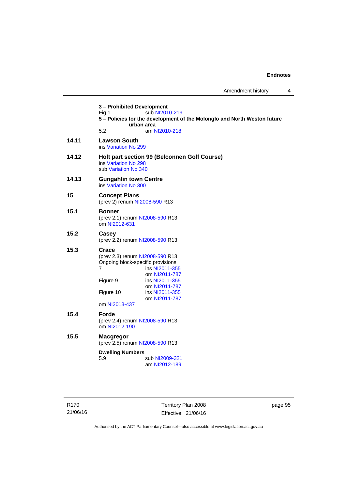**3 – Prohibited Development**  Fig 1 sub [NI2010-219](http://www.legislation.act.gov.au/ni/2010-219/) **5 – Policies for the development of the Molonglo and North Weston future urban area**  5.2 am [NI2010-218](http://www.legislation.act.gov.au/ni/2010-218/) **14.11 Lawson South**  ins [Variation No 299](http://www.legislation.act.gov.au/ni/2010-575/) **14.12 Holt part section 99 (Belconnen Golf Course)**  ins [Variation No 298](http://www.legislation.act.gov.au/ni/2011-152/) sub [Variation No 340](http://www.legislation.act.gov.au/ni/2016-56/default.asp) **14.13 Gungahlin town Centre**  ins [Variation No 300](http://www.legislation.act.gov.au/ni/2011-691/) **15 Concept Plans**  (prev 2) renum [NI2008-590](http://www.legislation.act.gov.au/ni/2008-590/default.asp) R13 **15.1 Bonner**  (prev 2.1) renum [NI2008-590](http://www.legislation.act.gov.au/ni/2008-590/default.asp) R13 om [NI2012-631](http://www.legislation.act.gov.au/ni/2012-631/default.asp) **15.2 Casey**  (prev 2.2) renum [NI2008-590](http://www.legislation.act.gov.au/ni/2008-590/default.asp) R13 **15.3 Crace**  (prev 2.3) renum [NI2008-590](http://www.legislation.act.gov.au/ni/2008-590/default.asp) R13 Ongoing block-specific provisions 7 **ins [NI2011-355](http://www.legislation.act.gov.au/ni/2011-355/)**  om [NI2011-787](http://www.legislation.act.gov.au/ni/2011-787/) Figure 9 ins [NI2011-355](http://www.legislation.act.gov.au/ni/2011-355/) om [NI2011-787](http://www.legislation.act.gov.au/ni/2011-787/) Figure 10 ins [NI2011-355](http://www.legislation.act.gov.au/ni/2011-355/) om [NI2011-787](http://www.legislation.act.gov.au/ni/2011-787/) om [NI2013-437](http://www.legislation.act.gov.au/ni/2013-437/default.asp) **15.4 Forde**  (prev 2.4) renum [NI2008-590](http://www.legislation.act.gov.au/ni/2008-590/default.asp) R13 om [NI2012-190](http://www.legislation.act.gov.au/ni/2012-190/) **15.5 Macgregor**  (prev 2.5) renum [NI2008-590](http://www.legislation.act.gov.au/ni/2008-590/default.asp) R13 **Dwelling Numbers**  5.9 sub [NI2009-321](http://www.legislation.act.gov.au/ni/2009-321/) am [NI2012-189](http://www.legislation.act.gov.au/ni/2012-189/)

Territory Plan 2008 Effective: 21/06/16 page 95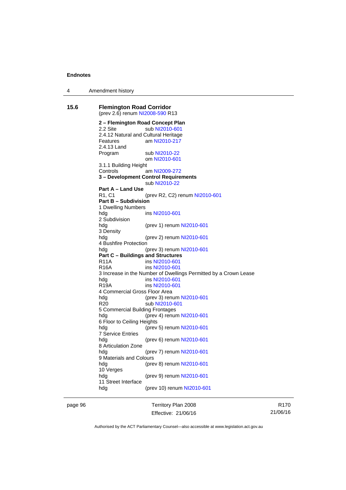4 Amendment history

**15.6 Flemington Road Corridor**  (prev 2.6) renum [NI2008-590](http://www.legislation.act.gov.au/ni/2008-590/default.asp) R13 **2 – Flemington Road Concept Plan**  2.2 Site sub [NI2010-601](http://www.legislation.act.gov.au/ni/2010-601/) 2.4.12 Natural and Cultural Heritage Features am [NI2010-217](http://www.legislation.act.gov.au/ni/2010-217/) 2.4.13 Land Program sub [NI2010-22](http://www.legislation.act.gov.au/ni/2010-22/) om [NI2010-601](http://www.legislation.act.gov.au/ni/2010-601/) 3.1.1 Building Height Controls am [NI2009-272](http://www.legislation.act.gov.au/ni/2009-272/) **3 – Development Control Requirements**  sub [NI2010-22](http://www.legislation.act.gov.au/ni/2010-22/) **Part A – Land Use**  R1, C1 (prev R2, C2) renum [NI2010-601](http://www.legislation.act.gov.au/ni/2010-601/) **Part B – Subdivision**  1 Dwelling Numbers hdg ins [NI2010-601](http://www.legislation.act.gov.au/ni/2010-601/) 2 Subdivision hdg (prev 1) renum [NI2010-601](http://www.legislation.act.gov.au/ni/2010-601/) 3 Density hdg (prev 2) renum [NI2010-601](http://www.legislation.act.gov.au/ni/2010-601/) 4 Bushfire Protection hdg (prev 3) renum [NI2010-601](http://www.legislation.act.gov.au/ni/2010-601/) **Part C – Buildings and Structures**  R11A ins [NI2010-601](http://www.legislation.act.gov.au/ni/2010-601/) R16A ins [NI2010-601](http://www.legislation.act.gov.au/ni/2010-601/) 3 Increase in the Number of Dwellings Permitted by a Crown Lease hdg ins [NI2010-601](http://www.legislation.act.gov.au/ni/2010-601/) R19A ins [NI2010-601](http://www.legislation.act.gov.au/ni/2010-601/) 4 Commercial Gross Floor Area hdg (prev 3) renum [NI2010-601](http://www.legislation.act.gov.au/ni/2010-601/) R20 sub [NI2010-601](http://www.legislation.act.gov.au/ni/2010-601/) 5 Commercial Building Frontages hdg (prev 4) renum [NI2010-601](http://www.legislation.act.gov.au/ni/2010-601/) 6 Floor to Ceiling Heights hdg (prev 5) renum [NI2010-601](http://www.legislation.act.gov.au/ni/2010-601/) 7 Service Entries (prev 6) renum [NI2010-601](http://www.legislation.act.gov.au/ni/2010-601/) 8 Articulation Zone hdg (prev 7) renum [NI2010-601](http://www.legislation.act.gov.au/ni/2010-601/) 9 Materials and Colours hdg (prev 8) renum [NI2010-601](http://www.legislation.act.gov.au/ni/2010-601/) 10 Verges hdg (prev 9) renum [NI2010-601](http://www.legislation.act.gov.au/ni/2010-601/) 11 Street Interface hdg (prev 10) renum [NI2010-601](http://www.legislation.act.gov.au/ni/2010-601/)

page 96 Territory Plan 2008 Effective: 21/06/16

R170 21/06/16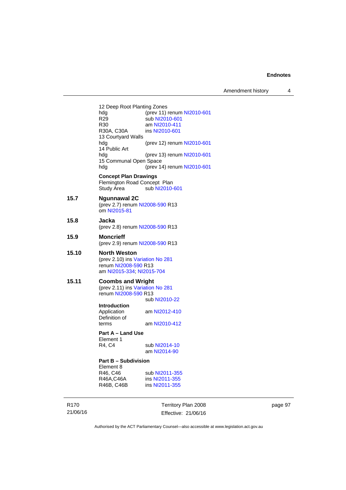Amendment history 4

12 Deep Root Planting Zones<br>hdg (prev 11) hdg (prev 11) renum [NI2010-601](http://www.legislation.act.gov.au/ni/2010-601/)<br>R29 sub NI2010-601 R29 sub [NI2010-601](http://www.legislation.act.gov.au/ni/2010-601/)<br>R30 am NI2010-411 R30 am [NI2010-411](http://www.legislation.act.gov.au/ni/2010-411/)<br>R30A, C30A ins NI2010-601 ins [NI2010-601](http://www.legislation.act.gov.au/ni/2010-601/) 13 Courtyard Walls hdg (prev 12) renum [NI2010-601](http://www.legislation.act.gov.au/ni/2010-601/) 14 Public Art hdg (prev 13) renum [NI2010-601](http://www.legislation.act.gov.au/ni/2010-601/) 15 Communal Open Space hdg (prev 14) renum [NI2010-601](http://www.legislation.act.gov.au/ni/2010-601/) **Concept Plan Drawings**  Flemington Road Concept Plan<br>Study Area sub NI2010-sub [NI2010-601](http://www.legislation.act.gov.au/ni/2010-601/) **15.7 Ngunnawal 2C**  (prev 2.7) renum [NI2008-590](http://www.legislation.act.gov.au/ni/2008-590/default.asp) R13 om [NI2015-81](http://www.legislation.act.gov.au/ni/2015-81/default.asp) **15.8 Jacka**  (prev 2.8) renum [NI2008-590](http://www.legislation.act.gov.au/ni/2008-590/default.asp) R13 **15.9 Moncrieff**  (prev 2.9) renum [NI2008-590](http://www.legislation.act.gov.au/ni/2008-590/default.asp) R13 **15.10 North Weston**  (prev 2.10) ins [Variation No 281](http://www.legislation.act.gov.au/ni/2008-352/) renum [NI2008-590](http://www.legislation.act.gov.au/ni/2008-590/default.asp) R13 am [NI2015-334](http://www.legislation.act.gov.au/ni/2015-334/default.asp); [NI2015-704](http://www.legislation.act.gov.au/ni/2015-704/default.asp) **15.11 Coombs and Wright**  (prev 2.11) ins [Variation No 281](http://www.legislation.act.gov.au/ni/2008-352/) renum [NI2008-590](http://www.legislation.act.gov.au/ni/2008-590/default.asp) R13 sub [NI2010-22](http://www.legislation.act.gov.au/ni/2010-22/) **Introduction**  Application am [NI2012-410](http://www.legislation.act.gov.au/ni/2012-410/) Definition of terms am [NI2010-412](http://www.legislation.act.gov.au/ni/2010-412/) **Part A – Land Use**  Element 1<br>R4, C4 sub [NI2014-10](http://www.legislation.act.gov.au/ni/2014-10/default.asp) am [NI2014-90](http://www.legislation.act.gov.au/ni/2014-90/default.asp) **Part B – Subdivision**  Element 8<br>R46, C46 R46, C46 sub [NI2011-355](http://www.legislation.act.gov.au/ni/2011-355/)<br>R46A,C46A ins NI2011-355 ins [NI2011-355](http://www.legislation.act.gov.au/ni/2011-355/) R46B, C46B ins [NI2011-355](http://www.legislation.act.gov.au/ni/2011-355/)

R170 21/06/16 Territory Plan 2008 Effective: 21/06/16 page 97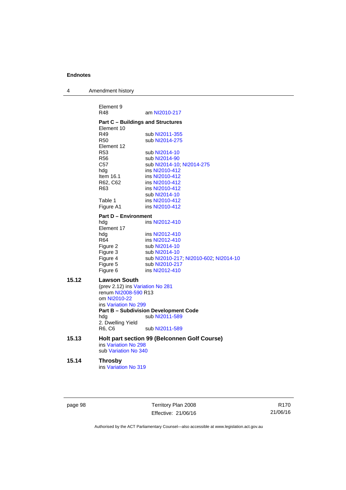| 4 | Amendment history |  |
|---|-------------------|--|
|---|-------------------|--|

|       | Element 9<br>R48                 | am NI2010-217                                |
|-------|----------------------------------|----------------------------------------------|
|       |                                  |                                              |
|       | Element 10                       | <b>Part C - Buildings and Structures</b>     |
|       | R49                              | sub NI2011-355                               |
|       | <b>R50</b>                       | sub NI2014-275                               |
|       | Element 12                       |                                              |
|       | <b>R53</b>                       | sub NI2014-10                                |
|       | <b>R56</b>                       | sub NI2014-90                                |
|       | C <sub>57</sub>                  | sub NI2014-10, NI2014-275                    |
|       | hdg                              | ins NI2010-412                               |
|       | Item $16.1$                      | ins NI2010-412                               |
|       | R62, C62                         | ins NI2010-412                               |
|       | R63                              | ins NI2010-412                               |
|       |                                  | sub NI2014-10                                |
|       | Table 1                          | ins NI2010-412                               |
|       | Figure A1                        | ins NI2010-412                               |
|       | <b>Part D - Environment</b>      |                                              |
|       | hdg                              | ins NI2012-410                               |
|       | Element 17                       |                                              |
|       | hdg                              | ins NI2012-410                               |
|       | R64                              | ins NI2012-410                               |
|       | Figure 2                         | sub NI2014-10                                |
|       | Figure 3                         | sub NI2014-10                                |
|       | Figure 4                         | sub NI2010-217; NI2010-602; NI2014-10        |
|       | Figure 5                         | sub NI2010-217                               |
|       | Figure 6                         | ins NI2012-410                               |
| 15.12 | <b>Lawson South</b>              |                                              |
|       | (prev 2.12) ins Variation No 281 |                                              |
|       | renum NI2008-590 R13             |                                              |
|       | om NI2010-22                     |                                              |
|       | ins Variation No 299             |                                              |
|       |                                  | <b>Part B - Subdivision Development Code</b> |
|       | hdg                              | sub NI2011-589                               |
|       | 2. Dwelling Yield                |                                              |
|       | R6, C6                           | sub NI2011-589                               |
| 15.13 |                                  | Holt part section 99 (Belconnen Golf Course) |
|       | ins Variation No 298             |                                              |
|       | sub Variation No 340             |                                              |
| 15.14 | <b>Throsby</b>                   |                                              |
|       |                                  |                                              |

ins [Variation No 319](http://www.legislation.act.gov.au/ni/2014-501/default.asp)

page 98 Territory Plan 2008 Effective: 21/06/16

R170 21/06/16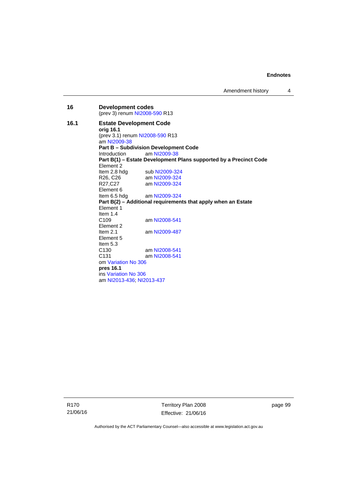| 16   | <b>Development codes</b><br>(prev 3) renum NI2008-590 R13     |                                                                   |  |
|------|---------------------------------------------------------------|-------------------------------------------------------------------|--|
| 16.1 | <b>Estate Development Code</b>                                |                                                                   |  |
|      | orig 16.1                                                     |                                                                   |  |
|      |                                                               | (prev 3.1) renum NI2008-590 R13                                   |  |
|      | am NI2009-38                                                  |                                                                   |  |
|      |                                                               | <b>Part B - Subdivision Development Code</b>                      |  |
|      | Introduction                                                  | am NI2009-38                                                      |  |
|      |                                                               | Part B(1) - Estate Development Plans supported by a Precinct Code |  |
|      | Flement 2                                                     |                                                                   |  |
|      |                                                               | Item 2.8 hdg sub $N$ 12009-324                                    |  |
|      | R26, C26                                                      | am NI2009-324                                                     |  |
|      | R27,C27                                                       | am NI2009-324                                                     |  |
|      | Element 6                                                     |                                                                   |  |
|      |                                                               | Item 6.5 hdg am $Nl2009-324$                                      |  |
|      | Part B(2) – Additional requirements that apply when an Estate |                                                                   |  |
|      | Element 1                                                     |                                                                   |  |
|      | Item $1.4$                                                    |                                                                   |  |
|      | C <sub>109</sub>                                              | am NI2008-541                                                     |  |
|      | Element 2                                                     |                                                                   |  |
|      | Item $2.1$                                                    | am NI2009-487                                                     |  |
|      | Element 5                                                     |                                                                   |  |
|      | Item $5.3$                                                    |                                                                   |  |
|      | C <sub>130</sub>                                              | am NI2008-541                                                     |  |
|      | C <sub>131</sub>                                              | am NI2008-541                                                     |  |
|      | om Variation No 306                                           |                                                                   |  |
|      | pres 16.1                                                     |                                                                   |  |
|      | ins Variation No 306                                          |                                                                   |  |
|      | am NI2013-436, NI2013-437                                     |                                                                   |  |

R170 21/06/16 Territory Plan 2008 Effective: 21/06/16

page 99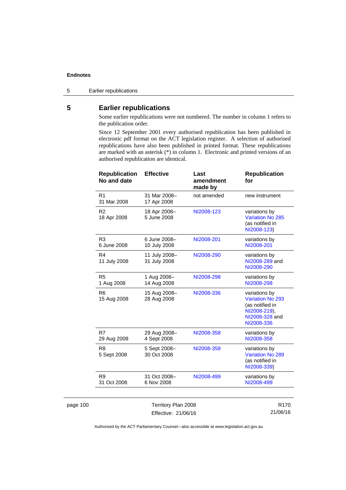page 100

5 Earlier republications

# **5 Earlier republications**

Some earlier republications were not numbered. The number in column 1 refers to the publication order.

Since 12 September 2001 every authorised republication has been published in electronic pdf format on the ACT legislation register. A selection of authorised republications have also been published in printed format. These republications are marked with an asterisk (\*) in column 1. Electronic and printed versions of an authorised republication are identical.

| <b>Republication</b><br>No and date | <b>Effective</b>              | Last<br>amendment<br>made by | <b>Republication</b><br>for                                                                          |
|-------------------------------------|-------------------------------|------------------------------|------------------------------------------------------------------------------------------------------|
| R <sub>1</sub><br>31 Mar 2008       | 31 Mar 2008-<br>17 Apr 2008   | not amended                  | new instrument                                                                                       |
| R <sub>2</sub><br>18 Apr 2008       | 18 Apr 2008-<br>5 June 2008   | NI2008-123                   | variations by<br><b>Variation No 285</b><br>(as notified in<br>NI2008-123)                           |
| R <sub>3</sub><br>6 June 2008       | 6 June 2008-<br>10 July 2008  | NI2008-201                   | variations by<br>NI2008-201                                                                          |
| R <sub>4</sub><br>11 July 2008      | 11 July 2008-<br>31 July 2008 | NI2008-290                   | variations by<br>NI2008-289 and<br>NI2008-290                                                        |
| R <sub>5</sub><br>1 Aug 2008        | 1 Aug 2008-<br>14 Aug 2008    | NI2008-298                   | variations by<br>NI2008-298                                                                          |
| R <sub>6</sub><br>15 Aug 2008       | 15 Aug 2008-<br>28 Aug 2008   | NI2008-336                   | variations by<br>Variation No 293<br>(as notified in<br>NI2008-219),<br>NI2008-328 and<br>NI2008-336 |
| R7<br>29 Aug 2008                   | 29 Aug 2008-<br>4 Sept 2008   | NI2008-358                   | variations by<br>NI2008-358                                                                          |
| R <sub>8</sub><br>5 Sept 2008       | 5 Sept 2008-<br>30 Oct 2008   | NI2008-358                   | variations by<br><b>Variation No 289</b><br>(as notified in<br>NI2008-339)                           |
| R <sub>9</sub><br>31 Oct 2008       | 31 Oct 2008-<br>6 Nov 2008    | NI2008-499                   | variations by<br>NI2008-499                                                                          |
|                                     | Territory Plan 2008           |                              | R <sub>170</sub>                                                                                     |

| R <sub>170</sub> | Territory Plan 2008 |
|------------------|---------------------|
| 21/06/16         | Effective: 21/06/16 |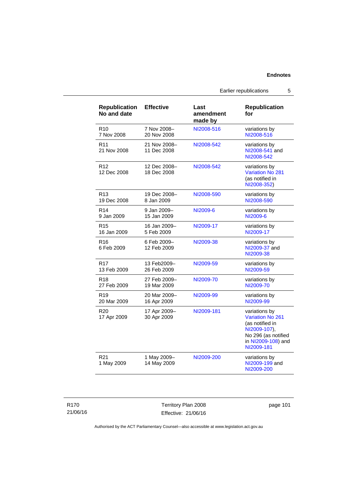| <b>Republication</b><br>No and date | <b>Effective</b>            | Last<br>amendment<br>made by | <b>Republication</b><br>for                                                                                                     |
|-------------------------------------|-----------------------------|------------------------------|---------------------------------------------------------------------------------------------------------------------------------|
| R <sub>10</sub>                     | 7 Nov 2008-                 | NI2008-516                   | variations by                                                                                                                   |
| 7 Nov 2008                          | 20 Nov 2008                 |                              | NI2008-516                                                                                                                      |
| R <sub>11</sub><br>21 Nov 2008      | 21 Nov 2008-<br>11 Dec 2008 | NI2008-542                   | variations by<br>NI2008-541 and<br>NI2008-542                                                                                   |
| R <sub>12</sub><br>12 Dec 2008      | 12 Dec 2008-<br>18 Dec 2008 | NI2008-542                   | variations by<br>Variation No 281<br>(as notified in<br>NI2008-352)                                                             |
| R <sub>13</sub>                     | 19 Dec 2008-                | NI2008-590                   | variations by                                                                                                                   |
| 19 Dec 2008                         | 8 Jan 2009                  |                              | NI2008-590                                                                                                                      |
| R <sub>14</sub>                     | 9 Jan 2009-                 | NI2009-6                     | variations by                                                                                                                   |
| 9 Jan 2009                          | 15 Jan 2009                 |                              | NI2009-6                                                                                                                        |
| R <sub>15</sub>                     | 16 Jan 2009-                | NI2009-17                    | variations by                                                                                                                   |
| 16 Jan 2009                         | 5 Feb 2009                  |                              | NI2009-17                                                                                                                       |
| R <sub>16</sub><br>6 Feb 2009       | 6 Feb 2009-<br>12 Feb 2009  | NI2009-38                    | variations by<br>NI2009-37 and<br>NI2009-38                                                                                     |
| R <sub>17</sub>                     | 13 Feb2009–                 | NI2009-59                    | variations by                                                                                                                   |
| 13 Feb 2009                         | 26 Feb 2009                 |                              | NI2009-59                                                                                                                       |
| R <sub>18</sub>                     | 27 Feb 2009-                | NI2009-70                    | variations by                                                                                                                   |
| 27 Feb 2009                         | 19 Mar 2009                 |                              | NI2009-70                                                                                                                       |
| R <sub>19</sub>                     | 20 Mar 2009-                | NI2009-99                    | variations by                                                                                                                   |
| 20 Mar 2009                         | 16 Apr 2009                 |                              | NI2009-99                                                                                                                       |
| R <sub>20</sub><br>17 Apr 2009      | 17 Apr 2009-<br>30 Apr 2009 | NI2009-181                   | variations by<br>Variation No 261<br>(as notified in<br>NI2009-107),<br>No 296 (as notified<br>in NI2009-108) and<br>NI2009-181 |
| R <sub>21</sub><br>1 May 2009       | 1 May 2009-<br>14 May 2009  | NI2009-200                   | variations by<br>NI2009-199 and<br>NI2009-200                                                                                   |

| R170     |
|----------|
| 21/06/16 |

Territory Plan 2008 Effective: 21/06/16 page 101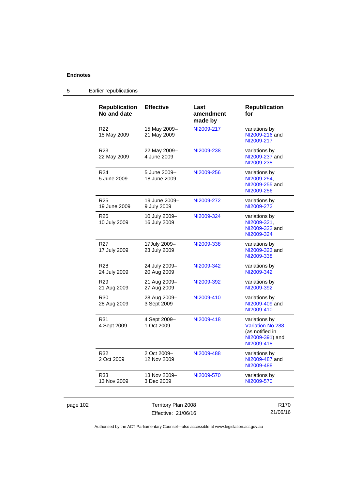| <b>Republication</b><br>No and date | <b>Effective</b>              | Last<br>amendment<br>made by | <b>Republication</b><br>for                                                                  |
|-------------------------------------|-------------------------------|------------------------------|----------------------------------------------------------------------------------------------|
| R <sub>22</sub><br>15 May 2009      | 15 May 2009-<br>21 May 2009   | NI2009-217                   | variations by<br>NI2009-216 and<br>NI2009-217                                                |
| R <sub>23</sub><br>22 May 2009      | 22 May 2009-<br>4 June 2009   | NI2009-238                   | variations by<br>NI2009-237 and<br>NI2009-238                                                |
| R <sub>24</sub><br>5 June 2009      | 5 June 2009-<br>18 June 2009  | NI2009-256                   | variations by<br>NI2009-254,<br>NI2009-255 and<br>NI2009-256                                 |
| R <sub>25</sub><br>19 June 2009     | 19 June 2009-<br>9 July 2009  | NI2009-272                   | variations by<br>NI2009-272                                                                  |
| R26<br>10 July 2009                 | 10 July 2009-<br>16 July 2009 | NI2009-324                   | variations by<br>NI2009-321,<br>NI2009-322 and<br>NI2009-324                                 |
| R <sub>27</sub><br>17 July 2009     | 17July 2009-<br>23 July 2009  | NI2009-338                   | variations by<br>NI2009-323 and<br>NI2009-338                                                |
| R <sub>28</sub><br>24 July 2009     | 24 July 2009-<br>20 Aug 2009  | NI2009-342                   | variations by<br>NI2009-342                                                                  |
| R <sub>29</sub><br>21 Aug 2009      | 21 Aug 2009-<br>27 Aug 2009   | NI2009-392                   | variations by<br>NI2009-392                                                                  |
| R30<br>28 Aug 2009                  | 28 Aug 2009-<br>3 Sept 2009   | NI2009-410                   | variations by<br>NI2009-409 and<br>NI2009-410                                                |
| R31<br>4 Sept 2009                  | 4 Sept 2009-<br>1 Oct 2009    | NI2009-418                   | variations by<br><b>Variation No 288</b><br>(as notified in<br>NI2009-391) and<br>NI2009-418 |
| R32<br>2 Oct 2009                   | 2 Oct 2009-<br>12 Nov 2009    | NI2009-488                   | variations by<br>NI2009-487 and<br>NI2009-488                                                |
| R33<br>13 Nov 2009                  | 13 Nov 2009-<br>3 Dec 2009    | NI2009-570                   | variations by<br>NI2009-570                                                                  |

# 5 Earlier republications

page 102 Territory Plan 2008 Effective: 21/06/16

R170 21/06/16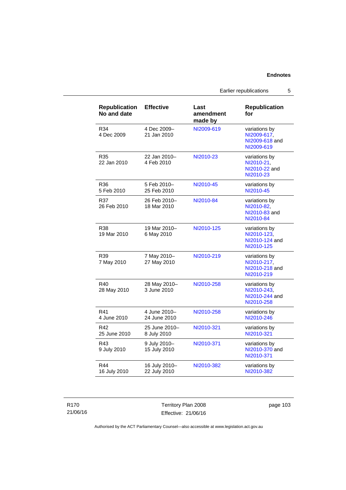Earlier republications 5

| <b>Republication</b><br>No and date | <b>Effective</b>              | Last<br>amendment<br>made by | <b>Republication</b><br>for                                  |
|-------------------------------------|-------------------------------|------------------------------|--------------------------------------------------------------|
| R34<br>4 Dec 2009                   | 4 Dec 2009-<br>21 Jan 2010    | NI2009-619                   | variations by<br>NI2009-617,<br>NI2009-618 and<br>NI2009-619 |
| R35<br>22 Jan 2010                  | 22 Jan 2010-<br>4 Feb 2010    | NI2010-23                    | variations by<br>NI2010-21,<br>NI2010-22 and<br>NI2010-23    |
| R36<br>5 Feb 2010                   | 5 Feb 2010-<br>25 Feb 2010    | NI2010-45                    | variations by<br>NI2010-45                                   |
| R37<br>26 Feb 2010                  | 26 Feb 2010-<br>18 Mar 2010   | NI2010-84                    | variations by<br>NI2010-82,<br>NI2010-83 and<br>NI2010-84    |
| R38<br>19 Mar 2010                  | 19 Mar 2010-<br>6 May 2010    | NI2010-125                   | variations by<br>NI2010-123.<br>NI2010-124 and<br>NI2010-125 |
| R39<br>7 May 2010                   | 7 May 2010-<br>27 May 2010    | NI2010-219                   | variations by<br>NI2010-217,<br>NI2010-218 and<br>NI2010-219 |
| R40<br>28 May 2010                  | 28 May 2010-<br>3 June 2010   | NI2010-258                   | variations by<br>NI2010-243,<br>NI2010-244 and<br>NI2010-258 |
| R41<br>4 June 2010                  | 4 June 2010-<br>24 June 2010  | NI2010-258                   | variations by<br>NI2010-246                                  |
| R42<br>25 June 2010                 | 25 June 2010-<br>8 July 2010  | NI2010-321                   | variations by<br>NI2010-321                                  |
| R43<br>9 July 2010                  | 9 July 2010-<br>15 July 2010  | NI2010-371                   | variations by<br>NI2010-370 and<br>NI2010-371                |
| R44<br>16 July 2010                 | 16 July 2010-<br>22 July 2010 | NI2010-382                   | variations by<br>NI2010-382                                  |

### R170 21/06/16

Territory Plan 2008 Effective: 21/06/16

page 103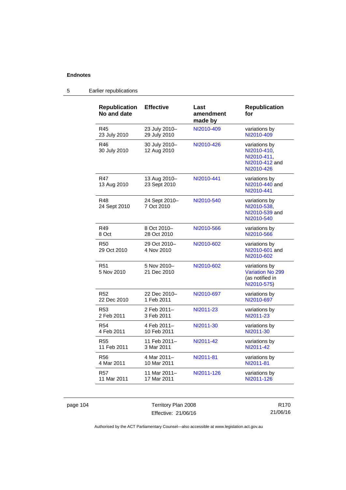| <b>Republication</b><br>No and date | <b>Effective</b>             | Last<br>amendment<br>made by | <b>Republication</b><br>for                                                 |
|-------------------------------------|------------------------------|------------------------------|-----------------------------------------------------------------------------|
| R45                                 | 23 July 2010-                | NI2010-409                   | variations by                                                               |
| 23 July 2010                        | 29 July 2010                 |                              | NI2010-409                                                                  |
| R46<br>30 July 2010                 | 30 July 2010-<br>12 Aug 2010 | NI2010-426                   | variations by<br>NI2010-410,<br>NI2010-411.<br>NI2010-412 and<br>NI2010-426 |
| <b>R47</b><br>13 Aug 2010           | 13 Aug 2010-<br>23 Sept 2010 | NI2010-441                   | variations by<br>NI2010-440 and<br>NI2010-441                               |
| <b>R48</b><br>24 Sept 2010          | 24 Sept 2010-<br>7 Oct 2010  | NI2010-540                   | variations by<br>NI2010-538.<br>NI2010-539 and<br>NI2010-540                |
| R49                                 | 8 Oct 2010-                  | NI2010-566                   | variations by                                                               |
| 8 Oct                               | 28 Oct 2010                  |                              | NI2010-566                                                                  |
| R <sub>50</sub><br>29 Oct 2010      | 29 Oct 2010-<br>4 Nov 2010   | NI2010-602                   | variations by<br>NI2010-601 and<br>NI2010-602                               |
| R <sub>51</sub><br>5 Nov 2010       | 5 Nov 2010-<br>21 Dec 2010   | NI2010-602                   | variations by<br><b>Variation No 299</b><br>(as notified in<br>NI2010-575)  |
| R <sub>52</sub>                     | 22 Dec 2010-                 | NI2010-697                   | variations by                                                               |
| 22 Dec 2010                         | 1 Feb 2011                   |                              | NI2010-697                                                                  |
| R <sub>53</sub>                     | 2 Feb 2011-                  | NI2011-23                    | variations by                                                               |
| 2 Feb 2011                          | 3 Feb 2011                   |                              | NI2011-23                                                                   |
| R <sub>54</sub>                     | 4 Feb 2011–                  | NI2011-30                    | variations by                                                               |
| 4 Feb 2011                          | 10 Feb 2011                  |                              | NI2011-30                                                                   |
| <b>R55</b>                          | 11 Feb 2011-                 | NI2011-42                    | variations by                                                               |
| 11 Feb 2011                         | 3 Mar 2011                   |                              | NI2011-42                                                                   |
| R <sub>56</sub>                     | 4 Mar 2011-                  | NI2011-81                    | variations by                                                               |
| 4 Mar 2011                          | 10 Mar 2011                  |                              | NI2011-81                                                                   |
| <b>R57</b>                          | 11 Mar 2011-                 | NI2011-126                   | variations by                                                               |
| 11 Mar 2011                         | 17 Mar 2011                  |                              | NI2011-126                                                                  |

# 5 Earlier republications

page 104 Territory Plan 2008 Effective: 21/06/16

R170 21/06/16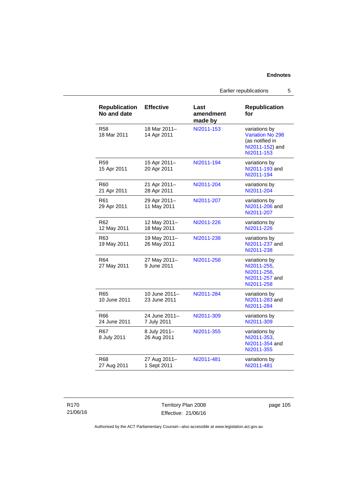Earlier republications 5

| <b>Republication</b><br>No and date | <b>Effective</b>              | Last<br>amendment<br>made by | <b>Republication</b><br>for                                                                  |
|-------------------------------------|-------------------------------|------------------------------|----------------------------------------------------------------------------------------------|
| <b>R58</b><br>18 Mar 2011           | 18 Mar 2011-<br>14 Apr 2011   | NI2011-153                   | variations by<br><b>Variation No 298</b><br>(as notified in<br>NI2011-152) and<br>NI2011-153 |
| <b>R59</b><br>15 Apr 2011           | 15 Apr 2011-<br>20 Apr 2011   | NI2011-194                   | variations by<br>NI2011-193 and<br>NI2011-194                                                |
| R <sub>60</sub><br>21 Apr 2011      | 21 Apr 2011-<br>28 Apr 2011   | NI2011-204                   | variations by<br>NI2011-204                                                                  |
| R <sub>61</sub><br>29 Apr 2011      | 29 Apr 2011-<br>11 May 2011   | NI2011-207                   | variations by<br>NI2011-206 and<br>NI2011-207                                                |
| R62<br>12 May 2011                  | 12 May 2011-<br>18 May 2011   | NI2011-226                   | variations by<br>NI2011-226                                                                  |
| R <sub>63</sub><br>19 May 2011      | 19 May 2011-<br>26 May 2011   | NI2011-238                   | variations by<br>NI2011-237 and<br>NI2011-238                                                |
| R <sub>64</sub><br>27 May 2011      | 27 May 2011-<br>9 June 2011   | NI2011-258                   | variations by<br>NI2011-255,<br>NI2011-256,<br>NI2011-257 and<br>NI2011-258                  |
| R <sub>65</sub><br>10 June 2011     | 10 June 2011-<br>23 June 2011 | NI2011-284                   | variations by<br>NI2011-283 and<br>NI2011-284                                                |
| R66<br>24 June 2011                 | 24 June 2011-<br>7 July 2011  | NI2011-309                   | variations by<br>NI2011-309                                                                  |
| R67<br>8 July 2011                  | 8 July 2011-<br>26 Aug 2011   | NI2011-355                   | variations by<br>NI2011-353,<br>NI2011-354 and<br>NI2011-355                                 |
| R68<br>27 Aug 2011                  | 27 Aug 2011-<br>1 Sept 2011   | NI2011-481                   | variations by<br>NI2011-481                                                                  |

R170 21/06/16 Territory Plan 2008 Effective: 21/06/16

page 105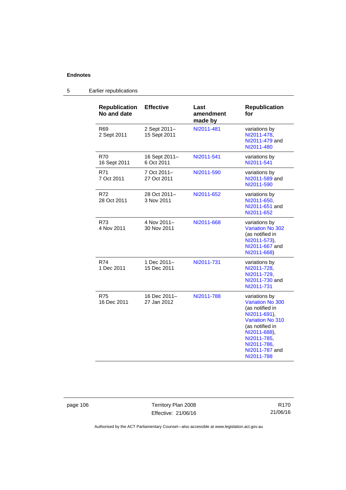| <b>Republication</b><br>No and date | <b>Effective</b>             | Last<br>amendment<br>made by | <b>Republication</b><br>for                                                                                                                                                                             |
|-------------------------------------|------------------------------|------------------------------|---------------------------------------------------------------------------------------------------------------------------------------------------------------------------------------------------------|
| R69<br>2 Sept 2011                  | 2 Sept 2011-<br>15 Sept 2011 | NI2011-481                   | variations by<br>NI2011-478,<br>NI2011-479 and<br>NI2011-480                                                                                                                                            |
| R70<br>16 Sept 2011                 | 16 Sept 2011-<br>6 Oct 2011  | NI2011-541                   | variations by<br>NI2011-541                                                                                                                                                                             |
| R71<br>7 Oct 2011                   | 7 Oct 2011-<br>27 Oct 2011   | NI2011-590                   | variations by<br>NI2011-589 and<br>NI2011-590                                                                                                                                                           |
| R72<br>28 Oct 2011                  | 28 Oct 2011-<br>3 Nov 2011   | NI2011-652                   | variations by<br>NI2011-650,<br>NI2011-651 and<br>NI2011-652                                                                                                                                            |
| R73<br>4 Nov 2011                   | 4 Nov 2011-<br>30 Nov 2011   | NI2011-668                   | variations by<br>Variation No 302<br>(as notified in<br>NI2011-573),<br>NI2011-667 and<br>NI2011-668)                                                                                                   |
| R74<br>1 Dec 2011                   | 1 Dec 2011-<br>15 Dec 2011   | NI2011-731                   | variations by<br>NI2011-728,<br>NI2011-729.<br>NI2011-730 and<br>NI2011-731                                                                                                                             |
| <b>R75</b><br>16 Dec 2011           | 16 Dec 2011-<br>27 Jan 2012  | NI2011-788                   | variations by<br><b>Variation No 300</b><br>(as notified in<br>NI2011-691),<br><b>Variation No 310</b><br>(as notified in<br>NI2011-688),<br>NI2011-785,<br>NI2011-786.<br>NI2011-787 and<br>NI2011-788 |

# 5 Earlier republications

page 106 Territory Plan 2008 Effective: 21/06/16

R170 21/06/16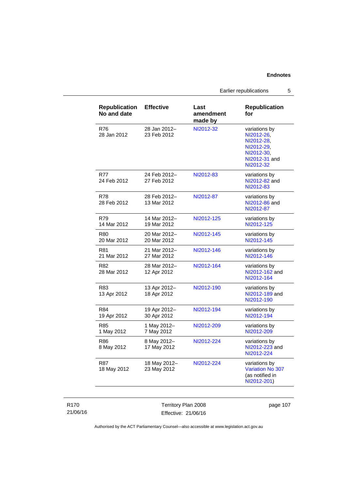Earlier republications 5

| <b>Republication</b><br>No and date | <b>Effective</b>            | Last<br>amendment<br>made by | <b>Republication</b><br>for                                                                         |
|-------------------------------------|-----------------------------|------------------------------|-----------------------------------------------------------------------------------------------------|
| R76<br>28 Jan 2012                  | 28 Jan 2012-<br>23 Feb 2012 | NI2012-32                    | variations by<br>NI2012-26,<br>NI2012-28.<br>NI2012-29,<br>NI2012-30,<br>NI2012-31 and<br>NI2012-32 |
| R77<br>24 Feb 2012                  | 24 Feb 2012-<br>27 Feb 2012 | NI2012-83                    | variations by<br>NI2012-82 and<br>NI2012-83                                                         |
| <b>R78</b><br>28 Feb 2012           | 28 Feb 2012-<br>13 Mar 2012 | NI2012-87                    | variations by<br>NI2012-86 and<br>NI2012-87                                                         |
| <b>R79</b><br>14 Mar 2012           | 14 Mar 2012-<br>19 Mar 2012 | NI2012-125                   | variations by<br>NI2012-125                                                                         |
| R <sub>80</sub><br>20 Mar 2012      | 20 Mar 2012-<br>20 Mar 2012 | NI2012-145                   | variations by<br>NI2012-145                                                                         |
| R81<br>21 Mar 2012                  | 21 Mar 2012-<br>27 Mar 2012 | NI2012-146                   | variations by<br>NI2012-146                                                                         |
| R82<br>28 Mar 2012                  | 28 Mar 2012-<br>12 Apr 2012 | NI2012-164                   | variations by<br>NI2012-162 and<br>NI2012-164                                                       |
| R83<br>13 Apr 2012                  | 13 Apr 2012-<br>18 Apr 2012 | NI2012-190                   | variations by<br>NI2012-189 and<br>NI2012-190                                                       |
| R84<br>19 Apr 2012                  | 19 Apr 2012-<br>30 Apr 2012 | NI2012-194                   | variations by<br>NI2012-194                                                                         |
| R85<br>1 May 2012                   | 1 May 2012-<br>7 May 2012   | NI2012-209                   | variations by<br>NI2012-209                                                                         |
| R86<br>8 May 2012                   | 8 May 2012-<br>17 May 2012  | NI2012-224                   | variations by<br>NI2012-223 and<br>NI2012-224                                                       |
| <b>R87</b><br>18 May 2012           | 18 May 2012-<br>23 May 2012 | NI2012-224                   | variations by<br><b>Variation No 307</b><br>(as notified in<br>NI2012-201)                          |

R170 21/06/16

Territory Plan 2008 Effective: 21/06/16 page 107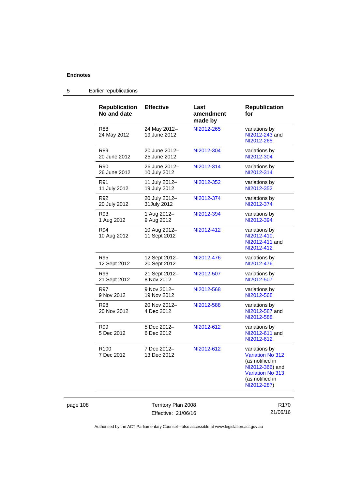| <b>Republication</b><br>No and date | <b>Effective</b>             | Last<br>amendment<br>made by | <b>Republication</b><br>for                                                                                                                 |
|-------------------------------------|------------------------------|------------------------------|---------------------------------------------------------------------------------------------------------------------------------------------|
| R88<br>24 May 2012                  | 24 May 2012-<br>19 June 2012 | NI2012-265                   | variations by<br>NI2012-243 and<br>NI2012-265                                                                                               |
| R89                                 | 20 June 2012-                | NI2012-304                   | variations by                                                                                                                               |
| 20 June 2012                        | 25 June 2012                 |                              | NI2012-304                                                                                                                                  |
| R90                                 | 26 June 2012-                | NI2012-314                   | variations by                                                                                                                               |
| 26 June 2012                        | 10 July 2012                 |                              | NI2012-314                                                                                                                                  |
| R91                                 | 11 July 2012-                | NI2012-352                   | variations by                                                                                                                               |
| 11 July 2012                        | 19 July 2012                 |                              | NI2012-352                                                                                                                                  |
| R92                                 | 20 July 2012-                | NI2012-374                   | variations by                                                                                                                               |
| 20 July 2012                        | 31July 2012                  |                              | NI2012-374                                                                                                                                  |
| R93                                 | 1 Aug 2012-                  | NI2012-394                   | variations by                                                                                                                               |
| 1 Aug 2012                          | 9 Aug 2012                   |                              | NI2012-394                                                                                                                                  |
| R94<br>10 Aug 2012                  | 10 Aug 2012-<br>11 Sept 2012 | NI2012-412                   | variations by<br>NI2012-410,<br>NI2012-411 and<br>NI2012-412                                                                                |
| R95                                 | 12 Sept 2012-                | NI2012-476                   | variations by                                                                                                                               |
| 12 Sept 2012                        | 20 Sept 2012                 |                              | NI2012-476                                                                                                                                  |
| R96                                 | 21 Sept 2012-                | NI2012-507                   | variations by                                                                                                                               |
| 21 Sept 2012                        | 8 Nov 2012                   |                              | NI2012-507                                                                                                                                  |
| R97                                 | 9 Nov 2012-                  | NI2012-568                   | variations by                                                                                                                               |
| 9 Nov 2012                          | 19 Nov 2012                  |                              | NI2012-568                                                                                                                                  |
| R98<br>20 Nov 2012                  | 20 Nov 2012-<br>4 Dec 2012   | NI2012-588                   | variations by<br>NI2012-587 and<br>NI2012-588                                                                                               |
| R99<br>5 Dec 2012                   | 5 Dec 2012-<br>6 Dec 2012    | NI2012-612                   | variations by<br>NI2012-611 and<br>NI2012-612                                                                                               |
| R <sub>100</sub><br>7 Dec 2012      | 7 Dec 2012-<br>13 Dec 2012   | NI2012-612                   | variations by<br><b>Variation No 312</b><br>(as notified in<br>NI2012-366) and<br><b>Variation No 313</b><br>(as notified in<br>NI2012-287) |

# 5 Earlier republications

page 108 Territory Plan 2008 Effective: 21/06/16

R170 21/06/16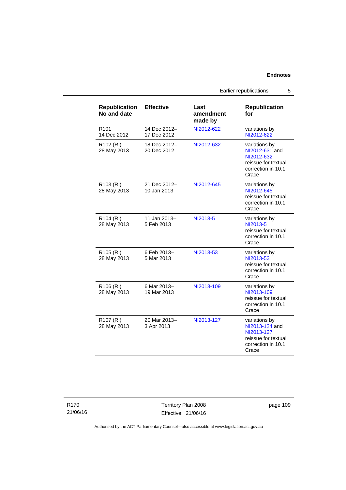Earlier republications 5

| <b>Republication</b><br>No and date  | <b>Effective</b>            | Last<br>amendment<br>made by | <b>Republication</b><br>for                                                                         |
|--------------------------------------|-----------------------------|------------------------------|-----------------------------------------------------------------------------------------------------|
| R <sub>101</sub><br>14 Dec 2012      | 14 Dec 2012-<br>17 Dec 2012 | NI2012-622                   | variations by<br>NI2012-622                                                                         |
| R102 (RI)<br>28 May 2013             | 18 Dec 2012-<br>20 Dec 2012 | NI2012-632                   | variations by<br>NI2012-631 and<br>NI2012-632<br>reissue for textual<br>correction in 10.1<br>Crace |
| R103 (RI)<br>28 May 2013             | 21 Dec 2012-<br>10 Jan 2013 | NI2012-645                   | variations by<br>NI2012-645<br>reissue for textual<br>correction in 10.1<br>Crace                   |
| R <sub>104</sub> (RI)<br>28 May 2013 | 11 Jan 2013-<br>5 Feb 2013  | NI2013-5                     | variations by<br>NI2013-5<br>reissue for textual<br>correction in 10.1<br>Crace                     |
| R <sub>105</sub> (RI)<br>28 May 2013 | 6 Feb 2013-<br>5 Mar 2013   | NI2013-53                    | variations by<br>NI2013-53<br>reissue for textual<br>correction in 10.1<br>Crace                    |
| R106 (RI)<br>28 May 2013             | 6 Mar 2013-<br>19 Mar 2013  | NI2013-109                   | variations by<br>NI2013-109<br>reissue for textual<br>correction in 10.1<br>Crace                   |
| R <sub>107</sub> (RI)<br>28 May 2013 | 20 Mar 2013-<br>3 Apr 2013  | NI2013-127                   | variations by<br>NI2013-124 and<br>NI2013-127<br>reissue for textual<br>correction in 10.1<br>Crace |

R170 21/06/16

Territory Plan 2008 Effective: 21/06/16 page 109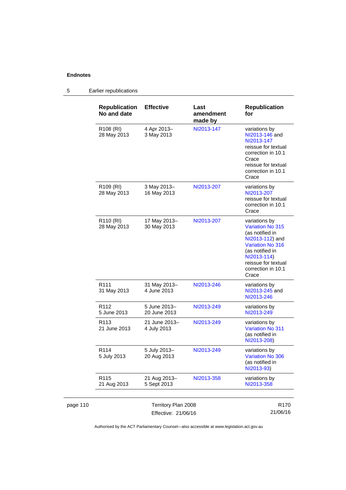#### page 110 Territory Plan 2008 Effective: 21/06/16 R170 21/06/16 **Republication No and date Effective Last amendment made by Republication for**  R108 (RI) 28 May 2013 4 Apr 2013– 3 May 2013 [NI2013-147](http://www.legislation.act.gov.au/ni/2013-147/default.asp) variations by [NI2013-146](http://www.legislation.act.gov.au/ni/2013-146/) and [NI2013-147](http://www.legislation.act.gov.au/ni/2013-147/default.asp) reissue for textual correction in 10.1 **Crace** reissue for textual correction in 10.1 **Crace** R109 (RI) 28 May 2013 3 May 2013– 16 May 2013 [NI2013-207](http://www.legislation.act.gov.au/ni/2013-207/default.asp) variations by [NI2013-207](http://www.legislation.act.gov.au/ni/2013-207/default.asp) reissue for textual correction in 10.1 **Crace** R110 (RI) 28 May 2013 17 May 2013– 30 May 2013 [NI2013-207](http://www.legislation.act.gov.au/ni/2013-207/default.asp) variations by [Variation No 315](http://www.legislation.act.gov.au/ni/2013-112/default.asp) (as notified in [NI2013-112](http://www.legislation.act.gov.au/ni/2013-112/)) and [Variation No 316](http://www.legislation.act.gov.au/ni/2013-114/default.asp) (as notified in [NI2013-114](http://www.legislation.act.gov.au/ni/2013-114/)) reissue for textual correction in 10.1 **Crace** R111 31 May 2013 31 May 2013– 4 June 2013 [NI2013-246](http://www.legislation.act.gov.au/ni/2013-246/default.asp) variations by [NI2013-245](http://www.legislation.act.gov.au/ni/2013-245/default.asp) and [NI2013-246](http://www.legislation.act.gov.au/ni/2013-246/default.asp) R112 5 June 2013 5 June 2013– 20 June 2013 [NI2013-249](http://www.legislation.act.gov.au/ni/2013-249/) variations by [NI2013-249](http://www.legislation.act.gov.au/ni/2013-249/) R113 21 June 2013 21 June 2013– 4 July 2013 [NI2013-249](http://www.legislation.act.gov.au/ni/2013-249/) variations by [Variation No 311](http://www.legislation.act.gov.au/ni/2013-208/default.asp) (as notified in [NI2013-208](http://www.legislation.act.gov.au/ni/2013-208/default.asp)) R114 5 July 2013 5 July 2013– 20 Aug 2013 [NI2013-249](http://www.legislation.act.gov.au/ni/2013-249/default.asp) variations by [Variation No 306](http://www.legislation.act.gov.au/ni/2013-93/default.asp) (as notified in [NI2013-93](http://www.legislation.act.gov.au/ni/2013-93/)) R115 21 Aug 2013 21 Aug 2013– 5 Sept 2013 [NI2013-358](http://www.legislation.act.gov.au/ni/2013-358/default.asp) variations by [NI2013-358](http://www.legislation.act.gov.au/ni/2013-358/default.asp)

#### 5 Earlier republications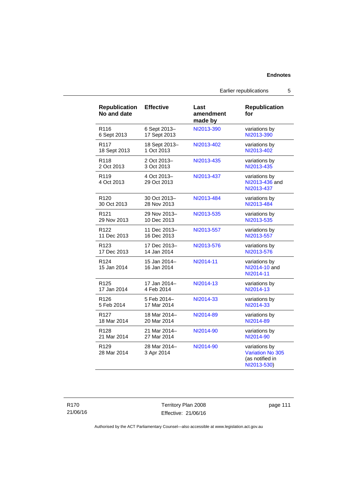Earlier republications 5

| <b>Republication</b><br>No and date | <b>Effective</b>            | Last<br>amendment<br>made by | <b>Republication</b><br>for                                                |
|-------------------------------------|-----------------------------|------------------------------|----------------------------------------------------------------------------|
| R <sub>116</sub>                    | 6 Sept 2013-                | NI2013-390                   | variations by                                                              |
| 6 Sept 2013                         | 17 Sept 2013                |                              | NI2013-390                                                                 |
| R <sub>117</sub>                    | 18 Sept 2013-               | NI2013-402                   | variations by                                                              |
| 18 Sept 2013                        | 1 Oct 2013                  |                              | NI2013-402                                                                 |
| R118                                | 2 Oct 2013-                 | NI2013-435                   | variations by                                                              |
| 2 Oct 2013                          | 3 Oct 2013                  |                              | NI2013-435                                                                 |
| R <sub>119</sub><br>4 Oct 2013      | 4 Oct 2013-<br>29 Oct 2013  | NI2013-437                   | variations by<br>NI2013-436 and<br>NI2013-437                              |
| R <sub>120</sub>                    | 30 Oct 2013-                | NI2013-484                   | variations by                                                              |
| 30 Oct 2013                         | 28 Nov 2013                 |                              | NI2013-484                                                                 |
| R <sub>121</sub>                    | 29 Nov 2013-                | NI2013-535                   | variations by                                                              |
| 29 Nov 2013                         | 10 Dec 2013                 |                              | NI2013-535                                                                 |
| R <sub>122</sub>                    | 11 Dec 2013-                | NI2013-557                   | variations by                                                              |
| 11 Dec 2013                         | 16 Dec 2013                 |                              | NI2013-557                                                                 |
| R <sub>123</sub>                    | 17 Dec 2013-                | NI2013-576                   | variations by                                                              |
| 17 Dec 2013                         | 14 Jan 2014                 |                              | NI2013-576                                                                 |
| R <sub>124</sub><br>15 Jan 2014     | 15 Jan 2014-<br>16 Jan 2014 | NI2014-11                    | variations by<br>NI2014-10 and<br>NI2014-11                                |
| R <sub>125</sub>                    | 17 Jan 2014–                | NI2014-13                    | variations by                                                              |
| 17 Jan 2014                         | 4 Feb 2014                  |                              | NI2014-13                                                                  |
| R <sub>126</sub>                    | 5 Feb 2014-                 | NI2014-33                    | variations by                                                              |
| 5 Feb 2014                          | 17 Mar 2014                 |                              | NI2014-33                                                                  |
| R <sub>127</sub>                    | 18 Mar 2014-                | NI2014-89                    | variations by                                                              |
| 18 Mar 2014                         | 20 Mar 2014                 |                              | NI2014-89                                                                  |
| R <sub>128</sub>                    | 21 Mar 2014-                | NI2014-90                    | variations by                                                              |
| 21 Mar 2014                         | 27 Mar 2014                 |                              | NI2014-90                                                                  |
| R <sub>129</sub><br>28 Mar 2014     | 28 Mar 2014-<br>3 Apr 2014  | NI2014-90                    | variations by<br><b>Variation No 305</b><br>(as notified in<br>NI2013-530) |

Territory Plan 2008 Effective: 21/06/16 page 111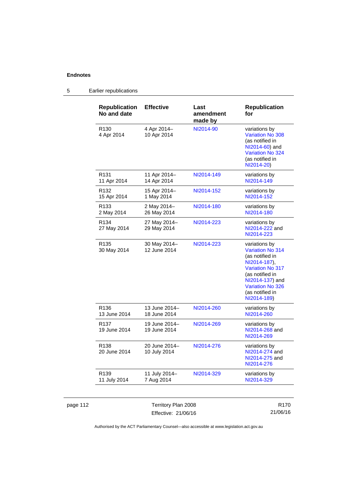| <b>Republication</b><br>No and date | <b>Effective</b>              | Last<br>amendment<br>made by | <b>Republication</b><br>for                                                                                                                                                                               |
|-------------------------------------|-------------------------------|------------------------------|-----------------------------------------------------------------------------------------------------------------------------------------------------------------------------------------------------------|
| R <sub>130</sub><br>4 Apr 2014      | 4 Apr 2014-<br>10 Apr 2014    | NI2014-90                    | variations by<br><b>Variation No 308</b><br>(as notified in<br>NI2014-60) and<br>Variation No 324<br>(as notified in<br>NI2014-20)                                                                        |
| R <sub>131</sub><br>11 Apr 2014     | 11 Apr 2014-<br>14 Apr 2014   | NI2014-149                   | variations by<br>NI2014-149                                                                                                                                                                               |
| R <sub>132</sub><br>15 Apr 2014     | 15 Apr 2014-<br>1 May 2014    | NI2014-152                   | variations by<br>NI2014-152                                                                                                                                                                               |
| R <sub>133</sub><br>2 May 2014      | 2 May 2014-<br>26 May 2014    | NI2014-180                   | variations by<br>NI2014-180                                                                                                                                                                               |
| R <sub>134</sub><br>27 May 2014     | 27 May 2014-<br>29 May 2014   | NI2014-223                   | variations by<br>NI2014-222 and<br>NI2014-223                                                                                                                                                             |
| R <sub>135</sub><br>30 May 2014     | 30 May 2014-<br>12 June 2014  | NI2014-223                   | variations by<br><b>Variation No 314</b><br>(as notified in<br>NI2014-187).<br><b>Variation No 317</b><br>(as notified in<br>NI2014-137) and<br><b>Variation No 326</b><br>(as notified in<br>NI2014-189) |
| R <sub>136</sub><br>13 June 2014    | 13 June 2014-<br>18 June 2014 | NI2014-260                   | variations by<br>NI2014-260                                                                                                                                                                               |
| R <sub>137</sub><br>19 June 2014    | 19 June 2014-<br>19 June 2014 | NI2014-269                   | variations by<br>NI2014-268 and<br>NI2014-269                                                                                                                                                             |
| R <sub>138</sub><br>20 June 2014    | 20 June 2014-<br>10 July 2014 | NI2014-276                   | variations by<br>NI2014-274 and<br>NI2014-275 and<br>NI2014-276                                                                                                                                           |
| R <sub>139</sub><br>11 July 2014    | 11 July 2014-<br>7 Aug 2014   | NI2014-329                   | variations by<br>NI2014-329                                                                                                                                                                               |

## 5 Earlier republications

page 112 Territory Plan 2008 Effective: 21/06/16

R170 21/06/16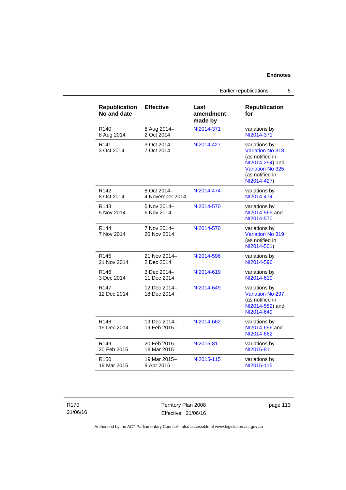Earlier republications 5

| <b>Republication</b><br>No and date | <b>Effective</b>            | Last<br>amendment<br>made by | <b>Republication</b><br>for                                                                                                                 |
|-------------------------------------|-----------------------------|------------------------------|---------------------------------------------------------------------------------------------------------------------------------------------|
| R <sub>140</sub>                    | 8 Aug 2014-                 | NI2014-371                   | variations by                                                                                                                               |
| 8 Aug 2014                          | 2 Oct 2014                  |                              | NI2014-371                                                                                                                                  |
| R <sub>141</sub><br>3 Oct 2014      | 3 Oct 2014-<br>7 Oct 2014   | NI2014-427                   | variations by<br><b>Variation No 318</b><br>(as notified in<br>NI2014-294) and<br><b>Variation No 325</b><br>(as notified in<br>NI2014-427) |
| R <sub>142</sub>                    | 8 Oct 2014-                 | NI2014-474                   | variations by                                                                                                                               |
| 8 Oct 2014                          | 4 November 2014             |                              | NI2014-474                                                                                                                                  |
| R <sub>143</sub><br>5 Nov 2014      | 5 Nov 2014-<br>6 Nov 2014   | NI2014-570                   | variations by<br>NI2014-569 and<br>NI2014-570                                                                                               |
| R <sub>144</sub><br>7 Nov 2014      | 7 Nov 2014-<br>20 Nov 2014  | NI2014-570                   | variations by<br><b>Variation No 319</b><br>(as notified in<br>NI2014-501)                                                                  |
| R <sub>145</sub>                    | 21 Nov 2014-                | NI2014-596                   | variations by                                                                                                                               |
| 21 Nov 2014                         | 2 Dec 2014                  |                              | NI2014-596                                                                                                                                  |
| R <sub>146</sub>                    | 3 Dec 2014-                 | NI2014-619                   | variations by                                                                                                                               |
| 3 Dec 2014                          | 11 Dec 2014                 |                              | NI2014-619                                                                                                                                  |
| R <sub>147</sub><br>12 Dec 2014     | 12 Dec 2014-<br>18 Dec 2014 | NI2014-649                   | variations by<br><b>Variation No 297</b><br>(as notified in<br>NI2014-552) and<br>NI2014-649                                                |
| R <sub>148</sub><br>19 Dec 2014     | 19 Dec 2014-<br>19 Feb 2015 | NI2014-662                   | variations by<br>NI2014-656 and<br>NI2014-662                                                                                               |
| R <sub>149</sub>                    | 20 Feb 2015-                | NI2015-81                    | variations by                                                                                                                               |
| 20 Feb 2015                         | 18 Mar 2015                 |                              | NI2015-81                                                                                                                                   |
| R <sub>150</sub>                    | 19 Mar 2015-                | NI2015-115                   | variations by                                                                                                                               |
| 19 Mar 2015                         | 9 Apr 2015                  |                              | NI2015-115                                                                                                                                  |

R170 21/06/16

Territory Plan 2008 Effective: 21/06/16 page 113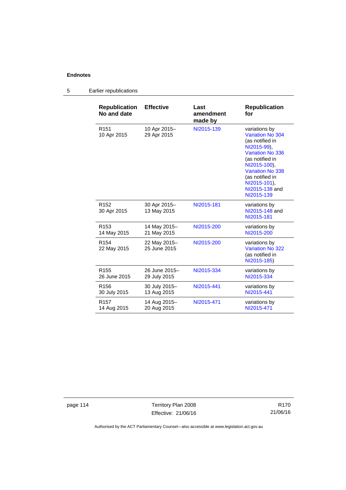## 5 Earlier republications

| <b>Republication</b><br>No and date | <b>Effective</b>             | Last<br>amendment<br>made by | <b>Republication</b><br>for                                                                                                                                                                                                            |
|-------------------------------------|------------------------------|------------------------------|----------------------------------------------------------------------------------------------------------------------------------------------------------------------------------------------------------------------------------------|
| R <sub>151</sub><br>10 Apr 2015     | 10 Apr 2015-<br>29 Apr 2015  | NI2015-139                   | variations by<br><b>Variation No 304</b><br>(as notified in<br>NI2015-99).<br><b>Variation No 336</b><br>(as notified in<br>NI2015-100),<br><b>Variation No 338</b><br>(as notified in<br>NI2015-101),<br>NI2015-138 and<br>NI2015-139 |
| R <sub>152</sub><br>30 Apr 2015     | 30 Apr 2015-<br>13 May 2015  | NI2015-181                   | variations by<br>NI2015-148 and<br>NI2015-181                                                                                                                                                                                          |
| R <sub>153</sub>                    | 14 May 2015-                 | NI2015-200                   | variations by                                                                                                                                                                                                                          |
| 14 May 2015                         | 21 May 2015                  |                              | NI2015-200                                                                                                                                                                                                                             |
| R <sub>154</sub><br>22 May 2015     | 22 May 2015-<br>25 June 2015 | NI2015-200                   | variations by<br><b>Variation No 322</b><br>(as notified in<br>NI2015-185)                                                                                                                                                             |
| R <sub>155</sub>                    | 26 June 2015-                | NI2015-334                   | variations by                                                                                                                                                                                                                          |
| 26 June 2015                        | 29 July 2015                 |                              | NI2015-334                                                                                                                                                                                                                             |
| R <sub>156</sub>                    | 30 July 2015-                | NI2015-441                   | variations by                                                                                                                                                                                                                          |
| 30 July 2015                        | 13 Aug 2015                  |                              | NI2015-441                                                                                                                                                                                                                             |
| R <sub>157</sub>                    | 14 Aug 2015-                 | NI2015-471                   | variations by                                                                                                                                                                                                                          |
| 14 Aug 2015                         | 20 Aug 2015                  |                              | NI2015-471                                                                                                                                                                                                                             |

page 114 Territory Plan 2008 Effective: 21/06/16

R170 21/06/16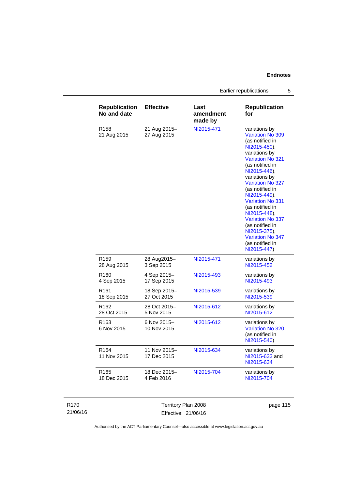Earlier republications 5

| <b>Republication</b><br>No and date | <b>Effective</b>            | Last<br>amendment<br>made by | <b>Republication</b><br>for                                                                                                                                                                                                                                                                                                                                                                                          |
|-------------------------------------|-----------------------------|------------------------------|----------------------------------------------------------------------------------------------------------------------------------------------------------------------------------------------------------------------------------------------------------------------------------------------------------------------------------------------------------------------------------------------------------------------|
| R <sub>158</sub><br>21 Aug 2015     | 21 Aug 2015-<br>27 Aug 2015 | NI2015-471                   | variations by<br>Variation No 309<br>(as notified in<br>NI2015-450),<br>variations by<br><b>Variation No 321</b><br>(as notified in<br>NI2015-446),<br>variations by<br><b>Variation No 327</b><br>(as notified in<br>NI2015-449),<br><b>Variation No 331</b><br>(as notified in<br>NI2015-448).<br>Variation No 337<br>(as notified in<br>NI2015-375),<br><b>Variation No 347</b><br>(as notified in<br>NI2015-447) |
| R <sub>159</sub>                    | 28 Aug2015-                 | NI2015-471                   | variations by                                                                                                                                                                                                                                                                                                                                                                                                        |
| 28 Aug 2015                         | 3 Sep 2015                  |                              | NI2015-452                                                                                                                                                                                                                                                                                                                                                                                                           |
| R <sub>160</sub>                    | 4 Sep 2015-                 | NI2015-493                   | variations by                                                                                                                                                                                                                                                                                                                                                                                                        |
| 4 Sep 2015                          | 17 Sep 2015                 |                              | NI2015-493                                                                                                                                                                                                                                                                                                                                                                                                           |
| R161                                | 18 Sep 2015-                | NI2015-539                   | variations by                                                                                                                                                                                                                                                                                                                                                                                                        |
| 18 Sep 2015                         | 27 Oct 2015                 |                              | NI2015-539                                                                                                                                                                                                                                                                                                                                                                                                           |
| R <sub>162</sub>                    | 28 Oct 2015-                | NI2015-612                   | variations by                                                                                                                                                                                                                                                                                                                                                                                                        |
| 28 Oct 2015                         | 5 Nov 2015                  |                              | NI2015-612                                                                                                                                                                                                                                                                                                                                                                                                           |
| R <sub>163</sub><br>6 Nov 2015      | 6 Nov 2015-<br>10 Nov 2015  | NI2015-612                   | variations by<br>Variation No 320<br>(as notified in<br>NI2015-540)                                                                                                                                                                                                                                                                                                                                                  |
| R <sub>164</sub><br>11 Nov 2015     | 11 Nov 2015-<br>17 Dec 2015 | NI2015-634                   | variations by<br>NI2015-633 and<br>NI2015-634                                                                                                                                                                                                                                                                                                                                                                        |
| R165                                | 18 Dec 2015-                | NI2015-704                   | variations by                                                                                                                                                                                                                                                                                                                                                                                                        |
| 18 Dec 2015                         | 4 Feb 2016                  |                              | NI2015-704                                                                                                                                                                                                                                                                                                                                                                                                           |

#### R170 21/06/16

Territory Plan 2008 Effective: 21/06/16 page 115